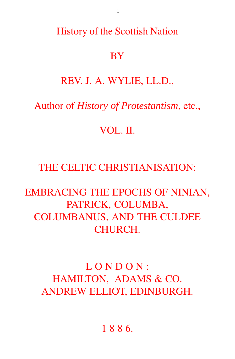History of the Scottish Nation

## **BY**

## REV. J. A. WYLIE, LL.D.,

## Author of *History of Protestantism*, etc.,

## VOL. II.

## THE CELTIC CHRISTIANISATION:

# EMBRACING THE EPOCHS OF NINIAN, PATRICK, COLUMBA, COLUMBANUS, AND THE CULDEE CHURCH.

# LONDON: HAMILTON, ADAMS & CO. ANDREW ELLIOT, EDINBURGH.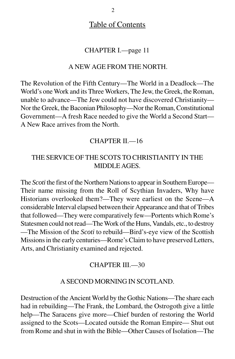## Table of Contents

## CHAPTER I.—page 11

#### A NEW AGE FROM THE NORTH.

The Revolution of the Fifth Century—The World in a Deadlock—The World's one Work and its Three Workers, The Jew, the Greek, the Roman, unable to advance—The Jew could not have discovered Christianity— Nor the Greek, the Baconian Philosophy—Nor the Roman, Constitutional Government—A fresh Race needed to give the World a Second Start— A New Race arrives from the North.

### CHAPTER II.<sup>16</sup>

## THE SERVICE OF THE SCOTS TO CHRISTIANITY IN THE MIDDLE AGES.

The *Scoti* the first of the Northern Nations to appear in Southern Europe— Their name missing from the Roll of Scythian Invaders, Why have Historians overlooked them?—They were earliest on the Scene—A considerable Interval elapsed between their Appearance and that of Tribes that followed—They were comparatively few—Portents which Rome's Statesmen could not read—The Work of the Huns, Vandals, etc., to destroy —The Mission of the *Scoti* to rebuild—Bird's-eye view of the Scottish Missions in the early centuries—Rome's Claim to have preserved Letters, Arts, and Christianity examined and rejected.

#### CHAPTER III.<sup>30</sup>

#### A SECOND MORNING IN SCOTLAND.

Destruction of the Ancient World by the Gothic Nations—The share each had in rebuilding—The Frank, the Lombard, the Ostrogoth give a little help—The Saracens give more—Chief burden of restoring the World assigned to the Scots—Located outside the Roman Empire— Shut out from Rome and shut in with the Bible—Other Causes of Isolation—The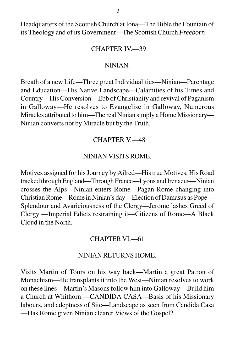Headquarters of the Scottish Church at Iona—The Bible the Fountain of its Theology and of its Government—The Scottish Church *Freeborn*

#### CHAPTER IV.—39

#### NINIAN.

Breath of a new Life—Three great Individualities—Ninian—Parentage and Education—His Native Landscape—Calamities of his Times and Country—His Conversion—Ebb of Christianity and revival of Paganism in Galloway—He resolves to Evangelise in Galloway, Numerous Miracles attributed to him—The real Ninian simply a Home Missionary— Ninian converts not by Miracle but by the Truth.

#### CHAPTER V.—48

#### NINIAN VISITS ROME.

Motives assigned for his Journey by Ailred—His true Motives, His Road tracked through England—Through France—Lyons and Irenaeus—Ninian crosses the Alps—Ninian enters Rome—Pagan Rome changing into Christian Rome—Rome in Ninian's day—Election of Damasus as Pope— Splendour and Avariciousness of the Clergy—Jerome lashes Greed of Clergy —Imperial Edicts restraining it—Citizens of Rome—A Black Cloud in the North.

#### CHAPTER VI.—61

#### NINIAN RETURNS HOME.

Visits Martin of Tours on his way back—Martin a great Patron of Monachism—He transplants it into the West—Ninian resolves to work on these lines—Martin's Masons follow him into Galloway—Build him a Church at Whithorn —CANDIDA CASA—Basis of his Missionary labours, and adeptness of Site—Landscape as seen from Candida Casa —Has Rome given Ninian clearer Views of the Gospel?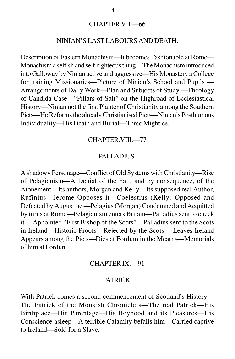#### CHAPTER VII.—66

#### NINIAN'S LAST LABOURS AND DEATH.

Description of Eastern Monachism—It becomes Fashionable at Rome— Monachism a selfish and self-righteous thing—The Monachism introduced into Galloway by Ninian active and aggressive—His Monastery a College for training Missionaries—Picture of Ninian's School and Pupils — Arrangements of Daily Work—Plan and Subjects of Study —Theology of Candida Case—"Pillars of Salt" on the Highroad of Ecclesiastical History—Ninian not the first Planter of Christianity among the Southern Picts—He Reforms the already Christianised Picts—Ninian's Posthumous Individuality—His Death and Burial—Three Mighties.

#### CHAPTER.VIII.—77

#### PALLADIUS.

A shadowy Personage—Conflict of Old Systems with Christianity—Rise of Pelagianism—A Denial of the Fall, and by consequence, of the Atonement—Its authors, Morgan and Kelly—Its supposed real Author, Rufinius—Jerome Opposes it—Coelestius (Kelly) Opposed and Defeated by Augustine —Pelagius (Morgan) Condemned and Acquitted by turns at Rome—Pelagianism enters Britain—Palladius sent to check it —Appointed "First Bishop of the Scots"—Palladius sent to the Scots in Ireland—Historic Proofs—Rejected by the Scots —Leaves Ireland Appears among the Picts—Dies at Fordum in the Mearns—Memorials of him at Fordun.

#### CHAPTER IX.—91

#### PATRICK.

With Patrick comes a second commencement of Scotland's History— The Patrick of the Monkish Chroniclers—The real Patrick—His Birthplace—His Parentage—His Boyhood and its Pleasures—His Conscience asleep—A terrible Calamity befalls him—Carried captive to Ireland—Sold for a Slave.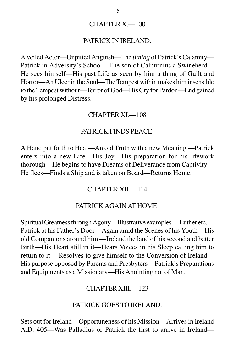#### CHAPTER X.—100

#### PATRICK IN IRELAND.

A veiled Actor—Unpitied Anguish—The *timing* of Patrick's Calamity— Patrick in Adversity's School—The son of Calpurnius a Swineherd— He sees himself—His past Life as seen by him a thing of Guilt and Horror—An Ulcer in the Soul—The Tempest within makes him insensible to the Tempest without—Terror of God—His Cry for Pardon—End gained by his prolonged Distress.

#### CHAPTER XI.—108

#### PATRICK FINDS PEACE.

A Hand put forth to Heal—An old Truth with a new Meaning —Patrick enters into a new Life—His Joy—His preparation for his lifework thorough—He begins to have Dreams of Deliverance from Captivity— He flees—Finds a Ship and is taken on Board—Returns Home.

#### CHAPTER XII.—114

#### PATRICK AGAIN AT HOME.

Spiritual Greatness through Agony—Illustrative examples —Luther etc.— Patrick at his Father's Door—Again amid the Scenes of his Youth—His old Companions around him —Ireland the land of his second and better Birth—His Heart still in it—Hears Voices in his Sleep calling him to return to it —Resolves to give himself to the Conversion of Ireland— His purpose opposed by Parents and Presbyters—Patrick's Preparations and Equipments as a Missionary—His Anointing not of Man.

#### CHAPTER XIII.—123

#### PATRICK GOES TO IRELAND.

Sets out for Ireland—Opportuneness of his Mission—Arrives in Ireland A.D. 405—Was Palladius or Patrick the first to arrive in Ireland—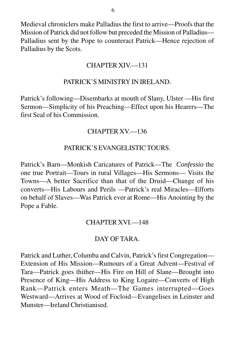Medieval chroniclers make Palladius the first to arrive—Proofs that the Mission of Patrick did not follow but preceded the Mission of Palladius— Palladius sent by the Pope to counteract Patrick—Hence rejection of Palladius by the Scots.

## CHAPTER XIV.—131

## PATRICK'S MINISTRY IN IRELAND.

Patrick's following—Disembarks at mouth of Slany, Ulster —His first Sermon—Simplicity of his Preaching—Effect upon his Hearers—The first Seal of his Commission.

## CHAPTER XV.—136

### PATRICK'S EVANGELISTIC TOURS.

Patrick's Barn—Monkish Caricatures of Patrick—The *Confessio* the one true Portrait—Tours in rural Villages—His Sermons— Visits the Towns—A better Sacrifice than that of the Druid—Change of his converts—His Labours and Perils —Patrick's real Miracles—Efforts on behalf of Slaves—Was Patrick ever at Rome—His Anointing by the Pope a Fable.

#### CHAPTER XVI.—148

#### DAY OF TARA.

Patrick and Luther, Columba and Calvin, Patrick's first Congregation— Extension of His Mission—Rumours of a Great Advent—Festival of Tara—Patrick goes thither—His Fire on Hill of Slane—Brought into Presence of King—His Address to King Logaire—Converts of High Rank—Patrick enters Meath—The Games interrupted—Goes Westward—Arrives at Wood of Focloid—Evangelises in Leinster and Munster—Ireland Christianised.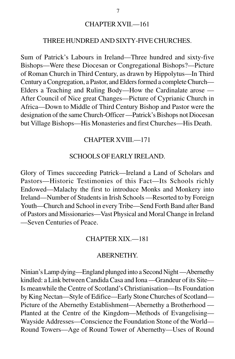#### CHAPTER XVII.—161

#### THREE HUNDRED AND SIXTY-FIVE CHURCHES.

Sum of Patrick's Labours in Ireland—Three hundred and sixty-five Bishops—Were these Diocesan or Congregational Bishops?—Picture of Roman Church in Third Century, as drawn by Hippolytus—In Third Century a Congregation, a Pastor, and Elders formed a complete Church— Elders a Teaching and Ruling Body—How the Cardinalate arose — After Council of Nice great Changes—Picture of Cyprianic Church in Africa—Down to Middle of Third Century Bishop and Pastor were the designation of the same Church-Officer —Patrick's Bishops not Diocesan but Village Bishops—His Monasteries and first Churches—His Death.

#### CHAPTER XVIII.—171

#### SCHOOLS OF EARLY IRELAND.

Glory of Times succeeding Patrick—Ireland a Land of Scholars and Pastors—Historic Testimonies of this Fact—Its Schools richly Endowed—Malachy the first to introduce Monks and Monkery into Ireland—Number of Students in Irish Schools —Resorted to by Foreign Youth—Church and School in every Tribe—Send Forth Band after Band of Pastors and Missionaries—Vast Physical and Moral Change in Ireland —Seven Centuries of Peace.

#### CHAPTER XIX.—181

#### ABERNETHY.

Ninian's Lamp dying—England plunged into a Second Night —Abernethy kindled: a Link between Candida Casa and Iona —Grandeur of its Site— Is meanwhile the Centre of Scotland's Christianisation—Its Foundation by King Nectan—Style of Edifice—Early Stone Churches of Scotland— Picture of the Abernethy Establishment—Abernethy a Brotherhood — Planted at the Centre of the Kingdom—Methods of Evangelising— Wayside Addresses—Conscience the Foundation Stone of the World— Round Towers—Age of Round Tower of Abernethy—Uses of Round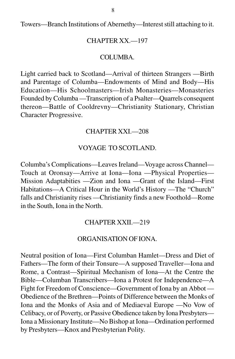Towers—Branch Institutions of Abernethy—Interest still attaching to it.

#### CHAPTER XX.—197

#### COLUMBA.

Light carried back to Scotland—Arrival of thirteen Strangers —Birth and Parentage of Columba—Endowments of Mind and Body—His Education—His Schoolmasters—Irish Monasteries—Monasteries Founded by Columba —Transcription of a Psalter—Quarrels consequent thereon—Battle of Cooldrevny—Christianity Stationary, Christian Character Progressive.

### CHAPTER XXI.—208

## VOYAGE TO SCOTLAND.

Columba's Complications—Leaves Ireland—Voyage across Channel— Touch at Oronsay—Arrive at Iona—Iona —Physical Properties— Mission Adaptabities —Zion and Iona —Grant of the Island—First Habitations—A Critical Hour in the World's History —The "Church" falls and Christianity rises —Christianity finds a new Foothold—Rome in the South, Iona in the North.

#### CHAPTER XXII.—219

#### ORGANISATION OF IONA.

Neutral position of Iona—First Columban Hamlet—Dress and Diet of Fathers—The form of their Tonsure—A supposed Traveller—Iona and Rome, a Contrast—Spiritual Mechanism of Iona—At the Centre the Bible—Columban Transcribers—Iona a Protest for Independence—A Fight for Freedom of Conscience—Government of Iona by an Abbot — Obedience of the Brethren—Points of Difference between the Monks of Iona and the Monks of Asia and of Mediaeval Europe —No Vow of Celibacy, or of Poverty, or Passive Obedience taken by Iona Presbyters— Iona a Missionary Institute—No Bishop at Iona—Ordination performed by Presbyters—Knox and Presbyterian Polity.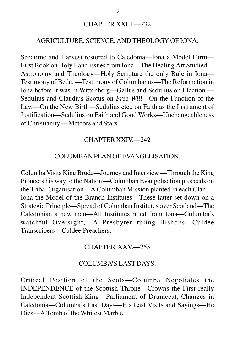#### CHAPTER XXIII.—232

## AGRICULTURE, SCIENCE, AND THEOLOGY OF IONA.

Seedtime and Harvest restored to Caledonia—Iona a Model Farm— First Book on Holy Land issues from Iona—The Healing Art Studied— Astronomy and Theology—Holy Scripture the only Rule in Iona— Testimony of Bede, —Testimony of Columbanus—The Reformation in Iona before it was in Wittenberg—Gallus and Sedulius on Election — Sedulius and Claudius Scotus on *Free Will*—On the Function of the Law—On the New Birth—Sedulius etc., on Faith as the Instrument of Justification—Sedulius on Faith and Good Works—Unchangeableness of Christianity —Meteors and Stars.

#### CHAPTER XXIV.—242

#### COLUMBAN PLAN OF EVANGELISATION.

Columba Visits King Brude—Journey and Interview —Through the King Pioneers his way to the Nation —Columban Evangelisation proceeds on the Tribal Organisation—A Columban Mission planted in each Clan — Iona the Model of the Branch Institutes—These latter set down on a Strategic Principle—Spread of Columban Institutes over Scotland—The Caledonian a new man—All Institutes ruled from Iona—Columba's watchful Oversight,—A Presbyter ruling Bishops—Culdee Transcribers—Culdee Preachers.

#### CHAPTER XXV.—255

### COLUMBA'S LAST DAYS.

Critical Position of the Scots—Columba Negotiates the INDEPENDENCE of the Scottish Throne—Crowns the First really Independent Scottish King—Parliament of Drumceat, Changes in Caledonia—Columba's Last Days—His Last Visits and Sayings—He Dies—A Tomb of the Whitest Marble.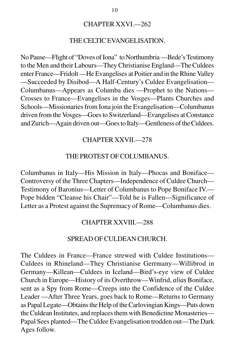#### CHAPTER XXVI.—262

#### THE CELTIC EVANGELISATION.

No Pause—Flight of "Doves of Iona" to Northumbria —Bede's Testimony to the Men and their Labours—They Christianise England—The Culdees enter France—Fridolt —He Evangelises at Poitier and in the Rhine Valley —Succeeded by Disibod—A Half-Century's Culdee Evangelisation— Columbanus—Appears as Columba dies —Prophet to the Nations— Crosses to France—Evangelises in the Vosges—Plants Churches and Schools—Missionaries from Iona join the Evangelisation—Columbanus driven from the Vosges—Goes to Switzerland—Evangelises at Constance and Zurich—Again driven out—Goes to Italy—Gentleness of the Culdees.

#### CHAPTER XXVII.—278

#### THE PROTEST OF COLUMBANUS.

Columbanus in Italy—His Mission in Italy—Phocas and Boniface— Controversy of the Three Chapters—Independence of Culdee Church— Testimony of Baronius—Letter of Columbanus to Pope Boniface IV.— Pope bidden "Cleanse his Chair"—Told he is Fallen—Significance of Letter as a Protest against the Supremacy of Rome—Columbanus dies.

#### CHAPTER XXVIII.—288

#### SPREAD OF CULDEAN CHURCH.

The Culdees in France—France strewed with Culdee Institutions— Culdees in Rhineland—They Christianise Gerrmany—Willibrod in Germany—Killean—Culdees in Iceland—Bird's-eye view of Culdee Church in Europe—History of its Overthrow—Winfrid, *alias* Boniface, sent as a Spy from Rome—Creeps into the Confidence of the Culdee Leader —After Three Years, goes back to Rome—Returns to Germany as Papal Legate—Obtains the Help of the Carlovingian Kings—Puts down the Culdean Institutes, and replaces them with Benedictine Monasteries— Papal Sees planted—The Culdee Evangelisation trodden out—The Dark Ages follow.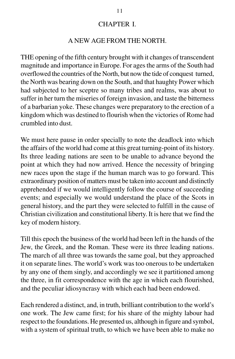### CHAPTER I.

## A NEW AGE FROM THE NORTH.

THE opening of the fifth century brought with it changes of transcendent magnitude and importance in Europe. For ages the arms of the South had overflowed the countries of the North, but now the tide of conquest turned, the North was bearing down on the South, and that haughty Power which had subjected to her sceptre so many tribes and realms, was about to suffer in her turn the miseries of foreign invasion, and taste the bitterness of a barbarian yoke. These changes were preparatory to the erection of a kingdom which was destined to flourish when the victories of Rome had crumbled into dust.

We must here pause in order specially to note the deadlock into which the affairs of the world had come at this great turning-point of its history. Its three leading nations are seen to be unable to advance beyond the point at which they had now arrived. Hence the necessity of bringing new races upon the stage if the human march was to go forward. This extraordinary position of matters must be taken into account and distinctly apprehended if we would intelligently follow the course of succeeding events; and especially we would understand the place of the Scots in general history, and the part they were selected to fulfill in the cause of Christian civilization and constitutional liberty. It is here that we find the key of modern history.

Till this epoch the business of the world had been left in the hands of the Jew, the Greek, and the Roman. These were its three leading nations. The march of all three was towards the same goal, but they approached it on separate lines. The world's work was too onerous to be undertaken by any one of them singly, and accordingly we see it partitioned among the three, in fit correspondence with the age in which each flourished, and the peculiar idiosyncrasy with which each had been endowed.

Each rendered a distinct, and, in truth, brilliant contribution to the world's one work. The Jew came first; for his share of the mighty labour had respect to the foundations. He presented us, although in figure and symbol, with a system of spiritual truth, to which we have been able to make no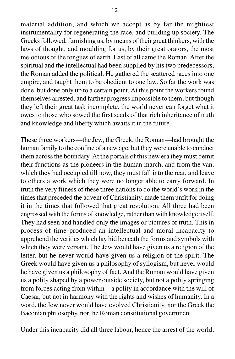material addition, and which we accept as by far the mightiest instrumentality for regenerating the race, and building up society. The Greeks followed, furnishing us, by means of their great thinkers, with the laws of thought, and moulding for us, by their great orators, the most melodious of the tongues of earth. Last of all came the Roman. After the spiritual and the intellectual had been supplied by his two predecessors, the Roman added the political. He gathered the scattered races into one empire, and taught them to be obedient to one law. So far the work was done, but done only up to a certain point. At this point the workers found themselves arrested, and farther progress impossible to them; but though they left their great task incomplete, the world never can forget what it owes to those who sowed the first seeds of that rich inheritance of truth and knowledge and liberty which awaits it in the future.

These three workers—the Jew, the Greek, the Roman—had brought the human family to the confine of a new age, but they were unable to conduct them across the boundary. At the portals of this new era they must demit their functions as the pioneers in the human march, and from the van, which they had occupied till now, they must fall into the rear, and leave to others a work which they were no longer able to carry forward. In truth the very fitness of these three nations to do the world's work in the times that preceded the advent of Christianity, made them unfit for doing it in the times that followed that great revolution. All three had been engrossed with the forms of knowledge, rather than with knowledge itself. They had seen and handled only the images or pictures of truth. This in process of time produced an intellectual and moral incapacity to apprehend the verities which lay hid beneath the forms and symbols with which they were versant. The Jew would have given us a religion of the letter, but he never would have given us a religion of the spirit. The Greek would have given us a philosophy of syllogism, but never would he have given us a philosophy of fact. And the Roman would have given us a polity shaped by a power outside society, but not a polity springing from forces acting from within—a polity in accordance with the will of Caesar, but not in harmony with the rights and wishes of humanity. In a word, the Jew never would have evolved Christianity, nor the Greek the Baconian philosophy, nor the Roman constitutional government.

Under this incapacity did all three labour, hence the arrest of the world;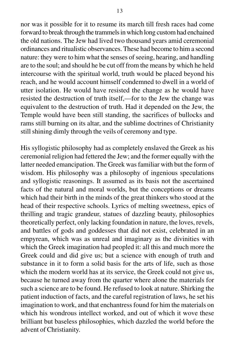nor was it possible for it to resume its march till fresh races had come forward to break through the trammels in which long custom had enchained the old nations. The Jew had lived two thousand years amid ceremonial ordinances and ritualistic observances. These had become to him a second nature: they were to him what the senses of seeing, hearing, and handling are to the soul; and should he be cut off from the means by which he held intercourse with the spiritual world, truth would be placed beyond his reach, and he would account himself condemned to dwell in a world of utter isolation. He would have resisted the change as he would have resisted the destruction of truth itself,—for to the Jew the change was equivalent to the destruction of truth. Had it depended on the Jew, the Temple would have been still standing, the sacrifices of bullocks and rams still burning on its altar, and the sublime doctrines of Christianity still shining dimly through the veils of ceremony and type.

His syllogistic philosophy had as completely enslaved the Greek as his ceremonial religion had fettered the Jew; and the former equally with the latter needed emancipation. The Greek was familiar with but the form of wisdom. His philosophy was a philosophy of ingenious speculations and syllogistic reasonings. It assumed as its basis not the ascertained facts of the natural and moral worlds, but the conceptions or dreams which had their birth in the minds of the great thinkers who stood at the head of their respective schools. Lyrics of melting sweetness, epics of thrilling and tragic grandeur, statues of dazzling beauty, philosophies theoretically perfect, only lacking foundation in nature, the loves, revels, and battles of gods and goddesses that did not exist, celebrated in an empyrean, which was as unreal and imaginary as the divinities with which the Greek imagination had peopled it: all this and much more the Greek could and did give us; but a science with enough of truth and substance in it to form a solid basis for the arts of life, such as those which the modern world has at its service, the Greek could not give us, because he turned away from the quarter where alone the materials for such a science are to be found. He refused to look at nature. Shirking the patient induction of facts, and the careful registration of laws, he set his imagination to work, and that enchantress found for him the materials on which his wondrous intellect worked, and out of which it wove these brilliant but baseless philosophies, which dazzled the world before the advent of Christianity.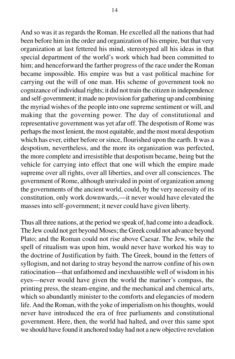And so was it as regards the Roman. He excelled all the nations that had been before him in the order and organization of his empire, but that very organization at last fettered his mind, stereotyped all his ideas in that special department of the world's work which had been committed to him; and henceforward the farther progress of the race under the Roman became impossible. His empire was but a vast political machine for carrying out the will of one man. His scheme of government took no cognizance of individual rights; it did not train the citizen in independence and self-government; it made no provision for gathering up and combining the myriad wishes of the people into one supreme sentiment or will, and making that the governing power. The day of constitutional and representative government was yet afar off. The despotism of Rome was perhaps the most lenient, the most equitable, and the most moral despotism which has ever, either before or since, flourished upon the earth. It was a despotism, nevertheless, and the more its organization was perfected, the more complete and irresistible that despotism became, being but the vehicle for carrying into effect that one will which the empire made supreme over all rights, over all liberties, and over all consciences. The government of Rome, although unrivaled in point of organization among the governments of the ancient world, could, by the very necessity of its constitution, only work downwards,—it never would have elevated the masses into self-government; it never could have given liberty.

Thus all three nations, at the period we speak of, had come into a deadlock. The Jew could not get beyond Moses; the Greek could not advance beyond Plato; and the Roman could not rise above Caesar. The Jew, while the spell of ritualism was upon him, would never have worked his way to the doctrine of Justification by faith. The Greek, bound in the fetters of syllogism, and not daring to stray beyond the narrow confine of his own ratiocination—that unfathomed and inexhaustible well of wisdom in his eyes—never would have given the world the mariner's compass, the printing press, the steam-engine, and the mechanical and chemical arts, which so abundantly minister to the comforts and elegancies of modern life. And the Roman, with the yoke of imperialism on his thoughts, would never have introduced the era of free parliaments and constitutional government. Here, then, the world had halted, and over this same spot we should have found it anchored today had not a new objective revelation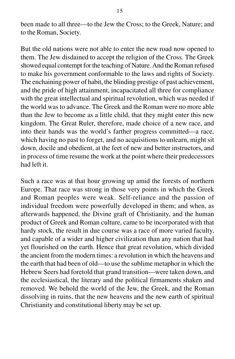been made to all three—to the Jew the Cross; to the Greek, Nature; and to the Roman, Society.

But the old nations were not able to enter the new road now opened to them. The Jew disdained to accept the religion of the Cross. The Greek showed equal contempt for the teaching of Nature. And the Roman refused to make his government conformable to the laws and rights of Society. The enchaining power of habit, the blinding prestige of past achievement, and the pride of high attainment, incapacitated all three for compliance with the great intellectual and spiritual revolution, which was needed if the world was to advance. The Greek and the Roman were no more able than the Jew to become as a little child, that they might enter this new kingdom. The Great Ruler, therefore, made choice of a new race, and into their hands was the world's farther progress committed—a race, which having no past to forget, and no acquisitions to unlearn, might sit down, docile and obedient, at the feet of new and better instructors, and in process of time resume the work at the point where their predecessors had left it.

Such a race was at that hour growing up amid the forests of northern Europe. That race was strong in those very points in which the Greek and Roman peoples were weak. Self-reliance and the passion of individual freedom were powerfully developed in them; and when, as afterwards happened, the Divine graft of Christianity, and the human product of Greek and Roman culture, came to be incorporated with that hardy stock, the result in due course was a race of more varied faculty, and capable of a wider and higher civilization than any nation that had yet flourished on the earth. Hence that great revolution, which divided the ancient from the modern times: a revolution in which the heavens and the earth that had been of old—to use the sublime metaphor in which the Hebrew Seers had foretold that grand transition—were taken down, and the ecclesiastical, the literary and the political firmaments shaken and removed. We behold the world of the Jew, the Greek, and the Roman dissolving in ruins, that the new heavens and the new earth of spiritual Christianity and constitutional liberty may be set up.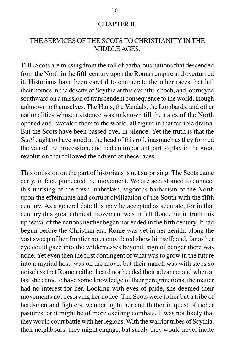#### CHAPTER II.

## THE SERVICES OF THE SCOTS TO CHRISTIANITY IN THE MIDDLE AGES.

THE Scots are missing from the roll of barbarous nations that descended from the North in the fifth century upon the Roman empire and overturned it. Historians have been careful to enumerate the other races that left their homes in the deserts of Scythia at this eventful epoch, and journeyed southward on a mission of transcendent consequence to the world, though unknown to themselves. The Huns, the Vandals, the Lombards, and other nationalities whose existence was unknown till the gates of the North opened and revealed them to the world, all figure in that terrible drama. But the Scots have been passed over in silence. Yet the truth is that the *Scoti* ought to have stood at the head of this roll, inasmuch as they formed the van of the procession, and had an important part to play in the great revolution that followed the advent of these races.

This omission on the part of historians is not surprising. The Scots came early, in fact, pioneered the movement. We are accustomed to connect this uprising of the fresh, unbroken, vigorous barbarism of the North upon the effeminate and corrupt civilization of the South with the fifth century. As a general date this may be accepted as accurate, for in that century this great ethnical movement was in full flood, but in truth this upheaval of the nations neither began nor ended in the fifth century. It had begun before the Christian era. Rome was yet in her zenith: along the vast sweep of her frontier no enemy dared show himself; and, far as her eye could gaze into the wildernesses beyond, sign of danger there was none. Yet even then the first contingent of what was to grow in the future into a myriad host, was on the move, but their march was with steps so noiseless that Rome neither heard nor heeded their advance; and when at last she came to have some knowledge of their peregrinations, the matter had no interest for her. Looking with eyes of pride, she deemed their movements not deserving her notice. The Scots were to her but a tribe of herdsmen and fighters, wandering hither and thither in quest of richer pastures, or it might be of more exciting combats. It was not likely that they would court battle with her legions. With the warrior tribes of Scythia, their neighbours, they might engage, but surely they would never incite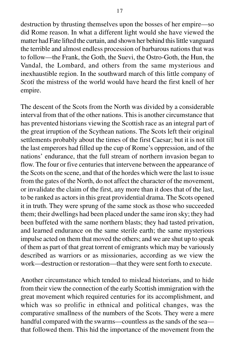destruction by thrusting themselves upon the bosses of her empire—so did Rome reason. In what a different light would she have viewed the matter had Fate lifted the curtain, and shown her behind this little vanguard the terrible and almost endless procession of barbarous nations that was to follow—the Frank, the Goth, the Suevi, the Ostro-Goth, the Hun, the Vandal, the Lombard, and others from the same mysterious and inexhaustible region. In the southward march of this little company of *Scoti* the mistress of the world would have heard the first knell of her empire.

The descent of the Scots from the North was divided by a considerable interval from that of the other nations. This is another circumstance that has prevented historians viewing the Scottish race as an integral part of the great irruption of the Scythean nations. The Scots left their original settlements probably about the times of the first Caesar; but it is not till the last emperors had filled up the cup of Rome's oppression, and of the nations' endurance, that the full stream of northern invasion began to flow. The four or five centuries that intervene between the appearance of the Scots on the scene, and that of the hordes which were the last to issue from the gates of the North, do not affect the character of the movement, or invalidate the claim of the first, any more than it does that of the last, to be ranked as actors in this great providential drama. The Scots opened it in truth. They were sprung of the same stock as those who succeeded them; their dwellings had been placed under the same iron sky; they had been buffeted with the same northern blasts; they had tasted privation, and learned endurance on the same sterile earth; the same mysterious impulse acted on them that moved the others; and we are shut up to speak of them as part of that great torrent of emigrants which may be variously described as warriors or as missionaries, according as we view the work—destruction or restoration—that they were sent forth to execute.

Another circumstance which tended to mislead historians, and to hide from their view the connection of the early Scottish immigration with the great movement which required centuries for its accomplishment, and which was so prolific in ethnical and political changes, was the comparative smallness of the numbers of the Scots. They were a mere handful compared with the swarms—countless as the sands of the sea that followed them. This hid the importance of the movement from the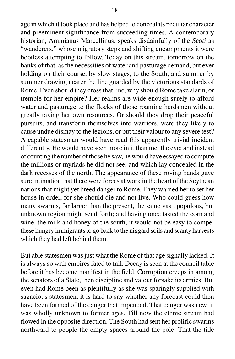age in which it took place and has helped to conceal its peculiar character and preeminent significance from succeeding times. A contemporary historian, Ammianus Marcellinus, speaks disdainfully of the *Scoti* as "wanderers," whose migratory steps and shifting encampments it were bootless attempting to follow. Today on this stream, tomorrow on the banks of that, as the necessities of water and pasturage demand, but ever holding on their course, by slow stages, to the South, and summer by summer drawing nearer the line guarded by the victorious standards of Rome. Even should they cross that line, why should Rome take alarm, or tremble for her empire? Her realms are wide enough surely to afford water and pasturage to the flocks of those roaming herdsmen without greatly taxing her own resources. Or should they drop their peaceful pursuits, and transform themselves into warriors, were they likely to cause undue dismay to the legions, or put their valour to any severe test? A capable statesman would have read this apparently trivial incident differently. He would have seen more in it than met the eye; and instead of counting the number of those he saw, he would have essayed to compute the millions or myriads he did not see, and which lay concealed in the dark recesses of the north. The appearance of these roving bands gave sure intimation that there were forces at work in the heart of the Scythean nations that might yet breed danger to Rome. They warned her to set her house in order, for she should die and not live. Who could guess how many swarms, far larger than the present, the same vast, populous, but unknown region might send forth; and having once tasted the corn and wine, the milk and honey of the south, it would not be easy to compel these hungry immigrants to go back to the niggard soils and scanty harvests which they had left behind them.

But able statesmen was just what the Rome of that age signally lacked. It is always so with empires fated to fall. Decay is seen at the council table before it has become manifest in the field. Corruption creeps in among the senators of a State, then discipline and valour forsake its armies. But even had Rome been as plentifully as she was sparingly supplied with sagacious statesmen, it is hard to say whether any forecast could then have been formed of the danger that impended. That danger was new; it was wholly unknown to former ages. Till now the ethnic stream had flowed in the opposite direction. The South had sent her prolific swarms northward to people the empty spaces around the pole. That the tide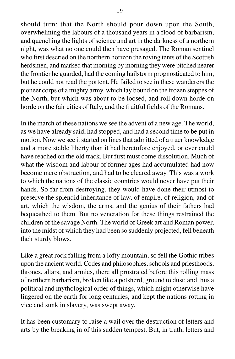should turn: that the North should pour down upon the South, overwhelming the labours of a thousand years in a flood of barbarism, and quenching the lights of science and art in the darkness of a northern night, was what no one could then have presaged. The Roman sentinel who first descried on the northern horizon the roving tents of the Scottish herdsmen, and marked that morning by morning they were pitched nearer the frontier he guarded, had the coming hailstorm prognosticated to him, but he could not read the portent. He failed to see in these wanderers the pioneer corps of a mighty army, which lay bound on the frozen steppes of the North, but which was about to be loosed, and roll down horde on horde on the fair cities of Italy, and the fruitful fields of the Romans.

In the march of these nations we see the advent of a new age. The world, as we have already said, had stopped, and had a second time to be put in motion. Now we see it started on lines that admitted of a truer knowledge and a more stable liberty than it had heretofore enjoyed, or ever could have reached on the old track. But first must come dissolution. Much of what the wisdom and labour of former ages had accumulated had now become mere obstruction, and had to be cleared away. This was a work to which the nations of the classic countries would never have put their hands. So far from destroying, they would have done their utmost to preserve the splendid inheritance of law, of empire, of religion, and of art, which the wisdom, the arms, and the genius of their fathers had bequeathed to them. But no veneration for these things restrained the children of the savage North. The world of Greek art and Roman power, into the midst of which they had been so suddenly projected, fell beneath their sturdy blows.

Like a great rock falling from a lofty mountain, so fell the Gothic tribes upon the ancient world. Codes and philosophies, schools and priesthoods, thrones, altars, and armies, there all prostrated before this rolling mass of northern barbarism, broken like a potsherd, ground to dust; and thus a political and mythological order of things, which might otherwise have lingered on the earth for long centuries, and kept the nations rotting in vice and sunk in slavery, was swept away.

It has been customary to raise a wail over the destruction of letters and arts by the breaking in of this sudden tempest. But, in truth, letters and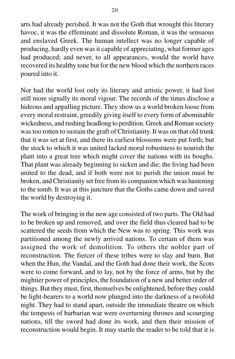arts had already perished. It was not the Goth that wrought this literary havoc, it was the effeminate and dissolute Roman, it was the sensuous and enslaved Greek. The human intellect was no longer capable of producing, hardly even was it capable of appreciating, what former ages had produced; and never, to all appearances, would the world have recovered its healthy tone but for the new blood which the northern races poured into it.

Nor had the world lost only its literary and artistic power, it had lost still more signally its moral vigour. The records of the times disclose a hideous and appalling picture. They show us a world broken loose from every moral restraint, greedily giving itself to every form of abominable wickedness, and rushing headlong to perdition. Greek and Roman society was too rotten to sustain the graft of Christianity. It was on that old trunk that it was set at first, and there its earliest blossoms were put forth; but the stock to which it was united lacked moral robustness to nourish the plant into a great tree which might cover the nations with its boughs. That plant was already beginning to sicken and die; the living had been united to the dead, and if both were not to perish the union must be broken, and Christianity set free from its companion which was hastening to the tomb. It was at this juncture that the Goths came down and saved the world by destroying it.

The work of bringing in the new age consisted of two parts. The Old had to be broken up and removed, and over the field thus cleared had to be scattered the seeds from which the New was to spring. This work was partitioned among the newly arrived nations. To certain of them was assigned the work of demolition. To others the nobler part of reconstruction. The fiercer of these tribes were to slay and burn. But when the Hun, the Vandal, and the Goth had done their work, the Scots were to come forward, and to lay, not by the force of arms, but by the mightier power of principles, the foundation of a new and better order of things. But they must, first, themselves be enlightened, before they could be light-bearers to a world now plunged into the darkness of a twofold night. They had to stand apart, outside the immediate theatre on which the tempests of barbarian war were overturning thrones and scourging nations, till the sword had done its work, and then their mission of reconstruction would begin. It may startle the reader to be told that it is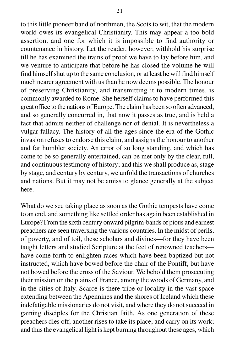to this little pioneer band of northmen, the Scots to wit, that the modern world owes its evangelical Christianity. This may appear a too bold assertion, and one for which it is impossible to find authority or countenance in history. Let the reader, however, withhold his surprise till he has examined the trains of proof we have to lay before him, and we venture to anticipate that before he has closed the volume he will find himself shut up to the same conclusion, or at least he will find himself much nearer agreement with us than he now deems possible. The honour of preserving Christianity, and transmitting it to modern times, is commonly awarded to Rome. She herself claims to have performed this great office to the nations of Europe. The claim has been so often advanced, and so generally concurred in, that now it passes as true, and is held a fact that admits neither of challenge nor of denial. It is nevertheless a vulgar fallacy. The history of all the ages since the era of the Gothic invasion refuses to endorse this claim, and assigns the honour to another and far humbler society. An error of so long standing, and which has come to be so generally entertained, can be met only by the clear, full, and continuous testimony of history; and this we shall produce as, stage by stage, and century by century, we unfold the transactions of churches and nations. But it may not be amiss to glance generally at the subject here.

What do we see taking place as soon as the Gothic tempests have come to an end, and something like settled order has again been established in Europe? From the sixth century onward pilgrim-bands of pious and earnest preachers are seen traversing the various countries. In the midst of perils, of poverty, and of toil, these scholars and divines—for they have been taught letters and studied Scripture at the feet of renowned teachers have come forth to enlighten races which have been baptized but not instructed, which have bowed before the chair of the Pontiff, but have not bowed before the cross of the Saviour. We behold them prosecuting their mission on the plains of France, among the woods of Germany, and in the cities of Italy. Scarce is there tribe or locality in the vast space extending between the Apennines and the shores of Iceland which these indefatigable missionaries do not visit, and where they do not succeed in gaining disciples for the Christian faith. As one generation of these preachers dies off, another rises to take its place, and carry on its work; and thus the evangelical light is kept burning throughout these ages, which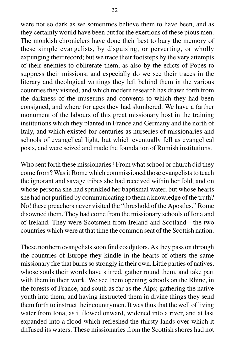were not so dark as we sometimes believe them to have been, and as they certainly would have been but for the exertions of these pious men. The monkish chroniclers have done their best to bury the memory of these simple evangelists, by disguising, or perverting, or wholly expunging their record; but we trace their footsteps by the very attempts of their enemies to obliterate them, as also by the edicts of Popes to suppress their missions; and especially do we see their traces in the literary and theological writings they left behind them in the various countries they visited, and which modern research has drawn forth from the darkness of the museums and convents to which they had been consigned, and where for ages they had slumbered. We have a farther monument of the labours of this great missionary host in the training institutions which they planted in France and Germany and the north of Italy, and which existed for centuries as nurseries of missionaries and schools of evangelical light, but which eventually fell as evangelical posts, and were seized and made the foundation of Romish institutions.

Who sent forth these missionaries? From what school or church did they come from? Was it Rome which commissioned those evangelists to teach the ignorant and savage tribes she had received within her fold, and on whose persona she had sprinkled her baptismal water, but whose hearts she had not purified by communicating to them a knowledge of the truth? No! these preachers never visited the "threshold of the Apostles." Rome disowned them. They had come from the missionary schools of Iona and of Ireland. They were Scotsmen from Ireland and Scotland—the two countries which were at that time the common seat of the Scottish nation.

These northern evangelists soon find coadjutors. As they pass on through the countries of Europe they kindle in the hearts of others the same missionary fire that burns so strongly in their own. Little parties of natives, whose souls their words have stirred, gather round them, and take part with them in their work. We see them opening schools on the Rhine, in the forests of France, and south as far as the Alps; gathering the native youth into them, and having instructed them in divine things they send them forth to instruct their countrymen. It was thus that the well of living water from Iona, as it flowed onward, widened into a river, and at last expanded into a flood which refreshed the thirsty lands over which it diffused its waters. These missionaries from the Scottish shores had not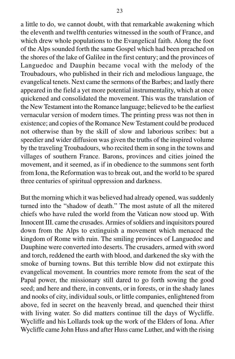a little to do, we cannot doubt, with that remarkable awakening which the eleventh and twelfth centuries witnessed in the south of France, and which drew whole populations to the Evangelical faith. Along the foot of the Alps sounded forth the same Gospel which had been preached on the shores of the lake of Galilee in the first century; and the provinces of Languedoc and Dauphin became vocal with the melody of the Troubadours, who published in their rich and melodious language, the evangelical tenets. Next came the sermons of the Barbes; and lastly there appeared in the field a yet more potential instrumentality, which at once quickened and consolidated the movement. This was the translation of the New Testament into the Romance language; believed to be the earliest vernacular version of modern times. The printing press was not then in existence; and copies of the Romance New Testament could be produced not otherwise than by the skill of slow and laborious scribes: but a speedier and wider diffusion was given the truths of the inspired volume by the traveling Troubadours, who recited them in song in the towns and villages of southern France. Barons, provinces and cities joined the movement, and it seemed, as if in obedience to the summons sent forth from Iona, the Reformation was to break out, and the world to be spared three centuries of spiritual oppression and darkness.

But the morning which it was believed had already opened, was suddenly turned into the "shadow of death." The most astute of all the mitered chiefs who have ruled the world from the Vatican now stood up. With Innocent III. came the crusades. Armies of soldiers and inquisitors poured down from the Alps to extinguish a movement which menaced the kingdom of Rome with ruin. The smiling provinces of Languedoc and Dauphine were converted into deserts. The crusaders, armed with sword and torch, reddened the earth with blood, and darkened the sky with the smoke of burning towns. But this terrible blow did not extirpate this evangelical movement. In countries more remote from the seat of the Papal power, the missionary still dared to go forth sowing the good seed; and here and there, in convents, or in forests, or in the shady lanes and nooks of city, individual souls, or little companies, enlightened from above, fed in secret on the heavenly bread, and quenched their thirst with living water. So did matters continue till the days of Wycliffe. Wycliffe and his Lollards took up the work of the Elders of Iona. After Wycliffe came John Huss and after Huss came Luther, and with the rising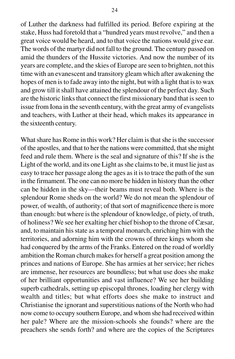of Luther the darkness had fulfilled its period. Before expiring at the stake, Huss had foretold that a "hundred years must revolve," and then a great voice would be heard, and to that voice the nations would give ear. The words of the martyr did not fall to the ground. The century passed on amid the thunders of the Hussite victories. And now the number of its years are complete, and the skies of Europe are seen to brighten, not this time with an evanescent and transitory gleam which after awakening the hopes of men is to fade away into the night, but with a light that is to wax and grow till it shall have attained the splendour of the perfect day. Such are the historic links that connect the first missionary band that is seen to

issue from Iona in the seventh century, with the great army of evangelists and teachers, with Luther at their head, which makes its appearance in the sixteenth century.

What share has Rome in this work? Her claim is that she is the successor of the apostles, and that to her the nations were committed, that she might feed and rule them. Where is the seal and signature of this? If she is the Light of the world, and its one Light as she claims to be, it must lie just as easy to trace her passage along the ages as it is to trace the path of the sun in the firmament. The one can no more be hidden in history than the other can be hidden in the sky—their beams must reveal both. Where is the splendour Rome sheds on the world? We do not mean the splendour of power, of wealth, of authority; of that sort of magnificence there is more than enough: but where is the splendour of knowledge, of piety, of truth, of holiness? We see her exalting her chief bishop to the throne of Cæsar, and, to maintain his state as a temporal monarch, enriching him with the territories, and adorning him with the crowns of three kings whom she had conquered by the arms of the Franks. Entered on the road of worldly ambition the Roman church makes for herself a great position among the princes and nations of Europe. She has armies at her service; her riches are immense, her resources are boundless; but what use does she make of her brilliant opportunities and vast influence? We see her building superb cathedrals, setting up episcopal thrones, loading her clergy with wealth and titles; but what efforts does she make to instruct and Christianise the ignorant and superstitious nations of the North who had now come to occupy southern Europe, and whom she had received within her pale? Where are the mission-schools she founds? where are the preachers she sends forth? and where are the copies of the Scriptures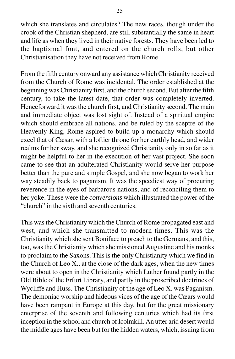which she translates and circulates? The new races, though under the crook of the Christian shepherd, are still substantially the same in heart and life as when they lived in their native forests. They have been led to the baptismal font, and entered on the church rolls, but other Christianisation they have not received from Rome.

From the fifth century onward any assistance which Christianity received from the Church of Rome was incidental. The order established at the beginning was Christianity first, and the church second. But after the fifth century, to take the latest date, that order was completely inverted. Henceforward it was the church first, and Christianity second. The main and immediate object was lost sight of. Instead of a spiritual empire which should embrace all nations, and be ruled by the sceptre of the Heavenly King, Rome aspired to build up a monarchy which should excel that of Cæsar, with a loftier throne for her earthly head, and wider realms for her sway, and she recognized Christianity only in so far as it might be helpful to her in the execution of her vast project. She soon came to see that an adulterated Christianity would serve her purpose better than the pure and simple Gospel, and she now began to work her way steadily back to paganism. It was the speediest way of procuring reverence in the eyes of barbarous nations, and of reconciling them to her yoke. These were the *conversions* which illustrated the power of the "church" in the sixth and seventh centuries.

This was the Christianity which the Church of Rome propagated east and west, and which she transmitted to modern times. This was the Christianity which she sent Boniface to preach to the Germans; and this, too, was the Christianity which she missioned Augustine and his monks to proclaim to the Saxons. This is the only Christianity which we find in the Church of Leo X., at the close of the dark ages, when the new times were about to open in the Christianity which Luther found partly in the Old Bible of the Erfurt Library, and partly in the proscribed doctrines of Wycliffe and Huss. The Christianity of the age of Leo X. was Paganism. The demoniac worship and hideous vices of the age of the Cæars would have been rampant in Europe at this day, but for the great missionary enterprise of the seventh and following centuries which had its first inception in the school and church of Icolmkill. An utter arid desert would the middle ages have been but for the hidden waters, which, issuing from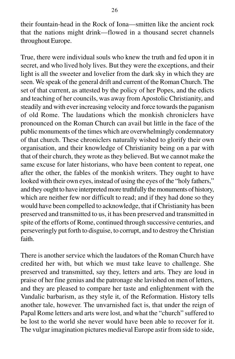their fountain-head in the Rock of Iona—smitten like the ancient rock that the nations might drink—flowed in a thousand secret channels throughout Europe.

True, there were individual souls who knew the truth and fed upon it in secret, and who lived holy lives. But they were the exceptions, and their light is all the sweeter and lovelier from the dark sky in which they are seen. We speak of the general drift and current of the Roman Church. The set of that current, as attested by the policy of her Popes, and the edicts and teaching of her councils, was away from Apostolic Christianity, and steadily and with ever increasing velocity and force towards the paganism of old Rome. The laudations which the monkish chroniclers have pronounced on the Roman Church can avail but little in the face of the public monuments of the times which are overwhelmingly condemnatory of that church. These chroniclers naturally wished to glorify their own organisation, and their knowledge of Christianity being on a par with that of their church, they wrote as they believed. But we cannot make the same excuse for later historians, who have been content to repeat, one after the other, the fables of the monkish writers. They ought to have looked with their own eyes, instead of using the eyes of the "holy fathers," and they ought to have interpreted more truthfully the monuments of history, which are neither few nor difficult to read; and if they had done so they would have been compelled to acknowledge, that if Christianity has been preserved and transmitted to us, it has been preserved and transmitted in spite of the efforts of Rome, continued through successive centuries, and perseveringly put forth to disguise, to corrupt, and to destroy the Christian faith.

There is another service which the laudators of the Roman Church have credited her with, but which we must take leave to challenge. She preserved and transmitted, say they, letters and arts. They are loud in praise of her fine genius and the patronage she lavished on men of letters, and they are pleased to compare her taste and enlightenment with the Vandalic barbarism, as they style it, of the Reformation. History tells another tale, however. The unvarnished fact is, that under the reign of Papal Rome letters and arts were lost, and what the "church" suffered to be lost to the world she never would have been able to recover for it. The vulgar imagination pictures medieval Europe astir from side to side,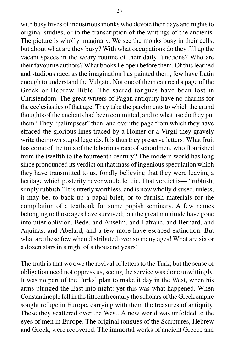with busy hives of industrious monks who devote their days and nights to original studies, or to the transcription of the writings of the ancients. The picture is wholly imaginary. We see the monks busy in their cells; but about what are they busy? With what occupations do they fill up the vacant spaces in the weary routine of their daily functions? Who are their favourite authors? What books lie open before them. Of this learned and studious race, as the imagination has painted them, few have Latin enough to understand the Vulgate. Not one of them can read a page of the Greek or Hebrew Bible. The sacred tongues have been lost in Christendom. The great writers of Pagan antiquity have no charms for the ecclesiastics of that age. They take the parchments to which the grand thoughts of the ancients had been committed, and to what use do they put them? They "palimpsest" then, and over the page from which they have effaced the glorious lines traced by a Homer or a Virgil they gravely write their own stupid legends. It is thus they preserve letters! What fruit has come of the toils of the laborious race of schoolmen, who flourished from the twelfth to the fourteenth century? The modern world has long since pronounced its verdict on that mass of ingenious speculation which they have transmitted to us, fondly believing that they were leaving a heritage which posterity never would let die. That verdict is— "rubbish, simply rubbish." It is utterly worthless, and is now wholly disused, unless, it may be, to back up a papal brief, or to furnish materials for the compilation of a textbook for some popish seminary. A few names belonging to those ages have survived; but the great multitude have gone into utter oblivion. Bede, and Anselm, and Lafranc, and Bernard, and Aquinas, and Abelard, and a few more have escaped extinction. But what are these few when distributed over so many ages! What are six or a dozen stars in a night of a thousand years!

The truth is that we owe the revival of letters to the Turk; but the sense of obligation need not oppress us, seeing the service was done unwittingly. It was no part of the Turks' plan to make it day in the West, when his arms plunged the East into night: yet this was what happened. When Constantinople fell in the fifteenth century the scholars of the Greek empire sought refuge in Europe, carrying with them the treasures of antiquity. These they scattered over the West. A new world was unfolded to the eyes of men in Europe. The original tongues of the Scriptures, Hebrew and Greek, were recovered. The immortal works of ancient Greece and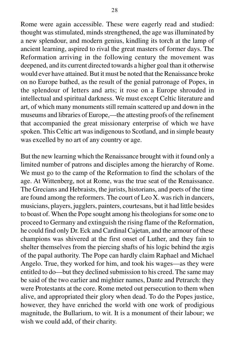Rome were again accessible. These were eagerly read and studied: thought was stimulated, minds strengthened, the age was illuminated by a new splendour, and modern genius, kindling its torch at the lamp of ancient learning, aspired to rival the great masters of former days. The Reformation arriving in the following century the movement was deepened, and its current directed towards a higher goal than it otherwise would ever have attained. But it must be noted that the Renaissance broke on no Europe bathed, as the result of the genial patronage of Popes, in the splendour of letters and arts; it rose on a Europe shrouded in intellectual and spiritual darkness. We must except Celtic literature and art, of which many monuments still remain scattered up and down in the museums and libraries of Europe,—the attesting proofs of the refinement that accompanied the great missionary enterprise of which we have spoken. This Celtic art was indigenous to Scotland, and in simple beauty was excelled by no art of any country or age.

But the new learning which the Renaissance brought with it found only a limited number of patrons and disciples among the hierarchy of Rome. We must go to the camp of the Reformation to find the scholars of the age. At Wittenberg, not at Rome, was the true seat of the Renaissance. The Grecians and Hebraists, the jurists, historians, and poets of the time are found among the reformers. The court of Leo X. was rich in dancers, musicians, players, jugglers, painters, courtesans, but it had little besides to boast of. When the Pope sought among his theologians for some one to proceed to Germany and extinguish the rising flame of the Reformation, he could find only Dr. Eck and Cardinal Cajetan, and the armour of these champions was shivered at the first onset of Luther, and they fain to shelter themselves from the piercing shafts of his logic behind the ægis of the papal authority. The Pope can hardly claim Raphael and Michael Angelo. True, they worked for him, and took his wages—as they were entitled to do—but they declined submission to his creed. The same may be said of the two earlier and mightier names, Dante and Petrarch: they were Protestants at the core. Rome meted out persecution to them when alive, and appropriated their glory when dead. To do the Popes justice, however, they have enriched the world with one work of prodigious magnitude, the Bullarium, to wit. It is a monument of their labour; we wish we could add, of their charity.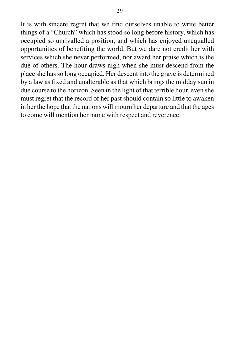It is with sincere regret that we find ourselves unable to write better things of a "Church" which has stood so long before history, which has occupied so unrivalled a position, and which has enjoyed unequalled opportunities of benefiting the world. But we dare not credit her with services which she never performed, nor award her praise which is the due of others. The hour draws nigh when she must descend from the place she has so long occupied. Her descent into the grave is determined by a law as fixed and unalterable as that which brings the midday sun in due course to the horizon. Seen in the light of that terrible hour, even she must regret that the record of her past should contain so little to awaken in her the hope that the nations will mourn her departure and that the ages to come will mention her name with respect and reverence.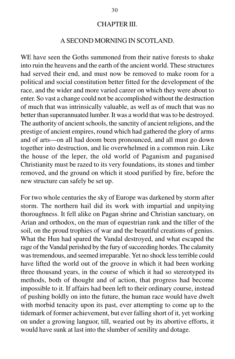#### CHAPTER III.

## A SECOND MORNING IN SCOTLAND.

WE have seen the Goths summoned from their native forests to shake into ruin the heavens and the earth of the ancient world. These structures had served their end, and must now be removed to make room for a political and social constitution better fitted for the development of the race, and the wider and more varied career on which they were about to enter. So vast a change could not be accomplished without the destruction of much that was intrinsically valuable, as well as of much that was no better than superannuated lumber. It was a world that was to be destroyed. The authority of ancient schools, the sanctity of ancient religions, and the prestige of ancient empires, round which had gathered the glory of arms and of arts—on all had doom been pronounced, and all must go down together into destruction, and lie overwhelmed in a common ruin. Like the house of the leper, the old world of Paganism and paganised Christianity must be razed to its very foundations, its stones and timber removed, and the ground on which it stood purified by fire, before the new structure can safely be set up.

For two whole centuries the sky of Europe was darkened by storm after storm. The northern hail did its work with impartial and unpitying thoroughness. It fell alike on Pagan shrine and Christian sanctuary, on Arian and orthodox, on the man of equestrian rank and the tiller of the soil, on the proud trophies of war and the beautiful creations of genius. What the Hun had spared the Vandal destroyed, and what escaped the rage of the Vandal perished by the fury of succeeding hordes. The calamity was tremendous, and seemed irreparable. Yet no shock less terrible could have lifted the world out of the groove in which it had been working three thousand years, in the course of which it had so stereotyped its methods, both of thought and of action, that progress had become impossible to it. If affairs had been left to their ordinary course, instead of pushing boldly on into the future, the human race would have dwelt with morbid tenacity upon its past, ever attempting to come up to the tidemark of former achievement, but ever falling short of it, yet working on under a growing languor, till, wearied out by its abortive efforts, it would have sunk at last into the slumber of senility and dotage.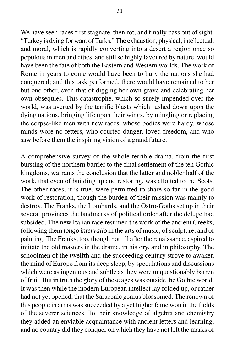We have seen races first stagnate, then rot, and finally pass out of sight. "Turkey is dying for want of Turks." The exhaustion, physical, intellectual, and moral, which is rapidly converting into a desert a region once so populous in men and cities, and still so highly favoured by nature, would have been the fate of both the Eastern and Western worlds. The work of Rome in years to come would have been to bury the nations she had conquered; and this task performed, there would have remained to her but one other, even that of digging her own grave and celebrating her own obsequies. This catastrophe, which so surely impended over the world, was averted by the terrific blasts which rushed down upon the dying nations, bringing life upon their wings, by mingling or replacing the corpse-like men with new races, whose bodies were hardy, whose minds wore no fetters, who courted danger, loved freedom, and who saw before them the inspiring vision of a grand future.

A comprehensive survey of the whole terrible drama, from the first bursting of the northern barrier to the final settlement of the ten Gothic kingdoms, warrants the conclusion that the latter and nobler half of the work, that even of building up and restoring, was allotted to the Scots. The other races, it is true, were permitted to share so far in the good work of restoration, though the burden of their mission was mainly to destroy. The Franks, the Lombards, and the Ostro-Goths set up in their several provinces the landmarks of political order after the deluge had subsided. The new Italian race resumed the work of the ancient Greeks, following them *longo intervallo* in the arts of music, of sculpture, and of painting. The Franks, too, though not till after the renaissance, aspired to imitate the old masters in the drama, in history, and in philosophy. The schoolmen of the twelfth and the succeeding century strove to awaken the mind of Europe from its deep sleep, by speculations and discussions which were as ingenious and subtle as they were unquestionably barren of fruit. But in truth the glory of these ages was outside the Gothic world. It was then while the modern European intellect lay folded up, or rather had not yet opened, that the Saracenic genius blossomed. The renown of this people in arms was succeeded by a yet higher fame won in the fields of the severer sciences. To their knowledge of algebra and chemistry they added an enviable acquaintance with ancient letters and learning, and no country did they conquer on which they have not left the marks of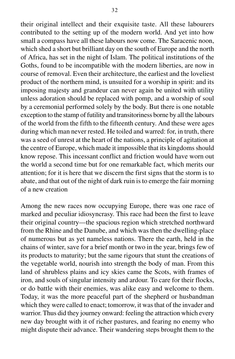their original intellect and their exquisite taste. All these labourers contributed to the setting up of the modern world. And yet into how small a compass have all these labours now come. The Saracenic noon, which shed a short but brilliant day on the south of Europe and the north of Africa, has set in the night of Islam. The political institutions of the Goths, found to be incompatible with the modern liberties, are now in course of removal. Even their architecture, the earliest and the loveliest product of the northern mind, is unsuited for a worship in spirit: and its imposing majesty and grandeur can never again be united with utility unless adoration should be replaced with pomp, and a worship of soul by a ceremonial performed solely by the body. But there is one notable exception to the stamp of futility and transitoriness borne by all the labours of the world from the fifth to the fifteenth century. And these were ages during which man never rested. He toiled and warred: for, in truth, there was a seed of unrest at the heart of the nations, a principle of agitation at the centre of Europe, which made it impossible that its kingdoms should know repose. This incessant conflict and friction would have worn out the world a second time but for one remarkable fact, which merits our attention; for it is here that we discern the first signs that the storm is to abate, and that out of the night of dark ruin is to emerge the fair morning of a new creation

Among the new races now occupying Europe, there was one race of marked and peculiar idiosyncrasy. This race had been the first to leave their original country—the spacious region which stretched northward from the Rhine and the Danube, and which was then the dwelling-place of numerous but as yet nameless nations. There the earth, held in the chains of winter, save for a brief month or two in the year, brings few of its products to maturity; but the same rigours that stunt the creations of the vegetable world, nourish into strength the body of man. From this land of shrubless plains and icy skies came the Scots, with frames of iron, and souls of singular intensity and ardour. To care for their flocks, or do battle with their enemies, was alike easy and welcome to them. Today, it was the more peaceful part of the shepherd or husbandman which they were called to enact; tomorrow, it was that of the invader and warrior. Thus did they journey onward: feeling the attraction which every new day brought with it of richer pastures, and fearing no enemy who might dispute their advance. Their wandering steps brought them to the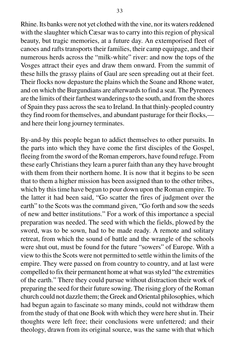Rhine. Its banks were not yet clothed with the vine, nor its waters reddened with the slaughter which Cæsar was to carry into this region of physical beauty, but tragic memories, at a future day. An extemporised fleet of canoes and rafts transports their families, their camp equipage, and their numerous herds across the "milk-white" river: and now the tops of the Vosges attract their eyes and draw them onward. From the summit of these hills the grassy plains of Gaul are seen spreading out at their feet. Their flocks now depasture the plains which the Soane and Rhone water, and on which the Burgundians are afterwards to find a seat. The Pyrenees are the limits of their farthest wanderings to the south, and from the shores of Spain they pass across the sea to Ireland. In that thinly-peopled country they find room for themselves, and abundant pasturage for their flocks, and here their long journey terminates.

By-and-by this people began to addict themselves to other pursuits. In the parts into which they have come the first disciples of the Gospel, fleeing from the sword of the Roman emperors, have found refuge. From these early Christians they learn a purer faith than any they have brought with them from their northern home. It is now that it begins to be seen that to them a higher mission has been assigned than to the other tribes, which by this time have begun to pour down upon the Roman empire. To the latter it had been said, "Go scatter the fires of judgment over the earth" to the Scots was the command given, "Go forth and sow the seeds of new and better institutions." For a work of this importance a special preparation was needed. The seed with which the fields, plowed by the sword, was to be sown, had to be made ready. A remote and solitary retreat, from which the sound of battle and the wrangle of the schools were shut out, must be found for the future "sowers" of Europe. With a view to this the Scots were not permitted to settle within the limits of the empire. They were passed on from country to country, and at last were compelled to fix their permanent home at what was styled "the extremities of the earth." There they could pursue without distraction their work of preparing the seed for their future sowing. The rising glory of the Roman church could not dazzle them; the Greek and Oriental philosophies, which had begun again to fascinate so many minds, could not withdraw them from the study of that one Book with which they were here shut in. Their thoughts were left free; their conclusions were unfettered; and their theology, drawn from its original source, was the same with that which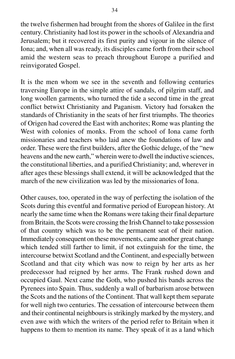the twelve fishermen had brought from the shores of Galilee in the first century. Christianity had lost its power in the schools of Alexandria and Jerusalem; but it recovered its first purity and vigour in the silence of Iona; and, when all was ready, its disciples came forth from their school amid the western seas to preach throughout Europe a purified and reinvigorated Gospel.

It is the men whom we see in the seventh and following centuries traversing Europe in the simple attire of sandals, of pilgrim staff, and long woollen garments, who turned the tide a second time in the great conflict betwixt Christianity and Paganism. Victory had forsaken the standards of Christianity in the seats of her first triumphs. The theories of Origen had covered the East with anchorites; Rome was planting the West with colonies of monks. From the school of Iona came forth missionaries and teachers who laid anew the foundations of law and order. These were the first builders, after the Gothic deluge, of the "new heavens and the new earth," wherein were to dwell the inductive sciences, the constitutional liberties, and a purified Christianity; and, wherever in after ages these blessings shall extend, it will be acknowledged that the march of the new civilization was led by the missionaries of Iona.

Other causes, too, operated in the way of perfecting the isolation of the Scots during this eventful and formative period of European history. At nearly the same time when the Romans were taking their final departure from Britain, the Scots were crossing the Irish Channel to take possession of that country which was to be the permanent seat of their nation. Immediately consequent on these movements, came another great change which tended still farther to limit, if not extinguish for the time, the intercourse betwixt Scotland and the Continent, and especially between Scotland and that city which was now to reign by her arts as her predecessor had reigned by her arms. The Frank rushed down and occupied Gaul. Next came the Goth, who pushed his bands across the Pyrenees into Spain. Thus, suddenly a wall of barbarism arose between the Scots and the nations of the Continent. That wall kept them separate for well nigh two centuries. The cessation of intercourse between them and their continental neighbours is strikingly marked by the mystery, and even awe with which the writers of the period refer to Britain when it happens to them to mention its name. They speak of it as a land which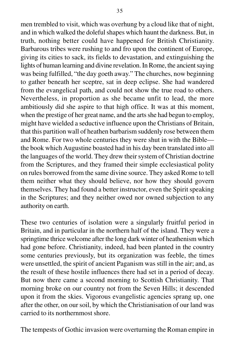men trembled to visit, which was overhung by a cloud like that of night, and in which walked the doleful shapes which haunt the darkness. But, in truth, nothing better could have happened for British Christianity. Barbarous tribes were rushing to and fro upon the continent of Europe, giving its cities to sack, its fields to devastation, and extinguishing the lights of human learning and divine revelation. In Rome, the ancient saying was being fulfilled, "the day goeth away." The churches, now beginning to gather beneath her sceptre, sat in deep eclipse. She had wandered from the evangelical path, and could not show the true road to others. Nevertheless, in proportion as she became unfit to lead, the more ambitiously did she aspire to that high office. It was at this moment, when the prestige of her great name, and the arts she had begun to employ, might have wielded a seductive influence upon the Christians of Britain, that this partition wall of heathen barbarism suddenly rose between them and Rome. For two whole centuries they were shut in with the Bible the book which Augustine boasted had in his day been translated into all the languages of the world. They drew their system of Christian doctrine from the Scriptures, and they framed their simple ecclesiastical polity on rules borrowed from the same divine source. They asked Rome to tell them neither what they should believe, nor how they should govern themselves. They had found a better instructor, even the Spirit speaking in the Scriptures; and they neither owed nor owned subjection to any authority on earth.

These two centuries of isolation were a singularly fruitful period in Britain, and in particular in the northern half of the island. They were a springtime thrice welcome after the long dark winter of heathenism which had gone before. Christianity, indeed, had been planted in the country some centuries previously, but its organization was feeble, the times were unsettled, the spirit of ancient Paganism was still in the air; and, as the result of these hostile influences there had set in a period of decay. But now there came a second morning to Scottish Christianity. That morning broke on our country not from the Seven Hills; it descended upon it from the skies. Vigorous evangelistic agencies sprang up, one after the other, on our soil, by which the Christianisation of our land was carried to its northernmost shore.

The tempests of Gothic invasion were overturning the Roman empire in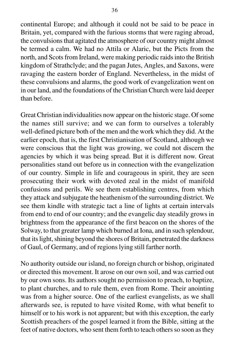continental Europe; and although it could not be said to be peace in Britain, yet, compared with the furious storms that were raging abroad, the convulsions that agitated the atmosphere of our country might almost be termed a calm. We had no Attila or Alaric, but the Picts from the north, and Scots from Ireland, were making periodic raids into the British kingdom of Strathclyde; and the pagan Jutes, Angles, and Saxons, were ravaging the eastern border of England. Nevertheless, in the midst of these convulsions and alarms, the good work of evangelization went on in our land, and the foundations of the Christian Church were laid deeper than before.

Great Christian individualities now appear on the historic stage. Of some the names still survive; and we can form to ourselves a tolerably well-defined picture both of the men and the work which they did. At the earlier epoch, that is, the first Christianisation of Scotland, although we were conscious that the light was growing, we could not discern the agencies by which it was being spread. But it is different now. Great personalities stand out before us in connection with the evangelization of our country. Simple in life and courageous in spirit, they are seen prosecuting their work with devoted zeal in the midst of manifold confusions and perils. We see them establishing centres, from which they attack and subjugate the heathenism of the surrounding district. We see them kindle with strategic tact a line of lights at certain intervals from end to end of our country; and the evangelic day steadily grows in brightness from the appearance of the first beacon on the shores of the Solway, to that greater lamp which burned at Iona, and in such splendour, that its light, shining beyond the shores of Britain, penetrated the darkness of Gaul, of Germany, and of regions lying still farther north.

No authority outside our island, no foreign church or bishop, originated or directed this movement. It arose on our own soil, and was carried out by our own sons. Its authors sought no permission to preach, to baptize, to plant churches, and to rule them, even from Rome. Their anointing was from a higher source. One of the earliest evangelists, as we shall afterwards see, is reputed to have visited Rome, with what benefit to himself or to his work is not apparent; but with this exception, the early Scottish preachers of the gospel learned it from the Bible, sitting at the feet of native doctors, who sent them forth to teach others so soon as they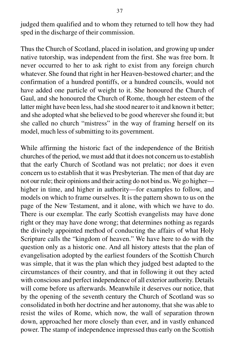judged them qualified and to whom they returned to tell how they had sped in the discharge of their commission.

Thus the Church of Scotland, placed in isolation, and growing up under native tutorship, was independent from the first. She was free born. It never occurred to her to ask right to exist from any foreign church whatever. She found that right in her Heaven-bestowed charter; and the confirmation of a hundred pontiffs, or a hundred councils, would not have added one particle of weight to it. She honoured the Church of Gaul, and she honoured the Church of Rome, though her esteem of the latter might have been less, had she stood nearer to it and known it better; and she adopted what she believed to be good wherever she found it; but she called no church "mistress" in the way of framing herself on its model, much less of submitting to its government.

While affirming the historic fact of the independence of the British churches of the period, we must add that it does not concern us to establish that the early Church of Scotland was not prelatic; nor does it even concern us to establish that it was Presbyterian. The men of that day are not our rule; their opinions and their acting do not bind us. We go higher higher in time, and higher in authority—for examples to follow, and models on which to frame ourselves. It is the pattern shown to us on the page of the New Testament, and it alone, with which we have to do. There is our exemplar. The early Scottish evangelists may have done right or they may have done wrong; that determines nothing as regards the divinely appointed method of conducting the affairs of what Holy Scripture calls the "kingdom of heaven." We have here to do with the question only as a historic one. And all history attests that the plan of evangelisation adopted by the earliest founders of the Scottish Church was simple, that it was the plan which they judged best adapted to the circumstances of their country, and that in following it out they acted with conscious and perfect independence of all exterior authority. Details will come before us afterwards. Meanwhile it deserves our notice, that by the opening of the seventh century the Church of Scotland was so consolidated in both her doctrine and her autonomy, that she was able to resist the wiles of Rome, which now, the wall of separation thrown down, approached her more closely than ever, and in vastly enhanced power. The stamp of independence impressed thus early on the Scottish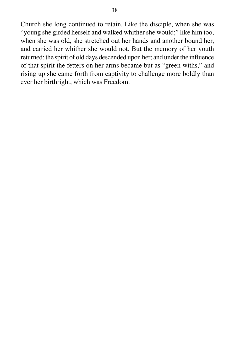Church she long continued to retain. Like the disciple, when she was "young she girded herself and walked whither she would;" like him too, when she was old, she stretched out her hands and another bound her, and carried her whither she would not. But the memory of her youth returned: the spirit of old days descended upon her; and under the influence of that spirit the fetters on her arms became but as "green withs," and rising up she came forth from captivity to challenge more boldly than ever her birthright, which was Freedom.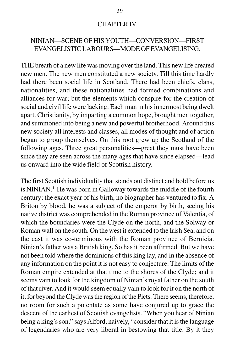### CHAPTER IV.

# NINIAN—SCENE OF HIS YOUTH—CONVERSION—FIRST EVANGELISTIC LABOURS—MODE OF EVANGELISING.

THE breath of a new life was moving over the land. This new life created new men. The new men constituted a new society. Till this time hardly had there been social life in Scotland. There had been chiefs, clans, nationalities, and these nationalities had formed combinations and alliances for war; but the elements which conspire for the creation of social and civil life were lacking. Each man in his innermost being dwelt apart. Christianity, by imparting a common hope, brought men together, and summoned into being a new and powerful brotherhood. Around this new society all interests and classes, all modes of thought and of action began to group themselves. On this root grew up the Scotland of the following ages. Three great personalities—great they must have been since they are seen across the many ages that have since elapsed—lead us onward into the wide field of Scottish history.

The first Scottish individuality that stands out distinct and bold before us is NINIAN.1 He was born in Galloway towards the middle of the fourth century; the exact year of his birth, no biographer has ventured to fix. A Briton by blood, he was a subject of the emperor by birth, seeing his native district was comprehended in the Roman province of Valentia, of which the boundaries were the Clyde on the north, and the Solway or Roman wall on the south. On the west it extended to the Irish Sea, and on the east it was co-terminous with the Roman province of Bernicia. Ninian's father was a British king. So has it been affirmed. But we have not been told where the dominions of this king lay, and in the absence of any information on the point it is not easy to conjecture. The limits of the Roman empire extended at that time to the shores of the Clyde; and it seems vain to look for the kingdom of Ninian's royal father on the south of that river. And it would seem equally vain to look for it on the north of it; for beyond the Clyde was the region of the Picts. There seems, therefore, no room for such a potentate as some have conjured up to grace the descent of the earliest of Scottish evangelists. "When you hear of Ninian being a king's son," says Alford, naively, "consider that it is the language of legendaries who are very liberal in bestowing that title. By it they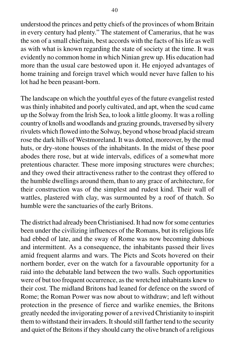understood the princes and petty chiefs of the provinces of whom Britain in every century had plenty." The statement of Camerarius, that he was the son of a small chieftain, best accords with the facts of his life as well as with what is known regarding the state of society at the time. It was evidently no common home in which Ninian grew up. His education had more than the usual care bestowed upon it. He enjoyed advantages of home training and foreign travel which would never have fallen to his lot had he been peasant-born.

The landscape on which the youthful eyes of the future evangelist rested was thinly inhabited and poorly cultivated, and apt, when the scud came up the Solway from the Irish Sea, to look a little gloomy. It was a rolling country of knolls and woodlands and grazing grounds, traversed by silvery rivulets which flowed into the Solway, beyond whose broad placid stream rose the dark hills of Westmoreland. It was dotted, moreover, by the mud huts, or dry-stone houses of the inhabitants. In the midst of these poor abodes there rose, but at wide intervals, edifices of a somewhat more pretentious character. These more imposing structures were churches; and they owed their attractiveness rather to the contrast they offered to the humble dwellings around them, than to any grace of architecture, for their construction was of the simplest and rudest kind. Their wall of wattles, plastered with clay, was surmounted by a roof of thatch. So humble were the sanctuaries of the early Britons.

The district had already been Christianised. It had now for some centuries been under the civilizing influences of the Romans, but its religious life had ebbed of late, and the sway of Rome was now becoming dubious and intermittent. As a consequence, the inhabitants passed their lives amid frequent alarms and wars. The Picts and Scots hovered on their northern border, ever on the watch for a favourable opportunity for a raid into the debatable land between the two walls. Such opportunities were of but too frequent occurrence, as the wretched inhabitants knew to their cost. The midland Britons had leaned for defence on the sword of Rome; the Roman Power was now about to withdraw; and left without protection in the presence of fierce and warlike enemies, the Britons greatly needed the invigorating power of a revived Christianity to inspirit them to withstand their invaders. It should still farther tend to the security and quiet of the Britons if they should carry the olive branch of a religious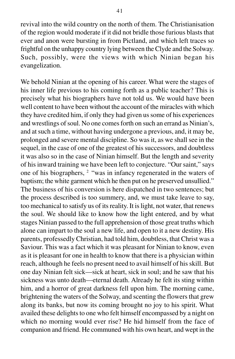revival into the wild country on the north of them. The Christianisation of the region would moderate if it did not bridle those furious blasts that ever and anon were bursting in from Pictland, and which left traces so frightful on the unhappy country lying between the Clyde and the Solway. Such, possibly, were the views with which Ninian began his evangelization.

We behold Ninian at the opening of his career. What were the stages of his inner life previous to his coming forth as a public teacher? This is precisely what his biographers have not told us. We would have been well content to have been without the account of the miracles with which they have credited him, if only they had given us some of his experiences and wrestlings of soul. No one comes forth on such an errand as Ninian's, and at such a time, without having undergone a previous, and, it may be, prolonged and severe mental discipline. So was it, as we shall see in the sequel, in the case of one of the greatest of his successors, and doubtless it was also so in the case of Ninian himself. But the length and severity of his inward training we have been left to conjecture. "Our saint," says one of his biographers, 2 "was in infancy regenerated in the waters of baptism; the white garment which he then put on he preserved unsullied." The business of his conversion is here dispatched in two sentences; but the process described is too summery, and, we must take leave to say, too mechanical to satisfy us of its reality. It is light, not water, that renews the soul. We should like to know how the light entered, and by what stages Ninian passed to the full apprehension of those great truths which alone can impart to the soul a new life, and open to it a new destiny. His parents, professedly Christian, had told him, doubtless, that Christ was a Saviour. This was a fact which it was pleasant for Ninian to know, even as it is pleasant for one in health to know that there is a physician within reach, although he feels no present need to avail himself of his skill. But one day Ninian felt sick—sick at heart, sick in soul; and he saw that his sickness was unto death—eternal death. Already he felt its sting within him, and a horror of great darkness fell upon him. The morning came, brightening the waters of the Solway, and scenting the flowers that grew along its banks, but now its coming brought no joy to his spirit. What availed these delights to one who felt himself encompassed by a night on which no morning would ever rise? He hid himself from the face of companion and friend. He communed with his own heart, and wept in the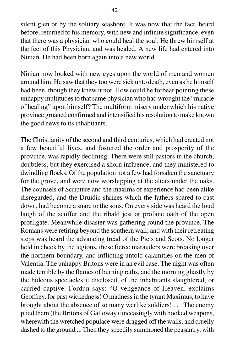silent glen or by the solitary seashore. It was now that the fact, heard before, returned to his memory, with new and infinite significance, even that there was a physician who could heal the soul. He threw himself at the feet of this Physician, and was healed. A new life had entered into Ninian. He had been born again into a new world.

Ninian now looked with new eyes upon the world of men and women around him. He saw that they too were sick unto death, even as he himself had been, though they knew it not. How could he forbear pointing these unhappy multitudes to that same physician who had wrought the "miracle of healing" upon himself? The multiform misery under which his native province groaned confirmed and intensified his resolution to make known the good news to its inhabitants.

The Christianity of the second and third centuries, which had created not a few beautiful lives, and fostered the order and prosperity of the province, was rapidly declining. There were still pastors in the church, doubtless, but they exercised a shorn influence, and they ministered to dwindling flocks. Of the population not a few had forsaken the sanctuary for the grove, and were now worshipping at the altars under the oaks. The counsels of Scripture and the maxims of experience had been alike disregarded, and the Druidic shrines which the fathers spared to cast down, had become a snare to the sons. On every side was heard the loud laugh of the scoffer and the ribald jest or profane oath of the open profligate. Meanwhile disaster was gathering round the province. The Romans were retiring beyond the southern wall; and with their retreating steps was heard the advancing tread of the Picts and Scots. No longer held in check by the legions, these fierce marauders were breaking over the northern boundary, and inflicting untold calamities on the men of Valentia. The unhappy Britons were in an evil case. The night was often made terrible by the flames of burning raths, and the morning ghastly by the hideous spectacles it disclosed, of the inhabitants slaughtered, or carried captive. Fordun says: "O vengeance of Heaven, exclaims Geoffrey, for past wickedness! O madness in the tyrant Maximus, to have brought about the absence of so many warlike soldiers! . . . The enemy plied them (the Britons of Galloway) unceasingly with hooked weapons, wherewith the wretched populace were dragged off the walls, and cruelly dashed to the ground.... Then they speedily summoned the peasantry, with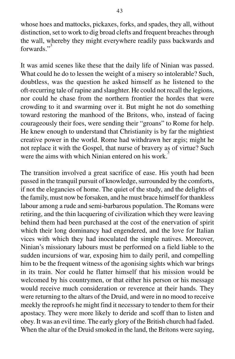whose hoes and mattocks, pickaxes, forks, and spades, they all, without distinction, set to work to dig broad clefts and frequent breaches through the wall, whereby they might everywhere readily pass backwards and forwards $"$ <sup>3</sup>

It was amid scenes like these that the daily life of Ninian was passed. What could he do to lessen the weight of a misery so intolerable? Such, doubtless, was the question he asked himself as he listened to the oft-recurring tale of rapine and slaughter. He could not recall the legions, nor could he chase from the northern frontier the hordes that were crowding to it and swarming over it. But might he not do something toward restoring the manhood of the Britons, who, instead of facing courageously their foes, were sending their "groans" to Rome for help. He knew enough to understand that Christianity is by far the mightiest creative power in the world. Rome had withdrawn her ægis; might he not replace it with the Gospel, that nurse of bravery as of virtue? Such were the aims with which Ninian entered on his work.

The transition involved a great sacrifice of ease. His youth had been passed in the tranquil pursuit of knowledge, surrounded by the comforts, if not the elegancies of home. The quiet of the study, and the delights of the family, must now be forsaken, and he must brace himself for thankless labour among a rude and semi-barbarous population. The Romans were retiring, and the thin lacquering of civilization which they were leaving behind them had been purchased at the cost of the enervation of spirit which their long dominancy had engendered, and the love for Italian vices with which they had inoculated the simple natives. Moreover, Ninian's missionary labours must be performed on a field liable to the sudden incursions of war, exposing him to daily peril, and compelling him to be the frequent witness of the agonising sights which war brings in its train. Nor could he flatter himself that his mission would be welcomed by his countrymen, or that either his person or his message would receive much consideration or reverence at their hands. They were returning to the altars of the Druid, and were in no mood to receive meekly the reproofs he might find it necessary to tender to them for their apostacy. They were more likely to deride and scoff than to listen and obey. It was an evil time. The early glory of the British church had faded. When the altar of the Druid smoked in the land, the Britons were saying,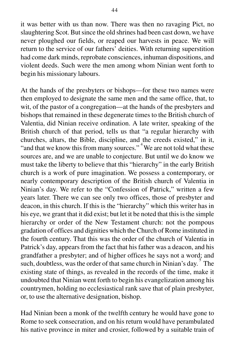it was better with us than now. There was then no ravaging Pict, no slaughtering Scot. But since the old shrines had been cast down, we have never ploughed our fields, or reaped our harvests in peace. We will return to the service of our fathers' deities. With returning superstition had come dark minds, reprobate consciences, inhuman dispositions, and violent deeds. Such were the men among whom Ninian went forth to begin his missionary labours.

At the hands of the presbyters or bishops—for these two names were then employed to designate the same men and the same office, that, to wit, of the pastor of a congregation—at the hands of the presbyters and bishops that remained in these degenerate times to the British church of Valentia, did Ninian receive ordination. A late writer, speaking of the British church of that period, tells us that "a regular hierarchy with churches, altars, the Bible, discipline, and the creeds existed," in it, "and that we know this from many sources."<sup>4</sup> We are not told what these sources are, and we are unable to conjecture. But until we do know we must take the liberty to believe that this "hierarchy" in the early British church is a work of pure imagination. We possess a contemporary, or nearly contemporary description of the British church of Valentia in Ninian's day. We refer to the "Confession of Patrick," written a few years later. There we can see only two offices, those of presbyter and deacon, in this church. If this is the "hierarchy" which this writer has in his eye, we grant that it did exist; but let it be noted that this is the simple hierarchy or order of the New Testament church: not the pompous gradation of offices and dignities which the Church of Rome instituted in the fourth century. That this was the order of the church of Valentia in Patrick's day, appears from the fact that his father was a deacon, and his grandfather a presbyter; and of higher offices he says not a word; and such, doubtless, was the order of that same church in Ninian's day.  $\frac{5}{3}$  The existing state of things, as revealed in the records of the time, make it undoubted that Ninian went forth to begin his evangelization among his countrymen, holding no ecclesiastical rank save that of plain presbyter, or, to use the alternative designation, bishop.

Had Ninian been a monk of the twelfth century he would have gone to Rome to seek consecration, and on his return would have perambulated his native province in miter and crosier, followed by a suitable train of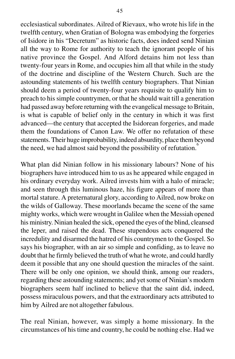ecclesiastical subordinates. Ailred of Rievaux, who wrote his life in the twelfth century, when Gratian of Bologna was embodying the forgeries of Isidore in his "Decretum" as historic facts, does indeed send Ninian all the way to Rome for authority to teach the ignorant people of his native province the Gospel. And Alford detains him not less than twenty-four years in Rome, and occupies him all that while in the study of the doctrine and discipline of the Western Church. Such are the astounding statements of his twelfth century biographers. That Ninian should deem a period of twenty-four years requisite to qualify him to preach to his simple countrymen, or that he should wait till a generation had passed away before returning with the evangelical message to Britain, is what is capable of belief only in the century in which it was first advanced—the century that accepted the Isidorean forgeries, and made them the foundations of Canon Law. We offer no refutation of these statements. Their huge improbability, indeed absurdity, place them beyond the need, we had almost said beyond the possibility of refutation.

What plan did Ninian follow in his missionary labours? None of his biographers have introduced him to us as he appeared while engaged in his ordinary everyday work. Ailred invests him with a halo of miracle; and seen through this luminous haze, his figure appears of more than mortal stature. A preternatural glory, according to Ailred, now broke on the wilds of Galloway. These moorlands became the scene of the same mighty works, which were wrought in Galilee when the Messiah opened his ministry. Ninian healed the sick, opened the eyes of the blind, cleansed the leper, and raised the dead. These stupendous acts conquered the incredulity and disarmed the hatred of his countrymen to the Gospel. So says his biographer, with an air so simple and confiding, as to leave no doubt that he firmly believed the truth of what he wrote, and could hardly deem it possible that any one should question the miracles of the saint. There will be only one opinion, we should think, among our readers, regarding these astounding statements; and yet some of Ninian's modern biographers seem half inclined to believe that the saint did, indeed, possess miraculous powers, and that the extraordinary acts attributed to him by Ailred are not altogether fabulous.

The real Ninian, however, was simply a home missionary. In the circumstances of his time and country, he could be nothing else. Had we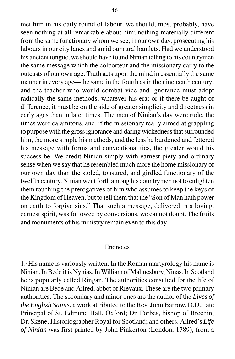met him in his daily round of labour, we should, most probably, have seen nothing at all remarkable about him; nothing materially different from the same functionary whom we see, in our own day, prosecuting his labours in our city lanes and amid our rural hamlets. Had we understood his ancient tongue, we should have found Ninian telling to his countrymen the same message which the colporteur and the missionary carry to the outcasts of our own age. Truth acts upon the mind in essentially the same manner in every age—the same in the fourth as in the nineteenth century; and the teacher who would combat vice and ignorance must adopt radically the same methods, whatever his era; or if there be aught of difference, it must be on the side of greater simplicity and directness in early ages than in later times. The men of Ninian's day were rude, the times were calamitous, and, if the missionary really aimed at grappling to purpose with the gross ignorance and daring wickedness that surrounded him, the more simple his methods, and the less he burdened and fettered his message with forms and conventionalities, the greater would his success be. We credit Ninian simply with earnest piety and ordinary sense when we say that he resembled much more the home missionary of our own day than the stoled, tonsured, and girdled functionary of the twelfth century. Ninian went forth among his countrymen not to enlighten them touching the prerogatives of him who assumes to keep the keys of the Kingdom of Heaven, but to tell them that the "Son of Man hath power on earth to forgive sins." That such a message, delivered in a loving, earnest spirit, was followed by conversions, we cannot doubt. The fruits and monuments of his ministry remain even to this day.

#### Endnotes

1.. His name is variously written. In the Roman martyrology his name is Ninian. In Bede it is Nynias. In William of Malmesbury, Ninas. In Scotland he is popularly called Ringan. The authorities consulted for the life of Ninian are Bede and Ailred, abbot of Rievaux. These are the two primary authorities. The secondary and minor ones are the author of the *Lives of the English Saints*, a work attributed to the Rev. John Barrow, D.D., late Principal of St. Edmund Hall, Oxford; Dr. Forbes, bishop of Brechin; Dr. Skene, Historiographer Royal for Scotland; and others. Ailred's *Life of Ninian* was first printed by John Pinkerton (London, 1789), from a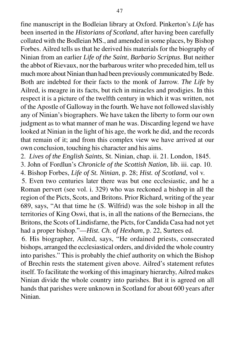fine manuscript in the Bodleian library at Oxford. Pinkerton's *Life* has been inserted in the *Historians of Scotland*, after having been carefully collated with the Bodleian MS., and amended in some places, by Bishop Forbes. Ailred tells us that he derived his materials for the biography of Ninian from an earlier *Life of the Saint*, *Barbario Scriptus*. But neither the abbot of Rievaux, nor the barbarous writer who preceded him, tell us much more about Ninian than had been previously communicated by Bede. Both are indebted for their facts to the monk of Jarrow. *The Life* by Ailred, is meagre in its facts, but rich in miracles and prodigies. In this respect it is a picture of the twelfth century in which it was written, not of the Apostle of Galloway in the fourth. We have not followed slavishly any of Ninian's biographers. We have taken the liberty to form our own judgment as to what manner of man he was. Discarding legend we have looked at Ninian in the light of his age, the work he did, and the records that remain of it; and from this complex view we have arrived at our own conclusion, touching his character and his aims.

2. *Lives of the English Saints*, St. Ninian, chap. ii. 21. London, 1845.

3. John of Fordlun's *Chronicle of the Scottish Nation*, lib. iii. cap. 10.

4. Bishop Forbes, *Life of St. Ninian*, p. 28; *Hist. of Scotland*, vol v.

5. Even two centuries later there was but one ecclesiastic, and he a Roman pervert (see vol. i. 329) who was reckoned a bishop in all the region of the Picts, Scots, and Britons. Prior Richard, writing of the year 689, says, "At that time he (S. Wilfrid) was the sole bishop in all the territories of King Oswi, that is, in all the nations of the Bernecians, the Britons, the Scots of Lindisfarne, the Picts, for Candida Casa had not yet had a proper bishop."—*Hist. Ch. of Hexham*, p. 22, Surtees ed.

6. His biographer, Ailred, says, "He ordained priests, consecrated bishops, arranged the ecclesiastical orders, and divided the whole country into parishes." This is probably the chief authority on which the Bishop of Brechin rests the statement given above. Ailred's statement refutes itself. To facilitate the working of this imaginary hierarchy, Ailred makes Ninian divide the whole country into parishes. But it is agreed on all hands that parishes were unknown in Scotland for about 600 years after Ninian.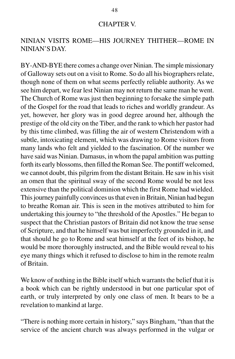### CHAPTER V.

# NINIAN VISITS ROME—HIS JOURNEY THITHER—ROME IN NINIAN'S DAY.

BY-AND-BYE there comes a change over Ninian. The simple missionary of Galloway sets out on a visit to Rome. So do all his biographers relate, though none of them on what seems perfectly reliable authority. As we see him depart, we fear lest Ninian may not return the same man he went. The Church of Rome was just then beginning to forsake the simple path of the Gospel for the road that leads to riches and worldly grandeur. As yet, however, her glory was in good degree around her, although the prestige of the old city on the Tiber, and the rank to which her pastor had by this time climbed, was filling the air of western Christendom with a subtle, intoxicating element, which was drawing to Rome visitors from many lands who felt and yielded to the fascination. Of the number we have said was Ninian. Damasus, in whom the papal ambition was putting forth its early blossoms, then filled the Roman See. The pontiff welcomed, we cannot doubt, this pilgrim from the distant Britain. He saw in his visit an omen that the spiritual sway of the second Rome would be not less extensive than the political dominion which the first Rome had wielded. This journey painfully convinces us that even in Britain, Ninian had begun to breathe Roman air. This is seen in the motives attributed to him for undertaking this journey to "the threshold of the Apostles." He began to suspect that the Christian pastors of Britain did not know the true sense of Scripture, and that he himself was but imperfectly grounded in it, and that should he go to Rome and seat himself at the feet of its bishop, he would be more thoroughly instructed, and the Bible would reveal to his eye many things which it refused to disclose to him in the remote realm of Britain.

We know of nothing in the Bible itself which warrants the belief that it is a book which can be rightly understood in but one particular spot of earth, or truly interpreted by only one class of men. It bears to be a revelation to mankind at large.

"There is nothing more certain in history," says Bingham, "than that the service of the ancient church was always performed in the vulgar or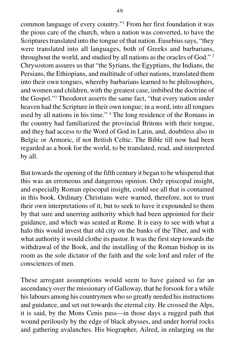common language of every country."1 From her first foundation it was the pious care of the church, when a nation was converted, to have the Scriptures translated into the tongue of that nation. Eusebius says, "they were translated into all languages, both of Greeks and barbarians, throughout the world, and studied by all nations as the oracles of God." 2 Chrysostom assures us that "the Syrians, the Egyptians, the Indians, the Persians, the Ethiopians, and multitude of other nations, translated them into their own tongues, whereby barbarians learned to be philosophers, and women and children, with the greatest case, imbibed the doctrine of the Gospel."3 Theodoret asserts the same fact, "that every nation under heaven had the Scripture in their own tongue; in a word, into all tongues used by all nations in his time." 4 The long residence of the Romans in the country had familiarized the provincial Britons with their tongue, and they had access to the Word of God in Latin, and, doubtless also in Belgic or Armoric, if not British Celtic. The Bible till now had been regarded as a book for the world, to be translated, read, and interpreted by all.

But towards the opening of the fifth century it began to be whispered that this was an erroneous and dangerous opinion. Only episcopal insight, and especially Roman episcopal insight, could see all that is contained in this book. Ordinary Christians were warned, therefore, not to trust their own interpretations of it, but to seek to have it expounded to them by that sure and unerring authority which had been appointed for their guidance, and which was seated at Rome. It is easy to see with what a halo this would invest that old city on the banks of the Tiber, and with what authority it would clothe its pastor. It was the first step towards the withdrawal of the Book, and the installing of the Roman bishop in its room as the sole dictator of the faith and the sole lord and ruler of the consciences of men.

These arrogant assumptions would seem to have gained so far an ascendancy over the missionary of Galloway, that he forsook for a while his labours among his countrymen who so greatly needed his instructions and guidance, and set out towards the eternal city. He crossed the Alps, it is said, by the Mons Cenis pass—in those days a rugged path that wound perilously by the edge of black abysses, and under horrid rocks and gathering avalanches. His biographer, Ailred, in enlarging on the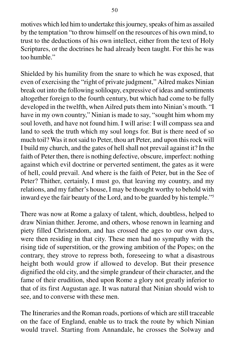motives which led him to undertake this journey, speaks of him as assailed by the temptation "to throw himself on the resources of his own mind, to trust to the deductions of his own intellect, either from the text of Holy Scriptures, or the doctrines he had already been taught. For this he was too humble."

Shielded by his humility from the snare to which he was exposed, that even of exercising the "right of private judgment," Ailred makes Ninian break out into the following soliloquy, expressive of ideas and sentiments altogether foreign to the fourth century, but which had come to be fully developed in the twelfth, when Ailred puts them into Ninian's mouth. "I have in my own country," Ninian is made to say, "sought him whom my soul loveth, and have not found him. I will arise: I will compass sea and land to seek the truth which my soul longs for. But is there need of so much toil? Was it not said to Peter, thou art Peter, and upon this rock will I build my church, and the gates of hell shall not prevail against it? In the faith of Peter then, there is nothing defective, obscure, imperfect: nothing against which evil doctrine or perverted sentiment, the gates as it were of hell, could prevail. And where is the faith of Peter, but in the See of Peter? Thither, certainly, I must go, that leaving my country, and my relations, and my father's house, I may be thought worthy to behold with inward eye the fair beauty of the Lord, and to be guarded by his temple."5

There was now at Rome a galaxy of talent, which, doubtless, helped to draw Ninian thither. Jerome, and others, whose renown in learning and piety filled Christendom, and has crossed the ages to our own days, were then residing in that city. These men had no sympathy with the rising tide of superstition, or the growing ambition of the Popes; on the contrary, they strove to repress both, foreseeing to what a disastrous height both would grow if allowed to develop. But their presence dignified the old city, and the simple grandeur of their character, and the fame of their erudition, shed upon Rome a glory not greatly inferior to that of its first Augustan age. It was natural that Ninian should wish to see, and to converse with these men.

The Itineraries and the Roman roads, portions of which are still traceable on the face of England, enable us to track the route by which Ninian would travel. Starting from Annandale, he crosses the Solway and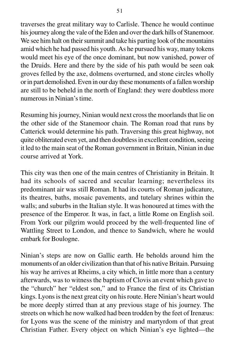traverses the great military way to Carlisle. Thence he would continue his journey along the vale of the Eden and over the dark hills of Stanemoor. We see him halt on their summit and take his parting look of the mountains amid which he had passed his youth. As he pursued his way, many tokens would meet his eye of the once dominant, but now vanished, power of the Druids. Here and there by the side of his path would be seen oak groves felled by the axe, dolmens overturned, and stone circles wholly or in part demolished. Even in our day these monuments of a fallen worship are still to be beheld in the north of England: they were doubtless more numerous in Ninian's time.

Resuming his journey, Ninian would next cross the moorlands that lie on the other side of the Stanemoor chain. The Roman road that runs by Catterick would determine his path. Traversing this great highway, not quite obliterated even yet, and then doubtless in excellent condition, seeing it led to the main seat of the Roman government in Britain, Ninian in due course arrived at York.

This city was then one of the main centres of Christianity in Britain. It had its schools of sacred and secular learning; nevertheless its predominant air was still Roman. It had its courts of Roman judicature, its theatres, baths, mosaic pavements, and tutelary shrines within the walls; and suburbs in the Italian style. It was honoured at times with the presence of the Emperor. It was, in fact, a little Rome on English soil. From York our pilgrim would proceed by the well-frequented line of Wattling Street to London, and thence to Sandwich, where he would embark for Boulogne.

Ninian's steps are now on Gallic earth. He beholds around him the monuments of an older civilization than that of his native Britain. Pursuing his way he arrives at Rheims, a city which, in little more than a century afterwards, was to witness the baptism of Clovis an event which gave to the "church" her "eldest son," and to France the first of its Christian kings. Lyons is the next great city on his route. Here Ninian's heart would be more deeply stirred than at any previous stage of his journey. The streets on which he now walked had been trodden by the feet of Irenæus: for Lyons was the scene of the ministry and martyrdom of that great Christian Father. Every object on which Ninian's eye lighted—the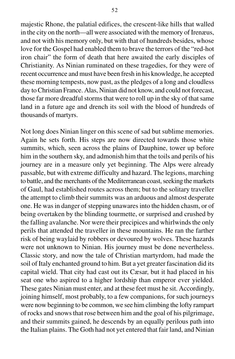majestic Rhone, the palatial edifices, the crescent-like hills that walled in the city on the north—all were associated with the memory of Irenæus, and not with his memory only, but with that of hundreds besides, whose love for the Gospel had enabled them to brave the terrors of the "red-hot iron chair" the form of death that here awaited the early disciples of Christianity. As Ninian ruminated on these tragedies, for they were of recent occurrence and must have been fresh in his knowledge, he accepted these morning tempests, now past, as the pledges of a long and cloudless day to Christian France. Alas, Ninian did not know, and could not forecast, those far more dreadful storms that were to roll up in the sky of that same land in a future age and drench its soil with the blood of hundreds of thousands of martyrs.

Not long does Ninian linger on this scene of sad but sublime memories. Again he sets forth. His steps are now directed towards those white summits, which, seen across the plains of Dauphine, tower up before him in the southern sky, and admonish him that the toils and perils of his journey are in a measure only yet beginning. The Alps were already passable, but with extreme difficulty and hazard. The legions, marching to battle, and the merchants of the Mediterranean coast, seeking the markets of Gaul, had established routes across them; but to the solitary traveller the attempt to climb their summits was an arduous and almost desperate one. He was in danger of stepping unawares into the hidden chasm, or of being overtaken by the blinding tourmette, or surprised and crushed by the falling avalanche. Nor were their precipices and whirlwinds the only perils that attended the traveller in these mountains. He ran the farther risk of being waylaid by robbers or devoured by wolves. These hazards were not unknown to Ninian. His journey must be done nevertheless. Classic story, and now the tale of Christian martyrdom, had made the soil of Italy enchanted ground to him. But a yet greater fascination did its capital wield. That city had cast out its Cæsar, but it had placed in his seat one who aspired to a higher lordship than emperor ever yielded. These gates Ninian must enter, and at these feet must he sit. Accordingly, joining himself, most probably, to a few companions, for such journeys were now beginning to be common, we see him climbing the lofty rampart of rocks and snows that rose between him and the goal of his pilgrimage, and their summits gained, he descends by an equally perilous path into the Italian plains. The Goth had not yet entered that fair land, and Ninian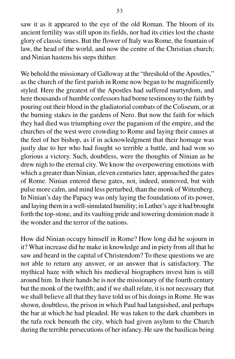saw it as it appeared to the eye of the old Roman. The bloom of its ancient fertility was still upon its fields, nor had its cities lost the chaste glory of classic times. But the flower of Italy was Rome, the fountain of law, the head of the world, and now the centre of the Christian church; and Ninian hastens his steps thither.

We behold the missionary of Galloway at the "threshold of the Apostles," as the church of the first parish in Rome now began to be magnificently styled. Here the greatest of the Apostles had suffered martyrdom, and here thousands of humble confessors had borne testimony to the faith by pouring out their blood in the gladiatorial combats of the Coliseum, or at the burning stakes in the gardens of Nero. But now the faith for which they had died was triumphing over the paganism of the empire, and the churches of the west were crowding to Rome and laying their causes at the feet of her bishop, as if in acknowledgment that their homage was justly due to her who had fought so terrible a battle, and had won so glorious a victory. Such, doubtless, were the thoughts of Ninian as he drew nigh to the eternal city. We know the overpowering emotions with which a greater than Ninian, eleven centuries later, approached the gates of Rome. Ninian entered these gates, not, indeed, unmoved, but with pulse more calm, and mind less perturbed, than the monk of Wittenberg. In Ninian's day the Papacy was only laying the foundations of its power, and laying them in a well-simulated humility; in Luther's age it had brought forth the top-stone, and its vaulting pride and towering dominion made it the wonder and the terror of the nations.

How did Ninian occupy himself in Rome? How long did he sojourn in it? What increase did he make in knowledge and in piety from all that he saw and heard in the capital of Christendom? To these questions we are not able to return any answer, or an answer that is satisfactory. The mythical haze with which his medieval biographers invest him is still around him. In their hands he is not the missionary of the fourth century but the monk of the twelfth; and if we shall relate, it is not necessary that we shall believe all that they have told us of his doings in Rome. He was shown, doubtless, the prison in which Paul had languished, and perhaps the bar at which he had pleaded. He was taken to the dark chambers in the tufa rock beneath the city, which had given asylum to the Church during the terrible persecutions of her infancy. He saw the basilicas being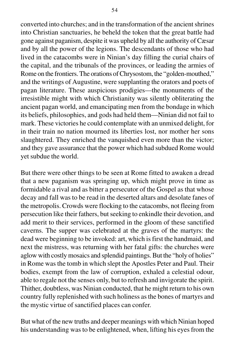converted into churches; and in the transformation of the ancient shrines into Christian sanctuaries, he beheld the token that the great battle had gone against paganism, despite it was upheld by all the authority of Cæsar and by all the power of the legions. The descendants of those who had lived in the catacombs were in Ninian's day filling the curial chairs of the capital, and the tribunals of the provinces, or leading the armies of Rome on the frontiers. The orations of Chrysostom, the "golden-mouthed," and the writings of Augustine, were supplanting the orators and poets of pagan literature. These auspicious prodigies—the monuments of the irresistible might with which Christianity was silently obliterating the ancient pagan world, and emancipating men from the bondage in which its beliefs, philosophies, and gods had held them—Ninian did not fail to mark. These victories he could contemplate with an unmixed delight, for in their train no nation mourned its liberties lost, nor mother her sons slaughtered. They enriched the vanquished even more than the victor; and they gave assurance that the power which had subdued Rome would yet subdue the world.

But there were other things to be seen at Rome fitted to awaken a dread that a new paganism was springing up, which might prove in time as formidable a rival and as bitter a persecutor of the Gospel as that whose decay and fall was to be read in the deserted altars and desolate fanes of the metropolis. Crowds were flocking to the catacombs, not fleeing from persecution like their fathers, but seeking to enkindle their devotion, and add merit to their services, performed in the gloom of these sanctified caverns. The supper was celebrated at the graves of the martyrs: the dead were beginning to be invoked: art, which is first the handmaid, and next the mistress, was returning with her fatal gifts: the churches were aglow with costly mosaics and splendid paintings. But the "holy of holies" in Rome was the tomb in which slept the Apostles Peter and Paul. Their bodies, exempt from the law of corruption, exhaled a celestial odour, able to regale not the senses only, but to refresh and invigorate the spirit. Thither, doubtless, was Ninian conducted, that he might return to his own country fully replenished with such holiness as the bones of martyrs and the mystic virtue of sanctified places can confer.

But what of the new truths and deeper meanings with which Ninian hoped his understanding was to be enlightened, when, lifting his eyes from the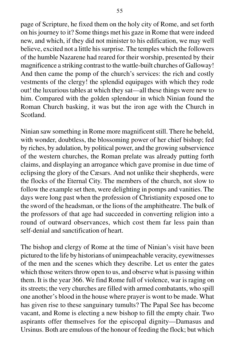page of Scripture, he fixed them on the holy city of Rome, and set forth on his journey to it? Some things met his gaze in Rome that were indeed new, and which, if they did not minister to his edification, we may well believe, excited not a little his surprise. The temples which the followers of the humble Nazarene had reared for their worship, presented by their magnificence a striking contrast to the wattle-built churches of Galloway! And then came the pomp of the church's services: the rich and costly vestments of the clergy! the splendid equipages with which they rode out! the luxurious tables at which they sat—all these things were new to him. Compared with the golden splendour in which Ninian found the Roman Church basking, it was but the iron age with the Church in Scotland.

Ninian saw something in Rome more magnificent still. There he beheld, with wonder, doubtless, the blossoming power of her chief bishop; fed by riches, by adulation, by political power, and the growing subservience of the western churches, the Roman prelate was already putting forth claims, and displaying an arrogance which gave promise in due time of eclipsing the glory of the Cæsars. And not unlike their shepherds, were the flocks of the Eternal City. The members of the church, not slow to follow the example set then, were delighting in pomps and vanities. The days were long past when the profession of Christianity exposed one to the sword of the headsman, or the lions of the amphitheatre. The bulk of the professors of that age had succeeded in converting religion into a round of outward observances, which cost them far less pain than self-denial and sanctification of heart.

The bishop and clergy of Rome at the time of Ninian's visit have been pictured to the life by historians of unimpeachable veracity, eyewitnesses of the men and the scenes which they describe. Let us enter the gates which those writers throw open to us, and observe what is passing within them. It is the year 366. We find Rome full of violence, war is raging on its streets; the very churches are filled with armed combatants, who spill one another's blood in the house where prayer is wont to be made. What has given rise to these sanguinary tumults? The Papal See has become vacant, and Rome is electing a new bishop to fill the empty chair. Two aspirants offer themselves for the episcopal dignity—Damasus and Ursinus. Both are emulous of the honour of feeding the flock; but which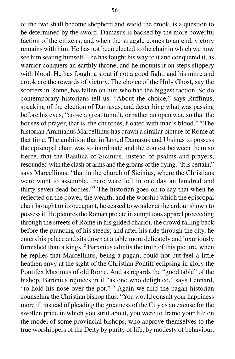of the two shall become shepherd and wield the crook, is a question to be determined by the sword. Damasus is backed by the more powerful faction of the citizens; and when the struggle comes to an end, victory remains with him. He has not been elected to the chair in which we now see him seating himself—he has fought his way to it and conquered it, as warrior conquers an earthly throne, and he mounts it on steps slippery with blood. He has fought a stout if not a good fight, and his mitre and crook are the rewards of victory. The choice of the Holy Ghost, say the scoffers in Rome, has fallen on him who had the biggest faction. So do contemporary historians tell us. "About the choice," says Ruffinus, speaking of the election of Damasus, and describing what was passing before his eyes, "arose a great tumult, or rather an open war, so that the houses of prayer, that is, the churches, floated with man's blood." <sup>6</sup> The historian Ammianus Marcellinus has drawn a similar picture of Rome at that time. The ambition that inflamed Damasus and Ursinus to possess the episcopal chair was so inordinate and the contest between them so fierce, that the Basilica of Sicinius, instead of psalms and prayers, resounded with the clash of arms and the groans of the dying. "It is certain," says Marcellinus, "that in the church of Sicinius, where the Christians were wont to assemble, there were left in one day an hundred and thirty-seven dead bodies."7 The historian goes on to say that when he reflected on the power, the wealth, and the worship which the episcopal chair brought to its occupant, he ceased to wonder at the ardour shown to possess it. He pictures the Roman prelate in sumptuous apparel proceeding through the streets of Rome in his gilded chariot, the crowd falling back before the prancing of his steeds; and after his ride through the city, he enters his palace and sits down at a table more delicately and luxuriously furnished than a kings. <sup>8</sup> Baronius admits the truth of this picture, when he replies that Marcellinus, being a pagan, could not but feel a little heathen envy at the sight of the Christian Pontiff eclipsing in glory the Pontifex Maximus of old Rome. And as regards the "good table" of the bishop, Baronius rejoices in it "as one who delighted," says Lennard, "to hold his nose over the pot." <sup>9</sup> Again we find the pagan historian counseling the Christian bishop thus: "You would consult your happiness more if, instead of pleading the greatness of the City as an excuse for the swollen pride in which you strut about, you were to frame your life on the model of some provincial bishops, who approve themselves to the true worshippers of the Deity by purity of life, by modesty of behaviour,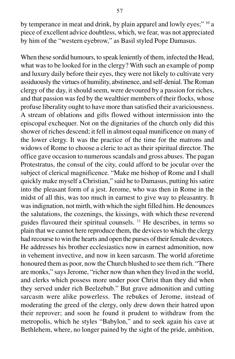by temperance in meat and drink, by plain apparel and lowly eyes;" 10 a piece of excellent advice doubtless, which, we fear, was not appreciated by him of the "western eyebrow," as Basil styled Pope Damasus.

When these sordid humours, to speak leniently of them, infected the Head, what was to be looked for in the clergy? With such an example of pomp and luxury daily before their eyes, they were not likely to cultivate very assiduously the virtues of humility, abstinence, and self-denial. The Roman clergy of the day, it should seem, were devoured by a passion for riches, and that passion was fed by the wealthier members of their flocks, whose profuse liberality ought to have more than satisfied their avariciousness. A stream of oblations and gifts flowed without intermission into the episcopal exchequer. Not on the dignitaries of the church only did this shower of riches descend; it fell in almost equal munificence on many of the lower clergy. It was the practice of the time for the matrons and widows of Rome to choose a cleric to act as their spiritual director. The office gave occasion to numerous scandals and gross abuses. The pagan Protestratus, the consul of the city, could afford to be jocular over the subject of clerical magnificence. "Make me bishop of Rome and I shall quickly make myself a Christian," said he to Damasus, putting his satire into the pleasant form of a jest. Jerome, who was then in Rome in the midst of all this, was too much in earnest to give way to pleasantry. It was indignation, not mirth, with which the sight filled him. He denounces the salutations, the cozenings, the kissings, with which these reverend guides flavoured their spiritual counsels. 11 He describes, in terms so plain that we cannot here reproduce them, the devices to which the clergy had recourse to win the hearts and open the purses of their female devotees. He addresses his brother ecclesiastics now in earnest admonition, now in vehement invective, and now in keen sarcasm. The world aforetime honoured them as poor, now the Church blushed to see them rich. "There are monks," says Jerome, "richer now than when they lived in the world, and clerks which possess more under poor Christ than they did when they served under rich Beelzebub." But grave admonition and cutting sarcasm were alike powerless. The rebukes of Jerome, instead of moderating the greed of the clergy, only drew down their hatred upon their reprover; and soon he found it prudent to withdraw from the metropolis, which he styles "Babylon," and to seek again his cave at Bethlehem, where, no longer pained by the sight of the pride, ambition,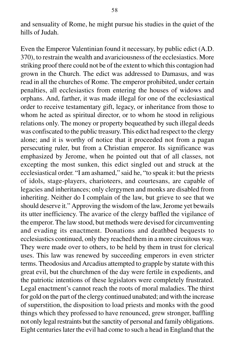and sensuality of Rome, he might pursue his studies in the quiet of the hills of Judah.

Even the Emperor Valentinian found it necessary, by public edict (A.D. 370), to restrain the wealth and avariciousness of the ecclesiastics. More striking proof there could not be of the extent to which this contagion had grown in the Church. The edict was addressed to Damasus, and was read in all the churches of Rome. The emperor prohibited, under certain penalties, all ecclesiastics from entering the houses of widows and orphans. And, farther, it was made illegal for one of the ecclesiastical order to receive testamentary gift, legacy, or inheritance from those to whom he acted as spiritual director, or to whom he stood in religious relations only. The money or property bequeathed by such illegal deeds was confiscated to the public treasury. This edict had respect to the clergy alone; and it is worthy of notice that it proceeded not from a pagan persecuting ruler, but from a Christian emperor. Its significance was emphasized by Jerome, when he pointed out that of all classes, not excepting the most sunken, this edict singled out and struck at the ecclesiastical order. "I am ashamed," said he, "to speak it: but the priests of idols, stage-players, charioteers, and courtesans, are capable of legacies and inheritances; only clergymen and monks are disabled from inheriting. Neither do I complain of the law, but grieve to see that we should deserve it." Approving the wisdom of the law, Jerome yet bewails its utter inefficiency. The avarice of the clergy baffled the vigilance of the emperor. The law stood, but methods were devised for circumventing and evading its enactment. Donations and deathbed bequests to ecclesiastics continued, only they reached them in a more circuitous way. They were made over to others, to be held by them in trust for clerical uses. This law was renewed by succeeding emperors in even stricter terms. Theodosius and Arcadius attempted to grapple by statute with this great evil, but the churchmen of the day were fertile in expedients, and the patriotic intentions of these legislators were completely frustrated. Legal enactment's cannot reach the roots of moral maladies. The thirst for gold on the part of the clergy continued unabated; and with the increase of superstition, the disposition to load priests and monks with the good things which they professed to have renounced, grew stronger, baffling not only legal restraints but the sanctity of personal and family obligations. Eight centuries later the evil had come to such a head in England that the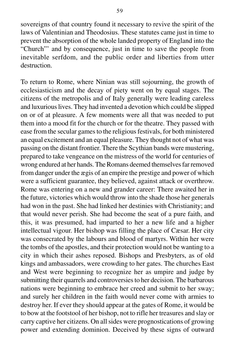sovereigns of that country found it necessary to revive the spirit of the laws of Valentinian and Theodosius. These statutes came just in time to prevent the absorption of the whole landed property of England into the "Church"' and by consequence, just in time to save the people from inevitable serfdom, and the public order and liberties from utter destruction.

To return to Rome, where Ninian was still sojourning, the growth of ecclesiasticism and the decay of piety went on by equal stages. The citizens of the metropolis and of Italy generally were leading careless and luxurious lives. They had invented a devotion which could be slipped on or of at pleasure. A few moments were all that was needed to put them into a mood fit for the church or for the theatre. They passed with ease from the secular games to the religious festivals, for both ministered an equal excitement and an equal pleasure. They thought not of what was passing on the distant frontier. There the Scythian bands were mustering, prepared to take vengeance on the mistress of the world for centuries of wrong endured at her hands. The Romans deemed themselves far removed from danger under the ægis of an empire the prestige and power of which were a sufficient guarantee, they believed, against attack or overthrow. Rome was entering on a new and grander career: There awaited her in the future, victories which would throw into the shade those her generals had won in the past. She had linked her destinies with Christianity; and that would never perish. She had become the seat of a pure faith, and this, it was presumed, had imparted to her a new life and a higher intellectual vigour. Her bishop was filling the place of Cæsar. Her city was consecrated by the labours and blood of martyrs. Within her were the tombs of the apostles, and their protection would not be wanting to a city in which their ashes reposed. Bishops and Presbyters, as of old kings and ambassadors, were crowding to her gates. The churches East and West were beginning to recognize her as umpire and judge by submitting their quarrels and controversies to her decision. The barbarous nations were beginning to embrace her creed and submit to her sway; and surely her children in the faith would never come with armies to destroy her. If ever they should appear at the gates of Rome, it would be to bow at the footstool of her bishop, not to rifle her treasures and slay or carry captive her citizens. On all sides were prognostications of growing power and extending dominion. Deceived by these signs of outward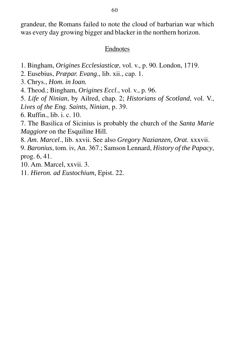grandeur, the Romans failed to note the cloud of barbarian war which was every day growing bigger and blacker in the northern horizon.

### **Endnotes**

- 1. Bingham, *Origines Ecclesiasticæ*, vol. v., p. 90. London, 1719.
- 2. Eusebius, *Præpar. Evang*., lib. xii., cap. 1.
- 3. Chrys., *Hom. in Ioan.*
- 4. Theod.; Bingham, *Origines Eccl*., vol. v., p. 96.

5. *Life of Ninian*, by Ailred, chap. 2; *Historians of Scotland*, vol. V., *Lives of the Eng. Saints, Ninian*, p. 39.

6. Ruffin., lib. i. c. 10.

7. The Basilica of Sicinius is probably the church of the *Santa Marie Maggiore* on the Esquiline Hill.

8. *Am. Marcel*., lib. xxvii. See also *Gregory Nazianzen, Orat*. xxxvii.

9. *Baronius*, tom. iv, An. 367.; Samson Lennard, *History of the Papacy*, prog. 6, 41.

10. Am. Marcel, xxvii. 3.

11. *Hieron. ad Eustochium,* Epist. 22.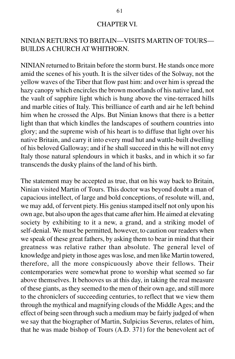### CHAPTER VI.

# NINIAN RETURNS TO BRITAIN—VISITS MARTIN OF TOURS— BUILDS A CHURCH AT WHITHORN.

NINIAN returned to Britain before the storm burst. He stands once more amid the scenes of his youth. It is the silver tides of the Solway, not the yellow waves of the Tiber that flow past him: and over him is spread the hazy canopy which encircles the brown moorlands of his native land, not the vault of sapphire light which is hung above the vine-terraced hills and marble cities of Italy. This brilliance of earth and air he left behind him when he crossed the Alps. But Ninian knows that there is a better light than that which kindles the landscapes of southern countries into glory; and the supreme wish of his heart is to diffuse that light over his native Britain, and carry it into every mud hut and wattle-built dwelling of his beloved Galloway; and if he shall succeed in this he will not envy Italy those natural splendours in which it basks, and in which it so far transcends the dusky plains of the land of his birth.

The statement may be accepted as true, that on his way back to Britain, Ninian visited Martin of Tours. This doctor was beyond doubt a man of capacious intellect, of large and bold conceptions, of resolute will, and, we may add, of fervent piety. His genius stamped itself not only upon his own age, but also upon the ages that came after him. He aimed at elevating society by exhibiting to it a new, a grand, and a striking model of self-denial. We must be permitted, however, to caution our readers when we speak of these great fathers, by asking them to bear in mind that their greatness was relative rather than absolute. The general level of knowledge and piety in those ages was lose, and men like Martin towered, therefore, all the more conspicuously above their fellows. Their contemporaries were somewhat prone to worship what seemed so far above themselves. It behooves us at this day, in taking the real measure of these giants, as they seemed to the men of their own age, and still more to the chroniclers of succeeding centuries, to reflect that we view them through the mythical and magnifying clouds of the Middle Ages; and the effect of being seen through such a medium may be fairly judged of when we say that the biographer of Martin, Sulpicius Severus, relates of him, that he was made bishop of Tours (A.D. 371) for the benevolent act of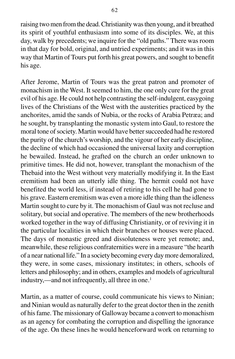raising two men from the dead. Christianity was then young, and it breathed its spirit of youthful enthusiasm into some of its disciples. We, at this day, walk by precedents; we inquire for the "old paths." There was room in that day for bold, original, and untried experiments; and it was in this way that Martin of Tours put forth his great powers, and sought to benefit his age.

After Jerome, Martin of Tours was the great patron and promoter of monachism in the West. It seemed to him, the one only cure for the great evil of his age. He could not help contrasting the self-indulgent, easygoing lives of the Christians of the West with the austerities practiced by the anchorites, amid the sands of Nubia, or the rocks of Arabia Petræa; and he sought, by transplanting the monastic system into Gaul, to restore the moral tone of society. Martin would have better succeeded had he restored the purity of the church's worship, and the vigour of her early discipline, the decline of which had occasioned the universal laxity and corruption he bewailed. Instead, he grafted on the church an order unknown to primitive times. He did not, however, transplant the monachism of the Thebaid into the West without very materially modifying it. In the East eremitism had been an utterly idle thing. The hermit could not have benefited the world less, if instead of retiring to his cell he had gone to his grave. Eastern eremitism was even a more idle thing than the idleness Martin sought to cure by it. The monachism of Gaul was not recluse and solitary, but social and operative. The members of the new brotherhoods worked together in the way of diffusing Christianity, or of reviving it in the particular localities in which their branches or houses were placed. The days of monastic greed and dissoluteness were yet remote; and, meanwhile, these religious confraternities were in a measure "the hearth of a near national life." In a society becoming every day more demoralized, they were, in some cases, missionary institutes; in others, schools of letters and philosophy; and in others, examples and models of agricultural industry,—and not infrequently, all three in one.<sup>1</sup>

Martin, as a matter of course, could communicate his views to Ninian; and Ninian would as naturally defer to the great doctor then in the zenith of his fame. The missionary of Galloway became a convert to monachism as an agency for combating the corruption and dispelling the ignorance of the age. On these lines he would henceforward work on returning to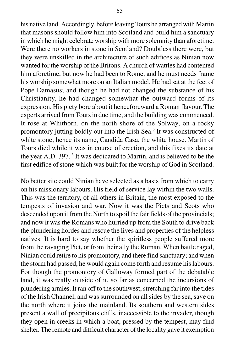his native land. Accordingly, before leaving Tours he arranged with Martin that masons should follow him into Scotland and build him a sanctuary in which he might celebrate worship with more solemnity than aforetime. Were there no workers in stone in Scotland? Doubtless there were, but they were unskilled in the architecture of such edifices as Ninian now wanted for the worship of the Britons. A church of wattles had contented him aforetime, but now he had been to Rome, and he must needs frame his worship somewhat more on an Italian model. He had sat at the feet of Pope Damasus; and though he had not changed the substance of his Christianity, he had changed somewhat the outward forms of its expression. His piety bore about it henceforeward a Roman flavour. The experts arrived from Tours in due time, and the building was commenced. It rose at Whithorn, on the north shore of the Solway, on a rocky promontory jutting boldly out into the Irish Sea.<sup>2</sup> It was constructed of white stone; hence its name, Candida Casa, the white house. Martin of Tours died while it was in course of erection, and this fixes its date at the year A.D. 397. 3 It was dedicated to Martin, and is believed to be the first edifice of stone which was built for the worship of God in Scotland.

No better site could Ninian have selected as a basis from which to carry on his missionary labours. His field of service lay within the two walls. This was the territory, of all others in Britain, the most exposed to the tempests of invasion and war. Now it was the Picts and Scots who descended upon it from the North to spoil the fair fields of the provincials; and now it was the Romans who hurried up from the South to drive back the plundering hordes and rescue the lives and properties of the helpless natives. It is hard to say whether the spiritless people suffered more from the ravaging Pict, or from their ally the Roman. When battle raged, Ninian could retire to his promontory, and there find sanctuary; and when the storm had passed, he would again come forth and resume his labours. For though the promontory of Galloway formed part of the debatable land, it was really outside of it, so far as concerned the incursions of plundering armies. It ran off to the southwest, stretching far into the tides of the Irish Channel, and was surrounded on all sides by the sea, save on the north where it joins the mainland. Its southern and western sides present a wall of precipitous cliffs, inaccessible to the invader, though they open in creeks in which a boat, pressed by the tempest, may find shelter. The remote and difficult character of the locality gave it exemption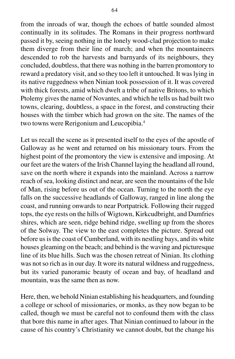from the inroads of war, though the echoes of battle sounded almost continually in its solitudes. The Romans in their progress northward passed it by, seeing nothing in the lonely wood-clad projection to make them diverge from their line of march; and when the mountaineers descended to rob the harvests and barnyards of its neighbours, they concluded, doubtless, that there was nothing in the barren promontory to reward a predatory visit, and so they too left it untouched. It was lying in its native ruggedness when Ninian took possession of it. It was covered with thick forests, amid which dwelt a tribe of native Britons, to which Ptolemy gives the name of Novantes, and which he tells us had built two towns, clearing, doubtless, a space in the forest, and constructing their houses with the timber which had grown on the site. The names of the two towns were Rerigonium and Leucopibia.4

Let us recall the scene as it presented itself to the eyes of the apostle of Galloway as he went and returned on his missionary tours. From the highest point of the promontory the view is extensive and imposing. At our feet are the waters of the Irish Channel laying the headland all round, save on the north where it expands into the mainland. Across a narrow reach of sea, looking distinct and near, are seen the mountains of the Isle of Man, rising before us out of the ocean. Turning to the north the eye falls on the successive headlands of Galloway, ranged in line along the coast, and running onwards to near Portpatrick. Following their rugged tops, the eye rests on the hills of Wigtown, Kirkcudbright, and Dumfries shires, which are seen, ridge behind ridge, swelling up from the shores of the Solway. The view to the east completes the picture. Spread out before us is the coast of Cumberland, with its nestling bays, and its white houses gleaming on the beach; and behind is the waving and picturesque line of its blue hills. Such was the chosen retreat of Ninian. Its clothing was not so rich as in our day. It wore its natural wildness and ruggedness, but its varied panoramic beauty of ocean and bay, of headland and mountain, was the same then as now.

Here, then, we behold Ninian establishing his headquarters, and founding a college or school of missionaries, or monks, as they now began to be called, though we must be careful not to confound them with the class that bore this name in after ages. That Ninian continued to labour in the cause of his country's Christianity we cannot doubt, but the change his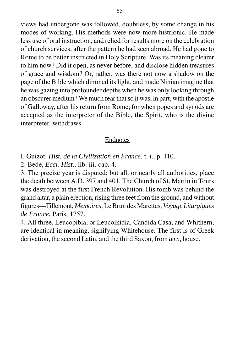views had undergone was followed, doubtless, by some change in his modes of working. His methods were now more histrionic. He made less use of oral instruction, and relied for results more on the celebration of church services, after the pattern he had seen abroad. He had gone to Rome to be better instructed in Holy Scripture. Was its meaning clearer to him now? Did it open, as never before, and disclose hidden treasures of grace and wisdom? Or, rather, was there not now a shadow on the page of the Bible which dimmed its light, and made Ninian imagine that he was gazing into profounder depths when he was only looking through an obscurer medium? We much fear that so it was, in part, with the apostle of Galloway, after his return from Rome; for when popes and synods are accepted as the interpreter of the Bible, the Spirit, who is the divine interpreter, withdraws.

### Endnotes

I. Guizot, *Hist. de la Civilization en France*, t. i., p. 110.

2. Bede, *Eccl. Hist*., lib. iii. cap. 4.

3. The precise year is disputed; but all, or nearly all authorities, place the death between A.D. 397 and 401. The Church of St. Martin in Tours was destroyed at the first French Revolution. His tomb was behind the grand altar, a plain erection, rising three feet from the ground, and without figures—Tillemont, *Memoires*; Le Brun des Marettes, *Voyage Liturgigues de France*, Paris, 1757.

4. All three, Leucopibia, or Leucoikidia, Candida Casa, and Whithern, are identical in meaning, signifying Whitehouse. The first is of Greek derivation, the second Latin, and the third Saxon, from *ærn,* house.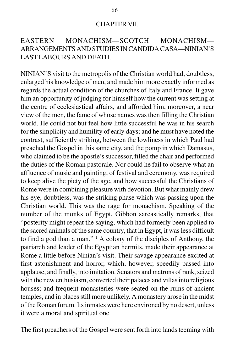#### CHAPTER VII.

## EASTERN MONACHISM—SCOTCH MONACHISM— ARRANGEMENTS AND STUDIES IN CANDIDA CASA—NINIAN'S LAST LABOURS AND DEATH.

NINIAN'S visit to the metropolis of the Christian world had, doubtless, enlarged his knowledge of men, and made him more exactly informed as regards the actual condition of the churches of Italy and France. It gave him an opportunity of judging for himself how the current was setting at the centre of ecclesiastical affairs, and afforded him, moreover, a near view of the men, the fame of whose names was then filling the Christian world. He could not but feel how little successful he was in his search for the simplicity and humility of early days; and he must have noted the contrast, sufficiently striking, between the lowliness in which Paul had preached the Gospel in this same city, and the pomp in which Damasus, who claimed to be the apostle's successor, filled the chair and performed the duties of the Roman pastorale. Nor could he fail to observe what an affluence of music and painting, of festival and ceremony, was required to keep alive the piety of the age, and how successful the Christians of Rome were in combining pleasure with devotion. But what mainly drew his eye, doubtless, was the striking phase which was passing upon the Christian world. This was the rage for monachism. Speaking of the number of the monks of Egypt, Gibbon sarcastically remarks, that "posterity might repeat the saying, which had formerly been applied to the sacred animals of the same country, that in Egypt, it was less difficult to find a god than a man." 1 A colony of the disciples of Anthony, the patriarch and leader of the Egyptian hermits, made their appearance at Rome a little before Ninian's visit. Their savage appearance excited at first astonishment and horror, which, however, speedily passed into applause, and finally, into imitation. Senators and matrons of rank, seized with the new enthusiasm, converted their palaces and villas into religious houses; and frequent monasteries were seated on the ruins of ancient temples, and in places still more unlikely. A monastery arose in the midst of the Roman forum. Its inmates were here environed by no desert, unless it were a moral and spiritual one

The first preachers of the Gospel were sent forth into lands teeming with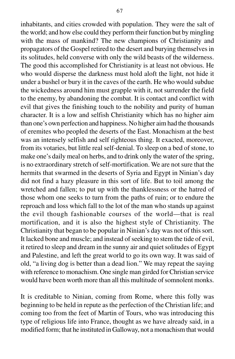inhabitants, and cities crowded with population. They were the salt of the world; and how else could they perform their function but by mingling with the mass of mankind? The new champions of Christianity and propagators of the Gospel retired to the desert and burying themselves in its solitudes, held converse with only the wild beasts of the wilderness. The good this accomplished for Christianity is at least not obvious. He who would disperse the darkness must hold aloft the light, not hide it under a bushel or bury it in the caves of the earth. He who would subdue the wickedness around him must grapple with it, not surrender the field to the enemy, by abandoning the combat. It is contact and conflict with evil that gives the finishing touch to the nobility and purity of human character. It is a low and selfish Christianity which has no higher aim than one's own perfection and happiness. No higher aim had the thousands of eremites who peopled the deserts of the East. Monachism at the best was an intensely selfish and self righteous thing. It exacted, moreover, from its votaries, but little real self-denial. To sleep on a bed of stone, to make one's daily meal on herbs, and to drink only the water of the spring, is no extraordinary stretch of self-mortification. We are not sure that the hermits that swarmed in the deserts of Syria and Egypt in Ninian's day did not find a hazy pleasure in this sort of life. But to toil among the wretched and fallen; to put up with the thanklessness or the hatred of those whom one seeks to turn from the paths of ruin; or to endure the reproach and loss which fall to the lot of the man who stands up against the evil though fashionable courses of the world—that is real mortification, and it is also the highest style of Christianity. The Christianity that began to be popular in Ninian's day was not of this sort. It lacked bone and muscle; and instead of seeking to stem the tide of evil, it retired to sleep and dream in the sunny air and quiet solitudes of Egypt and Palestine, and left the great world to go its own way. It was said of old, "a living dog is better than a dead lion." We may repeat the saying with reference to monachism. One single man girded for Christian service would have been worth more than all this multitude of somnolent monks.

It is creditable to Ninian, coming from Rome, where this folly was beginning to be held in repute as the perfection of the Christian life; and coming too from the feet of Martin of Tours, who was introducing this type of religious life into France, thought as we have already said, in a modified form; that he instituted in Galloway, not a monachism that would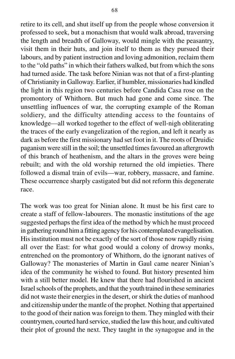retire to its cell, and shut itself up from the people whose conversion it professed to seek, but a monachism that would walk abroad, traversing the length and breadth of Galloway, would mingle with the peasantry, visit them in their huts, and join itself to them as they pursued their labours, and by patient instruction and loving admonition, reclaim them to the "old paths" in which their fathers walked, but from which the sons had turned aside. The task before Ninian was not that of a first-planting of Christianity in Galloway. Earlier, if humbler, missionaries had kindled the light in this region two centuries before Candida Casa rose on the promontory of Whithorn. But much had gone and come since. The unsettling influences of war, the corrupting example of the Roman soldiery, and the difficulty attending access to the fountains of knowledge—all worked together to the effect of well-nigh obliterating the traces of the early evangelization of the region, and left it nearly as dark as before the first missionary had set foot in it. The roots of Druidic paganism were still in the soil; the unsettled times favoured an aftergrowth of this branch of heathenism, and the altars in the groves were being rebuilt; and with the old worship returned the old impieties. There followed a dismal train of evils—war, robbery, massacre, and famine. These occurrence sharply castigated but did not reform this degenerate race.

The work was too great for Ninian alone. It must be his first care to create a staff of fellow-labourers. The monastic institutions of the age suggested perhaps the first idea of the method by which he must proceed in gathering round him a fitting agency for his contemplated evangelisation. His institution must not be exactly of the sort of those now rapidly rising all over the East: for what good would a colony of drowsy monks, entrenched on the promontory of Whithorn, do the ignorant natives of Galloway? The monasteries of Martin in Gaul came nearer Ninian's idea of the community he wished to found. But history presented him with a still better model. He knew that there had flourished in ancient Israel schools of the prophets, and that the youth trained in these seminaries did not waste their energies in the desert, or shirk the duties of manhood and citizenship under the mantle of the prophet. Nothing that appertained to the good of their nation was foreign to them. They mingled with their countrymen, courted hard service, studied the law this hour, and cultivated their plot of ground the next. They taught in the synagogue and in the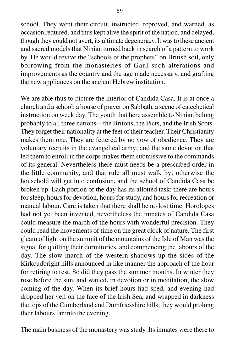school. They went their circuit, instructed, reproved, and warned, as occasion required, and thus kept alive the spirit of the nation, and delayed, though they could not avert, its ultimate degeneracy. It was to these ancient and sacred models that Ninian turned back in search of a pattern to work by. He would revive the "schools of the prophets" on British soil, only borrowing from the monasteries of Gaul such alterations and improvements as the country and the age made necessary, and grafting the new appliances on the ancient Hebrew institution.

We are able thus to picture the interior of Candida Casa. It is at once a church and a school; a house of prayer on Sabbath, a scene of catechetical instruction on week day. The youth that here assemble to Ninian belong probably to all three nations—the Britons, the Picts, and the Irish Scots. They forget their nationality at the feet of their teacher. Their Christianity makes them one. They are fettered by no vow of obedience. They are voluntary recruits in the evangelical army; and the same devotion that led them to enroll in the corps makes them submissive to the commands of its general. Nevertheless there must needs be a prescribed order in the little community, and that rule all must walk by; otherwise the household will get into confusion, and the school of Candida Casa be broken up. Each portion of the day has its allotted task: there are hours for sleep, hours for devotion, hours for study, and hours for recreation or manual labour. Care is taken that there shall be no lost time. Horologes had not yet been invented, nevertheless the inmates of Candida Casa could measure the march of the hours with wonderful precision. They could read the movements of time on the great clock of nature. The first gleam of light on the summit of the mountains of the Isle of Man was the signal for quitting their dormitories, and commencing the labours of the day. The slow march of the western shadows up the sides of the Kirkcudbright hills announced in like manner the approach of the hour for retiring to rest. So did they pass the summer months. In winter they rose before the sun, and waited, in devotion or in meditation, the slow coming of the day. When its brief hours had sped, and evening had dropped her veil on the face of the Irish Sea, and wrapped in darkness the tops of the Cumberland and Dumfriesshire hills, they would prolong their labours far into the evening.

The main business of the monastery was study. Its inmates were there to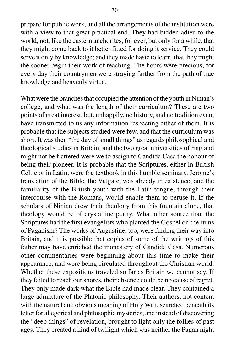prepare for public work, and all the arrangements of the institution were with a view to that great practical end. They had bidden adieu to the world, not, like the eastern anchorites, for ever, but only for a while, that they might come back to it better fitted for doing it service. They could serve it only by knowledge; and they made haste to learn, that they might the sooner begin their work of teaching. The hours were precious, for every day their countrymen were straying farther from the path of true knowledge and heavenly virtue.

What were the branches that occupied the attention of the youth in Ninian's college, and what was the length of their curriculum? These are two points of great interest, but, unhappily, no history, and no tradition even, have transmitted to us any information respecting either of them. It is probable that the subjects studied were few, and that the curriculum was short. It was then "the day of small things" as regards philosophical and theological studies in Britain, and the two great universities of England might not be flattered were we to assign to Candida Casa the honour of being their pioneer. It is probable that the Scriptures, either in British Celtic or in Latin, were the textbook in this humble seminary. Jerome's translation of the Bible, the Vulgate, was already in existence; and the familiarity of the British youth with the Latin tongue, through their intercourse with the Romans, would enable them to peruse it. If the scholars of Ninian drew their theology from this fountain alone, that theology would be of crystalline purity. What other source than the Scriptures had the first evangelists who planted the Gospel on the ruins of Paganism? The works of Augustine, too, were finding their way into Britain, and it is possible that copies of some of the writings of this father may have enriched the monastery of Candida Casa. Numerous other commentaries were beginning about this time to make their appearance, and were being circulated throughout the Christian world. Whether these expositions traveled so far as Britain we cannot say. If they failed to reach our shores, their absence could be no cause of regret. They only made dark what the Bible had made clear. They contained a large admixture of the Platonic philosophy. Their authors, not content with the natural and obvious meaning of Holy Writ, searched beneath its letter for allegorical and philosophic mysteries; and instead of discovering the "deep things" of revelation, brought to light only the follies of past ages. They created a kind of twilight which was neither the Pagan night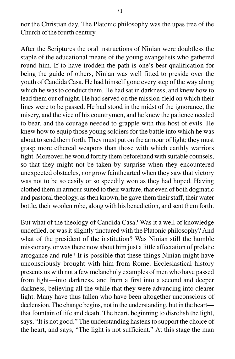nor the Christian day. The Platonic philosophy was the upas tree of the Church of the fourth century.

After the Scriptures the oral instructions of Ninian were doubtless the staple of the educational means of the young evangelists who gathered round him. If to have trodden the path is one's best qualification for being the guide of others, Ninian was well fitted to preside over the youth of Candida Casa. He had himself gone every step of the way along which he was to conduct them. He had sat in darkness, and knew how to lead them out of night. He had served on the mission-field on which their lines were to be passed. He had stood in the midst of the ignorance, the misery, and the vice of his countrymen, and he knew the patience needed to bear, and the courage needed to grapple with this host of evils. He knew how to equip those young soldiers for the battle into which he was about to send them forth. They must put on the armour of light; they must grasp more ethereal weapons than those with which earthly warriors fight. Moreover, he would fortify them beforehand with suitable counsels, so that they might not be taken by surprise when they encountered unexpected obstacles, nor grow fainthearted when they saw that victory was not to be so easily or so speedily won as they had hoped. Having clothed them in armour suited to their warfare, that even of both dogmatic and pastoral theology, as then known, he gave them their staff, their water bottle, their woolen robe, along with his benediction, and sent them forth.

But what of the theology of Candida Casa? Was it a well of knowledge undefiled, or was it slightly tinctured with the Platonic philosophy? And what of the president of the institution? Was Ninian still the humble missionary, or was there now about him just a little affectation of prelatic arrogance and rule? It is possible that these things Ninian might have unconsciously brought with him from Rome. Ecclesiastical history presents us with not a few melancholy examples of men who have passed from light—into darkness, and from a first into a second and deeper darkness, believing all the while that they were advancing into clearer light. Many have thus fallen who have been altogether unconscious of declension. The change begins, not in the understanding, but in the heart that fountain of life and death. The heart, beginning to disrelish the light, says, "It is not good." The understanding hastens to support the choice of the heart, and says, "The light is not sufficient." At this stage the man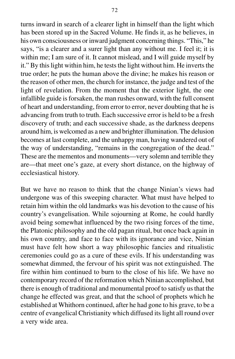turns inward in search of a clearer light in himself than the light which has been stored up in the Sacred Volume. He finds it, as he believes, in his own consciousness or inward judgment concerning things. "This," he says, "is a clearer and a surer light than any without me. I feel it; it is within me; I am sure of it. It cannot mislead, and I will guide myself by it." By this light within him, he tests the light without him. He inverts the true order; he puts the human above the divine; he makes his reason or the reason of other men, the church for instance, the judge and test of the light of revelation. From the moment that the exterior light, the one infallible guide is forsaken, the man rushes onward, with the full consent of heart and understanding, from error to error, never doubting that he is advancing from truth to truth. Each successive error is held to be a fresh discovery of truth; and each successive shade, as the darkness deepens around him, is welcomed as a new and brighter illumination. The delusion becomes at last complete, and the unhappy man, having wandered out of the way of understanding, "remains in the congregation of the dead." These are the mementos and monuments—very solemn and terrible they are—that meet one's gaze, at every short distance, on the highway of ecclesiastical history.

But we have no reason to think that the change Ninian's views had undergone was of this sweeping character. What must have helped to retain him within the old landmarks was his devotion to the cause of his country's evangelisation. While sojourning at Rome, he could hardly avoid being somewhat influenced by the two rising forces of the time, the Platonic philosophy and the old pagan ritual, but once back again in his own country, and face to face with its ignorance and vice, Ninian must have felt how short a way philosophic fancies and ritualistic ceremonies could go as a cure of these evils. If his understanding was somewhat dimmed, the fervour of his spirit was not extinguished. The fire within him continued to burn to the close of his life. We have no contemporary record of the reformation which Ninian accomplished, but there is enough of traditional and monumental proof to satisfy us that the change he effected was great, and that the school of prophets which he established at Whithorn continued, after he had gone to his grave, to be a centre of evangelical Christianity which diffused its light all round over a very wide area.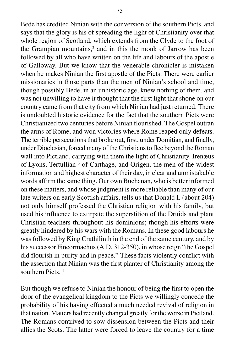Bede has credited Ninian with the conversion of the southern Picts, and says that the glory is his of spreading the light of Christianity over that whole region of Scotland, which extends from the Clyde to the foot of the Grampian mountains, $2$  and in this the monk of Jarrow has been followed by all who have written on the life and labours of the apostle of Galloway. But we know that the venerable chronicler is mistaken when he makes Ninian the first apostle of the Picts. There were earlier missionaries in those parts than the men of Ninian's school and time, though possibly Bede, in an unhistoric age, knew nothing of them, and was not unwilling to have it thought that the first light that shone on our country came from that city from which Ninian had just returned. There is undoubted historic evidence for the fact that the southern Picts were Christianized two centuries before Ninian flourished. The Gospel outran the arms of Rome, and won victories where Rome reaped only defeats. The terrible persecutions that broke out, first, under Domitian, and finally, under Dioclesian, forced many of the Christians to flee beyond the Roman wall into Pictland, carrying with them the light of Christianity. Irenæus of Lyons, Tertullian<sup>3</sup> of Carthage, and Origen, the men of the widest information and highest character of their day, in clear and unmistakable words affirm the same thing. Our own Buchanan, who is better informed on these matters, and whose judgment is more reliable than many of our late writers on early Scottish affairs, tells us that Donald I. (about 204) not only himself professed the Christian religion with his family, but used his influence to extirpate the superstition of the Druids and plant Christian teachers throughout his dominions; though his efforts were greatly hindered by his wars with the Romans. In these good labours he was followed by King Crathilinth in the end of the same century, and by his successor Fincormachus (A.D. 312-350), in whose reign "the Gospel did flourish in purity and in peace." These facts violently conflict with the assertion that Ninian was the first planter of Christianity among the southern Picts<sup>4</sup>

But though we refuse to Ninian the honour of being the first to open the door of the evangelical kingdom to the Picts we willingly concede the probability of his having effected a much needed revival of religion in that nation. Matters had recently changed greatly for the worse in Pictland. The Romans contrived to sow dissension between the Picts and their allies the Scots. The latter were forced to leave the country for a time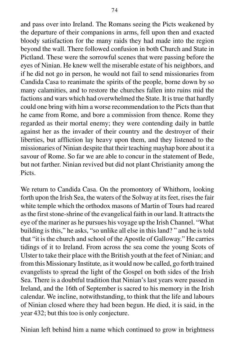and pass over into Ireland. The Romans seeing the Picts weakened by the departure of their companions in arms, fell upon then and exacted bloody satisfaction for the many raids they had made into the region beyond the wall. There followed confusion in both Church and State in Pictland. These were the sorrowful scenes that were passing before the eyes of Ninian. He knew well the miserable estate of his neighbors, and if he did not go in person, he would not fail to send missionaries from Candida Casa to reanimate the spirits of the people, borne down by so many calamities, and to restore the churches fallen into ruins mid the factions and wars which had overwhelmed the State. It is true that hardly could one bring with him a worse recommendation to the Picts than that he came from Rome, and bore a commission from thence. Rome they regarded as their mortal enemy; they were contending daily in battle against her as the invader of their country and the destroyer of their liberties, but affliction lay heavy upon them, and they listened to the missionaries of Ninian despite that their teaching mayhap bore about it a savour of Rome. So far we are able to concur in the statement of Bede, but not farther. Ninian revived but did not plant Christianity among the Picts.

We return to Candida Casa. On the promontory of Whithorn, looking forth upon the Irish Sea, the waters of the Solway at its feet, rises the fair white temple which the orthodox masons of Martin of Tours had reared as the first stone-shrine of the evangelical faith in our land. It attracts the eye of the mariner as he pursues his voyage up the Irish Channel. "What building is this," he asks, "so unlike all else in this land? " and he is told that "it is the church and school of the Apostle of Galloway." He carries tidings of it to Ireland. From across the sea come the young Scots of Ulster to take their place with the British youth at the feet of Ninian; and from this Missionary Institute, as it would now be called, go forth trained evangelists to spread the light of the Gospel on both sides of the Irish Sea. There is a doubtful tradition that Ninian's last years were passed in Ireland, and the 16th of September is sacred to his memory in the Irish calendar. We incline, notwithstanding, to think that the life and labours of Ninian closed where they had been begun. He died, it is said, in the year 432; but this too is only conjecture.

Ninian left behind him a name which continued to grow in brightness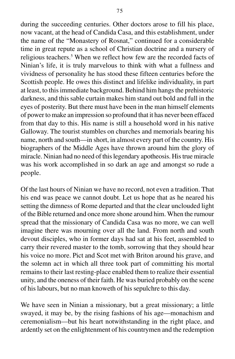during the succeeding centuries. Other doctors arose to fill his place, now vacant, at the head of Candida Casa, and this establishment, under the name of the "Monastery of Rosnat," continued for a considerable time in great repute as a school of Christian doctrine and a nursery of religious teachers.<sup>5</sup> When we reflect how few are the recorded facts of Ninian's life, it is truly marvelous to think with what a fullness and vividness of personality he has stood these fifteen centuries before the Scottish people. He owes this distinct and lifelike individuality, in part at least, to this immediate background. Behind him hangs the prehistoric darkness, and this sable curtain makes him stand out bold and full in the eyes of posterity. But there must have been in the man himself elements of power to make an impression so profound that it has never been effaced from that day to this. His name is still a household word in his native Galloway. The tourist stumbles on churches and memorials bearing his name, north and south—in short, in almost every part of the country. His biographers of the Middle Ages have thrown around him the glory of miracle. Ninian had no need of this legendary apotheosis. His true miracle was his work accomplished in so dark an age and amongst so rude a people.

Of the last hours of Ninian we have no record, not even a tradition. That his end was peace we cannot doubt. Let us hope that as he neared his setting the dimness of Rome departed and that the clear unclouded light of the Bible returned and once more shone around him. When the rumour spread that the missionary of Candida Casa was no more, we can well imagine there was mourning over all the land. From north and south devout disciples, who in former days had sat at his feet, assembled to carry their revered master to the tomb, sorrowing that they should hear his voice no more. Pict and Scot met with Briton around his grave, and the solemn act in which all three took part of committing his mortal remains to their last resting-place enabled them to realize their essential unity, and the oneness of their faith. He was buried probably on the scene of his labours, but no man knoweth of his sepulchre to this day.

We have seen in Ninian a missionary, but a great missionary; a little swayed, it may be, by the rising fashions of his age—monachism and ceremonialism—but his heart notwithstanding in the right place, and ardently set on the enlightenment of his countrymen and the redemption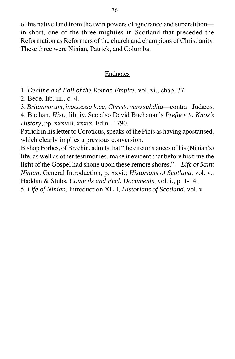of his native land from the twin powers of ignorance and superstition in short, one of the three mighties in Scotland that preceded the Reformation as Reformers of the church and champions of Christianity. These three were Ninian, Patrick, and Columba.

#### Endnotes

1. *Decline and Fall of the Roman Empire*, vol. vi., chap. 37.

2. Bede, lib, iii., c. 4.

3. *Britannorum, inaccessa loca, Christo vero subdita*—contra Judæos,

4. Buchan. *Hist.*, lib. iv. See also David Buchanan's *Preface to Knox's History*, pp. xxxviii. xxxix. Edin., 1790.

Patrick in his letter to Coroticus, speaks of the Picts as having apostatised, which clearly implies a previous conversion.

Bishop Forbes, of Brechin, admits that "the circumstances of his (Ninian's) life, as well as other testimonies, make it evident that before his time the light of the Gospel had shone upon these remote shores."—*Life of Saint Ninian*, General Introduction, p. xxvi.; *Historians of Scotland*, vol. v.; Haddan & Stubs, *Councils and Eccl. Documents*, vol. i., p. 1-14. 5. *Life of Ninian*, Introduction XLII, *Historians of Scotland*, vol. v.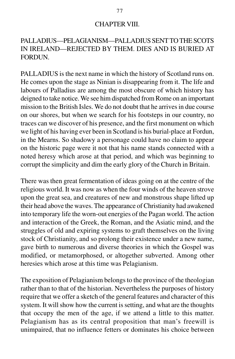#### CHAPTER VIII.

## PALLADIUS—PELAGIANISM—PALLADIUS SENT TO THE SCOTS IN IRELAND—REJECTED BY THEM. DIES AND IS BURIED AT FORDUN.

PALLADIUS is the next name in which the history of Scotland runs on. He comes upon the stage as Ninian is disappearing from it. The life and labours of Palladius are among the most obscure of which history has deigned to take notice. We see him dispatched from Rome on an important mission to the British Isles. We do not doubt that he arrives in due course on our shores, but when we search for his footsteps in our country, no traces can we discover of his presence, and the first monument on which we light of his having ever been in Scotland is his burial-place at Fordun, in the Mearns. So shadowy a personage could have no claim to appear on the historic page were it not that his name stands connected with a noted heresy which arose at that period, and which was beginning to corrupt the simplicity and dim the early glory of the Church in Britain.

There was then great fermentation of ideas going on at the centre of the religious world. It was now as when the four winds of the heaven strove upon the great sea, and creatures of new and monstrous shape lifted up their head above the waves. The appearance of Christianity had awakened into temporary life the worn-out energies of the Pagan world. The action and interaction of the Greek, the Roman, and the Asiatic mind, and the struggles of old and expiring systems to graft themselves on the living stock of Christianity, and so prolong their existence under a new name, gave birth to numerous and diverse theories in which the Gospel was modified, or metamorphosed, or altogether subverted. Among other heresies which arose at this time was Pelagianism.

The exposition of Pelagianism belongs to the province of the theologian rather than to that of the historian. Nevertheless the purposes of history require that we offer a sketch of the general features and character of this system. It will show how the current is setting, and what are the thoughts that occupy the men of the age, if we attend a little to this matter. Pelagianism has as its central proposition that man's freewill is unimpaired, that no influence fetters or dominates his choice between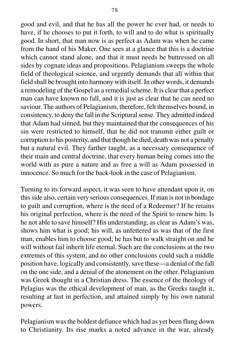good and evil, and that he has all the power he ever had, or needs to have, if he chooses to put it forth, to will and to do what is spiritually good. In short, that man now is as perfect as Adam was when he came from the hand of his Maker. One sees at a glance that this is a doctrine which cannot stand alone, and that it must needs be buttressed on all sides by cognate ideas and propositions. Pelagianism sweeps the whole field of theological science, and urgently demands that all within that field shall be brought into harmony with itself. In other words, it demands a remodeling of the Gospel as a remedial scheme. It is clear that a perfect man can have known no fall, and it is just as clear that he can need no saviour. The authors of Pelagianism, therefore, felt themselves bound, in consistency, to deny the fall in the Scriptural sense. They admitted indeed that Adam had sinned, but they maintained that the consequences of his sin were restricted to himself, that he did not transmit either guilt or corruption to his posterity, and that though he died, death was not a penalty but a natural evil. They farther taught, as a necessary consequence of their main and central doctrine, that every human being comes into the world with as pure a nature and as free a will as Adam possessed in innocence. So much for the back-look in the case of Pelagianism.

Turning to its forward aspect, it was seen to have attendant upon it, on this side also, certain very serious consequences. If man is not in bondage to guilt and corruption, where is the need of a Redeemer? If he retains his original perfection, where is the need of the Spirit to renew him. Is he not able to save himself? His understanding, as clear as Adam's was, shows him what is good; his will, as unfettered as was that of the first man, enables him to choose good; he has but to walk straight on and he will without fail inherit life eternal. Such are the conclusions at the two extremes of this system, and no other conclusions could such a middle position have, logically and consistently, save these—a denial of the fall on the one side, and a denial of the atonement on the other. Pelagianism was Greek thought in a Christian dress. The essence of the theology of Pelagius was the ethical development of man, as the Greeks taught it, resulting at last in perfection, and attained simply by his own natural powers.

Pelagianism was the boldest defiance which had as yet been flung down to Christianity. Its rise marks a noted advance in the war, already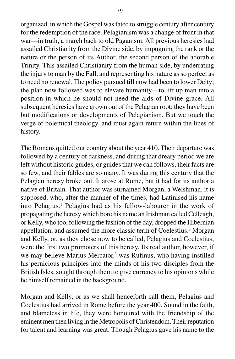organized, in which the Gospel was fated to struggle century after century for the redemption of the race. Pelagianism was a change of front in that war—in truth, a march back to old Paganism. All previous heresies had assailed Christianity from the Divine side, by impugning the rank or the nature or the person of its Author, the second person of the adorable Trinity. This assailed Christianity from the human side, by underrating the injury to man by the Fall, and representing his nature as so perfect as to need no renewal. The policy pursued till now had been to lower Deity; the plan now followed was to elevate humanity—to lift up man into a position in which he should not need the aids of Divine grace. All subsequent heresies have grown out of the Pelagian root; they have been but modifications or developments of Pelagianism. But we touch the verge of polemical theology, and must again return within the lines of history.

The Romans quitted our country about the year 410. Their departure was followed by a century of darkness, and during that dreary period we are left without historic guides, or guides that we can follows, their facts are so few, and their fables are so many. It was during this century that the Pelagian heresy broke out. It arose at Rome, but it had for its author a native of Britain. That author was surnamed Morgan, a Welshman, it is supposed, who, after the manner of the times, had Latinised his name into Pelagius.<sup>1</sup> Pelagius had as his fellow-labourer in the work of propagating the heresy which bore his name an Irishman called Celleagh, or Kelly, who too, following the fashion of the day, dropped the Hibernian appellation, and assumed the more classic term of Coelestius.<sup>2</sup> Morgan and Kelly, or, as they chose now to be called, Pelagius and Coelestius, were the first two promoters of this heresy. Its real author, however, if we may believe Marius Mercator,<sup>3</sup> was Rufinus, who having instilled his pernicious principles into the minds of his two disciples from the British Isles, sought through them to give currency to his opinions while he himself remained in the background.

Morgan and Kelly, or as we shall henceforth call them, Pelagius and Coelestius had arrived in Rome before the year 400. Sound in the faith, and blameless in life, they were honoured with the friendship of the eminent men then living in the Metropolis of Christendom. Their reputation for talent and learning was great. Though Pelagius gave his name to the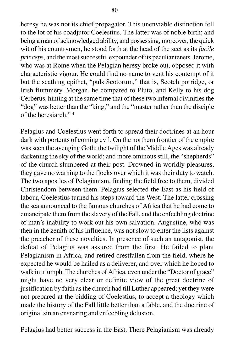heresy he was not its chief propagator. This unenviable distinction fell to the lot of his coadjutor Coelestius. The latter was of noble birth; and being a man of acknowledged ability, and possessing, moreover, the quick wit of his countrymen, he stood forth at the head of the sect as its *facile princeps*, and the most successful expounder of its peculiar tenets. Jerome, who was at Rome when the Pelagian heresy broke out, opposed it with characteristic vigour. He could find no name to vent his contempt of it but the scathing epithet, "puls Scotorum," that is, Scotch porridge, or Irish flummery. Morgan, he compared to Pluto, and Kelly to his dog Cerberus, hinting at the same time that of these two infernal divinities the "dog" was better than the "king," and the "master rather than the disciple of the heresiarch." 4

Pelagius and Coelestius went forth to spread their doctrines at an hour dark with portents of coming evil. On the northern frontier of the empire was seen the avenging Goth; the twilight of the Middle Ages was already darkening the sky of the world; and more ominous still, the "shepherds" of the church slumbered at their post. Drowned in worldly pleasures, they gave no warning to the flocks over which it was their duty to watch. The two apostles of Pelagianism, finding the field free to them, divided Christendom between them. Pelagius selected the East as his field of labour, Coelestius turned his steps toward the West. The latter crossing the sea announced to the famous churches of Africa that he had come to emancipate them from the slavery of the Fall, and the enfeebling doctrine of man's inability to work out his own salvation. Augustine, who was then in the zenith of his influence, was not slow to enter the lists against the preacher of these novelties. In presence of such an antagonist, the defeat of Pelagius was assured from the first. He failed to plant Pelagianism in Africa, and retired crestfallen from the field, where he expected he would be hailed as a deliverer, and over which he hoped to walk in triumph. The churches of Africa, even under the "Doctor of grace" might have no very clear or definite view of the great doctrine of justification by faith as the church had till Luther appeared; yet they were not prepared at the bidding of Coelestius, to accept a theology which made the history of the Fall little better than a fable, and the doctrine of original sin an ensnaring and enfeebling delusion.

Pelagius had better success in the East. There Pelagianism was already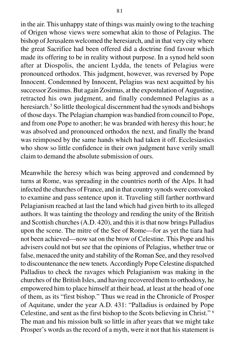in the air. This unhappy state of things was mainly owing to the teaching of Origen whose views were somewhat akin to those of Pelagius. The bishop of Jerusalem welcomed the heresiarch, and in that very city where the great Sacrifice had been offered did a doctrine find favour which made its offering to be in reality without purpose. In a synod held soon after at Diospolis, the ancient Lydda, the tenets of Pelagius were pronounced orthodox. This judgment, however, was reversed by Pope Innocent. Condemned by Innocent, Pelagius was next acquitted by his successor Zosimus. But again Zosimus, at the expostulation of Augustine, retracted his own judgment, and finally condemned Pelagius as a heresiarch.<sup>5</sup> So little theological discernment had the synods and bishops of those days. The Pelagian champion was bandied from council to Pope, and from one Pope to another; he was branded with heresy this hour; he was absolved and pronounced orthodox the next, and finally the brand was reimposed by the same hands which had taken it off. Ecclesiastics who show so little confidence in their own judgment have verily small claim to demand the absolute submission of ours.

Meanwhile the heresy which was being approved and condemned by turns at Rome, was spreading in the countries north of the Alps. It had infected the churches of France, and in that country synods were convoked to examine and pass sentence upon it. Traveling still farther northward Pelagianism reached at last the land which had given birth to its alleged authors. It was tainting the theology and rending the unity of the British and Scottish churches (A.D. 420), and this it is that now brings Palladius upon the scene. The mitre of the See of Rome—for as yet the tiara had not been achieved—now sat on the brow of Celestine. This Pope and his advisers could not but see that the opinions of Pelagius, whether true or false, menaced the unity and stability of the Roman See, and they resolved to discountenance the new tenets. Accordingly Pope Celestine dispatched Palladius to check the ravages which Pelagianism was making in the churches of the British Isles, and having recovered them to orthodoxy, he empowered him to place himself at their head, at least at the head of one of them, as its "first bishop." Thus we read in the Chronicle of Prosper of Aquitane, under the year A.D. 431: "Palladius is ordained by Pope Celestine, and sent as the first bishop to the Scots believing in Christ." 6 The man and his mission bulk so little in after years that we might take Prosper's words as the record of a myth, were it not that his statement is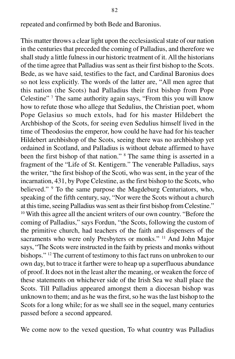repeated and confirmed by both Bede and Baronius.

This matter throws a clear light upon the ecclesiastical state of our nation in the centuries that preceded the coming of Palladius, and therefore we shall study a little fulness in our historic treatment of it. All the historians of the time agree that Palladius was sent as their first bishop to the Scots. Bede, as we have said, testifies to the fact, and Cardinal Baronius does so not less explicitly. The words of the latter are, "All men agree that this nation (the Scots) had Palladius their first bishop from Pope Celestine"<sup>7</sup> The same authority again says, "From this you will know how to refute those who allege that Sedulius, the Christian poet, whom Pope Gelasius so much extols, had for his master Hildebert the Archbishop of the Scots, for seeing even Sedulius himself lived in the time of Theodosius the emperor, how could he have had for his teacher Hildebert archbishop of the Scots, seeing there was no archbishop yet ordained in Scotland, and Palladius is without debate affirmed to have been the first bishop of that nation." <sup>8</sup> The same thing is asserted in a fragment of the "Life of St. Kentigern." The venerable Palladius, says the writer, "the first bishop of the Scoti, who was sent, in the year of the incarnation, 431, by Pope Celestine, as the first bishop to the Scots, who believed." <sup>9</sup> To the same purpose the Magdeburg Centuriators, who, speaking of the fifth century, say, "Nor were the Scots without a church at this time, seeing Palladius was sent as their first bishop from Celestine." <sup>10</sup> With this agree all the ancient writers of our own country. "Before the coming of Palladius," says Fordun, "the Scots, following the custom of the primitive church, had teachers of the faith and dispensers of the sacraments who were only Presbyters or monks." <sup>11</sup> And John Major says, "The Scots were instructed in the faith by priests and monks without bishops." 12 The current of testimony to this fact runs on unbroken to our own day, but to trace it farther were to heap up a superfluous abundance of proof. It does not in the least alter the meaning, or weaken the force of these statements on whichever side of the Irish Sea we shall place the Scots. Till Palladius appeared amongst them a diocesan bishop was unknown to them; and as he was the first, so he was the last bishop to the Scots for a long while; for as we shall see in the sequel, many centuries passed before a second appeared.

We come now to the vexed question, To what country was Palladius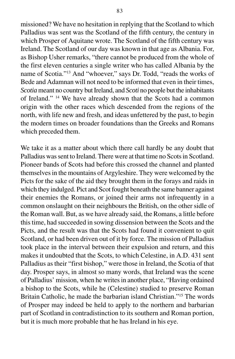missioned? We have no hesitation in replying that the Scotland to which Palladius was sent was the Scotland of the fifth century, the century in which Prosper of Aquitane wrote. The Scotland of the fifth century was Ireland. The Scotland of our day was known in that age as Albania. For, as Bishop Usher remarks, "there cannot be produced from the whole of the first eleven centuries a single writer who has called Albania by the name of Scotia."13 And "whoever," says Dr. Todd, "reads the works of Bede and Adamnan will not need to be informed that even in their times, *Scotia* meant no country but Ireland, and *Scoti* no people but the inhabitants of Ireland." 14 We have already shown that the Scots had a common origin with the other races which descended from the regions of the north, with life new and fresh, and ideas unfettered by the past, to begin the modern times on broader foundations than the Greeks and Romans which preceded them.

We take it as a matter about which there call hardly be any doubt that Palladius was sent to Ireland. There were at that time no Scots in Scotland. Pioneer bands of Scots had before this crossed the channel and planted themselves in the mountains of Argyleshire. They were welcomed by the Picts for the sake of the aid they brought them in the forays and raids in which they indulged. Pict and Scot fought beneath the same banner against their enemies the Romans, or joined their arms not infrequently in a common onslaught on their neighbours the British, on the other sidle of the Roman wall. But, as we have already said, the Romans, a little before this time, had succeeded in sowing dissension between the Scots and the Picts, and the result was that the Scots had found it convenient to quit Scotland, or had been driven out of it by force. The mission of Palladius took place in the interval between their expulsion and return, and this makes it undoubted that the Scots, to which Celestine, in A.D. 431 sent Palladius as their "first bishop," were those in Ireland, the Scotia of that day. Prosper says, in almost so many words, that Ireland was the scene of Palladius' mission, when he writes in another place, "Having ordained a bishop to the Scots, while he (Celestine) studied to preserve Roman Britain Catholic, he made the barbarian island Christian."15 The words of Prosper may indeed be held to apply to the northern and barbarian part of Scotland in contradistinction to its southern and Roman portion, but it is much more probable that he has Ireland in his eye.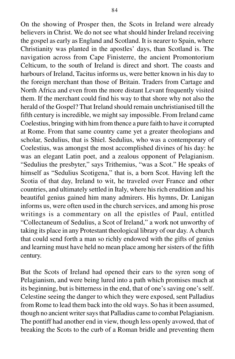On the showing of Prosper then, the Scots in Ireland were already believers in Christ. We do not see what should hinder Ireland receiving the gospel as early as England and Scotland. It is nearer to Spain, where Christianity was planted in the apostles' days, than Scotland is. The navigation across from Cape Finisterre, the ancient Promontorium Celticum, to the south of Ireland is direct and short. The coasts and harbours of Ireland, Tacitus informs us, were better known in his day to the foreign merchant than those of Britain. Traders from Cartage and North Africa and even from the more distant Levant frequently visited them. If the merchant could find his way to that shore why not also the herald of the Gospel? That Ireland should remain unchristianised till the fifth century is incredible, we might say impossible. From Ireland came Coelestius, bringing with him from thence a pure faith to have it corrupted at Rome. From that same country came yet a greater theologians and scholar, Sedulius, that is Shiel. Sedulius, who was a contemporary of Coelestius, was amongst the most accomplished divines of his day: he was an elegant Latin poet, and a zealous opponent of Pelagianism. "Sedulius the presbyter," says Trithemius, "was a Scot." He speaks of himself as "Sedulius Scotigena," that is, a born Scot. Having left the Scotia of that day, Ireland to wit, he traveled over France and other countries, and ultimately settled in Italy, where his rich erudition and his beautiful genius gained him many admirers. His hymns, Dr. Lanigan informs us, were often used in the church services, and among his prose writings is a commentary on all the epistles of Paul, entitled "Collectaneum of Sedulius, a Scot of Ireland," a work not unworthy of taking its place in any Protestant theological library of our day. A church that could send forth a man so richly endowed with the gifts of genius and learning must have held no mean place among her sisters of the fifth century.

But the Scots of Ireland had opened their ears to the syren song of Pelagianism, and were being lured into a path which promises much at its beginning, but is bitterness in the end, that of one's saving one's self. Celestine seeing the danger to which they were exposed, sent Palladius from Rome to lead them back into the old ways. So has it been assumed, though no ancient writer says that Palladius came to combat Pelagianism. The pontiff had another end in view, though less openly avowed, that of breaking the Scots to the curb of a Roman bridle and preventing them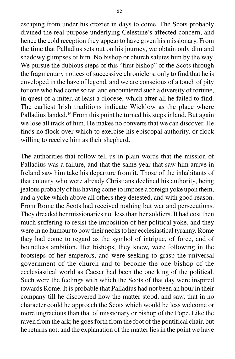escaping from under his crozier in days to come. The Scots probably divined the real purpose underlying Celestine's affected concern, and hence the cold reception they appear to have given his missionary. From the time that Palladius sets out on his journey, we obtain only dim and shadowy glimpses of him. No bishop or church salutes him by the way. We pursue the dubious steps of this "first bishop" of the Scots through the fragmentary notices of successive chroniclers, only to find that he is enveloped in the haze of legend, and we are conscious of a touch of pity for one who had come so far, and encountered such a diversity of fortune, in quest of a miter, at least a diocese, which after all he failed to find. The earliest Irish traditions indicate Wicklow as the place where Palladius landed.<sup>16</sup> From this point he turned his steps inland. But again we lose all track of him. He makes no converts that we can discover. He finds no flock over which to exercise his episcopal authority, or flock willing to receive him as their shepherd.

The authorities that follow tell us in plain words that the mission of Palladius was a failure, and that the same year that saw him arrive in Ireland saw him take his departure from it. Those of the inhabitants of that country who were already Christians declined his authority, being jealous probably of his having come to impose a foreign yoke upon them, and a yoke which above all others they detested, and with good reason. From Rome the Scots had received nothing but war and persecutions. They dreaded her missionaries not less than her soldiers. It had cost then much suffering to resist the imposition of her political yoke, and they were in no humour to bow their necks to her ecclesiastical tyranny. Rome they had come to regard as the symbol of intrigue, of force, and of boundless ambition. Her bishops, they knew, were following in the footsteps of her emperors, and were seeking to grasp the universal government of the church and to become the one bishop of the ecclesiastical world as Caesar had been the one king of the political. Such were the feelings with which the Scots of that day were inspired towards Rome. It is probable that Palladius had not been an hour in their company till he discovered how the matter stood, and saw, that in no character could he approach the Scots which would be less welcome or more ungracious than that of missionary or bishop of the Pope. Like the raven from the ark; he goes forth from the foot of the pontifical chair, but he returns not, and the explanation of the matter lies in the point we have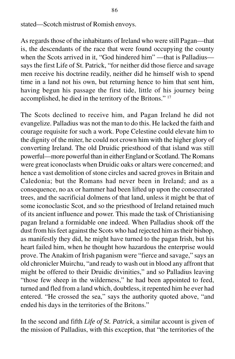stated—Scotch mistrust of Romish envoys.

As regards those of the inhabitants of Ireland who were still Pagan—that is, the descendants of the race that were found occupying the county when the Scots arrived in it. "God hindered him" —that is Palladius says the first Life of St. Patrick, "for neither did those fierce and savage men receive his doctrine readily, neither did he himself wish to spend time in a land not his own, but returning hence to him that sent him, having begun his passage the first tide, little of his journey being accomplished, he died in the territory of the Britons." 17

The Scots declined to receive him, and Pagan Ireland he did not evangelize. Palladius was not the man to do this. He lacked the faith and courage requisite for such a work. Pope Celestine could elevate him to the dignity of the miter, he could not crown him with the higher glory of converting Ireland. The old Druidic priesthood of that island was still powerful—more powerful than in either England or Scotland. The Romans were great iconoclasts when Druidic oaks or altars were concerned; and hence a vast demolition of stone circles and sacred groves in Britain and Caledonia; but the Romans had never been in Ireland; and as a consequence, no ax or hammer had been lifted up upon the consecrated trees, and the sacrificial dolmens of that land, unless it might be that of some iconoclastic Scot, and so the priesthood of Ireland retained much of its ancient influence and power. This made the task of Christianising pagan Ireland a formidable one indeed. When Palladius shook off the dust from his feet against the Scots who had rejected him as their bishop, as manifestly they did, he might have turned to the pagan Irish, but his heart failed him, when he thought how hazardous the enterprise would prove. The Anakim of Irish paganism were "fierce and savage," says an old chronicler Muirchu, "and ready to wash out in blood any affront that might be offered to their Druidic divinities," and so Palladius leaving "those few sheep in the wilderness," he had been appointed to feed, turned and fled from a land which, doubtless, it repented him he ever had entered. "He crossed the sea," says the authority quoted above, "and ended his days in the territories of the Britons."

In the second and fifth *Life of St. Patrick*, a similar account is given of the mission of Palladius, with this exception, that "the territories of the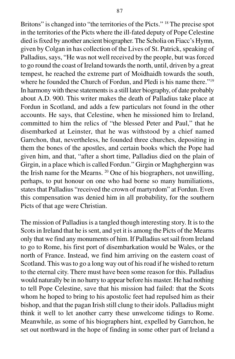Britons" is changed into "the territories of the Picts." 18 The precise spot in the territories of the Picts where the ill-fated deputy of Pope Celestine died is fixed by another ancient biographer. The Scholia on Fiacc's Hymn, given by Colgan in has collection of the Lives of St. Patrick, speaking of Palladius, says, "He was not well received by the people, but was forced to go round the coast of Ireland towards the north, until, driven by a great tempest, he reached the extreme part of Moidhaidh towards the south, where he founded the Church of Fordun, and Pledi is his name there."<sup>19</sup> In harmony with these statements is a still later biography, of date probably about A.D. 900. This writer makes the death of Palladius take place at Fordun in Scotland, and adds a few particulars not found in the other accounts. He says, that Celestine, when he missioned him to Ireland, committed to him the relics of "the blessed Peter and Paul," that he disembarked at Leinster, that he was withstood by a chief named Garrchon, that, nevertheless, he founded three churches, depositing in them the bones of the apostles, and certain books which the Pope had given him, and that, "after a short time, Palladius died on the plain of Girgin, in a place which is called Fordun." Girgin or Maghgherginn was the Irish name for the Mearns. 20 One of his biographers, not unwilling, perhaps, to put honour on one who had borne so many humiliations, states that Palladius "received the crown of martyrdom" at Fordun. Even this compensation was denied him in all probability, for the southern Picts of that age were Christian.

The mission of Palladius is a tangled though interesting story. It is to the Scots in Ireland that he is sent, and yet it is among the Picts of the Mearns only that we find any monuments of him. If Palladius set sail from Ireland to go to Rome, his first port of disembarkation would be Wales, or the north of France. Instead, we find him arriving on the eastern coast of Scotland. This was to go a long way out of his road if he wished to return to the eternal city. There must have been some reason for this. Palladius would naturally be in no hurry to appear before his master. He had nothing to tell Pope Celestine, save that his mission had failed: that the Scots whom he hoped to bring to his apostolic feet had repulsed him as their bishop, and that the pagan Irish still clung to their idols. Palladius might think it well to let another carry these unwelcome tidings to Rome. Meanwhile, as some of his biographers hint, expelled by Garrchon, he set out northward in the hope of finding in some other part of Ireland a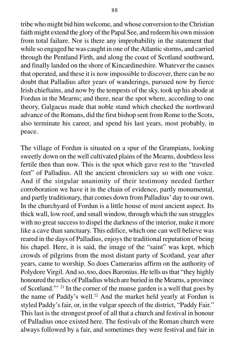tribe who might bid him welcome, and whose conversion to the Christian faith might extend the glory of the Papal See, and redeem his own mission from total failure. Nor is there any improbability in the statement that while so engaged he was caught in one of the Atlantic storms, and carried through the Pentland Firth, and along the coast of Scotland southward, and finally landed on the shore of Kincardineshire. Whatever the causes that operated, and these it is now impossible to discover, there can be no doubt that Palladius after years of wanderings, pursued now by fierce Irish chieftains, and now by the tempests of the sky, took up his abode at Fordun in the Mearns; and there, near the spot where, according to one theory, Galgacus made that noble stand which checked the northward advance of the Romans, did the first bishop sent from Rome to the Scots, also terminate his career, and spend his last years, most probably, in peace.

The village of Fordun is situated on a spur of the Grampians, looking sweetly down on the well cultivated plains of the Mearns, doubtless less fertile then than now. This is the spot which gave rest to the "traveled feet" of Palladius. All the ancient chroniclers say so with one voice. And if the singular unanimity of their testimony needed farther corroboration we have it in the chain of evidence, partly monumental, and partly traditionary, that comes down from Palladius' day to our own. In the churchyard of Fordun is a little house of most ancient aspect. Its thick wall, low roof, and small window, through which the sun struggles with no great success to dispel the darkness of the interior, make it more like a cave than sanctuary. This edifice, which one can well believe was reared in the days of Palladius, enjoys the traditional reputation of being his chapel. Here, it is said, the image of the "saint" was kept, which crowds of pilgrims from the most distant party of Scotland, year after years, came to worship. So does Camerarius affirm on the authority of Polydore Virgil. And so, too, does Baronius. He tells us that "they highly honoured the relics of Palladius which are buried in the Mearns, a province of Scotland."' 21 In the corner of the manse garden is a well that goes by the name of Paddy's well.<sup>22</sup> And the market held yearly at Fordun is styled Paddy's fair, or, in the vulgar speech of the district, "Paddy Fair." This last is the strongest proof of all that a church and festival in honour of Palladius once existed here. The festivals of the Roman church were always followed by a fair, and sometimes they were festival and fair in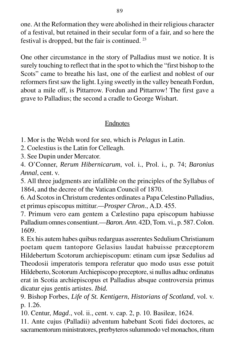one. At the Reformation they were abolished in their religious character of a festival, but retained in their secular form of a fair, and so here the festival is dropped, but the fair is continued. 23

One other circumstance in the story of Palladius must we notice. It is surely touching to reflect that in the spot to which the "first bishop to the Scots" came to breathe his last, one of the earliest and noblest of our reformers first saw the light. Lying sweetly in the valley beneath Fordun, about a mile off, is Pittarrow. Fordun and Pittarrow! The first gave a grave to Palladius; the second a cradle to George Wishart.

# Endnotes

1. Mor is the Welsh word for *sea*, which is *Pelagus* in Latin.

2. Coelestius is the Latin for Celleagh.

3. See Dupin under Mercator.

4. O'Conner, *Rerum Hibernicarum*, vol. i., Prol. i., p. 74; *Baronius Annal*, cent. v.

5. All three judgments are infallible on the principles of the Syllabus of 1864, and the decree of the Vatican Council of 1870.

6. Ad Scotos in Christum credentes ordinates a Papa Celestino Palladius, et primus episcopus mittitur.*—Prosper Chron*., A.D. 455.

7. Primum vero eam gentem a Cælestino papa episcopum habiusse Palladium omnes consentiunt.—*Baron. Ann*. 42D, Tom. vi., p. 587. Colon. 1609.

8. Ex his autem habes quibus redarguas asserentes Sedulium Christianum poetam quem tantopore Gelasius laudat habuisse præceptorem Hildebertum Scotorum archiepiscopum: etinam cum ipsæ Sedulius ad Theodosii imperatoris tempora referatur quo modo usus esse potuit Hildeberto, Scotorum Archiepiscopo preceptore, si nullus adhuc ordinatus erat in Scotia archiepiscopus et Palladius absque controversia primus dicatur ejus gentis artistes. *Ibid.*

9. Bishop Forbes, *Life of St. Kentigern*, *Historians of Scotland*, vol. v. p. 1.26.

10. Centur, *Magd*., vol. ii., cent. v. cap. 2, p. 10. Basileæ, 1624.

11. Ante cujus (Palladii) adventum habebant Scoti fidei doctores, ac sacramentorum ministratores, prerbyteros sulummodo vel monachos, ritum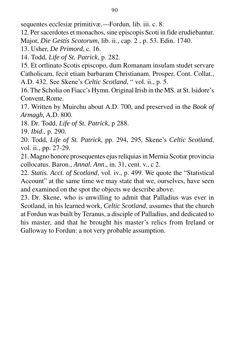sequentes ecclesiæ primitivæ.—Fordun, lib. iii. c. 8.

12. Per sacerdotes et monachos, sine episcopis Scoti in fide erudiebantur. Major, *Die Gestis Scotorum*, lib. ii., cap. 2 , p. 53. Edin. 1740.

13. Usher, *De Primord*, c. 16.

14. Todd, *Life of St. Patrick*, p. 282.

15. Et ortlinato Scotis episcopo, dum Romanam insulam studet servare Catholicam, fecit etiam barbaram Christianam. Prosper, Cont. Collat., A.D. 432. See Skene's *Celtic Scotland*, " vol. ii., p. 5.

16. The Scholia on Fiacc's Hymn. Original Irish in the MS. at St. lsidore's Convent, Rome.

17. Written by Muirchu about A.D. 700, and preserved in the *Book of Armagh*, A.D. 800.

18. Dr. Todd, *Life of St. Patrick*, p 288.

19. *Ibid.*, p. 290.

20. Todd, *Life of St. Patrick*, pp. 294, 295, Skene's *Celtic Scotland*, vol. ii., pp. 27-29.

21. Magno honore prosequentes ejus reliquias in Mernia Scotiæ provincia collocatus. Baron., *Annal. Ann*., in. 31, cent. v., c 2.

22. *Statis. Acct. of Scotland*, vol. iv., p. 499. We quote the "Statistical Account" at the same time we may state that we, ourselves, have seen and examined on the spot the objects we describe above.

23. Dr. Skene, who is unwilling to admit that Palladius was ever in Scotland, in his learned work, *Celtic Scotland*, assumes that the church at Fordun was built by Teranus, a disciple of Palladius, and dedicated to his master, and that he brought his master's relics from Ireland or Galloway to Fordun: a not very probable assumption.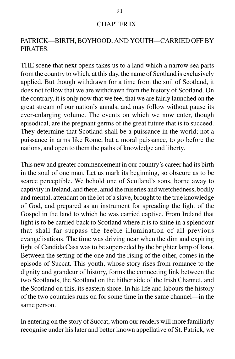#### CHAPTER IX.

# PATRICK—BIRTH, BOYHOOD, AND YOUTH—CARRIED OFF BY PIRATES.

THE scene that next opens takes us to a land which a narrow sea parts from the country to which, at this day, the name of Scotland is exclusively applied. But though withdrawn for a time from the soil of Scotland, it does not follow that we are withdrawn from the history of Scotland. On the contrary, it is only now that we feel that we are fairly launched on the great stream of our nation's annals, and may follow without pause its ever-enlarging volume. The events on which we now enter, though episodical, are the pregnant germs of the great future that is to succeed. They determine that Scotland shall be a puissance in the world; not a puissance in arms like Rome, but a moral puissance, to go before the nations, and open to them the paths of knowledge and liberty.

This new and greater commencement in our country's career had its birth in the soul of one man. Let us mark its beginning, so obscure as to be scarce perceptible. We behold one of Scotland's sons, borne away to captivity in Ireland, and there, amid the miseries and wretchedness, bodily and mental, attendant on the lot of a slave, brought to the true knowledge of God, and prepared as an instrument for spreading the light of the Gospel in the land to which he was carried captive. From Ireland that light is to be carried back to Scotland where it is to shine in a splendour that shall far surpass the feeble illumination of all previous evangelisations. The time was driving near when the dim and expiring light of Candida Casa was to be superseded by the brighter lamp of Iona. Between the setting of the one and the rising of the other, comes in the episode of Succat. This youth, whose story rises from romance to the dignity and grandeur of history, forms the connecting link between the two Scotlands, the Scotland on the hither side of the Irish Channel, and the Scotland on this, its eastern shore. In his life and labours the history of the two countries runs on for some time in the same channel—in the same person.

In entering on the story of Succat, whom our readers will more familiarly recognise under his later and better known appellative of St. Patrick, we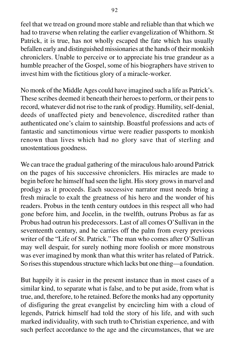feel that we tread on ground more stable and reliable than that which we had to traverse when relating the earlier evangelization of Whithorn. St Patrick, it is true, has not wholly escaped the fate which has usually befallen early and distinguished missionaries at the hands of their monkish chroniclers. Unable to perceive or to appreciate his true grandeur as a humble preacher of the Gospel, some of his biographers have striven to invest him with the fictitious glory of a miracle-worker.

No monk of the Middle Ages could have imagined such a life as Patrick's. These scribes deemed it beneath their heroes to perform, or their pens to record, whatever did not rise to the rank of prodigy. Humility, self-denial, deeds of unaffected piety and benevolence, discredited rather than authenticated one's claim to saintship. Boastful professions and acts of fantastic and sanctimonious virtue were readier passports to monkish renown than lives which had no glory save that of sterling and unostentatious goodness.

We can trace the gradual gathering of the miraculous halo around Patrick on the pages of his successive chroniclers. His miracles are made to begin before he himself had seen the light. His story grows in marvel and prodigy as it proceeds. Each successive narrator must needs bring a fresh miracle to exalt the greatness of his hero and the wonder of his readers. Probus in the tenth century outdoes in this respect all who had gone before him, and Jocelin, in the twelfth, outruns Probus as far as Probus had outrun his predecessors. Last of all comes O'Sullivan in the seventeenth century, and he carries off the palm from every previous writer of the "Life of St. Patrick." The man who comes after O'Sullivan may well despair, for surely nothing more foolish or more monstrous was ever imagined by monk than what this writer has related of Patrick. So rises this stupendous structure which lacks but one thing—a foundation.

But happily it is easier in the present instance than in most cases of a similar kind, to separate what is false, and to be put aside, from what is true, and, therefore, to he retained. Before the monks had any opportunity of disfiguring the great evangelist by encircling him with a cloud of legends, Patrick himself had told the story of his life, and with such marked individuality, with such truth to Christian experience, and with such perfect accordance to the age and the circumstances, that we are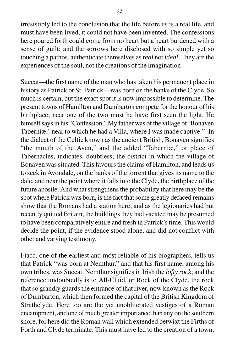irresistibly led to the conclusion that the life before us is a real life, and must have been lived, it could not have been invented. The confessions here poured forth could come from no heart but a heart burdened with a sense of guilt; and the sorrows here disclosed with so simple yet so touching a pathos, authenticate themselves as *real* not *ideal*. They are the experiences of the soul, not the creations of the imagination

Succat—the first name of the man who has taken his permanent place in history as Patrick or St. Patrick—was born on the banks of the Clyde. So much is certain, but the exact spot it is now impossible to determine. The present towns of Hamilton and Dumbarton compete for the honour of his birthplace; near one of the two must he have first seen the light. He himself says in his "Confession," My father was of the village of 'Bonaven Taberniæ,' near to which he had a Villa, where I was made captive."1 In the dialect of the Celtic known as the ancient British, Bonaven signifies "the mouth of the Aven," and the added "Taberniæ," or place of Tabernacles, indicates, doubtless, the district in which the village of Bonaven was situated. This favours the claims of Hamilton, and leads us to seek in Avondale, on the banks of the torrent that gives its name to the dale, and near the point where it falls into the Clyde, the birthplace of the future apostle. And what strengthens the probability that here may be the spot where Patrick was born, is the fact that some greatly defaced remains show that the Romans had a station here; and as the legionaries had but recently quitted Britain, the buildings they had vacated may be presumed to have been comparatively entire and fresh in Patrick's time. This would decide the point, if the evidence stood alone, and did not conflict with other and varying testimony.

Fiacc, one of the earliest and most reliable of his biographers, tells us that Patrick "was born at Nemthur," and that his first name, among his own tribes, was Succat. Nemthur signifies in Irish the *lofty rock*; and the reference undoubtedly is to All-Cluid, or Rock of the Clyde, the rock that so grandly guards the entrance of that river, now known as the Rock of Dumbarton, which then formed the capital of the British Kingdom of Strathclyde. Here too are the yet unobliterated vestiges of a Roman encampment, and one of much greater importance than any on the southern shore, for here did the Roman wall which extended betwixt the Firths of Forth and Clyde terminate. This must have led to the creation of a town,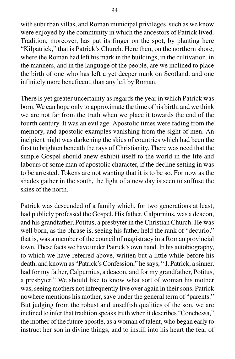with suburban villas, and Roman municipal privileges, such as we know were enjoyed by the community in which the ancestors of Patrick lived. Tradition, moreover, has put its finger on the spot, by planting here "Kilpatrick," that is Patrick's Church. Here then, on the northern shore, where the Roman had left his mark in the buildings, in the cultivation, in the manners, and in the language of the people, are we inclined to place the birth of one who has left a yet deeper mark on Scotland, and one infinitely more beneficent, than any left by Roman.

There is yet greater uncertainty as regards the year in which Patrick was born. We can hope only to approximate the time of his birth; and we think we are not far from the truth when we place it towards the end of the fourth century. It was an evil age. Apostolic times were fading from the memory, and apostolic examples vanishing from the sight of men. An incipient night was darkening the skies of countries which had been the first to brighten beneath the rays of Christianity. There was need that the simple Gospel should anew exhibit itself to the world in the life and labours of some man of apostolic character, if the decline setting in was to be arrested. Tokens are not wanting that it is to be so. For now as the shades gather in the south, the light of a new day is seen to suffuse the skies of the north.

Patrick was descended of a family which, for two generations at least, had publicly professed the Gospel. His father, Calpurnius, was a deacon, and his grandfather, Potitus, a presbyter in the Christian Church. He was well born, as the phrase is, seeing his father held the rank of "decurio," that is, was a member of the council of magistracy in a Roman provincial town. These facts we have under Patrick's own hand. In his autobiography, to which we have referred above, written but a little while before his death, and known as "Patrick's Confession," he says, " I, Patrick, a sinner, had for my father, Calpurnius, a deacon, and for my grandfather, Potitus, a presbyter." We should like to know what sort of woman his mother was, seeing mothers not infrequently live over again in their sons. Patrick nowhere mentions his mother, save under the general term of "parents." But judging from the robust and unselfish qualities of the son, we are inclined to infer that tradition speaks truth when it describes "Conchessa," the mother of the future apostle, as a woman of talent, who began early to instruct her son in divine things, and to instill into his heart the fear of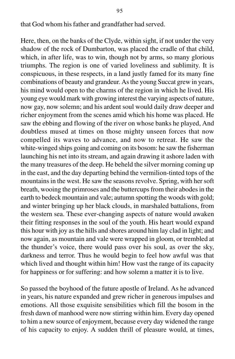that God whom his father and grandfather had served.

Here, then, on the banks of the Clyde, within sight, if not under the very shadow of the rock of Dumbarton, was placed the cradle of that child, which, in after life, was to win, though not by arms, so many glorious triumphs. The region is one of varied loveliness and sublimity. It is conspicuous, in these respects, in a land justly famed for its many fine combinations of beauty and grandeur. As the young Succat grew in years, his mind would open to the charms of the region in which he lived. His young eye would mark with growing interest the varying aspects of nature, now gay, now solemn; and his ardent soul would daily draw deeper and richer enjoyment from the scenes amid which his home was placed. He saw the ebbing and flowing of the river on whose banks he played, And doubtless mused at times on those mighty unseen forces that now compelled its waves to advance, and now to retreat. He saw the white-winged ships going and coming on its bosom: he saw the fisherman launching his net into its stream, and again drawing it ashore laden with the many treasures of the deep. He beheld the silver morning coming up in the east, and the day departing behind the vermilion-tinted tops of the mountains in the west. He saw the seasons revolve. Spring, with her soft breath, wooing the primroses and the buttercups from their abodes in the earth to bedeck mountain and vale; autumn spotting the woods with gold; and winter bringing up her black clouds, in marshaled battalions, from the western sea. These ever-changing aspects of nature would awaken their fitting responses in the soul of the youth. His heart would expand this hour with joy as the hills and shores around him lay clad in light; and now again, as mountain and vale were wrapped in gloom, or trembled at the thunder's voice, there would pass over his soul, as over the sky, darkness and terror. Thus he would begin to feel how awful was that which lived and thought within him! How vast the range of its capacity for happiness or for suffering: and how solemn a matter it is to live.

So passed the boyhood of the future apostle of Ireland. As he advanced in years, his nature expanded and grew richer in generous impulses and emotions. All those exquisite sensibilities which fill the bosom in the fresh dawn of manhood were now stirring within him. Every day opened to him a new source of enjoyment, because every day widened the range of his capacity to enjoy. A sudden thrill of pleasure would, at times,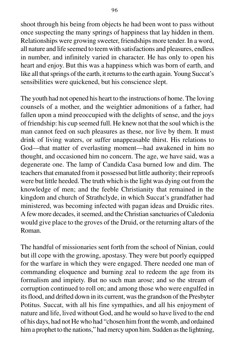shoot through his being from objects he had been wont to pass without once suspecting the many springs of happiness that lay hidden in them. Relationships were growing sweeter, friendships more tender. In a word, all nature and life seemed to teem with satisfactions and pleasures, endless in number, and infinitely varied in character. He has only to open his heart and enjoy. But this was a happiness which was born of earth, and like all that springs of the earth, it returns to the earth again. Young Succat's sensibilities were quickened, but his conscience slept.

The youth had not opened his heart to the instructions of home. The loving counsels of a mother, and the weightier admonitions of a father, had fallen upon a mind preoccupied with the delights of sense, and the joys of friendship: his cup seemed full. He knew not that the soul which is the man cannot feed on such pleasures as these, nor live by them. It must drink of living waters, or suffer unappeasable thirst. His relations to God—that matter of everlasting moment—had awakened in him no thought, and occasioned him no concern. The age, we have said, was a degenerate one. The lamp of Candida Casa burned low and dim. The teachers that emanated from it possessed but little authority; their reproofs were but little heeded. The truth which is the light was dying out from the knowledge of men; and the feeble Christianity that remained in the kingdom and church of Strathclyde, in which Succat's grandfather had ministered, was becoming infected with pagan ideas and Druidic rites. A few more decades, it seemed, and the Christian sanctuaries of Caledonia would give place to the groves of the Druid, or the returning altars of the Roman.

The handful of missionaries sent forth from the school of Ninian, could but ill cope with the growing, apostasy. They were but poorly equipped for the warfare in which they were engaged. There needed one man of commanding eloquence and burning zeal to redeem the age from its formalism and impiety. But no such man arose; and so the stream of corruption continued to roll on; and among those who were engulfed in its flood, and drifted down in its current, was the grandson of the Presbyter Potitus. Succat, with all his fine sympathies, and all his enjoyment of nature and life, lived without God, and he would so have lived to the end of his days, had not He who had "chosen him front the womb, and ordained him a prophet to the nations," had mercy upon him. Sudden as the lightning,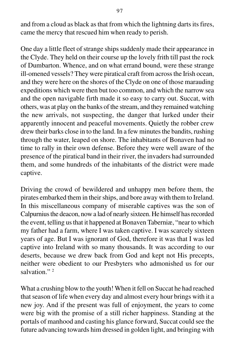and from a cloud as black as that from which the lightning darts its fires, came the mercy that rescued him when ready to perish.

One day a little fleet of strange ships suddenly made their appearance in the Clyde. They held on their course up the lovely frith till past the rock of Dumbarton. Whence, and on what errand bound, were these strange ill-omened vessels? They were piratical craft from across the Irish ocean, and they were here on the shores of the Clyde on one of those marauding expeditions which were then but too common, and which the narrow sea and the open navigable firth made it so easy to carry out. Succat, with others, was at play on the banks of the stream, and they remained watching the new arrivals, not suspecting, the danger that lurked under their apparently innocent and peaceful movements. Quietly the robber crew drew their barks close in to the land. In a few minutes the bandits, rushing through the water, leaped on shore. The inhabitants of Bonaven had no time to rally in their own defense. Before they were well aware of the presence of the piratical band in their river, the invaders had surrounded them, and some hundreds of the inhabitants of the district were made captive.

Driving the crowd of bewildered and unhappy men before them, the pirates embarked them in their ships, and bore away with them to Ireland. In this miscellaneous company of miserable captives was the son of Calpurnius the deacon, now a lad of nearly sixteen. He himself has recorded the event, telling us that it happened at Bonaven Taberniæ, "near to which my father had a farm, where I was taken captive. I was scarcely sixteen years of age. But I was ignorant of God, therefore it was that I was led captive into Ireland with so many thousands. It was according to our deserts, because we drew back from God and kept not His precepts, neither were obedient to our Presbyters who admonished us for our salvation<sup>"</sup>

What a crushing blow to the youth! When it fell on Succat he had reached that season of life when every day and almost every hour brings with it a new joy. And if the present was full of enjoyment, the years to come were big with the promise of a still richer happiness. Standing at the portals of manhood and casting his glance forward, Succat could see the future advancing towards him dressed in golden light, and bringing with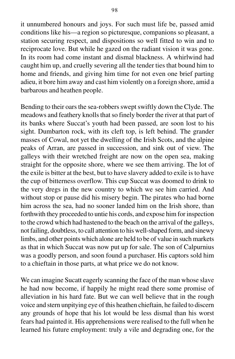it unnumbered honours and joys. For such must life be, passed amid conditions like his—a region so picturesque, companions so pleasant, a station securing respect, and dispositions so well fitted to win and to reciprocate love. But while he gazed on the radiant vision it was gone. In its room had come instant and dismal blackness. A whirlwind had caught him up, and cruelly severing all the tender ties that bound him to home and friends, and giving him time for not even one brief parting adieu, it bore him away and cast him violently on a foreign shore, amid a barbarous and heathen people.

Bending to their oars the sea-robbers swept swiftly down the Clyde. The meadows and feathery knolls that so finely border the river at that part of its banks where Succat's youth had been passed, are soon lost to his sight. Dumbarton rock, with its cleft top, is left behind. The grander masses of Cowal, not yet the dwelling of the Irish Scots, and the alpine peaks of Arran, are passed in succession, and sink out of view. The galleys with their wretched freight are now on the open sea, making straight for the opposite shore, where we see them arriving. The lot of the exile is bitter at the best, but to have slavery added to exile is to have the cup of bitterness overflow. This cup Succat was doomed to drink to the very dregs in the new country to which we see him carried. And without stop or pause did his misery begin. The pirates who had borne him across the sea, had no sooner landed him on the Irish shore, than forthwith they proceeded to untie his cords, and expose him for inspection to the crowd which had hastened to the beach on the arrival of the galleys, not failing, doubtless, to call attention to his well-shaped form, and sinewy limbs, and other points which alone are held to be of value in such markets as that in which Succat was now put up for sale. The son of Calpurnius was a goodly person, and soon found a purchaser. His captors sold him to a chieftain in those parts, at what price we do not know.

We can imagine Sucatt eagerly scanning the face of the man whose slave he had now become, if happily he might read there some promise of alleviation in his hard fate. But we can well believe that in the rough voice and stern unpitying eye of this heathen chieftain, he failed to discern any grounds of hope that his lot would be less dismal than his worst fears had painted it. His apprehensions were realised to the full when he learned his future employment: truly a vile and degrading one, for the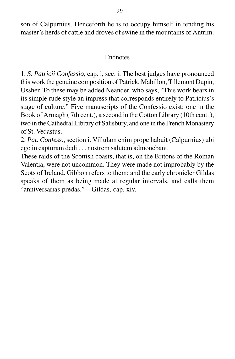son of Calpurnius. Henceforth he is to occupy himself in tending his master's herds of cattle and droves of swine in the mountains of Antrim.

### Endnotes

1. *S. Patricii Confessio*, cap. i, sec. i. The best judges have pronounced this work the genuine composition of Patrick, Mabillon, Tillemont Dupin, Ussher. To these may be added Neander, who says, "This work bears in its simple rude style an impress that corresponds entirely to Patricius's stage of culture." Five manuscripts of the Confessio exist: one in the Book of Armagh ( 7th cent.), a second in the Cotton Library (10th cent. ), two in the Cathedral Library of Salisbury, and one in the French Monastery of St. Vedastus.

2. *Pat. Confess*., section i. Villulam enim prope habuit (Calpurnius) ubi ego in capturam dedi . . . nostrem salutem admonebant.

These raids of the Scottish coasts, that is, on the Britons of the Roman Valentia, were not uncommon. They were made not improbably by the Scots of Ireland. Gibbon refers to them; and the early chronicler Gildas speaks of them as being made at regular intervals, and calls them "anniversarias predas."—Gildas, cap. xiv.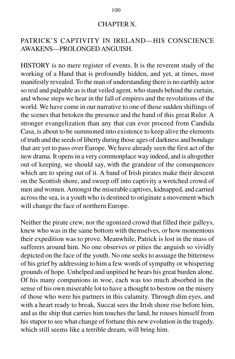#### CHAPTER X.

# PATRICK'S CAPTIVITY IN IRELAND—HIS CONSCIENCE AWAKENS—PROLONGED ANGUISH.

HISTORY is no mere register of events. It is the reverent study of the working of a Hand that is profoundly hidden, and yet, at times, most manifestly revealed. To the man of understanding there is no earthly actor so real and palpable as is that veiled agent, who stands behind the curtain, and whose steps we hear in the fall of empires and the revolutions of the world. We have come in our narrative to one of those sudden shiftings of the scenes that betoken the presence and the hand of this great Ruler. A stronger evangelization than any that can ever proceed from Candida Casa, is about to be summoned into existence to keep alive the elements of truth and the seeds of liberty during those ages of darkness and bondage that are yet to pass over Europe. We have already seen the first act of the new drama. It opens in a very commonplace way indeed, and is altogether out of keeping, we should say, with the grandeur of the consequences which are to spring out of it. A band of Irish pirates make their descent on the Scottish shore, and sweep off into captivity a wretched crowd of men and women. Amongst the miserable captives, kidnapped, and carried across the sea, is a youth who is destined to originate a movement which will change the face of northern Europe.

Neither the pirate crew, nor the agonized crowd that filled their galleys, knew who was in the same bottom with themselves, or how momentous their expedition was to prove. Meanwhile, Patrick is lost in the mass of sufferers around him. No one observes or pities the anguish so vividly depicted on the face of the youth. No one seeks to assuage the bitterness of his grief by addressing to him a few words of sympathy or whispering grounds of hope. Unhelped and unpitied he bears his great burden alone. Of his many companions in woe, each was too much absorbed in the sense of his own miserable lot to have a thought to bestow on the misery of those who were his partners in this calamity. Through dim eyes, and with a heart ready to break, Succat sees the Irish shore rise before him, and as the ship that carries him touches the land, he rouses himself from his stupor to see what change of fortune this new evolution in the tragedy, which still seems like a terrible dream, will bring him.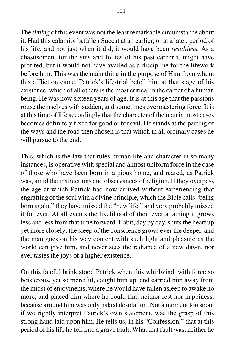The *timing* of this event was not the least remarkable circumstance about it. Had this calamity befallen Succat at an earlier, or at a later, period of his life, and not just when it did, it would have been *resultless*. As a chastisement for the sins and follies of his past career it might have profited, but it would not have availed as a discipline for the lifework before him. This was the main thing in the purpose of Him from whom this affliction came. Patrick's life-trial befell him at that stage of his existence, which of all others is the most critical in the career of a human being. He was now sixteen years of age. It is at this age that the passions rouse themselves with sudden, and sometimes overmastering force. It is at this time of life accordingly that the character of the man in most cases becomes definitely fixed for good or for evil. He stands at the parting of the ways and the road then chosen is that which in all ordinary cases he will pursue to the end.

This, which is the law that rules human life and character in so many instances, is operative with special and almost uniform force in the case of those who have been born in a pious home, and reared, as Patrick was, amid the instructions and observances of religion. If they overpass the age at which Patrick had now arrived without experiencing that engrafting of the soul with a divine principle, which the Bible calls "being born again," they have missed the "new life," and very probably missed it for ever. At all events the likelihood of their ever attaining it grows less and less from that time forward. Habit, day by day, shuts the heart up yet more closely; the sleep of the conscience grows ever the deeper, and the man goes on his way content with such light and pleasure as the world can give him, and never sees the radiance of a new dawn, nor ever tastes the joys of a higher existence.

On this fateful brink stood Patrick when this whirlwind, with force so boisterous, yet so merciful, caught him up, and carried him away from the midst of enjoyments, where he would have fallen asleep to awake no more, and placed him where he could find neither rest nor happiness, because around him was only naked desolation. Not a moment too soon, if we rightly interpret Patrick's own statement, was the grasp of this strong hand laid upon him. He tells us, in his "Confession," that at this period of his life he fell into a grave fault. What that fault was, neither he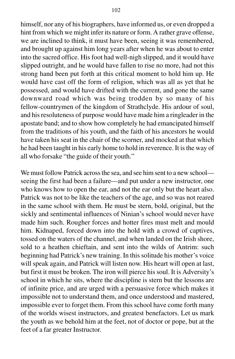himself, nor any of his biographers, have informed us, or even dropped a hint from which we might infer its nature or form. A rather grave offense, we are inclined to think, it must have been, seeing it was remembered, and brought up against him long years after when he was about to enter into the sacred office. His foot had well-nigh slipped, and it would have slipped outright, and he would have fallen to rise no more, had not this strong hand been put forth at this critical moment to hold him up. He would have cast off the form of religion, which was all as yet that he possessed, and would have drifted with the current, and gone the same downward road which was being trodden by so many of his fellow-countrymen of the kingdom of Strathclyde. His ardour of soul, and his resoluteness of purpose would have made him a ringleader in the apostate band; and to show how completely he had emancipated himself from the traditions of his youth, and the faith of his ancestors he would have taken his seat in the chair of the scorner, and mocked at that which he had been taught in his early home to hold in reverence. It is the way of all who forsake "the guide of their youth."

We must follow Patrick across the sea, and see him sent to a new school seeing the first had been a failure—and put under a new instructor, one who knows how to open the ear, and not the ear only but the heart also. Patrick was not to be like the teachers of the age, and so was not reared in the same school with them. He must be stern, bold, original, but the sickly and sentimental influences of Ninian's school would never have made him such. Rougher forces and hotter fires must melt and mould him. Kidnaped, forced down into the hold with a crowd of captives, tossed on the waters of the channel, and when landed on the Irish shore, sold to a heathen chieftain, and sent into the wilds of Antrim: such beginning had Patrick's new training. In this solitude his mother's voice will speak again, and Patrick will listen now. His heart will open at last, but first it must be broken. The iron will pierce his soul. It is Adversity's school in which he sits, where the discipline is stern but the lessons are of infinite price, and are urged with a persuasive force which makes it impossible not to understand them, and once understood and mastered, impossible ever to forget them. From this school have come forth many of the worlds wisest instructors, and greatest benefactors. Let us mark the youth as we behold him at the feet, not of doctor or pope, but at the feet of a far greater Instructor.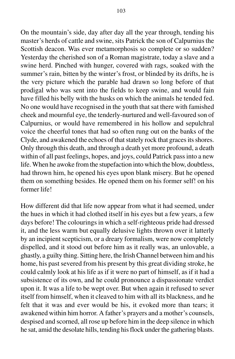On the mountain's side, day after day all the year through, tending his master's herds of cattle and swine, sits Patrick the son of Calpurnius the Scottish deacon. Was ever metamorphosis so complete or so sudden? Yesterday the cherished son of a Roman magistrate, today a slave and a swine herd. Pinched with hunger, covered with rags, soaked with the summer's rain, bitten by the winter's frost, or blinded by its drifts, he is the very picture which the parable had drawn so long before of that prodigal who was sent into the fields to keep swine, and would fain have filled his belly with the husks on which the animals he tended fed. No one would have recognised in the youth that sat there with famished cheek and mournful eye, the tenderly-nurtured and well-favoured son of Calpurnius, or would have remembered in his hollow and sepulchral voice the cheerful tones that had so often rung out on the banks of the Clyde, and awakened the echoes of that stately rock that graces its shores. Only through this death, and through a death yet more profound, a death within of all past feelings, hopes, and joys, could Patrick pass into a new life. When he awoke from the stupefaction into which the blow, doubtless, had thrown him, he opened his eyes upon blank misery. But he opened them on something besides. He opened them on his former self! on his former life!

How different did that life now appear from what it had seemed, under the hues in which it had clothed itself in his eyes but a few years, a few days before! The colourings in which a self-righteous pride had dressed it, and the less warm but equally delusive lights thrown over it latterly by an incipient scepticism, or a dreary formalism, were now completely dispelled, and it stood out before him as it really was, an unlovable, a ghastly, a guilty thing. Sitting here, the Irish Channel between him and his home, his past severed from his present by this great dividing stroke, he could calmly look at his life as if it were no part of himself, as if it had a subsistence of its own, and he could pronounce a dispassionate verdict upon it. It was a life to be wept over. But when again it refused to sever itself from himself, when it cleaved to him with all its blackness, and he felt that it was and ever would be his, it evoked more than tears; it awakened within him horror. A father's prayers and a mother's counsels, despised and scorned, all rose up before him in the deep silence in which he sat, amid the desolate hills, tending his flock under the gathering blasts.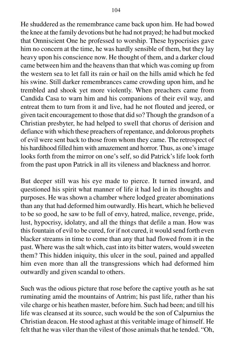He shuddered as the remembrance came back upon him. He had bowed the knee at the family devotions but he had not prayed; he had but mocked that Omniscient One he professed to worship. These hypocrisies gave him no concern at the time, he was hardly sensible of them, but they lay heavy upon his conscience now. He thought of them, and a darker cloud came between him and the heavens than that which was coming up from the western sea to let fall its rain or hail on the hills amid which he fed his swine. Still darker remembrances came crowding upon him, and he trembled and shook yet more violently. When preachers came from Candida Casa to warn him and his companions of their evil way, and entreat them to turn from it and live, had he not flouted and jeered, or given tacit encouragement to those that did so? Though the grandson of a Christian presbyter, he had helped to swell that chorus of derision and defiance with which these preachers of repentance, and dolorous prophets of evil were sent back to those from whom they came. The retrospect of his hardihood filled him with amazement and horror. Thus, as one's image looks forth from the mirror on one's self, so did Patrick's life look forth from the past upon Patrick in all its vileness and blackness and horror.

But deeper still was his eye made to pierce. It turned inward, and questioned his spirit what manner of life it had led in its thoughts and purposes. He was shown a chamber where lodged greater abominations than any that had deformed him outwardly. His heart, which he believed to be so good, he saw to be full of envy, hatred, malice, revenge, pride, lust, hypocrisy, idolatry, and all the things that defile a man. How was this fountain of evil to be cured, for if not cured, it would send forth even blacker streams in time to come than any that had flowed from it in the past. Where was the salt which, cast into its bitter waters, would sweeten them? This hidden iniquity, this ulcer in the soul, pained and appalled him even more than all the transgressions which had deformed him outwardly and given scandal to others.

Such was the odious picture that rose before the captive youth as he sat ruminating amid the mountains of Antrim; his past life, rather than his vile charge or his heathen master, before him. Such had been; and till his life was cleansed at its source, such would be the son of Calpurnius the Christian deacon. He stood aghast at this veritable image of himself. He felt that he was viler than the vilest of those animals that he tended. "Oh,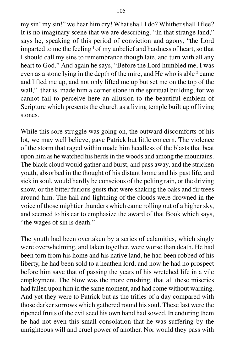my sin! my sin!" we hear him cry! What shall I do? Whither shall I flee? It is no imaginary scene that we are describing. "In that strange land," says he, speaking of this period of conviction and agony, "the Lord imparted to me the feeling  $1$  of my unbelief and hardness of heart, so that I should call my sins to remembrance though late, and turn with all any heart to God." And again he says, "Before the Lord humbled me, I was even as a stone lying in the depth of the mire, and He who is able  $2$  came and lifted me up, and not only lifted me up but set me on the top of the wall," that is, made him a corner stone in the spiritual building, for we cannot fail to perceive here an allusion to the beautiful emblem of Scripture which presents the church as a living temple built up of living stones.

While this sore struggle was going on, the outward discomforts of his lot, we may well believe, gave Patrick but little concern. The violence of the storm that raged within made him heedless of the blasts that beat upon him as he watched his herds in the woods and among the mountains. The black cloud would gather and burst, and pass away, and the stricken youth, absorbed in the thought of his distant home and his past life, and sick in soul, would hardly be conscious of the pelting rain, or the driving snow, or the bitter furious gusts that were shaking the oaks and fir trees around him. The hail and lightning of the clouds were drowned in the voice of those mightier thunders which came rolling out of a higher sky, and seemed to his ear to emphasize the award of that Book which says, "the wages of sin is death."

The youth had been overtaken by a series of calamities, which singly were overwhelming, and taken together, were worse than death. He had been torn from his home and his native land, he had been robbed of his liberty, he had been sold to a heathen lord, and now he had no prospect before him save that of passing the years of his wretched life in a vile employment. The blow was the more crushing, that all these miseries had fallen upon him in the same moment, and had come without warning. And yet they were to Patrick but as the trifles of a day compared with those darker sorrows which gathered round his soul. These last were the ripened fruits of the evil seed his own hand had sowed. In enduring them he had not even this small consolation that he was suffering by the unrighteous will and cruel power of another. Nor would they pass with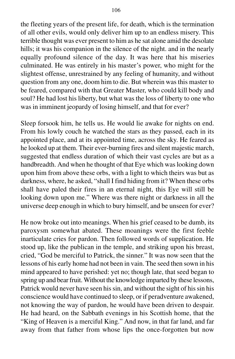the fleeting years of the present life, for death, which is the termination of all other evils, would only deliver him up to an endless misery. This terrible thought was ever present to him as he sat alone amid the desolate hills; it was his companion in the silence of the night. and in the nearly equally profound silence of the day. It was here that his miseries culminated. He was entirely in his master's power, who might for the slightest offense, unrestrained by any feeling of humanity, and without question from any one, doom him to die. But wherein was this master to be feared, compared with that Greater Master, who could kill body and soul? He had lost his liberty, but what was the loss of liberty to one who was in imminent jeopardy of losing himself, and that for ever?

Sleep forsook him, he tells us. He would lie awake for nights on end. From his lowly couch he watched the stars as they passed, each in its appointed place, and at its appointed time, across the sky. He feared as he looked up at them. Their ever-burning fires and silent majestic march, suggested that endless duration of which their vast cycles are but as a handbreadth. And when he thought of that Eye which was looking down upon him from above these orbs, with a light to which theirs was but as darkness, where, he asked, "shall I find hiding from it? When these orbs shall have paled their fires in an eternal night, this Eye will still be looking down upon me." Where was there night or darkness in all the universe deep enough in which to bury himself, and be unseen for ever?

He now broke out into meanings. When his grief ceased to be dumb, its paroxysm somewhat abated. These moanings were the first feeble inarticulate cries for pardon. Then followed words of supplication. He stood up, like the publican in the temple, and striking upon his breast, cried, "God be merciful to Patrick, the sinner." It was now seen that the lessons of his early home had not been in vain. The seed then sown in his mind appeared to have perished: yet no; though late, that seed began to spring up and bear fruit. Without the knowledge imparted by these lessons, Patrick would never have seen his sin, and without the sight of his sin his conscience would have continued to sleep, or if peradventure awakened, not knowing the way of pardon, he would have been driven to despair. He had heard, on the Sabbath evenings in his Scottish home, that the "King of Heaven is a merciful King." And now, in that far land, and far away from that father from whose lips the once-forgotten but now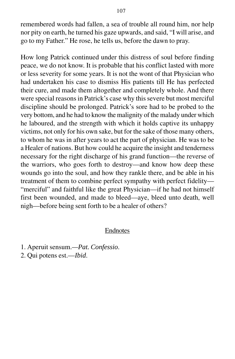remembered words had fallen, a sea of trouble all round him, nor help nor pity on earth, he turned his gaze upwards, and said, "I will arise, and go to my Father." He rose, he tells us, before the dawn to pray.

How long Patrick continued under this distress of soul before finding peace, we do not know. It is probable that his conflict lasted with more or less severity for some years. It is not the wont of that Physician who had undertaken his case to dismiss His patients till He has perfected their cure, and made them altogether and completely whole. And there were special reasons in Patrick's case why this severe but most merciful discipline should be prolonged. Patrick's sore had to be probed to the very bottom, and he had to know the malignity of the malady under which he laboured, and the strength with which it holds captive its unhappy victims, not only for his own sake, but for the sake of those many others, to whom he was in after years to act the part of physician. He was to be a Healer of nations. But how could he acquire the insight and tenderness necessary for the right discharge of his grand function—the reverse of the warriors, who goes forth to destroy—and know how deep these wounds go into the soul, and how they rankle there, and be able in his treatment of them to combine perfect sympathy with perfect fidelity— "merciful" and faithful like the great Physician—if he had not himself first been wounded, and made to bleed—aye, bleed unto death, well nigh—before being sent forth to be a healer of others?

### Endnotes

- 1. Aperuit sensum.*—Pat. Confessio*.
- 2. Qui potens est.—*Ibid*.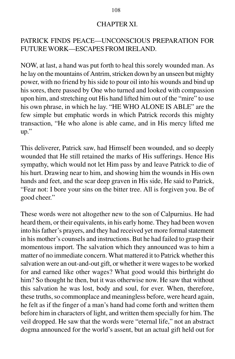### CHAPTER XI.

# PATRICK FINDS PEACE—UNCONSCIOUS PREPARATION FOR FUTURE WORK—ESCAPES FROM IRELAND.

NOW, at last, a hand was put forth to heal this sorely wounded man. As he lay on the mountains of Antrim, stricken down by an unseen but mighty power, with no friend by his side to pour oil into his wounds and bind up his sores, there passed by One who turned and looked with compassion upon him, and stretching out His hand lifted him out of the "mire" to use his own phrase, in which he lay. "HE WHO ALONE IS ABLE" are the few simple but emphatic words in which Patrick records this mighty transaction, "He who alone is able came, and in His mercy lifted me up."

This deliverer, Patrick saw, had Himself been wounded, and so deeply wounded that He still retained the marks of His sufferings. Hence His sympathy, which would not let Him pass by and leave Patrick to die of his hurt. Drawing near to him, and showing him the wounds in His own hands and feet, and the scar deep graven in His side, He said to Patrick, "Fear not: I bore your sins on the bitter tree. All is forgiven you. Be of good cheer."

These words were not altogether new to the son of Calpurnius. He had heard them, or their equivalents, in his early home. They had been woven into his father's prayers, and they had received yet more formal statement in his mother's counsels and instructions. But he had failed to grasp their momentous import. The salvation which they announced was to him a matter of no immediate concern. What mattered it to Patrick whether this salvation were an out-and-out gift, or whether it were wages to be worked for and earned like other wages? What good would this birthright do him? So thought he then, but it was otherwise now. He saw that without this salvation he was lost, body and soul, for ever. When, therefore, these truths, so commonplace and meaningless before, were heard again, he felt as if the finger of a man's hand had come forth and written them before him in characters of light, and written them specially for him. The veil dropped. He saw that the words were "eternal life," not an abstract dogma announced for the world's assent, but an actual gift held out for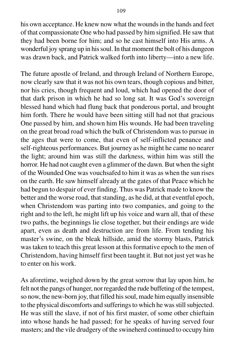his own acceptance. He knew now what the wounds in the hands and feet of that compassionate One who had passed by him signified. He saw that they had been borne for him; and so he cast himself into His arms. A wonderful joy sprang up in his soul. In that moment the bolt of his dungeon was drawn back, and Patrick walked forth into liberty—into a new life.

The future apostle of Ireland, and through Ireland of Northern Europe, now clearly saw that it was not his own tears, though copious and bitter, nor his cries, though frequent and loud, which had opened the door of that dark prison in which he had so long sat. It was God's sovereign blessed hand which had flung back that ponderous portal, and brought him forth. There he would have been sitting still had not that gracious One passed by him, and shown him His wounds. He had been traveling on the great broad road which the bulk of Christendom was to pursue in the ages that were to come, that even of self-inflicted penance and self-righteous performances. But journey as he might he came no nearer the light; around him was still the darkness, within him was still the horror. He had not caught even a glimmer of the dawn. But when the sight of the Wounded One was vouchsafed to him it was as when the sun rises on the earth. He saw himself already at the gates of that Peace which he had begun to despair of ever finding. Thus was Patrick made to know the better and the worse road, that standing, as he did, at that eventful epoch, when Christendom was parting into two companies, and going to the right and to the left, he might lift up his voice and warn all, that of these two paths, the beginnings lie close together, but their endings are wide apart, even as death and destruction are from life. From tending his master's swine, on the bleak hillside, amid the stormy blasts, Patrick was taken to teach this great lesson at this formative epoch to the men of Christendom, having himself first been taught it. But not just yet was he to enter on his work.

As aforetime, weighed down by the great sorrow that lay upon him, he felt not the pangs of hunger, nor regarded the rude buffeting of the tempest, so now, the new-born joy, that filled his soul, made him equally insensible to the physical discomforts and sufferings to which he was still subjected. He was still the slave, if not of his first master, of some other chieftain into whose hands he had passed; for he speaks of having served four masters; and the vile drudgery of the swineherd continued to occupy him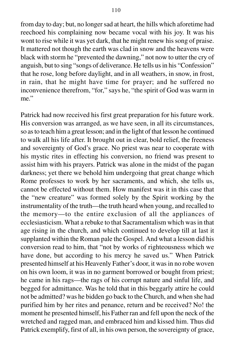from day to day; but, no longer sad at heart, the hills which aforetime had reechoed his complaining now became vocal with his joy. It was his wont to rise while it was yet dark, that he might renew his song of praise. It mattered not though the earth was clad in snow and the heavens were black with storm he "prevented the dawning," not now to utter the cry of anguish, but to sing "songs of deliverance. He tells us in his "Confession" that he rose, long before daylight, and in all weathers, in snow, in frost, in rain, that he might have time for prayer; and he suffered no inconvenience therefrom, "for," says he, "the spirit of God was warm in me."

Patrick had now received his first great preparation for his future work. His conversion was arranged, as we have seen, in all its circumstances, so as to teach him a great lesson; and in the light of that lesson he continued to walk all his life after. It brought out in clear, bold relief, the freeness and sovereignty of God's grace. No priest was near to cooperate with his mystic rites in effecting his conversion, no friend was present to assist him with his prayers. Patrick was alone in the midst of the pagan darkness; yet there we behold him undergoing that great change which Rome professes to work by her sacraments, and which, she tells us, cannot be effected without them. How manifest was it in this case that the "new creature" was formed solely by the Spirit working by the instrumentality of the truth—the truth heard when young, and recalled to the memory—to the entire exclusion of all the appliances of ecclesiasticism. What a rebuke to that Sacramentalism which was in that age rising in the church, and which continued to develop till at last it supplanted within the Roman pale the Gospel. And what a lesson did his conversion read to him, that "not by works of righteousness which we have done, but according to his mercy he saved us." When Patrick presented himself at his Heavenly Father's door, it was in no robe woven on his own loom, it was in no garment borrowed or bought from priest; he came in his rags—the rags of his corrupt nature and sinful life, and begged for admittance. Was he told that in this beggarly attire he could not be admitted? was he bidden go back to the Church, and when she had purified him by her rites and penance, return and be received? No! the moment he presented himself, his Father ran and fell upon the neck of the wretched and ragged man, and embraced him and kissed him. Thus did Patrick exemplify, first of all, in his own person, the sovereignty of grace,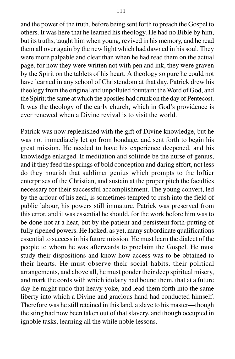and the power of the truth, before being sent forth to preach the Gospel to others. It was here that he learned his theology. He had no Bible by him, but its truths, taught him when young, revived in his memory, and he read them all over again by the new light which had dawned in his soul. They were more palpable and clear than when he had read them on the actual page, for now they were written not with pen and ink, they were graven by the Spirit on the tablets of his heart. A theology so pure he could not have learned in any school of Christendom at that day. Patrick drew his theology from the original and unpolluted fountain: the Word of God, and the Spirit; the same at which the apostles had drunk on the day of Pentecost. It was the theology of the early church, which in God's providence is ever renewed when a Divine revival is to visit the world.

Patrick was now replenished with the gift of Divine knowledge, but he was not immediately let go from bondage, and sent forth to begin his great mission. He needed to have his experience deepened, and his knowledge enlarged. If meditation and solitude be the nurse of genius, and if they feed the springs of bold conception and daring effort, not less do they nourish that sublimer genius which prompts to the loftier enterprises of the Christian, and sustain at the proper pitch the faculties necessary for their successful accomplishment. The young convert, led by the ardour of his zeal, is sometimes tempted to rush into the field of public labour, his powers still immature. Patrick was preserved from this error, and it was essential he should, for the work before him was to be done not at a heat, but by the patient and persistent forth-putting of fully ripened powers. He lacked, as yet, many subordinate qualifications essential to success in his future mission. He must learn the dialect of the people to whom he was afterwards to proclaim the Gospel. He must study their dispositions and know how access was to be obtained to their hearts. He must observe their social habits, their political arrangements, and above all, he must ponder their deep spiritual misery, and mark the cords with which idolatry had bound them, that at a future day he might undo that heavy yoke, and lead them forth into the same liberty into which a Divine and gracious hand had conducted himself. Therefore was he still retained in this land, a slave to his master—though the sting had now been taken out of that slavery, and though occupied in ignoble tasks, learning all the while noble lessons.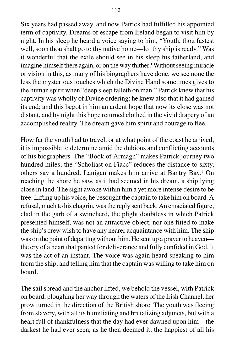Six years had passed away, and now Patrick had fulfilled his appointed term of captivity. Dreams of escape from Ireland began to visit him by night. In his sleep he heard a voice saying to him, "Youth, thou fastest well, soon thou shalt go to thy native home—lo! thy ship is ready." Was it wonderful that the exile should see in his sleep his fatherland, and imagine himself there again, or on the way thither? Without seeing miracle or vision in this, as many of his biographers have done, we see none the less the mysterious touches which the Divine Hand sometimes gives to the human spirit when "deep sleep falleth on man." Patrick knew that his captivity was wholly of Divine ordering; he knew also that it had gained its end; and this begot in him an ardent hope that now its close was not distant, and by night this hope returned clothed in the vivid drapery of an accomplished reality. The dream gave him spirit and courage to flee.

How far the youth had to travel, or at what point of the coast he arrived, it is impossible to determine amid the dubious and conflicting accounts of his biographers. The "Book of Armagh" makes Patrick journey two hundred miles; the "Scholiast on Fiacc" reduces the distance to sixty, others say a hundred. Lanigan makes him arrive at Bantry Bay.<sup>1</sup> On reaching the shore he saw, as it had seemed in his dream, a ship lying close in land. The sight awoke within him a yet more intense desire to be free. Lifting up his voice, he besought the captain to take him on board. A refusal, much to his chagrin, was the reply sent back. An emaciated figure, clad in the garb of a swineherd, the plight doubtless in which Patrick presented himself, was not an attractive object, nor one fitted to make the ship's crew wish to have any nearer acquaintance with him. The ship was on the point of departing without him. He sent up a prayer to heaven the cry of a heart that panted for deliverance and fully confided in God. It was the act of an instant. The voice was again heard speaking to him from the ship, and telling him that the captain was willing to take him on board.

The sail spread and the anchor lifted, we behold the vessel, with Patrick on board, ploughing her way through the waters of the Irish Channel, her prow turned in the direction of the British shore. The youth was fleeing from slavery, with all its humiliating and brutalizing adjuncts, but with a heart full of thankfulness that the day had ever dawned upon him—the darkest he had ever seen, as he then deemed it; the happiest of all his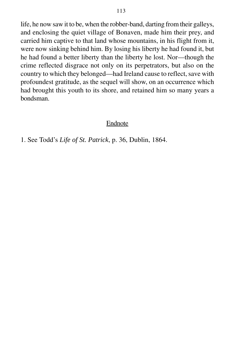life, he now saw it to be, when the robber-band, darting from their galleys, and enclosing the quiet village of Bonaven, made him their prey, and carried him captive to that land whose mountains, in his flight from it, were now sinking behind him. By losing his liberty he had found it, but he had found a better liberty than the liberty he lost. Nor—though the crime reflected disgrace not only on its perpetrators, but also on the country to which they belonged—had Ireland cause to reflect, save with profoundest gratitude, as the sequel will show, on an occurrence which had brought this youth to its shore, and retained him so many years a bondsman.

### Endnote

1. See Todd's *Life of St. Patrick*, p. 36, Dublin, 1864.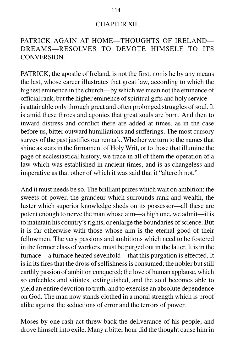#### CHAPTER XII.

## PATRICK AGAIN AT HOME—THOUGHTS OF IRELAND— DREAMS—RESOLVES TO DEVOTE HIMSELF TO ITS CONVERSION.

PATRICK, the apostle of Ireland, is not the first, nor is he by any means the last, whose career illustrates that great law, according to which the highest eminence in the church—by which we mean not the eminence of official rank, but the higher eminence of spiritual gifts and holy service is attainable only through great and often prolonged struggles of soul. It is amid these throes and agonies that great souls are born. And then to inward distress and conflict there are added at times, as in the case before us, bitter outward humiliations and sufferings. The most cursory survey of the past justifies our remark. Whether we turn to the names that shine as stars in the firmament of Holy Writ, or to those that illumine the page of ecclesiastical history, we trace in all of them the operation of a law which was established in ancient times, and is as changeless and imperative as that other of which it was said that it "altereth not."

And it must needs be so. The brilliant prizes which wait on ambition; the sweets of power, the grandeur which surrounds rank and wealth, the luster which superior knowledge sheds on its possessor—all these are potent enough to nerve the man whose aim—a high one, we admit—it is to maintain his country's rights, or enlarge the boundaries of science. But it is far otherwise with those whose aim is the eternal good of their fellowmen. The very passions and ambitions which need to be fostered in the former class of workers, must be purged out in the latter. It is in the furnace—a furnace heated sevenfold—that this purgation is effected. It is in its fires that the dross of selfishness is consumed; the nobler but still earthly passion of ambition conquered; the love of human applause, which so enfeebles and vitiates, extinguished, and the soul becomes able to yield an entire devotion to truth, and to exercise an absolute dependence on God. The man now stands clothed in a moral strength which is proof alike against the seductions of error and the terrors of power.

Moses by one rash act threw back the deliverance of his people, and drove himself into exile. Many a bitter hour did the thought cause him in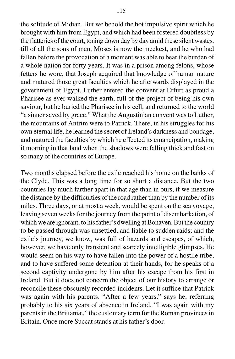the solitude of Midian. But we behold the hot impulsive spirit which he brought with him from Egypt, and which had been fostered doubtless by the flatteries of the court, toning down day by day amid these silent wastes, till of all the sons of men, Moses is now the meekest, and he who had fallen before the provocation of a moment was able to bear the burden of a whole nation for forty years. It was in a prison among felons, whose fetters he wore, that Joseph acquired that knowledge of human nature and matured those great faculties which he afterwards displayed in the government of Egypt. Luther entered the convent at Erfurt as proud a Pharisee as ever walked the earth, full of the project of being his own saviour, but he buried the Pharisee in his cell, and returned to the world "a sinner saved by grace." What the Augustinian convent was to Luther, the mountains of Antrim were to Patrick. There, in his struggles for his own eternal life, he learned the secret of Ireland's darkness and bondage,

and matured the faculties by which he effected its emancipation, making it morning in that land when the shadows were falling thick and fast on so many of the countries of Europe.

Two months elapsed before the exile reached his home on the banks of the Clyde. This was a long time for so short a distance. But the two countries lay much farther apart in that age than in ours, if we measure the distance by the difficulties of the road rather than by the number of its miles. Three days, or at most a week, would be spent on the sea voyage, leaving seven weeks for the journey from the point of disembarkation, of which we are ignorant, to his father's dwelling at Bonaven. But the country to be passed through was unsettled, and liable to sudden raids; and the exile's journey, we know, was full of hazards and escapes, of which, however, we have only transient and scarcely intelligible glimpses. He would seem on his way to have fallen into the power of a hostile tribe, and to have suffered some detention at their hands, for he speaks of a second captivity undergone by him after his escape from his first in Ireland. But it does not concern the object of our history to arrange or reconcile these obscurely recorded incidents. Let it suffice that Patrick was again with his parents. "After a few years," says he, referring probably to his six years of absence in Ireland, "I was again with my parents in the Brittaniæ," the customary term for the Roman provinces in Britain. Once more Succat stands at his father's door.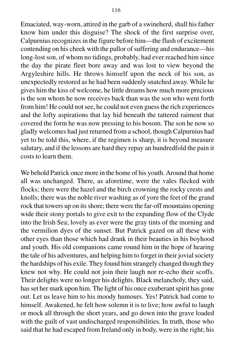Emaciated, way-worn, attired in the garb of a swineherd, shall his father know him under this disguise? The shock of the first surprise over, Calpurnius recognizes in the figure before him—the flush of excitement contending on his cheek with the pallor of suffering and endurance—his long-lost son, of whom no tidings, probably, had ever reached him since the day the pirate fleet bore away and was lost to view beyond the Argyleshire hills. He throws himself upon the neck of his son, as unexpectedly restored as he had been suddenly snatched away. While he gives him the kiss of welcome, he little dreams how much more precious is the son whom he now receives back than was the son who went forth from him! He could not see, he could not even guess the rich experiences and the lofty aspirations that lay hid beneath the tattered raiment that covered the form he was now pressing to his bosom. The son he now so gladly welcomes had just returned from a school, though Calpurnius had

yet to be told this, where, if the regimen is sharp, it is beyond measure salutary, and if the lessons are hard they repay an hundredfold the pain it costs to learn them.

We behold Patrick once more in the home of his youth. Around that home all was unchanged. There, as aforetime, were the vales flecked with flocks; there were the hazel and the birch crowning the rocky crests and knolls; there was the noble river washing as of yore the feet of the grand rock that towers up on its shore; there were the far-off mountains opening wide their stony portals to give exit to the expanding flow of the Clyde into the Irish Sea; lovely as ever were the gray tints of the morning and the vermilion dyes of the sunset. But Patrick gazed on all these with other eyes than those which had drank in their beauties in his boyhood and youth. His old companions came round him in the hope of hearing the tale of his adventures, and helping him to forget in their jovial society the hardships of his exile. They found him strangely changed though they knew not why. He could not join their laugh nor re-echo their scoffs. Their delights were no longer his delights. Black melancholy, they said, has set her mark upon him. The light of his once exuberant spirit has gone out. Let us leave him to his moody humours. Yes! Patrick had come to himself. Awakened, he felt how solemn it is to live; how awful to laugh or mock all through the short years, and go down into the grave loaded with the guilt of vast undischarged responsibilities. In truth, those who said that he had escaped from Ireland only in body, were in the right; his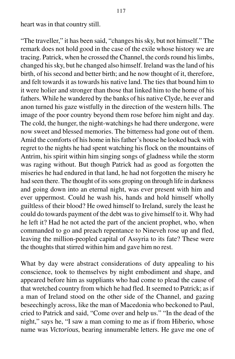heart was in that country still.

"The traveller," it has been said, "changes his sky, but not himself." The remark does not hold good in the case of the exile whose history we are tracing. Patrick, when he crossed the Channel, the cords round his limbs, changed his sky, but he changed also himself. Ireland was the land of his birth, of his second and better birth; and he now thought of it, therefore, and felt towards it as towards his native land. The ties that bound him to it were holier and stronger than those that linked him to the home of his fathers. While he wandered by the banks of his native Clyde, he ever and anon turned his gaze wistfully in the direction of the western hills. The image of the poor country beyond them rose before him night and day. The cold, the hunger, the night-watchings he had there undergone, were now sweet and blessed memories. The bitterness had gone out of them. Amid the comforts of his home in his father's house he looked back with regret to the nights he had spent watching his flock on the mountains of Antrim, his spirit within him singing songs of gladness while the storm was raging without. But though Patrick had as good as forgotten the miseries he had endured in that land, he had not forgotten the misery he had seen there. The thought of its sons groping on through life in darkness and going down into an eternal night, was ever present with him and ever uppermost. Could he wash his, hands and hold himself wholly guiltless of their blood? He owed himself to Ireland, surely the least he could do towards payment of the debt was to give himself to it. Why had he left it? Had he not acted the part of the ancient prophet, who, when commanded to go and preach repentance to Nineveh rose up and fled, leaving the million-peopled capital of Assyria to its fate? These were the thoughts that stirred within him and gave him no rest.

What by day were abstract considerations of duty appealing to his conscience, took to themselves by night embodiment and shape, and appeared before him as suppliants who had come to plead the cause of that wretched country from which he had fled. It seemed to Patrick; as if a man of Ireland stood on the other side of the Channel, and gazing beseechingly across, like the man of Macedonia who beckoned to Paul, cried to Patrick and said, "Come over and help us." "In the dead of the night," says he, "I saw a man coming to me as if from Hiberio, whose name was *Victorious*, bearing innumerable letters. He gave me one of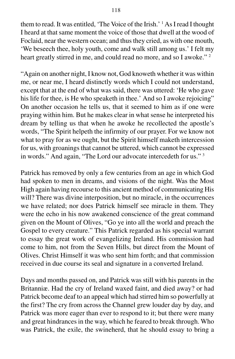them to read. It was entitled, 'The Voice of the Irish.' 1 As I read I thought I heard at that same moment the voice of those that dwell at the wood of Foclaid, near the western ocean; and thus they cried, as with one mouth, 'We beseech thee, holy youth, come and walk still among us.' I felt my heart greatly stirred in me, and could read no more, and so I awoke."<sup>2</sup>

"Again on another night, I know not, God knoweth whether it was within me, or near me, I heard distinctly words which I could not understand, except that at the end of what was said, there was uttered: 'He who gave his life for thee, is He who speaketh in thee.' And so I awoke rejoicing" On another occasion he tells us, that it seemed to him as if one were praying within him. But he makes clear in what sense he interpreted his dream by telling us that when he awoke he recollected the apostle's words, "The Spirit helpeth the infirmity of our prayer. For we know not what to pray for as we ought, but the Spirit himself maketh intercession for us, with groanings that cannot be uttered, which cannot be expressed in words." And again, "The Lord our advocate intercedeth for us." 3

Patrick has removed by only a few centuries from an age in which God had spoken to men in dreams, and visions of the night. Was the Most High again having recourse to this ancient method of communicating His will? There was divine interposition, but no miracle, in the occurrences we have related; nor does Patrick himself see miracle in them. They were the echo in his now awakened conscience of the great command given on the Mount of Olives, "Go ye into all the world and preach the Gospel to every creature." This Patrick regarded as his special warrant to essay the great work of evangelizing Ireland. His commission had come to him, not from the Seven Hills, but direct from the Mount of Olives. Christ Himself it was who sent him forth; and that commission received in due course its seal and signature in a converted Ireland.

Days and months passed on, and Patrick was still with his parents in the Britanniæ. Had the cry of Ireland waxed faint, and died away? or had Patrick become deaf to an appeal which had stirred him so powerfully at the first? The cry from across the Channel grew louder day by day, and Patrick was more eager than ever to respond to it; but there were many and great hindrances in the way, which he feared to break through. Who was Patrick, the exile, the swineherd, that he should essay to bring a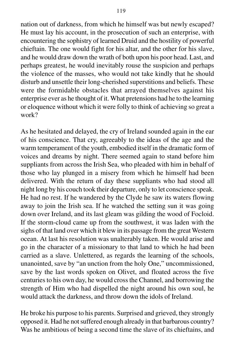nation out of darkness, from which he himself was but newly escaped? He must lay his account, in the prosecution of such an enterprise, with encountering the sophistry of learned Druid and the hostility of powerful chieftain. The one would fight for his altar, and the other for his slave, and he would draw down the wrath of both upon his poor head. Last, and perhaps greatest, he would inevitably rouse the suspicion and perhaps the violence of the masses, who would not take kindly that he should disturb and unsettle their long-cherished superstitions and beliefs. These were the formidable obstacles that arrayed themselves against his enterprise ever as he thought of it. What pretensions had he to the learning or eloquence without which it were folly to think of achieving so great a work?

As he hesitated and delayed, the cry of Ireland sounded again in the ear of his conscience. That cry, agreeably to the ideas of the age and the warm temperament of the youth, embodied itself in the dramatic form of voices and dreams by night. There seemed again to stand before him suppliants from across the Irish Sea, who pleaded with him in behalf of those who lay plunged in a misery from which he himself had been delivered. With the return of day these suppliants who had stood all night long by his couch took their departure, only to let conscience speak. He had no rest. If he wandered by the Clyde he saw its waters flowing away to join the Irish sea. If he watched the setting sun it was going down over Ireland, and its last gleam was gilding the wood of Focloid. If the storm-cloud came up from the southwest, it was laden with the sighs of that land over which it blew in its passage from the great Western ocean. At last his resolution was unalterably taken. He would arise and go in the character of a missionary to that land to which he had been carried as a slave. Unlettered, as regards the learning of the schools, unanointed, save by "an unction from the holy One," uncommissioned, save by the last words spoken on Olivet, and floated across the five centuries to his own day, he would cross the Channel, and borrowing the strength of Him who had dispelled the night around his own soul, he would attack the darkness, and throw down the idols of Ireland.

He broke his purpose to his parents. Surprised and grieved, they strongly opposed it. Had he not suffered enough already in that barbarous country? Was he ambitious of being a second time the slave of its chieftains, and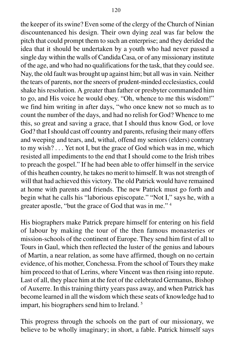the keeper of its swine? Even some of the clergy of the Church of Ninian discountenanced his design. Their own dying zeal was far below the pitch that could prompt them to such an enterprise; and they derided the idea that it should be undertaken by a youth who had never passed a single day within the walls of Candida Casa, or of any missionary institute of the age, and who had no qualifications for the task, that they could see. Nay, the old fault was brought up against him; but all was in vain. Neither the tears of parents, nor the sneers of prudent-minded ecclesiastics, could shake his resolution. A greater than father or presbyter commanded him to go, and His voice he would obey. "Oh, whence to me this wisdom!" we find him writing in after days, "who once knew not so much as to count the number of the days, and had no relish for God? Whence to me this, so great and saving a grace, that I should thus know God, or love God? that I should cast off country and parents, refusing their many offers and weeping and tears, and, withal, offend my seniors (elders) contrary to my wish? . . . Yet not I, but the grace of God which was in me, which resisted all impediments to the end that I should come to the Irish tribes to preach the gospel." If he had been able to offer himself in the service of this heathen country, he takes no merit to himself. It was not strength of will that had achieved this victory. The old Patrick would have remained at home with parents and friends. The new Patrick must go forth and begin what he calls his "laborious episcopate." "Not I," says he, with a greater apostle, "but the grace of God that was in me." 4

His biographers make Patrick prepare himself for entering on his field of labour by making the tour of the then famous monasteries or mission-schools of the continent of Europe. They send him first of all to Tours in Gaul, which then reflected the luster of the genius and labours of Martin, a near relation, as some have affirmed, though on no certain evidence, of his mother, Conchessa. From the school of Tours they make him proceed to that of Lerins, where Vincent was then rising into repute. Last of all, they place him at the feet of the celebrated Germanus, Bishop of Auxerre. In this training thirty years pass away, and when Patrick has become learned in all the wisdom which these seats of knowledge had to impart, his biographers send him to Ireland. 5

This progress through the schools on the part of our missionary, we believe to be wholly imaginary; in short, a fable. Patrick himself says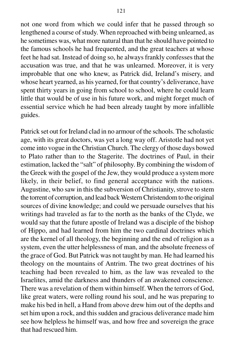not one word from which we could infer that he passed through so lengthened a course of study. When reproached with being unlearned, as he sometimes was, what more natural than that he should have pointed to the famous schools he had frequented, and the great teachers at whose feet he had sat. Instead of doing so, he always frankly confesses that the accusation was true, and that he was unlearned. Moreover, it is very improbable that one who knew, as Patrick did, Ireland's misery, and whose heart yearned, as his yearned, for that country's deliverance, have spent thirty years in going from school to school, where he could learn little that would be of use in his future work, and might forget much of essential service which he had been already taught by more infallible guides.

Patrick set out for Ireland clad in no armour of the schools. The scholastic age, with its great doctors, was yet a long way off. Aristotle had not yet come into vogue in the Christian Church. The clergy of those days bowed to Plato rather than to the Stagerite. The doctrines of Paul, in their estimation, lacked the "salt" of philosophy. By combining the wisdom of the Greek with the gospel of the Jew, they would produce a system more likely, in their belief, to find general acceptance with the nations. Augustine, who saw in this the subversion of Christianity, strove to stem the torrent of corruption, and lead back Western Christendom to the original sources of divine knowledge; and could we persuade ourselves that his writings had traveled as far to the north as the banks of the Clyde, we would say that the future apostle of Ireland was a disciple of the bishop of Hippo, and had learned from him the two cardinal doctrines which are the kernel of all theology, the beginning and the end of religion as a system, even the utter helplessness of man, and the absolute freeness of the grace of God. But Patrick was not taught by man. He had learned his theology on the mountains of Antrim. The two great doctrines of his teaching had been revealed to him, as the law was revealed to the Israelites, amid the darkness and thunders of an awakened conscience. There was a revelation of them within himself. When the terrors of God, like great waters, were rolling round his soul, and he was preparing to make his bed in hell, a Hand from above drew him out of the depths and set him upon a rock, and this sudden and gracious deliverance made him see how helpless he himself was, and how free and sovereign the grace that had rescued him.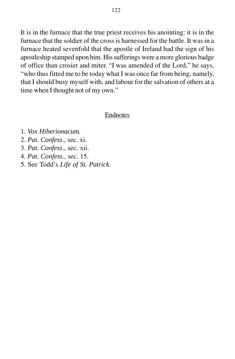It is in the furnace that the true priest receives his anointing: it is in the furnace that the soldier of the cross is harnessed for the battle. It was in a furnace heated sevenfold that the apostle of Ireland had the sign of his apostleship stamped upon him. His sufferings were a more glorious badge of office than crosier and miter. "I was amended of the Lord," he says, "who thus fitted me to be today what I was once far from being, namely, that I should busy myself with, and labour for the salvation of others at a time when I thought not of my own."

### **Endnotes**

- 1. *Vox Hiberionacum.*
- 2. *Pat. Confess*., sec. xi.
- 3. *Pat. Confess*., sec. xii.
- 4. *Pat. Confess*., sec. 15.
- 5. See Todd's *Life of St. Patrick*.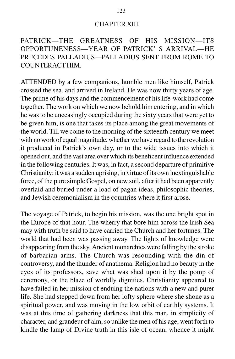#### CHAPTER XIII.

## PATRICK—THE GREATNESS OF HIS MISSION—ITS OPPORTUNENESS—YEAR OF PATRICK' S ARRIVAL—HE PRECEDES PALLADIUS—PALLADIUS SENT FROM ROME TO COUNTERACT HIM.

ATTENDED by a few companions, humble men like himself, Patrick crossed the sea, and arrived in Ireland. He was now thirty years of age. The prime of his days and the commencement of his life-work had come together. The work on which we now behold him entering, and in which he was to be unceasingly occupied during the sixty years that were yet to be given him, is one that takes its place among the great movements of the world. Till we come to the morning of the sixteenth century we meet with no work of equal magnitude, whether we have regard to the revolution it produced in Patrick's own day, or to the wide issues into which it opened out, and the vast area over which its beneficent influence extended in the following centuries. It was, in fact, a second departure of primitive Christianity; it was a sudden uprising, in virtue of its own inextinguishable force, of the pure simple Gospel, on new soil, after it had been apparently overlaid and buried under a load of pagan ideas, philosophic theories, and Jewish ceremonialism in the countries where it first arose.

The voyage of Patrick, to begin his mission, was the one bright spot in the Europe of that hour. The wherry that bore him across the Irish Sea may with truth be said to have carried the Church and her fortunes. The world that had been was passing away. The lights of knowledge were disappearing from the sky. Ancient monarchies were falling by the stroke of barbarian arms. The Church was resounding with the din of controversy, and the thunder of anathema. Religion had no beauty in the eyes of its professors, save what was shed upon it by the pomp of ceremony, or the blaze of worldly dignities. Christianity appeared to have failed in her mission of enduing the nations with a new and purer life. She had stepped down from her lofty sphere where she shone as a spiritual power, and was moving in the low orbit of earthly systems. It was at this time of gathering darkness that this man, in simplicity of character, and grandeur of aim, so unlike the men of his age, went forth to kindle the lamp of Divine truth in this isle of ocean, whence it might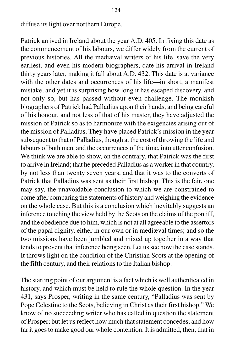diffuse its light over northern Europe.

Patrick arrived in Ireland about the year A.D. 405. In fixing this date as the commencement of his labours, we differ widely from the current of previous histories. All the mediæval writers of his life, save the very earliest, and even his modern biographers, date his arrival in Ireland thirty years later, making it fall about A.D. 432. This date is at variance with the other dates and occurrences of his life—in short, a manifest mistake, and yet it is surprising how long it has escaped discovery, and not only so, but has passed without even challenge. The monkish biographers of Patrick had Palladius upon their hands, and being careful of his honour, and not less of that of his master, they have adjusted the mission of Patrick so as to harmonize with the exigencies arising out of the mission of Palladius. They have placed Patrick's mission in the year subsequent to that of Palladius, though at the cost of throwing the life and labours of both men, and the occurrences of the time, into utter confusion. We think we are able to show, on the contrary, that Patrick was the first to arrive in Ireland; that he preceded Palladius as a worker in that country, by not less than twenty seven years, and that it was to the converts of Patrick that Palladius was sent as their first bishop. This is the fair, one may say, the unavoidable conclusion to which we are constrained to come after comparing the statements of history and weighing the evidence on the whole case. But this is a conclusion which inevitably suggests an inference touching the view held by the Scots on the claims of the pontiff, and the obedience due to him, which is not at all agreeable to the assertors of the papal dignity, either in our own or in mediæval times; and so the two missions have been jumbled and mixed up together in a way that tends to prevent that inference being seen. Let us see how the case stands. It throws light on the condition of the Christian Scots at the opening of the fifth century, and their relations to the Italian bishop.

The starting point of our argument is a fact which is well authenticated in history, and which must be held to rule the whole question. In the year 431, says Prosper, writing in the same century, "Palladius was sent by Pope Celestine to the Scots, believing in Christ as their first bishop." We know of no succeeding writer who has called in question the statement of Prosper; but let us reflect how much that statement concedes, and how far it goes to make good our whole contention. It is admitted, then, that in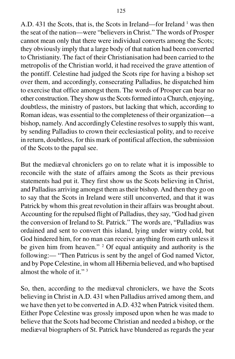A.D. 431 the Scots, that is, the Scots in Ireland—for Ireland <sup>1</sup> was then the seat of the nation—were "believers in Christ." The words of Prosper cannot mean only that there were individual converts among the Scots; they obviously imply that a large body of that nation had been converted to Christianity. The fact of their Christianisation had been carried to the metropolis of the Christian world, it had received the grave attention of the pontiff. Celestine had judged the Scots ripe for having a bishop set over them, and accordingly, consecrating Palladius, he dispatched him to exercise that office amongst them. The words of Prosper can bear no other construction. They show us the Scots formed into a Church, enjoying, doubtless, the ministry of pastors, but lacking that which, according to Roman ideas, was essential to the completeness of their organization—a bishop, namely. And accordingly Celestine resolves to supply this want, by sending Palladius to crown their ecclesiastical polity, and to receive in return, doubtless, for this mark of pontifical affection, the submission of the Scots to the papal see.

But the mediæval chroniclers go on to relate what it is impossible to reconcile with the state of affairs among the Scots as their previous statements had put it. They first show us the Scots believing in Christ, and Palladius arriving amongst them as their bishop. And then they go on to say that the Scots in Ireland were still unconverted, and that it was Patrick by whom this great revolution in their affairs was brought about. Accounting for the repulsed flight of Palladius, they say, "God had given the conversion of Ireland to St. Patrick." The words are, "Palladius was ordained and sent to convert this island, lying under wintry cold, but God hindered him, for no man can receive anything from earth unless it be given him from heaven." <sup>2</sup> Of equal antiquity and authority is the following:— "Then Patricus is sent by the angel of God named Victor, and by Pope Celestine, in whom all Hibernia believed, and who baptised almost the whole of it." 3

So, then, according to the mediæval chroniclers, we have the Scots believing in Christ in A.D. 431 when Palladius arrived among them, and we have then yet to be converted in A.D. 432 when Patrick visited them. Either Pope Celestine was grossly imposed upon when he was made to believe that the Scots had become Christian and needed a bishop, or the mediæval biographers of St. Patrick have blundered as regards the year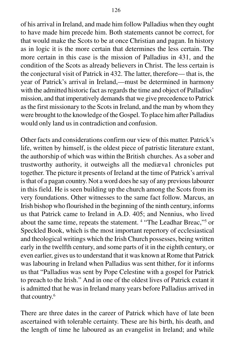of his arrival in Ireland, and made him follow Palladius when they ought to have made him precede him. Both statements cannot be correct, for that would make the Scots to be at once Christian and pagan. In history as in logic it is the more certain that determines the less certain. The more certain in this case is the mission of Palladius in 431, and the condition of the Scots as already believers in Christ. The less certain is the conjectural visit of Patrick in 432. The latter, therefore— that is, the year of Patrick's arrival in Ireland,—must be determined in harmony with the admitted historic fact as regards the time and object of Palladius' mission, and that imperatively demands that we give precedence to Patrick as the first missionary to the Scots in Ireland, and the man by whom they were brought to the knowledge of the Gospel. To place him after Palladius would only land us in contradiction and confusion.

Other facts and considerations confirm our view of this matter. Patrick's life, written by himself, is the oldest piece of patristic literature extant, the authorship of which was within the British churches. As a sober and trustworthy authority, it outweighs all the mediæva1 chronicles put together. The picture it presents of Ireland at the time of Patrick's arrival is that of a pagan country. Not a word does he say of any previous labourer in this field. He is seen building up the church among the Scots from its very foundations. Other witnesses to the same fact follow. Marcus, an Irish bishop who flourished in the beginning of the ninth century, informs us that Patrick came to Ireland in A.D. 405; and Nennius, who lived about the same time, repeats the statement. <sup>4</sup> "The Leadhar Breac,"<sup>5</sup> or Speckled Book, which is the most important repertory of ecclesiastical and theological writings which the Irish Church possesses, being written early in the twelfth century, and some parts of it in the eighth century, or even earlier, gives us to understand that it was known at Rome that Patrick was labouring in Ireland when Palladius was sent thither, for it informs us that "Palladius was sent by Pope Celestine with a gospel for Patrick to preach to the Irish." And in one of the oldest lives of Patrick extant it is admitted that he was in Ireland many years before Palladius arrived in that country.6

There are three dates in the career of Patrick which have of late been ascertained with tolerable certainty. These are his birth, his death, and the length of time he laboured as an evangelist in Ireland; and while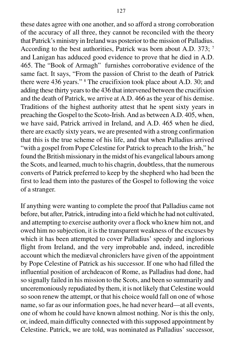these dates agree with one another, and so afford a strong corroboration of the accuracy of all three, they cannot be reconciled with the theory that Patrick's ministry in Ireland was posterior to the mission of Palladius. According to the best authorities, Patrick was born about A.D. 373; 7 and Lanigan has adduced good evidence to prove that he died in A.D. 465. The "Book of Armagh" furnishes corroborative evidence of the same fact. It says, "From the passion of Christ to the death of Patrick there were 436 years." 8 The crucifixion took place about A.D. 30; and adding these thirty years to the 436 that intervened between the crucifixion and the death of Patrick, we arrive at A.D. 466 as the year of his demise. Traditions of the highest authority attest that he spent sixty years in preaching the Gospel to the Scoto-Irish. And as between A.D. 405, when, we have said, Patrick arrived in Ireland, and A.D. 465 when he died, there are exactly sixty years, we are presented with a strong confirmation that this is the true scheme of his life, and that when Palladius arrived "with a gospel from Pope Celestine for Patrick to preach to the Irish," he found the British missionary in the midst of his evangelical labours among the Scots, and learned, much to his chagrin, doubtless, that the numerous converts of Patrick preferred to keep by the shepherd who had been the first to lead them into the pastures of the Gospel to following the voice of a stranger.

If anything were wanting to complete the proof that Palladius came not before, but after, Patrick, intruding into a field which he had not cultivated, and attempting to exercise authority over a flock who knew him not, and owed him no subjection, it is the transparent weakness of the excuses by which it has been attempted to cover Palladius' speedy and inglorious flight from Ireland, and the very improbable and, indeed, incredible account which the mediæval chroniclers have given of the appointment by Pope Celestine of Patrick as his successor. If one who had filled the influential position of archdeacon of Rome, as Palladius had done, had so signally failed in his mission to the Scots, and been so summarily and unceremoniously repudiated by them, it is not likely that Celestine would so soon renew the attempt, or that his choice would fall on one of whose name, so far as our information goes, he had never heard—at all events, one of whom he could have known almost nothing. Nor is this the only, or, indeed, main difficulty connected with this supposed appointment by Celestine. Patrick, we are told, was nominated as Palladius' successor,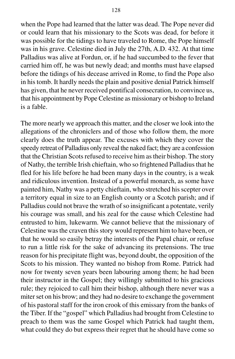when the Pope had learned that the latter was dead. The Pope never did or could learn that his missionary to the Scots was dead, for before it was possible for the tidings to have traveled to Rome, the Pope himself was in his grave. Celestine died in July the 27th, A.D. 432. At that time Palladius was alive at Fordun, or, if he had succumbed to the fever that carried him off, he was but newly dead; and months must have elapsed before the tidings of his decease arrived in Rome, to find the Pope also in his tomb. It hardly needs the plain and positive denial Patrick himself has given, that he never received pontifical consecration, to convince us, that his appointment by Pope Celestine as missionary or bishop to Ireland is a fable.

The more nearly we approach this matter, and the closer we look into the allegations of the chroniclers and of those who follow them, the more clearly does the truth appear. The excuses with which they cover the speedy retreat of Palladius only reveal the naked fact; they are a confession that the Christian Scots refused to receive him as their bishop. The story of Nathy, the terrible Irish chieftain, who so frightened Palladius that he fled for his life before he had been many days in the country, is a weak and ridiculous invention. Instead of a powerful monarch, as some have painted him, Nathy was a petty chieftain, who stretched his scepter over a territory equal in size to an English county or a Scotch parish; and if Palladius could not brave the wrath of so insignificant a potentate, verily his courage was small, and his zeal for the cause which Celestine had entrusted to him, lukewarm. We cannot believe that the missionary of Celestine was the craven this story would represent him to have been, or that he would so easily betray the interests of the Papal chair, or refuse to run a little risk for the sake of advancing its pretensions. The true reason for his precipitate flight was, beyond doubt, the opposition of the Scots to his mission. They wanted no bishop from Rome. Patrick had now for twenty seven years been labouring among them; he had been their instructor in the Gospel; they willingly submitted to his gracious rule; they rejoiced to call him their bishop, although there never was a miter set on his brow; and they had no desire to exchange the government of his pastoral staff for the iron crook of this emissary from the banks of the Tiber. If the "gospel" which Palladius had brought from Celestine to preach to them was the same Gospel which Patrick had taught them, what could they do but express their regret that he should have come so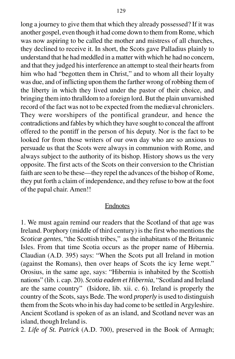long a journey to give them that which they already possessed? If it was another gospel, even though it had come down to them from Rome, which was now aspiring to be called the mother and mistress of all churches, they declined to receive it. In short, the Scots gave Palladius plainly to understand that he had meddled in a matter with which he had no concern, and that they judged his interference an attempt to steal their hearts from him who had "begotten them in Christ," and to whom all their loyalty was due, and of inflicting upon them the farther wrong of robbing them of the liberty in which they lived under the pastor of their choice, and bringing them into thralldom to a foreign lord. But the plain unvarnished record of the fact was not to be expected from the mediæval chroniclers. They were worshipers of the pontifical grandeur, and hence the contradictions and fables by which they have sought to conceal the affront offered to the pontiff in the person of his deputy. Nor is the fact to be looked for from those writers of our own day who are so anxious to persuade us that the Scots were always in communion with Rome, and always subject to the authority of its bishop. History shows us the very opposite. The first acts of the Scots on their conversion to the Christian faith are seen to be these—they repel the advances of the bishop of Rome, they put forth a claim of independence, and they refuse to bow at the foot of the papal chair. Amen!!

#### Endnotes

1. We must again remind our readers that the Scotland of that age was Ireland. Porphory (middle of third century) is the first who mentions the *Scoticæ gentes*, "the Scottish tribes," as the inhabitants of the Britannic Isles. From that time Scotia occurs as the proper name of Hibernia. Claudian (A.D. 395) says: "When the Scots put all Ireland in motion (against the Romans), then over heaps of Scots the icy Ierne wept." Orosius, in the same age, says: "Hibernia is inhabited by the Scottish nations" (lib. i. cap. 20). *Scotia eadem et Hibernia*, "Scotland and Ireland are the same country" (Isidore, lib. xii. c. 6). Ireland is properly the country of the Scots, says Bede. The word *properly* is used to distinguish them from the Scots who in his day had come to be settled in Argyleshire. Ancient Scotland is spoken of as an island, and Scotland never was an island, though Ireland is.

2. *Life of St. Patrick* (A.D. 700), preserved in the Book of Armagh;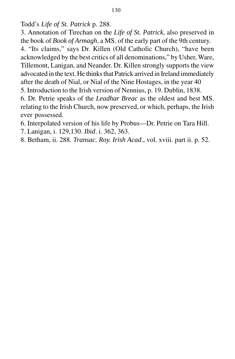Todd's *Life of St. Patrick* p. 288.

3. Annotation of Tirechan on the *Life of St. Patrick*, also preserved in the book of *Book of Armagh*, a MS. of the early part of the 9th century. 4. "Its claims," says Dr. Killen (Old Catholic Church), "have been acknowledged by the best critics of all denominations," by Usher, Ware, Tillemont, Lanigan, and Neander. Dr. Killen strongly supports the view advocated in the text. He thinks that Patrick arrived in Ireland immediately after the death of Nial, or Nial of the Nine Hostages, in the year 40

5. Introduction to the Irish version of Nennius, p. 19. Dublin, 1838.

6. Dr. Petrie speaks of the *Leadhar Breac* as the oldest and best MS. relating to the Irish Church, now preserved, or which, perhaps, the Irish ever possessed.

6. Interpolated version of his life by Probus—Dr. Petrie on Tara Hill.

7. Lanigan, i. 129,130. *Ibid*. i. 362, 363.

8. Betham, ii. 288. *Transac. Roy. Irish Acad*., vol. xviii. part ii. p. 52.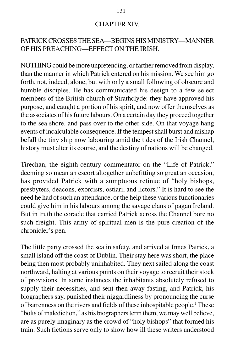### CHAPTER XIV.

## PATRICK CROSSES THE SEA—BEGINS HIS MINISTRY—MANNER OF HIS PREACHING—EFFECT ON THE IRISH.

NOTHING could be more unpretending, or farther removed from display, than the manner in which Patrick entered on his mission. We see him go forth, not, indeed, alone, but with only a small following of obscure and humble disciples. He has communicated his design to a few select members of the British church of Strathclyde: they have approved his purpose, and caught a portion of his spirit, and now offer themselves as the associates of his future labours. On a certain day they proceed together to the sea shore, and pass over to the other side. On that voyage hang events of incalculable consequence. If the tempest shall burst and mishap befall the tiny ship now labouring amid the tides of the Irish Channel, history must alter its course, and the destiny of nations will be changed.

Tirechan, the eighth-century commentator on the "Life of Patrick," deeming so mean an escort altogether unbefitting so great an occasion, has provided Patrick with a sumptuous retinue of "holy bishops, presbyters, deacons, exorcists, ostiari, and lictors." It is hard to see the need he had of such an attendance, or the help these various functionaries could give him in his labours among the savage clans of pagan Ireland. But in truth the coracle that carried Patrick across the Channel bore no such freight. This army of spiritual men is the pure creation of the chronicler's pen.

The little party crossed the sea in safety, and arrived at Innes Patrick, a small island off the coast of Dublin. Their stay here was short, the place being then most probably uninhabited. They next sailed along the coast northward, halting at various points on their voyage to recruit their stock of provisions. In some instances the inhabitants absolutely refused to supply their necessities, and sent then away fasting, and Patrick, his biographers say, punished their niggardliness by pronouncing the curse of barrenness on the rivers and fields of these inhospitable people.1 These "bolts of malediction," as his biographers term them, we may well believe, are as purely imaginary as the crowd of "holy bishops" that formed his train. Such fictions serve only to show how ill these writers understood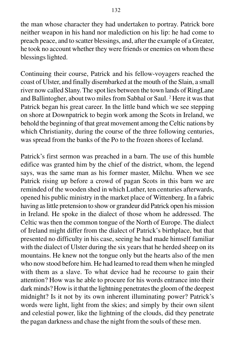the man whose character they had undertaken to portray. Patrick bore neither weapon in his hand nor malediction on his lip: he had come to preach peace, and to scatter blessings, and, after the example of a Greater, he took no account whether they were friends or enemies on whom these blessings lighted.

Continuing their course, Patrick and his fellow-voyagers reached the coast of Ulster, and finally disembarked at the mouth of the Slain, a small river now called Slany. The spot lies between the town lands of RingLane and Ballintogher, about two miles from Sabhal or Saul. <sup>2</sup> Here it was that Patrick began his great career. In the little band which we see stepping on shore at Downpatrick to begin work among the Scots in Ireland, we behold the beginning of that great movement among the Celtic nations by which Christianity, during the course of the three following centuries, was spread from the banks of the Po to the frozen shores of Iceland.

Patrick's first sermon was preached in a barn. The use of this humble edifice was granted him by the chief of the district, whom, the legend says, was the same man as his former master, Milchu. When we see Patrick rising up before a crowd of pagan Scots in this barn we are reminded of the wooden shed in which Luther, ten centuries afterwards, opened his public ministry in the market place of Wittenberg. In a fabric having as little pretension to show or grandeur did Patrick open his mission in Ireland. He spoke in the dialect of those whom he addressed. The Celtic was then the common tongue of the North of Europe. The dialect of Ireland might differ from the dialect of Patrick's birthplace, but that presented no difficulty in his case, seeing he had made himself familiar with the dialect of Ulster during the six years that he herded sheep on its mountains. He knew not the tongue only but the hearts also of the men who now stood before him. He had learned to read them when he mingled with them as a slave. To what device had he recourse to gain their attention? How was he able to procure for his words entrance into their dark minds? How is it that the lightning penetrates the gloom of the deepest midnight? Is it not by its own inherent illuminating power? Patrick's words were light, light from the skies; and simply by their own silent and celestial power, like the lightning of the clouds, did they penetrate the pagan darkness and chase the night from the souls of these men.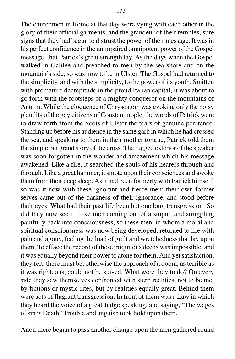The churchmen in Rome at that day were vying with each other in the glory of their official garments, and the grandeur of their temples, sure signs that they had begun to distrust the power of their message. It was in his perfect confidence in the unimpaired omnipotent power of the Gospel message, that Patrick's great strength lay. As the days when the Gospel walked in Galilee and preached to men by the sea shore and on the mountain's side, so was now to be in Ulster. The Gospel had returned to the simplicity, and with the simplicity, to the power of its youth. Smitten with premature decrepitude in the proud Italian capital, it was about to go forth with the footsteps of a mighty conqueror on the mountains of Antrim. While the eloquence of Chrysostom was evoking only the noisy plaudits of the gay citizens of Constantinople, the words of Patrick were to draw forth from the Scots of Ulster the tears of genuine penitence. Standing up before his audience in the same garb in which he had crossed the sea, and speaking to them in their mother tongue, Patrick told them the simple but grand story of the cross. The rugged exterior of the speaker was soon forgotten in the wonder and amazement which his message awakened. Like a fire, it searched the souls of his hearers through and through. Like a great hammer, it smote upon their consciences and awoke them from their deep sleep. As it had been formerly with Patrick himself, so was it now with these ignorant and fierce men; their own former selves came out of the darkness of their ignorance, and stood before their eyes. What had their past life been but one long transgression! So did they now see it. Like men coming out of a stupor, and struggling painfully back into consciousness, so these men, in whom a moral and spiritual consciousness was now being developed, returned to life with pain and agony, feeling the load of guilt and wretchedness that lay upon them. To efface the record of these iniquitous deeds was impossible, and it was equally beyond their power to atone for them. And yet satisfaction, they felt, there must be, otherwise the approach of a doom, as terrible as it was righteous, could not be stayed. What were they to do? On every side they saw themselves confronted with stern realities, not to be met

by fictions or mystic rites, but by realities equally great. Behind them were acts of flagrant transgression. In front of them was a Law in which they heard the voice of a great Judge speaking, and saying, "The wages of sin is Death" Trouble and anguish took hold upon them.

Anon there began to pass another change upon the men gathered round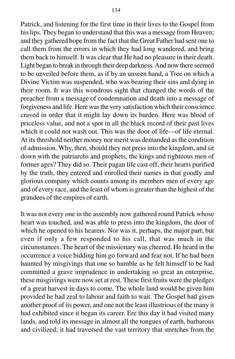Patrick, and listening for the first time in their lives to the Gospel from his lips. They began to understand that this was a message from Heaven; and they gathered hope from the fact that the Great Father had sent one to call them from the errors in which they had long wandered, and bring them back to himself. It was clear that He had no pleasure in their death. Light began to break in through their deep darkness. And now there seemed to be unveiled before them, as if by an unseen hand, a Tree on which a Divine Victim was suspended, who was bearing their sins and dying in their room. It was this wondrous sight that changed the words of the preacher from a message of condemnation and death into a message of forgiveness and life. Here was the very satisfaction which their conscience craved in order that it might lay down its burden. Here was blood of priceless value, and not a spot in all the black record of their past lives which it could not wash out. This was the door of life—of life eternal. At its threshold neither money nor merit was demanded as the condition of admission. Why, then, should they not press into the kingdom, and sit down with the patriarchs and prophets, the kings and righteous men of former ages? They did so. Their pagan life cast off, their hearts purified by the truth, they entered and enrolled their names in that goodly and glorious company which counts among its members men of every age and of every race, and the least of whom is greater than the highest of the grandees of the empires of earth.

It was not every one in the assembly now gathered round Patrick whose heart was touched, and was able to press into the kingdom, the door of which he opened to his hearers. Nor was it, perhaps, the major part; but even if only a few responded to his call, that was much in the circumstances. The heart of the missionary was cheered. He heard in the occurrence a voice bidding him go forward and fear not. If he had been haunted by misgivings that one so humble as he felt himself to be had committed a grave imprudence in undertaking so great an enterprise, these misgivings were now set at rest. These first fruits were the pledges of a great harvest in days to come. The whole land would be given him provided he had zeal to labour and faith to wait. The Gospel had given another proof of its power, and one not the least illustrious of the many it had exhibited since it began its career. Ere this day it had visited many lands, and told its message in almost all the tongues of earth, barbarous and civilized; it had traversed the vast territory that stretches from the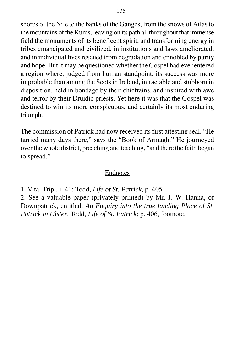shores of the Nile to the banks of the Ganges, from the snows of Atlas to the mountains of the Kurds, leaving on its path all throughout that immense field the monuments of its beneficent spirit, and transforming energy in tribes emancipated and civilized, in institutions and laws ameliorated, and in individual lives rescued from degradation and ennobled by purity and hope. But it may be questioned whether the Gospel had ever entered a region where, judged from human standpoint, its success was more improbable than among the Scots in Ireland, intractable and stubborn in disposition, held in bondage by their chieftains, and inspired with awe and terror by their Druidic priests. Yet here it was that the Gospel was destined to win its more conspicuous, and certainly its most enduring triumph.

The commission of Patrick had now received its first attesting seal. "He tarried many days there," says the "Book of Armagh." He journeyed over the whole district, preaching and teaching, "and there the faith began to spread."

## Endnotes

1. Vita. Trip., i. 41; Todd, *Life of St. Patrick*, p. 405.

2. See a valuable paper (privately printed) by Mr. J. W. Hanna, of Downpatrick, entitled, *An Enquiry into the true landing Place of St. Patrick in Ulster*. Todd, *Life of St. Patrick*; p. 406, footnote.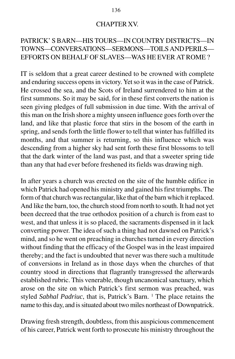### CHAPTER XV.

# PATRICK' S BARN—HIS TOURS—IN COUNTRY DISTRICTS—IN TOWNS—CONVERSATIONS—SERMONS—TOILS AND PERILS— EFFORTS ON BEHALF OF SLAVES—WAS HE EVER AT ROME ?

IT is seldom that a great career destined to be crowned with complete and enduring success opens in victory. Yet so it was in the case of Patrick. He crossed the sea, and the Scots of Ireland surrendered to him at the first summons. So it may be said, for in these first converts the nation is seen giving pledges of full submission in due time. With the arrival of this man on the Irish shore a mighty unseen influence goes forth over the land, and like that plastic force that stirs in the bosom of the earth in spring, and sends forth the little flower to tell that winter has fulfilled its months, and that summer is returning, so this influence which was descending from a higher sky had sent forth these first blossoms to tell that the dark winter of the land was past, and that a sweeter spring tide than any that had ever before freshened its fields was drawing nigh.

In after years a church was erected on the site of the humble edifice in which Patrick had opened his ministry and gained his first triumphs. The form of that church was rectangular, like that of the barn which it replaced. And like the barn, too, the church stood from north to south. It had not yet been decreed that the true orthodox position of a church is from east to west, and that unless it is so placed, the sacraments dispensed in it lack converting power. The idea of such a thing had not dawned on Patrick's mind, and so he went on preaching in churches turned in every direction without finding that the efficacy of the Gospel was in the least impaired thereby; and the fact is undoubted that never was there such a multitude of conversions in Ireland as in those days when the churches of that country stood in directions that flagrantly transgressed the afterwards established rubric. This venerable, though uncanonical sanctuary, which arose on the site on which Patrick's first sermon was preached, was styled Sabhal Padriuc, that is, Patrick's Barn. <sup>1</sup> The place retains the name to this day, and is situated about two miles northeast of Downpatrick.

Drawing fresh strength, doubtless, from this auspicious commencement of his career, Patrick went forth to prosecute his ministry throughout the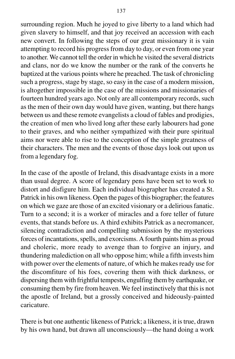surrounding region. Much he joyed to give liberty to a land which had given slavery to himself, and that joy received an accession with each new convert. In following the steps of our great missionary it is vain attempting to record his progress from day to day, or even from one year to another. We cannot tell the order in which he visited the several districts and clans, nor do we know the number or the rank of the converts he baptized at the various points where he preached. The task of chronicling such a progress, stage by stage, so easy in the case of a modern mission, is altogether impossible in the case of the missions and missionaries of fourteen hundred years ago. Not only are all contemporary records, such as the men of their own day would have given, wanting, but there hangs between us and these remote evangelists a cloud of fables and prodigies, the creation of men who lived long after these early labourers had gone to their graves, and who neither sympathized with their pure spiritual aims nor were able to rise to the conception of the simple greatness of their characters. The men and the events of those days look out upon us from a legendary fog.

In the case of the apostle of Ireland, this disadvantage exists in a more than usual degree. A score of legendary pens have been set to work to distort and disfigure him. Each individual biographer has created a St. Patrick in his own likeness. Open the pages of this biographer; the features on which we gaze are those of an excited visionary or a delirious fanatic. Turn to a second; it is a worker of miracles and a fore teller of future events, that stands before us. A third exhibits Patrick as a necromancer, silencing contradiction and compelling submission by the mysterious forces of incantations, spells, and exorcisms. A fourth paints him as proud and choleric, more ready to avenge than to forgive an injury, and thundering malediction on all who oppose him; while a fifth invests him with power over the elements of nature, of which he makes ready use for the discomfiture of his foes, covering them with thick darkness, or dispersing them with frightful tempests, engulfing them by earthquake, or consuming them by fire from heaven. We feel instinctively that this is not the apostle of Ireland, but a grossly conceived and hideously-painted caricature.

There is but one authentic likeness of Patrick; a likeness, it is true, drawn by his own hand, but drawn all unconsciously—the hand doing a work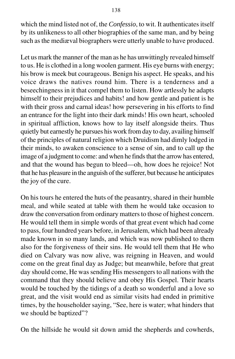which the mind listed not of, the *Confessio*, to wit. It authenticates itself by its unlikeness to all other biographies of the same man, and by being such as the mediæval biographers were utterly unable to have produced.

Let us mark the manner of the man as he has unwittingly revealed himself to us. He is clothed in a long woolen garment. His eye burns with energy; his brow is meek but courageous. Benign his aspect. He speaks, and his voice draws the natives round him. There is a tenderness and a beseechingness in it that compel them to listen. How artlessly he adapts himself to their prejudices and habits! and how gentle and patient is he with their gross and carnal ideas! how persevering in his efforts to find an entrance for the light into their dark minds! His own heart, schooled in spiritual affliction, knows how to lay itself alongside theirs. Thus quietly but earnestly he pursues his work from day to day, availing himself of the principles of natural religion which Druidism had dimly lodged in their minds, to awaken conscience to a sense of sin, and to call up the image of a judgment to come: and when he finds that the arrow has entered, and that the wound has begun to bleed—oh, how does he rejoice! Not that he has pleasure in the anguish of the sufferer, but because he anticipates the joy of the cure.

On his tours he entered the huts of the peasantry, shared in their humble meal, and while seated at table with them he would take occasion to draw the conversation from ordinary matters to those of highest concern. He would tell them in simple words of that great event which had come to pass, four hundred years before, in Jerusalem, which had been already made known in so many lands, and which was now published to them also for the forgiveness of their sins. He would tell them that He who died on Calvary was now alive, was reigning in Heaven, and would come on the great final day as Judge; but meanwhile, before that great day should come, He was sending His messengers to all nations with the command that they should believe and obey His Gospel. Their hearts would be touched by the tidings of a death so wonderful and a love so great, and the visit would end as similar visits had ended in primitive times, by the householder saying, "See, here is water; what hinders that we should be baptized"?

On the hillside he would sit down amid the shepherds and cowherds,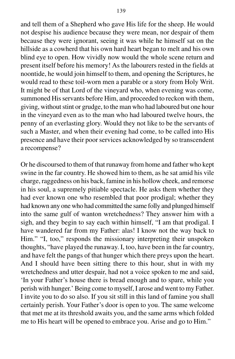and tell them of a Shepherd who gave His life for the sheep. He would not despise his audience because they were mean, nor despair of them because they were ignorant, seeing it was while he himself sat on the hillside as a cowherd that his own hard heart began to melt and his own blind eye to open. How vividly now would the whole scene return and present itself before his memory! As the labourers rested in the fields at noontide, he would join himself to them, and opening the Scriptures, he would read to these toil-worn men a parable or a story from Holy Writ. It might be of that Lord of the vineyard who, when evening was come, summoned His servants before Him, and proceeded to reckon with them, giving, without stint or grudge, to the man who had laboured but one hour in the vineyard even as to the man who had laboured twelve hours, the penny of an everlasting glory. Would they not like to be the servants of such a Master, and when their evening had come, to be called into His presence and have their poor services acknowledged by so transcendent a recompense?

Or he discoursed to them of that runaway from home and father who kept swine in the far country. He showed him to them, as he sat amid his vile charge, raggedness on his back, famine in his hollow cheek, and remorse in his soul, a supremely pitiable spectacle. He asks them whether they had ever known one who resembled that poor prodigal; whether they had known any one who had committed the same folly and plunged himself into the same gulf of wanton wretchedness? They answer him with a sigh, and they begin to say each within himself, "I am that prodigal. I have wandered far from my Father: alas! I know not the way back to Him." "I, too," responds the missionary interpreting their unspoken thoughts, "have played the runaway. I, too, have been in the far country, and have felt the pangs of that hunger which there preys upon the heart. And I should have been sitting there to this hour, shut in with my wretchedness and utter despair, had not a voice spoken to me and said, 'In your Father's house there is bread enough and to spare, while you perish with hunger.' Being come to myself, I arose and went to my Father. I invite you to do so also. If you sit still in this land of famine you shall certainly perish. Your Father's door is open to you. The same welcome that met me at its threshold awaits you, and the same arms which folded me to His heart will be opened to embrace you. Arise and go to Him."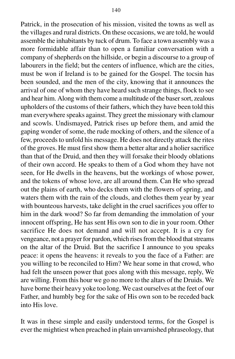Patrick, in the prosecution of his mission, visited the towns as well as the villages and rural districts. On these occasions, we are told, he would assemble the inhabitants by tuck of drum. To face a town assembly was a more formidable affair than to open a familiar conversation with a company of shepherds on the hillside, or begin a discourse to a group of labourers in the field; but the centers of influence, which are the cities, must be won if Ireland is to be gained for the Gospel. The tocsin has been sounded, and the men of the city, knowing that it announces the arrival of one of whom they have heard such strange things, flock to see and hear him. Along with them come a multitude of the baser sort, zealous upholders of the customs of their fathers, which they have been told this man everywhere speaks against. They greet the missionary with clamour and scowls. Undismayed, Patrick rises up before them, and amid the gaping wonder of some, the rude mocking of others, and the silence of a few, proceeds to unfold his message. He does not directly attack the rites of the groves. He must first show them a better altar and a holier sacrifice than that of the Druid, and then they will forsake their bloody oblations of their own accord. He speaks to them of a God whom they have not seen, for He dwells in the heavens, but the workings of whose power, and the tokens of whose love, are all around them. Can He who spread out the plains of earth, who decks them with the flowers of spring, and waters them with the rain of the clouds, and clothes them year by year with bounteous harvests, take delight in the cruel sacrifices you offer to him in the dark wood? So far from demanding the immolation of your innocent offspring, He has sent His own son to die in your room. Other sacrifice He does not demand and will not accept. It is a cry for vengeance, not a prayer for pardon, which rises from the blood that streams on the altar of the Druid. But the sacrifice I announce to you speaks peace: it opens the heavens: it reveals to you the face of a Father: are you willing to be reconciled to Him? We hear some in that crowd, who had felt the unseen power that goes along with this message, reply, We are willing. From this hour we go no more to the altars of the Druids. We have borne their heavy yoke too long. We cast ourselves at the feet of our Father, and humbly beg for the sake of His own son to be receded back into His love.

It was in these simple and easily understood terms, for the Gospel is ever the mightiest when preached in plain unvarnished phraseology, that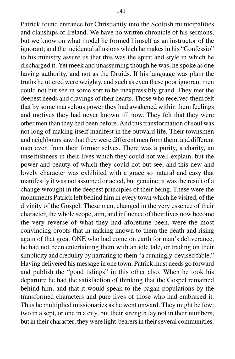Patrick found entrance for Christianity into the Scottish municipalities and clanships of Ireland. We have no written chronicle of his sermons, but we know on what model he formed himself as an instructor of the ignorant; and the incidental allusions which he makes in his "Confessio" to his ministry assure us that this was the spirit and style in which he discharged it. Yet meek and unassuming though he was, he spoke as one having authority, and not as the Druids. If his language was plain the truths he uttered were weighty, and such as even these poor ignorant men could not but see in some sort to be inexpressibly grand. They met the deepest needs and cravings of their hearts. Those who received them felt that by some marvelous power they had awakened within them feelings and motives they had never known till now. They felt that they were other men than they had been before. And this transformation of soul was not long of making itself manifest in the outward life. Their townsmen and neighbours saw that they were different men from them, and different men even from their former selves. There was a purity, a charity, an unselfishness in their lives which they could not well explain, but the power and beauty of which they could not but see, and this new and lovely character was exhibited with a grace so natural and easy that manifestly it was not assumed or acted, but genuine; it was the result of a change wrought in the deepest principles of their being. These were the monuments Patrick left behind him in every town which he visited, of the divinity of the Gospel. These men, changed in the very essence of their character, the whole scope, aim, and influence of their lives now become the very reverse of what they had aforetime been, were the most convincing proofs that in making known to them the death and rising again of that great ONE who had come on earth for man's deliverance, he had not been entertaining them with an idle tale, or trading on their simplicity and credulity by narrating to them "a cunningly-devised fable." Having delivered his message in one town, Patrick must needs go forward and publish the "good tidings" in this other also. When he took his departure he had the satisfaction of thinking that the Gospel remained behind him, and that it would speak to the pagan populations by the transformed characters and pure lives of those who had embraced it. Thus he multiplied missionaries as he went onward. They might be few: two in a sept, or one in a city, but their strength lay not in their numbers, but in their character; they were light-bearers in their several communities.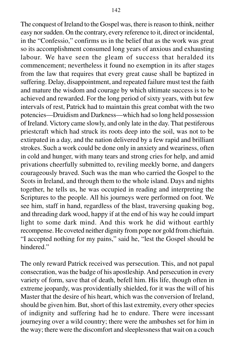The conquest of Ireland to the Gospel was, there is reason to think, neither easy nor sudden. On the contrary, every reference to it, direct or incidental, in the "Confessio," confirms us in the belief that as the work was great so its accomplishment consumed long years of anxious and exhausting labour. We have seen the gleam of success that heralded its commencement; nevertheless it found no exemption in its after stages from the law that requires that every great cause shall be baptized in suffering. Delay, disappointment, and repeated failure must test the faith and mature the wisdom and courage by which ultimate success is to be achieved and rewarded. For the long period of sixty years, with but few intervals of rest, Patrick had to maintain this great combat with the two potencies—Druidism and Darkness—which had so long held possession of Ireland. Victory came slowly, and only late in the day. That pestiferous priestcraft which had struck its roots deep into the soil, was not to be extirpated in a day, and the nation delivered by a few rapid and brilliant strokes. Such a work could be done only in anxiety and weariness, often in cold and hunger, with many tears and strong cries for help, and amid privations cheerfully submitted to, reviling meekly borne, and dangers courageously braved. Such was the man who carried the Gospel to the Scots in Ireland, and through them to the whole island. Days and nights together, he tells us, he was occupied in reading and interpreting the Scriptures to the people. All his journeys were performed on foot. We see him, staff in hand, regardless of the blast, traversing quaking bog, and threading dark wood, happy if at the end of his way he could impart light to some dark mind. And this work he did without earthly recompense. He coveted neither dignity from pope nor gold from chieftain. "I accepted nothing for my pains," said he, "lest the Gospel should be hindered."

The only reward Patrick received was persecution. This, and not papal consecration, was the badge of his apostleship. And persecution in every variety of form, save that of death, befell him. His life, though often in extreme jeopardy, was providentially shielded, for it was the will of his Master that the desire of his heart, which was the conversion of Ireland, should be given him. But, short of this last extremity, every other species of indignity and suffering had he to endure. There were incessant journeying over a wild country; there were the ambushes set for him in the way; there were the discomfort and sleeplessness that wait on a couch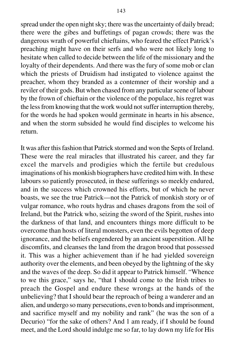spread under the open night sky; there was the uncertainty of daily bread; there were the gibes and buffetings of pagan crowds; there was the dangerous wrath of powerful chieftains, who feared the effect Patrick's preaching might have on their serfs and who were not likely long to hesitate when called to decide between the life of the missionary and the loyalty of their dependents. And there was the fury of some mob or clan which the priests of Druidism had instigated to violence against the preacher, whom they branded as a contemner of their worship and a reviler of their gods. But when chased from any particular scene of labour by the frown of chieftain or the violence of the populace, his regret was the less from knowing that the work would not suffer interruption thereby, for the words he had spoken would germinate in hearts in his absence, and when the storm subsided he would find disciples to welcome his return.

It was after this fashion that Patrick stormed and won the Septs of Ireland. These were the real miracles that illustrated his career, and they far excel the marvels and prodigies which the fertile but credulous imaginations of his monkish biographers have credited him with. In these labours so patiently prosecuted, in these sufferings so meekly endured, and in the success which crowned his efforts, but of which he never boasts, we see the true Patrick—not the Patrick of monkish story or of vulgar romance, who routs hydras and chases dragons from the soil of Ireland, but the Patrick who, seizing the sword of the Spirit, rushes into the darkness of that land, and encounters things more difficult to be overcome than hosts of literal monsters, even the evils begotten of deep ignorance, and the beliefs engendered by an ancient superstition. All he discomfits, and cleanses the land from the dragon brood that possessed it. This was a higher achievement than if he had yielded sovereign authority over the elements, and been obeyed by the lightning of the sky and the waves of the deep. So did it appear to Patrick himself. "Whence to we this grace," says he, "that I should come to the Irish tribes to preach the Gospel and endure these wrongs at the hands of the unbelieving? that I should bear the reproach of being a wanderer and an alien, and undergo so many persecutions, even to bonds and imprisonment, and sacrifice myself and my nobility and rank" (he was the son of a Decurio) "for the sake of others? And 1 am ready, if I should be found meet, and the Lord should indulge me so far, to lay down my life for His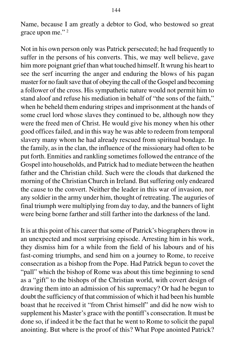Name, because I am greatly a debtor to God, who bestowed so great grace upon me." 2

Not in his own person only was Patrick persecuted; he had frequently to suffer in the persons of his converts. This, we may well believe, gave him more poignant grief than what touched himself. It wrung his heart to see the serf incurring the anger and enduring the blows of his pagan master for no fault save that of obeying the call of the Gospel and becoming a follower of the cross. His sympathetic nature would not permit him to stand aloof and refuse his mediation in behalf of "the sons of the faith," when he beheld them enduring stripes and imprisonment at the hands of some cruel lord whose slaves they continued to be, although now they were the freed men of Christ. He would give his money when his other good offices failed, and in this way he was able to redeem from temporal slavery many whom he had already rescued from spiritual bondage. In the family, as in the clan, the influence of the missionary had often to be put forth. Enmities and rankling sometimes followed the entrance of the Gospel into households, and Patrick had to mediate between the heathen father and the Christian child. Such were the clouds that darkened the morning of the Christian Church in Ireland. But suffering only endeared the cause to the convert. Neither the leader in this war of invasion, nor any soldier in the army under him, thought of retreating. The auguries of final triumph were multiplying from day to day, and the banners of light were being borne farther and still farther into the darkness of the land.

It is at this point of his career that some of Patrick's biographers throw in an unexpected and most surprising episode. Arresting him in his work, they dismiss him for a while from the field of his labours and of his fast-coming triumphs, and send him on a journey to Rome, to receive consecration as a bishop from the Pope. Had Patrick begun to covet the "pall" which the bishop of Rome was about this time beginning to send as a "gift" to the bishops of the Christian world, with covert design of drawing them into an admission of his supremacy? Or had he begun to doubt the sufficiency of that commission of which it had been his humble boast that he received it "from Christ himself" and did he now wish to supplement his Master's grace with the pontiff's consecration. It must be done so, if indeed it be the fact that he went to Rome to solicit the papal anointing. But where is the proof of this? What Pope anointed Patrick?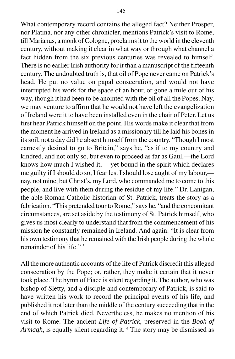What contemporary record contains the alleged fact? Neither Prosper, nor Platina, nor any other chronicler, mentions Patrick's visit to Rome, till Marianus, a monk of Cologne, proclaims it to the world in the eleventh century, without making it clear in what way or through what channel a fact hidden from the six previous centuries was revealed to himself. There is no earlier Irish authority for it than a manuscript of the fifteenth century. The undoubted truth is, that oil of Pope never came on Patrick's head. He put no value on papal consecration, and would not have interrupted his work for the space of an hour, or gone a mile out of his way, though it had been to be anointed with the oil of all the Popes. Nay, we may venture to affirm that he would not have left the evangelization of Ireland were it to have been installed even in the chair of Peter. Let us first hear Patrick himself on the point. His words make it clear that from the moment he arrived in Ireland as a missionary till he laid his bones in its soil, not a day did he absent himself from the country. "Though I most earnestly desired to go to Britain," says he, "as if to my country and kindred, and not only so, but even to proceed as far as Gaul,—the Lord knows how much I wished it,— yet bound in the spirit which declares me guilty if I should do so, I fear lest I should lose aught of my labour, nay, not mine, but Christ's, my Lord, who commanded me to come to this people, and live with them during the residue of my life." Dr. Lanigan, the able Roman Catholic historian of St. Patrick, treats the story as a fabrication. "This pretended tour to Rome," says he, "and the concomitant circumstances, are set aside by the testimony of St. Patrick himself, who gives us most clearly to understand that from the commencement of his mission he constantly remained in Ireland. And again: "It is clear from his own testimony that he remained with the Irish people during the whole remainder of his life." 3

All the more authentic accounts of the life of Patrick discredit this alleged consecration by the Pope; or, rather, they make it certain that it never took place. The hymn of Fiacc is silent regarding it. The author, who was bishop of Sletty, and a disciple and contemporary of Patrick, is said to have written his work to record the principal events of his life, and published it not later than the middle of the century succeeding that in the end of which Patrick died. Nevertheless, he makes no mention of his visit to Rome. The ancient *Life of Patrick*, preserved in the *Book of* Armagh, is equally silent regarding it.<sup>4</sup> The story may be dismissed as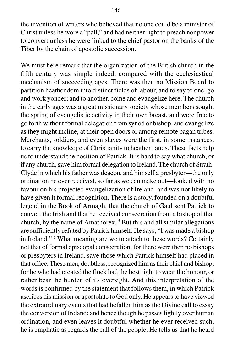the invention of writers who believed that no one could be a minister of Christ unless he wore a "pall," and had neither right to preach nor power to convert unless he were linked to the chief pastor on the banks of the Tiber by the chain of apostolic succession.

We must here remark that the organization of the British church in the fifth century was simple indeed, compared with the ecclesiastical mechanism of succeeding ages. There was then no Mission Board to partition heathendom into distinct fields of labour, and to say to one, go and work yonder; and to another, come and evangelize here. The church in the early ages was a great missionary society whose members sought the spring of evangelistic activity in their own breast, and were free to go forth without formal delegation from synod or bishop, and evangelize as they might incline, at their open doors or among remote pagan tribes. Merchants, soldiers, and even slaves were the first, in some instances, to carry the knowledge of Christianity to heathen lands. These facts help us to understand the position of Patrick. It is hard to say what church, or if any church, gave him formal delegation to Ireland. The church of Strath-Clyde in which his father was deacon, and himself a presbyter—the only ordination he ever received, so far as we can make out—looked with no favour on his projected evangelization of Ireland, and was not likely to have given it formal recognition. There is a story, founded on a doubtful legend in the Book of Armagh, that the church of Gaul sent Patrick to convert the Irish and that he received consecration front a bishop of that church, by the name of Amathorex. 5 But this and all similar allegations are sufficiently refuted by Patrick himself. He says, "I was made a bishop in Ireland." 6 What meaning are we to attach to these words? Certainly not that of formal episcopal consecration, for there were then no bishops or presbyters in Ireland, save those which Patrick himself had placed in that office. These men, doubtless, recognized him as their chief and bishop; for he who had created the flock had the best right to wear the honour, or rather bear the burden of its oversight. And this interpretation of the words is confirmed by the statement that follows them, in which Patrick ascribes his mission or apostolate to God only. He appears to have viewed the extraordinary events that had befallen him as the Divine call to essay the conversion of Ireland; and hence though he passes lightly over human ordination, and even leaves it doubtful whether he ever received such, he is emphatic as regards the call of the people. He tells us that he heard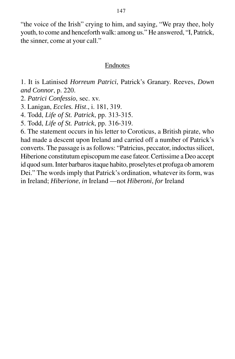"the voice of the Irish" crying to him, and saying, "We pray thee, holy youth, to come and henceforth walk: among us." He answered, "I, Patrick, the sinner, come at your call."

### Endnotes

1. It is Latinised *Horreum Patrici*, Patrick's Granary. Reeves, *Down and Connor*, p. 220.

2. *Patrici Confessio*, sec. xv.

3. Lanigan, *Eccles. Hist*., i. 181, 319.

4. Todd, *Life of St. Patrick*, pp. 313-315.

5. Todd, *Life of St. Patrick*, pp. 316-319.

6. The statement occurs in his letter to Coroticus, a British pirate, who had made a descent upon Ireland and carried off a number of Patrick's converts. The passage is as follows: "Patricius, peccator, indoctus silicet, Hiberione constitutum episcopum me ease fateor. Certissime a Deo accept id quod sum. Inter barbaros itaque habito, proselytes et profuga ob amorem Dei." The words imply that Patrick's ordination, whatever its form, was in Ireland; *Hiberione*, *in* Ireland —not *Hiberoni*, *for* Ireland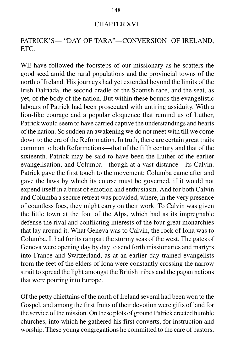#### CHAPTER XVI.

# PATRICK'S— "DAY OF TARA"—CONVERSION OF IRELAND, ETC.

WE have followed the footsteps of our missionary as he scatters the good seed amid the rural populations and the provincial towns of the north of Ireland. His journeys had yet extended beyond the limits of the Irish Dalriada, the second cradle of the Scottish race, and the seat, as yet, of the body of the nation. But within these bounds the evangelistic labours of Patrick had been prosecuted with untiring assiduity. With a lion-like courage and a popular eloquence that remind us of Luther, Patrick would seem to have carried captive the understandings and hearts of the nation. So sudden an awakening we do not meet with till we come down to the era of the Reformation. In truth, there are certain great traits common to both Reformations—that of the fifth century and that of the sixteenth. Patrick may be said to have been the Luther of the earlier evangelisation, and Columba—though at a vast distance—its Calvin. Patrick gave the first touch to the movement; Columba came after and gave the laws by which its course must be governed, if it would not expend itself in a burst of emotion and enthusiasm. And for both Calvin and Columba a secure retreat was provided, where, in the very presence of countless foes, they might carry on their work. To Calvin was given the little town at the foot of the Alps, which had as its impregnable defense the rival and conflicting interests of the four great monarchies that lay around it. What Geneva was to Calvin, the rock of Iona was to Columba. It had for its rampart the stormy seas of the west. The gates of Geneva were opening day by day to send forth missionaries and martyrs into France and Switzerland, as at an earlier day trained evangelists from the feet of the elders of Iona were constantly crossing the narrow strait to spread the light amongst the British tribes and the pagan nations that were pouring into Europe.

Of the petty chieftains of the north of Ireland several had been won to the Gospel, and among the first fruits of their devotion were gifts of land for the service of the mission. On these plots of ground Patrick erected humble churches, into which he gathered his first converts, for instruction and worship. These young congregations he committed to the care of pastors,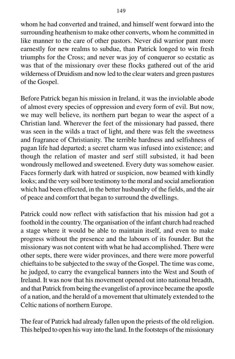whom he had converted and trained, and himself went forward into the surrounding heathenism to make other converts, whom he committed in like manner to the care of other pastors. Never did warrior pant more earnestly for new realms to subdue, than Patrick longed to win fresh triumphs for the Cross; and never was joy of conqueror so ecstatic as was that of the missionary over these flocks gathered out of the arid wilderness of Druidism and now led to the clear waters and green pastures of the Gospel.

Before Patrick began his mission in Ireland, it was the inviolable abode of almost every species of oppression and every form of evil. But now, we may well believe, its northern part began to wear the aspect of a Christian land. Wherever the feet of the missionary had passed, there was seen in the wilds a tract of light, and there was felt the sweetness and fragrance of Christianity. The terrible hardness and selfishness of pagan life had departed; a secret charm was infused into existence; and though the relation of master and serf still subsisted, it had been wondrously mellowed and sweetened. Every duty was somehow easier. Faces formerly dark with hatred or suspicion, now beamed with kindly looks; and the very soil bore testimony to the moral and social amelioration which had been effected, in the better husbandry of the fields, and the air of peace and comfort that began to surround the dwellings.

Patrick could now reflect with satisfaction that his mission had got a foothold in the country. The organisation of the infant church had reached a stage where it would be able to maintain itself, and even to make progress without the presence and the labours of its founder. But the missionary was not content with what he had accomplished. There were other septs, there were wider provinces, and there were more powerful chieftains to be subjected to the sway of the Gospel. The time was come, he judged, to carry the evangelical banners into the West and South of Ireland. It was now that his movement opened out into national breadth, and that Patrick from being the evangelist of a province became the apostle of a nation, and the herald of a movement that ultimately extended to the Celtic nations of northern Europe.

The fear of Patrick had already fallen upon the priests of the old religion. This helped to open his way into the land. In the footsteps of the missionary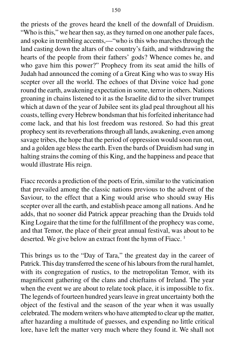the priests of the groves heard the knell of the downfall of Druidism. "Who is this," we hear then say, as they turned on one another pale faces, and spoke in trembling accents,—"who is this who marches through the land casting down the altars of the country's faith, and withdrawing the hearts of the people from their fathers' gods? Whence comes he, and who gave him this power?" Prophecy from its seat amid the hills of Judah had announced the coming of a Great King who was to sway His scepter over all the world. The echoes of that Divine voice had gone round the earth, awakening expectation in some, terror in others. Nations groaning in chains listened to it as the Israelite did to the silver trumpet which at dawn of the year of Jubilee sent its glad peal throughout all his coasts, telling every Hebrew bondsman that his forfeited inheritance had come lack, and that his lost freedom was restored. So had this great prophecy sent its reverberations through all lands, awakening, even among savage tribes, the hope that the period of oppression would soon run out, and a golden age bless the earth. Even the bards of Druidism had sung in halting strains the coming of this King, and the happiness and peace that would illustrate His reign.

Fiacc records a prediction of the poets of Erin, similar to the vaticination that prevailed among the classic nations previous to the advent of the Saviour, to the effect that a King would arise who should sway His scepter over all the earth, and establish peace among all nations. And he adds, that no sooner did Patrick appear preaching than the Druids told King Logaire that the time for the fulfillment of the prophecy was come, and that Temor, the place of their great annual festival, was about to be deserted. We give below an extract front the hymn of Fiacc.<sup>1</sup>

This brings us to the "Day of Tara," the greatest day in the career of Patrick. This day transferred the scene of his labours from the rural hamlet, with its congregation of rustics, to the metropolitan Temor, with its magnificent gathering of the clans and chieftains of Ireland. The year when the event we are about to relate took place, it is impossible to fix. The legends of fourteen hundred years leave in great uncertainty both the object of the festival and the season of the year when it was usually celebrated. The modern writers who have attempted to clear up the matter, after hazarding a multitude of guesses, and expending no little critical lore, have left the matter very much where they found it. We shall not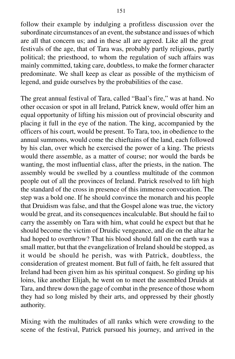follow their example by indulging a profitless discussion over the subordinate circumstances of an event, the substance and issues of which are all that concern us; and in these all are agreed. Like all the great festivals of the age, that of Tara was, probably partly religious, partly political; the priesthood, to whom the regulation of such affairs was mainly committed, taking care, doubtless, to make the former character predominate. We shall keep as clear as possible of the mythicism of legend, and guide ourselves by the probabilities of the case.

The great annual festival of Tara, called "Baal's fire," was at hand. No other occasion or spot in all Ireland, Patrick knew, would offer him an equal opportunity of lifting his mission out of provincial obscurity and placing it full in the eye of the nation. The king, accompanied by the officers of his court, would be present. To Tara, too, in obedience to the annual summons, would come the chieftains of the land, each followed by his clan, over which he exercised the power of a king. The priests would there assemble, as a matter of course; nor would the bards be wanting, the most influential class, after the priests, in the nation. The assembly would be swelled by a countless multitude of the common people out of all the provinces of Ireland. Patrick resolved to lift high the standard of the cross in presence of this immense convocation. The step was a bold one. If he should convince the monarch and his people that Druidism was false, and that the Gospel alone was true, the victory would be great, and its consequences incalculable. But should he fail to carry the assembly on Tara with him, what could he expect but that he should become the victim of Druidic vengeance, and die on the altar he had hoped to overthrow? That his blood should fall on the earth was a small matter, but that the evangelization of Ireland should be stopped, as it would be should he perish, was with Patrick, doubtless, the consideration of greatest moment. But full of faith, he felt assured that Ireland had been given him as his spiritual conquest. So girding up his loins, like another Elijah, he went on to meet the assembled Druids at Tara, and threw down the gage of combat in the presence of those whom they had so long misled by their arts, and oppressed by their ghostly authority.

Mixing with the multitudes of all ranks which were crowding to the scene of the festival, Patrick pursued his journey, and arrived in the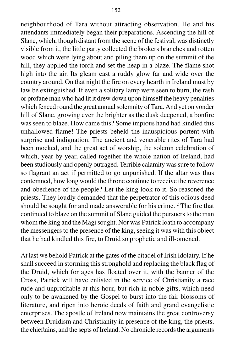neighbourhood of Tara without attracting observation. He and his attendants immediately began their preparations. Ascending the hill of Slane, which, though distant from the scene of the festival, was distinctly visible from it, the little party collected the brokers branches and rotten wood which were lying about and piling them up on the summit of the hill, they applied the torch and set the heap in a blaze. The flame shot high into the air. Its gleam cast a ruddy glow far and wide over the country around. On that night the fire on every hearth in Ireland must by law be extinguished. If even a solitary lamp were seen to burn, the rash or profane man who had lit it drew down upon himself the heavy penalties which fenced round the great annual solemnity of Tara. And yet on yonder hill of Slane, growing ever the brighter as the dusk deepened, a bonfire was seen to blaze. How came this? Some impious hand had kindled this unhallowed flame! The priests beheld the inauspicious portent with surprise and indignation. The ancient and venerable rites of Tara had been mocked, and the great act of worship, the solemn celebration of which, year by year, called together the whole nation of Ireland, had been studiously and openly outraged. Terrible calamity was sure to follow so flagrant an act if permitted to go unpunished. If the altar was thus contemned, how long would the throne continue to receive the reverence and obedience of the people? Let the king look to it. So reasoned the priests. They loudly demanded that the perpetrator of this odious deed should be sought for and made answerable for his crime.<sup>2</sup> The fire that continued to blaze on the summit of Slane guided the pursuers to the man whom the king and the Magi sought. Nor was Patrick loath to accompany the messengers to the presence of the king, seeing it was with this object that he had kindled this fire, to Druid so prophetic and ill-omened.

At last we behold Patrick at the gates of the citadel of Irish idolatry. If he shall succeed in storming this stronghold and replacing the black flag of the Druid, which for ages has floated over it, with the banner of the Cross, Patrick will have enlisted in the service of Christianity a race rude and unprofitable at this hour, but rich in noble gifts, which need only to be awakened by the Gospel to burst into the fair blossoms of literature, and ripen into heroic deeds of faith and grand evangelistic enterprises. The apostle of Ireland now maintains the great controversy between Druidism and Christianity in presence of the king, the priests, the chieftains, and the septs of Ireland. No chronicle records the arguments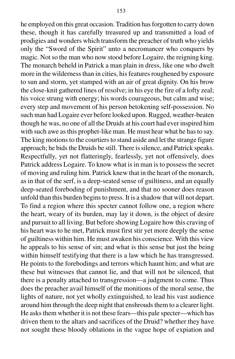he employed on this great occasion. Tradition has forgotten to carry down these, though it has carefully treasured up and transmitted a load of prodigies and wonders which transform the preacher of truth who yields only the "Sword of the Spirit" unto a necromancer who conquers by magic. Not so the man who now stood before Logaire, the reigning king. The monarch beheld in Patrick a man plain in dress, like one who dwelt more in the wilderness than in cities, his features roughened by exposure to sun and storm, yet stamped with an air of great dignity. On his brow the close-knit gathered lines of resolve; in his eye the fire of a lofty zeal; his voice strung with energy; his words courageous, but calm and wise; every step and movement of his person betokening self-possession. No such man had Logaire ever before looked upon. Rugged, weather-beaten though he was, no one of all the Druids at his court had ever inspired him with such awe as this prophet-like man. He must hear what he has to say. The king motions to the courtiers to stand aside and let the strange figure approach; he bids the Druids be still. There is silence, and Patrick speaks. Respectfully, yet not flatteringly, fearlessly, yet not offensively, does Patrick address Logaire. To know what is in man is to possess the secret of moving and ruling him. Patrick knew that in the heart of the monarch, as in that of the serf, is a deep-seated sense of guiltiness, and an equally deep-seated foreboding of punishment, and that no sooner does reason unfold than this burden begins to press. It is a shadow that will not depart. To find a region where this specter cannot follow one, a region where the heart, weary of its burden, may lay it down, is the object of desire and pursuit to all living. But before showing Logaire how this craving of his heart was to he met, Patrick must first stir yet more deeply the sense of guiltiness within him. He must awaken his conscience. With this view he appeals to his sense of sin; and what is this sense but just the being within himself testifying that there is a law which he has transgressed. He points to the forebodings and terrors which haunt him; and what are these but witnesses that cannot lie, and that will not be silenced, that there is a penalty attached to transgression—a judgment to come. Thus does the preacher avail himself of the monitions of the moral sense, the lights of nature, not yet wholly extinguished, to lead his vast audience around him through the deep night that enshrouds them to a clearer light. He asks them whether it is not these fears—this pale specter—which has driven them to the altars and sacrifices of the Druid? whether they have not sought these bloody oblations in the vague hope of expiation and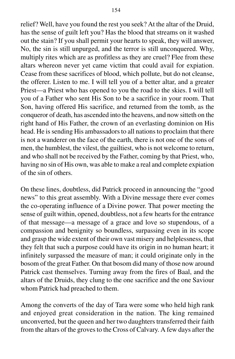relief? Well, have you found the rest you seek? At the altar of the Druid, has the sense of guilt left you? Has the blood that streams on it washed out the stain? If you shall permit your hearts to speak, they will answer, No, the sin is still unpurged, and the terror is still unconquered. Why, multiply rites which are as profitless as they are cruel? Flee from these altars whereon never yet came victim that could avail for expiation. Cease from these sacrifices of blood, which pollute, but do not cleanse, the offerer. Listen to me. I will tell you of a better altar, and a greater Priest—a Priest who has opened to you the road to the skies. I will tell you of a Father who sent His Son to be a sacrifice in your room. That Son, having offered His sacrifice, and returned from the tomb, as the conqueror of death, has ascended into the heavens, and now sitteth on the right hand of His Father, the crown of an everlasting dominion on His head. He is sending His ambassadors to all nations to proclaim that there is not a wanderer on the face of the earth, there is not one of the sons of men, the humblest, the vilest, the guiltiest, who is not welcome to return, and who shall not be received by the Father, coming by that Priest, who, having no sin of His own, was able to make a real and complete expiation of the sin of others.

On these lines, doubtless, did Patrick proceed in announcing the "good news" to this great assembly. With a Divine message there ever comes the co-operating influence of a Divine power. That power meeting the sense of guilt within, opened, doubtless, not a few hearts for the entrance of that message—a message of a grace and love so stupendous, of a compassion and benignity so boundless, surpassing even in its scope and grasp the wide extent of their own vast misery and helplessness, that they felt that such a purpose could have its origin in no human heart; it infinitely surpassed the measure of man; it could originate only in the bosom of the great Father. On that bosom did many of those now around Patrick cast themselves. Turning away from the fires of Baal, and the altars of the Druids, they clung to the one sacrifice and the one Saviour whom Patrick had preached to them.

Among the converts of the day of Tara were some who held high rank and enjoyed great consideration in the nation. The king remained unconverted, but the queen and her two daughters transferred their faith from the altars of the groves to the Cross of Calvary. A few days after the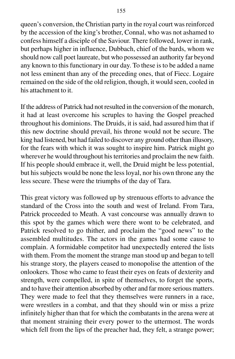queen's conversion, the Christian party in the royal court was reinforced by the accession of the king's brother, Connal, who was not ashamed to confess himself a disciple of the Saviour. There followed, lower in rank, but perhaps higher in influence, Dubbach, chief of the bards, whom we should now call poet laureate, but who possessed an authority far beyond any known to this functionary in our day. To these is to be added a name not less eminent than any of the preceding ones, that of Fiecc. Logaire remained on the side of the old religion, though, it would seen, cooled in his attachment to it.

If the address of Patrick had not resulted in the conversion of the monarch, it had at least overcome his scruples to having the Gospel preached throughout his dominions. The Druids, it is said, had assured him that if this new doctrine should prevail, his throne would not be secure. The king had listened, but had failed to discover any ground other than illusory, for the fears with which it was sought to inspire him. Patrick might go wherever he would throughout his territories and proclaim the new faith. If his people should embrace it, well, the Druid might be less potential, but his subjects would be none the less loyal, nor his own throne any the less secure. These were the triumphs of the day of Tara.

This great victory was followed up by strenuous efforts to advance the standard of the Cross into the south and west of Ireland. From Tara, Patrick proceeded to Meath. A vast concourse was annually drawn to this spot by the games which were there wont to be celebrated, and Patrick resolved to go thither, and proclaim the "good news" to the assembled multitudes. The actors in the games had some cause to complain. A formidable competitor had unexpectedly entered the lists with them. From the moment the strange man stood up and began to tell his strange story, the players ceased to monopolise the attention of the onlookers. Those who came to feast their eyes on feats of dexterity and strength, were compelled, in spite of themselves, to forget the sports, and to have their attention absorbed by other and far more serious matters. They were made to feel that they themselves were runners in a race, were wrestlers in a combat, and that they should win or miss a prize infinitely higher than that for which the combatants in the arena were at that moment straining their every power to the uttermost. The words which fell from the lips of the preacher had, they felt, a strange power;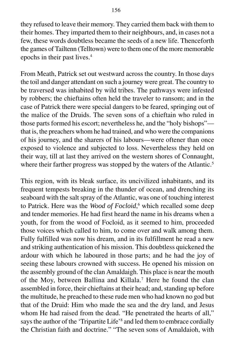they refused to leave their memory. They carried them back with them to their homes. They imparted them to their neighbours, and, in cases not a few, these words doubtless became the seeds of a new life. Thenceforth the games of Tailtenn (Telltown) were to them one of the more memorable epochs in their past lives.4

From Meath, Patrick set out westward across the country. In those days the toil and danger attendant on such a journey were great. The country to be traversed was inhabited by wild tribes. The pathways were infested by robbers; the chieftains often held the traveler to ransom; and in the case of Patrick there were special dangers to be feared, springing out of the malice of the Druids. The seven sons of a chieftain who ruled in those parts formed his escort; nevertheless he, and the "holy bishops" that is, the preachers whom he had trained, and who were the companions of his journey, and the sharers of his labours—were oftener than once exposed to violence and subjected to loss. Nevertheless they held on their way, till at last they arrived on the western shores of Connaught, where their farther progress was stopped by the waters of the Atlantic.<sup>5</sup>

This region, with its bleak surface, its uncivilized inhabitants, and its frequent tempests breaking in the thunder of ocean, and drenching its seaboard with the salt spray of the Atlantic, was one of touching interest to Patrick. Here was the *Wood of Focloid*,<sup>6</sup> which recalled some deep and tender memories. He had first heard the name in his dreams when a youth, for from the wood of Focloid, as it seemed to him, proceeded those voices which called to him, to come over and walk among them. Fully fulfilled was now his dream, and in its fulfillment he read a new and striking authentication of his mission. This doubtless quickened the ardour with which he laboured in those parts; and he had the joy of seeing these labours crowned with success. He opened his mission on the assembly ground of the clan Amaldaigh. This place is near the mouth of the Moy, between Ballina and Killala.7 Here he found the clan assembled in force, their chieftains at their head; and, standing up before the multitude, he preached to these rude men who had known no god but that of the Druid: Him who made the sea and the dry land, and Jesus whom He had raised from the dead. "He penetrated the hearts of all," says the author of the 'Tripartite Life'<sup>8</sup> and led them to embrace cordially the Christian faith and doctrine." "The seven sons of Amaldaioh, with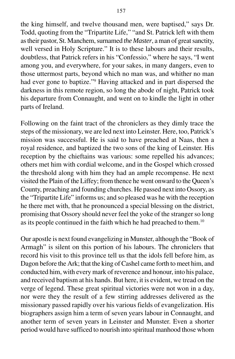the king himself, and twelve thousand men, were baptised," says Dr. Todd, quoting from the "Tripartite Life," "and St. Patrick left with them as their pastor, St. Manchem, surnamed *the Master*, a man of great sanctity, well versed in Holy Scripture." It is to these labours and their results, doubtless, that Patrick refers in his "Confessio," where he says, "I went among you, and everywhere, for your sakes, in many dangers, even to those uttermost parts, beyond which no man was, and whither no man had ever gone to baptize."<sup>9</sup> Having attacked and in part dispersed the darkness in this remote region, so long the abode of night, Patrick took his departure from Connaught, and went on to kindle the light in other parts of Ireland.

Following on the faint tract of the chroniclers as they dimly trace the steps of the missionary, we are led next into Leinster. Here, too, Patrick's mission was successful. He is said to have preached at Naas, then a royal residence, and baptized the two sons of the king of Leinster. His reception by the chieftains was various: some repelled his advances; others met him with cordial welcome, and in the Gospel which crossed the threshold along with him they had an ample recompense. He next visited the Plain of the Liffey; from thence he went onward to the Queen's County, preaching and founding churches. He passed next into Ossory, as the "Tripartite Life" informs us; and so pleased was he with the reception he there met with, that he pronounced a special blessing on the district, promising that Ossory should never feel the yoke of the stranger so long as its people continued in the faith which he had preached to them.10

Our apostle is next found evangelizing in Munster, although the "Book of Armagh" is silent on this portion of his labours. The chroniclers that record his visit to this province tell us that the idols fell before him, as Dagon before the Ark; that the king of Cashel came forth to meet him, and conducted him, with every mark of reverence and honour, into his palace, and received baptism at his hands. But here, it is evident, we tread on the verge of legend. These great spiritual victories were not won in a day, nor were they the result of a few stirring addresses delivered as the missionary passed rapidly over his various fields of evangelization. His biographers assign him a term of seven years labour in Connaught, and another term of seven years in Leinster and Munster. Even a shorter period would have sufficed to nourish into spiritual manhood those whom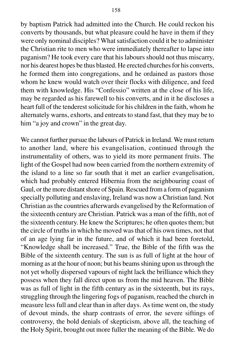by baptism Patrick had admitted into the Church. He could reckon his converts by thousands, but what pleasure could he have in them if they were only nominal disciples? What satisfaction could it be to administer the Christian rite to men who were immediately thereafter to lapse into paganism? He took every care that his labours should not thus miscarry, nor his dearest hopes be thus blasted. He erected churches for his converts, he formed them into congregations, and he ordained as pastors those whom he knew would watch over their flocks with diligence, and feed them with knowledge. His "Confessio" written at the close of his life, may be regarded as his farewell to his converts, and in it he discloses a heart full of the tenderest solicitude for his children in the faith, whom he alternately warns, exhorts, and entreats to stand fast, that they may be to him "a joy and crown" in the great day.

We cannot further pursue the labours of Patrick in Ireland. We must return to another land, where his evangelisation, continued through the instrumentality of others, was to yield its more permanent fruits. The light of the Gospel had now been carried from the northern extremity of the island to a line so far south that it met an earlier evangelisation, which had probably entered Hibernia from the neighbouring coast of Gaul, or the more distant shore of Spain. Rescued from a form of paganism specially polluting and enslaving, Ireland was now a Christian land. Not Christian as the countries afterwards evangelised by the Reformation of the sixteenth century are Christian. Patrick was a man of the fifth, not of the sixteenth century. He knew the Scriptures; he often quotes them; but the circle of truths in which he moved was that of his own times, not that of an age lying far in the future, and of which it had been foretold, "Knowledge shall be increased." True, the Bible of the fifth was the Bible of the sixteenth century. The sun is as full of light at the hour of morning as at the hour of noon; but his beams shining upon us through the not yet wholly dispersed vapours of night lack the brilliance which they possess when they fall direct upon us from the mid heaven. The Bible was as full of light in the fifth century as in the sixteenth, but its rays, struggling through the lingering fogs of paganism, reached the church in measure less full and clear than in after days. As time went on, the study of devout minds, the sharp contrasts of error, the severe siftings of controversy, the bold denials of skepticism, above all, the teaching of the Holy Spirit, brought out more fuller the meaning of the Bible. We do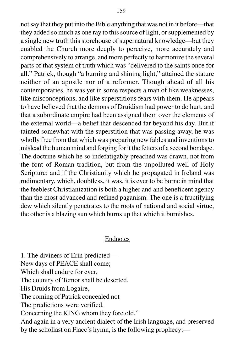not say that they put into the Bible anything that was not in it before—that they added so much as one ray to this source of light, or supplemented by a single new truth this storehouse of supernatural knowledge—but they enabled the Church more deeply to perceive, more accurately and comprehensively to arrange, and more perfectly to harmonize the several parts of that system of truth which was "delivered to the saints once for all." Patrick, though "a burning and shining light," attained the stature neither of an apostle nor of a reformer. Though ahead of all his contemporaries, he was yet in some respects a man of like weaknesses, like misconceptions, and like superstitious fears with them. He appears to have believed that the demons of Druidism had power to do hurt, and that a subordinate empire had been assigned them over the elements of the external world—a belief that descended far beyond his day. But if tainted somewhat with the superstition that was passing away, he was wholly free from that which was preparing new fables and inventions to mislead the human mind and forging for it the fetters of a second bondage. The doctrine which he so indefatigably preached was drawn, not from the font of Roman tradition, but from the unpolluted well of Holy Scripture; and if the Christianity which he propagated in Ireland was rudimentary, which, doubtless, it was, it is ever to be borne in mind that the feeblest Christianization is both a higher and and beneficent agency than the most advanced and refined paganism. The one is a fructifying dew which silently penetrates to the roots of national and social virtue, the other is a blazing sun which burns up that which it burnishes.

## Endnotes

1. The diviners of Erin predicted— New days of PEACE shall come; Which shall endure for ever, The country of Temor shall be deserted. His Druids from Logaire, The coming of Patrick concealed not The predictions were verified, Concerning the KING whom they foretold." And again in a very ancient dialect of the Irish language, and preserved by the scholiast on Fiacc's hymn, is the following prophecy:—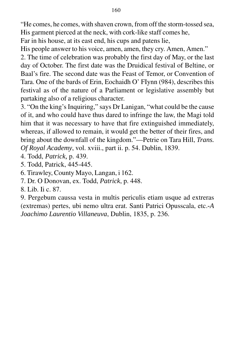"He comes, he comes, with shaven crown, from off the storm-tossed sea, His garment pierced at the neck, with cork-like staff comes he,

Far in his house, at its east end, his cups and patens lie,

His people answer to his voice, amen, amen, they cry. Amen, Amen."

2. The time of celebration was probably the first day of May, or the last day of October. The first date was the Druidical festival of Beltine, or Baal's fire. The second date was the Feast of Temor, or Convention of Tara. One of the bards of Erin, Eochaidh O' FIynn (984), describes this festival as of the nature of a Parliament or legislative assembly but partaking also of a religious character.

3. "On the king's Inquiring," says Dr Lanigan, "what could be the cause of it, and who could have thus dared to infringe the law, the Magi told him that it was necessary to have that fire extinguished immediately, whereas, if allowed to remain, it would get the better of their fires, and bring about the downfall of the kingdom."—Petrie on Tara Hill, *Trans. Of Royal Academy*, vol. xviii., part ii. p. 54. Dublin, 1839.

4. Todd, *Patrick,* p. 439.

5. Todd, Patrick, 445-445.

6. Tirawley, County Mayo, Langan, i 162.

7. Dr. O Donovan, ex. Todd, *Patrick*, p. 448.

8. Lib. Ii c. 87.

9. Pergebum caussa vesta in multis periculis etiam usque ad extreras (extremas) pertes, ubi nemo ultra erat. Santi Patrici Opusscala, etc.*-A Joachimo Laurentio Villaneuva*, Dublin, 1835, p. 236.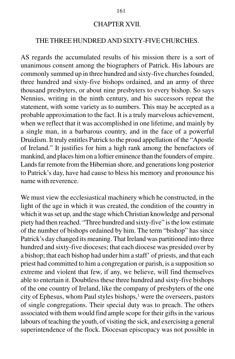### CHAPTER XVII.

# THE THREE HUNDRED AND SIXTY-FIVE CHURCHES.

AS regards the accumulated results of his mission there is a sort of unanimous consent among the biographers of Patrick. His labours are commonly summed up in three hundred and sixty-five churches founded, three hundred and sixty-five bishops ordained, and an army of three thousand presbyters, or about nine presbyters to every bishop. So says Nennius, writing in the ninth century, and his successors repeat the statement, with some variety as to numbers. This may be accepted as a probable approximation to the fact. It is a truly marvelous achievement, when we reflect that it was accomplished in one lifetime, and mainly by a single man, in a barbarous country, and in the face of a powerful Druidism. It truly entitles Patrick to the proud appellation of the "Apostle of Ireland." It justifies for him a high rank among the benefactors of mankind, and places him on a loftier eminence than the founders of empire. Lands far remote from the Hibernian shore, and generations long posterior to Patrick's day, have had cause to bless his memory and pronounce his name with reverence.

We must view the ecclesiastical machinery which he constructed, in the light of the age in which it was created, the condition of the country in which it was set up, and the stage which Christian knowledge and personal piety had then reached. "Three hundred and sixty-five" is the low estimate of the number of bishops ordained by him. The term "bishop" has since Patrick's day changed its meaning. That Ireland was partitioned into three hundred and sixty-five dioceses; that each diocese was presided over by a bishop; that each bishop had under him a staff' of priests, and that each priest had committed to him a congregation or parish, is a supposition so extreme and violent that few, if any, we believe, will find themselves able to entertain it. Doubtless these three hundred and sixty-five bishops of the one country of Ireland, like the company of presbyters of the one city of Ephesus, whom Paul styles bishops,<sup>1</sup> were the overseers, pastors of single congregations. Their special duty was to preach. The others associated with them would find ample scope for their gifts in the various labours of teaching the youth, of visiting the sick, and exercising a general superintendence of the flock. Diocesan episcopacy was not possible in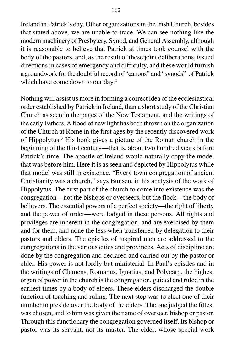Ireland in Patrick's day. Other organizations in the Irish Church, besides that stated above, we are unable to trace. We can see nothing like the modern machinery of Presbytery, Synod, and General Assembly, although it is reasonable to believe that Patrick at times took counsel with the body of the pastors, and, as the result of these joint deliberations, issued directions in cases of emergency and difficulty, and these would furnish a groundwork for the doubtful record of "canons" and "synods" of Patrick which have come down to our day.<sup>2</sup>

Nothing will assist us more in forming a correct idea of the ecclesiastical order established by Patrick in Ireland, than a short study of the Christian Church as seen in the pages of the New Testament, and the writings of the early Fathers. A flood of new light has been thrown on the organization of the Church at Rome in the first ages by the recently discovered work of Hippolytus.3 His book gives a picture of the Roman church in the beginning of the third century—that is, about two hundred years before Patrick's time. The apostle of Ireland would naturally copy the model that was before him. Here it is as seen and depicted by Hippolytus while that model was still in existence. "Every town congregation of ancient Christianity was a church," says Bunsen, in his analysis of the work of Hippolytus. The first part of the church to come into existence was the congregation—not the bishops or overseers, but the flock—the body of believers. The essential powers of a perfect society—the right of liberty and the power of order—were lodged in these persons. All rights and privileges are inherent in the congregation, and are exercised by them and for them, and none the less when transferred by delegation to their pastors and elders. The epistles of inspired men are addressed to the congregations in the various cities and provinces. Acts of discipline are done by the congregation and declared and carried out by the pastor or elder. His power is not lordly but ministerial. In Paul's epistles and in the writings of Clemens, Romanus, Ignatius, and Polycarp, the highest organ of power in the church is the congregation, guided and ruled in the earliest times by a body of elders. These elders discharged the double function of teaching and ruling. The next step was to elect one of their number to preside over the body of the elders. The one judged the fittest was chosen, and to him was given the name of overseer, bishop or pastor. Through this functionary the congregation governed itself. Its bishop or pastor was its servant, not its master. The elder, whose special work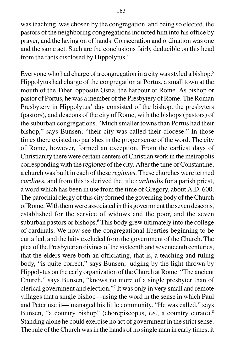was teaching, was chosen by the congregation, and being so elected, the pastors of the neighboring congregations inducted him into his office by prayer, and the laying on of hands. Consecration and ordination was one and the same act. Such are the conclusions fairly deducible on this head from the facts disclosed by Hippolytus.4

Everyone who had charge of a congregation in a city was styled a bishop.<sup>5</sup> Hippolytus had charge of the congregation at Portus, a small town at the mouth of the Tiber, opposite Ostia, the harbour of Rome. As bishop or pastor of Portus, he was a member of the Presbytery of Rome. The Roman Presbytery in Hippolytus' day consisted of the bishop, the presbyters (pastors), and deacons of the city of Rome, with the bishops (pastors) of the suburban congregations. "Much smaller towns than Portus had their bishop," says Bunsen; "their city was called their diocese." In those times there existed no parishes in the proper sense of the word. The city of Rome, however, formed an exception. From the earliest days of Christianity there were certain centers of Christian work in the metropolis corresponding with the *regiones* of the city. After the time of Constantine, a church was built in each of these *regiones*. These churches were termed *cardines*, and from this is derived the title *cardinalis* for a parish priest, a word which has been in use from the time of Gregory, about A.D. 600. The parochial clergy of this city formed the governing body of the Church of Rome. With them were associated in this government the seven deacons, established for the service of widows and the poor, and the seven suburban pastors or bishops.<sup>6</sup> This body grew ultimately into the college of cardinals. We now see the congregational liberties beginning to be curtailed, and the laity excluded from the government of the Church. The plea of the Presbyterian divines of the sixteenth and seventeenth centuries, that the elders were both an officiating, that is, a teaching and ruling body, "is quite correct," says Bunsen, judging by the light thrown by Hippolytus on the early organization of the Church at Rome. "The ancient Church," says Bunsen, "knows no more of a single presbyter than of clerical government and election."7 It was only in very small and remote villages that a single bishop—using the word in the sense in which Paul and Peter use it— managed his little community. "He was called," says Bunsen, "a country bishop" (chorepiscopus, *i.e*., a country curate).8 Standing alone he could exercise no act of government in the strict sense. The rule of the Church was in the hands of no single man in early times; it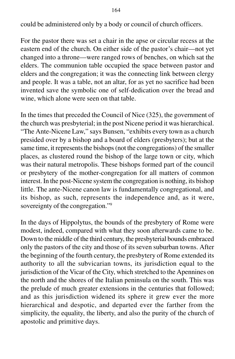could be administered only by a body or council of church officers.

For the pastor there was set a chair in the apse or circular recess at the eastern end of the church. On either side of the pastor's chair—not yet changed into a throne—were ranged rows of benches, on which sat the elders. The communion table occupied the space between pastor and elders and the congregation; it was the connecting link between clergy and people. It was a table, not an altar, for as yet no sacrifice had been invented save the symbolic one of self-dedication over the bread and wine, which alone were seen on that table.

In the times that preceded the Council of Nice (325), the government of the church was presbyterial; in the post Nicene period it was hierarchical. "The Ante-Nicene Law," says Bunsen, "exhibits every town as a church presided over by a bishop and a board of elders (presbyters); but at the same time, it represents the bishops (not the congregations) of the smaller places, as clustered round the bishop of the large town or city, which was their natural metropolis. These bishops formed part of the council or presbytery of the mother-congregation for all matters of common interest. In the post-Nicene system the congregation is nothing, its bishop little. The ante-Nicene canon law is fundamentally congregational, and its bishop, as such, represents the independence and, as it were, sovereignty of the congregation."<sup>9</sup>

In the days of Hippolytus, the bounds of the presbytery of Rome were modest, indeed, compared with what they soon afterwards came to be. Down to the middle of the third century, the presbyterial bounds embraced only the pastors of the city and those of its seven suburban towns. After the beginning of the fourth century, the presbytery of Rome extended its authority to all the subvicarian towns, its jurisdiction equal to the jurisdiction of the Vicar of the City, which stretched to the Apennines on the north and the shores of the Italian peninsula on the south. This was the prelude of much greater extensions in the centuries that followed; and as this jurisdiction widened its sphere it grew ever the more hierarchical and despotic, and departed ever the farther from the simplicity, the equality, the liberty, and also the purity of the church of apostolic and primitive days.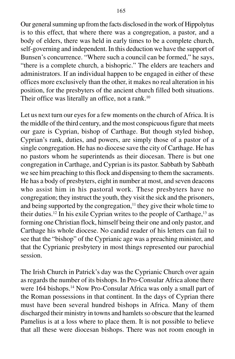Our general summing up from the facts disclosed in the work of Hippolytus is to this effect, that where there was a congregation, a pastor, and a body of elders, there was held in early times to be a complete church, self-governing and independent. In this deduction we have the support of Bunsen's concurrence. "Where such a council can be formed," he says, "there is a complete church, a bishopric." The elders are teachers and administrators. If an individual happen to be engaged in either of these offices more exclusively than the other, it makes no real alteration in his position, for the presbyters of the ancient church filled both situations. Their office was literally an office, not a rank.<sup>10</sup>

Let us next turn our eyes for a few moments on the church of Africa. It is the middle of the third century, and the most conspicuous figure that meets our gaze is Cyprian, bishop of Carthage. But though styled bishop, Cyprian's rank, duties, and powers, are simply those of a pastor of a single congregation. He has no diocese save the city of Carthage. He has no pastors whom he superintends as their diocesan. There is but one congregation in Carthage, and Cyprian is its pastor. Sabbath by Sabbath we see him preaching to this flock and dispensing to them the sacraments. He has a body of presbyters, eight in number at most, and seven deacons who assist him in his pastoral work. These presbyters have no congregation; they instruct the youth, they visit the sick and the prisoners, and being supported by the congregation, $<sup>11</sup>$  they give their whole time to</sup> their duties.<sup>12</sup> In his exile Cyprian writes to the people of Carthage,<sup>13</sup> as forming one Christian flock, himself being their one and only pastor, and Carthage his whole diocese. No candid reader of his letters can fail to see that the "bishop" of the Cyprianic age was a preaching minister, and that the Cyprianic presbytery in most things represented our parochial session.

The Irish Church in Patrick's day was the Cyprianic Church over again as regards the number of its bishops. In Pro-Consular Africa alone there were 164 bishops.<sup>14</sup> Now Pro-Consular Africa was only a small part of the Roman possessions in that continent. In the days of Cyprian there must have been several hundred bishops in Africa. Many of them discharged their ministry in towns and hamlets so obscure that the learned Pamelius is at a loss where to place them. It is not possible to believe that all these were diocesan bishops. There was not room enough in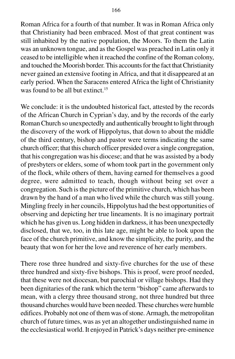Roman Africa for a fourth of that number. It was in Roman Africa only that Christianity had been embraced. Most of that great continent was still inhabited by the native population, the Moors. To them the Latin was an unknown tongue, and as the Gospel was preached in Latin only it ceased to be intelligible when it reached the confine of the Roman colony, and touched the Moorish border. This accounts for the fact that Christianity never gained an extensive footing in Africa, and that it disappeared at an early period. When the Saracens entered Africa the light of Christianity was found to be all but extinct.<sup>15</sup>

We conclude: it is the undoubted historical fact, attested by the records of the African Church in Cyprian's day, and by the records of the early Roman Church so unexpectedly and authentically brought to light through the discovery of the work of Hippolytus, that down to about the middle of the third century, bishop and pastor were terms indicating the same church officer; that this church officer presided over a single congregation, that his congregation was his diocese; and that he was assisted by a body of presbyters or elders, some of whom took part in the government only of the flock, while others of them, having earned for themselves a good degree, were admitted to teach, though without being set over a congregation. Such is the picture of the primitive church, which has been drawn by the hand of a man who lived while the church was still young. Mingling freely in her councils, Hippolytus had the best opportunities of observing and depicting her true lineaments. It is no imaginary portrait which he has given us. Long hidden in darkness, it has been unexpectedly disclosed, that we, too, in this late age, might be able to look upon the face of the church primitive, and know the simplicity, the purity, and the beauty that won for her the love and reverence of her early members.

There rose three hundred and sixty-five churches for the use of these three hundred and sixty-five bishops. This is proof, were proof needed, that these were not diocesan, but parochial or village bishops. Had they been dignitaries of the rank which the term "bishop" came afterwards to mean, with a clergy three thousand strong, not three hundred but three thousand churches would have been needed. These churches were humble edifices. Probably not one of them was of stone. Armagh, the metropolitan church of future times, was as yet an altogether undistinguished name in the ecclesiastical world. It enjoyed in Patrick's days neither pre-eminence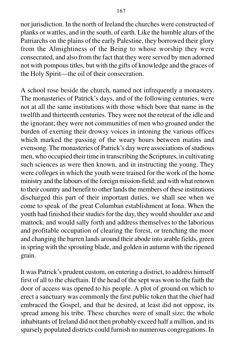167

nor jurisdiction. In the north of Ireland the churches were constructed of planks or wattles, and in the south, of earth. Like the humble altars of the Patriarchs on the plains of the early Palestine, they borrowed their glory from the Almightiness of the Being to whose worship they were consecrated, and also from the fact that they were served by men adorned not with pompous titles, but with the gifts of knowledge and the graces of the Holy Spirit—the oil of their consecration.

A school rose beside the church, named not infrequently a monastery. The monasteries of Patrick's days, and of the following centuries, were not at all the same institutions with those which bore that name in the twelfth and thirteenth centuries. They were not the retreat of the idle and the ignorant; they were not communities of men who groaned under the burden of exerting their drowsy voices in intoning the various offices which marked the passing of the weary hours between matins and evensong. The monasteries of Patrick's day were associations of studious men, who occupied their time in transcribing the Scriptures, in cultivating such sciences as were then known, and in instructing the young. They were *colleges* in which the youth were trained for the work of the home ministry and the labours of the foreign mission-field; and with what renown to their country and benefit to other lands the members of these institutions discharged this part of their important duties, we shall see when we come to speak of the great Columban establishment at Iona. When the youth had finished their studies for the day, they would shoulder axe and mattock, and would sally forth and address themselves to the laborious and profitable occupation of clearing the forest, or trenching the moor and changing the barren lands around their abode into arable fields, green in spring with the sprouting blade, and golden in autumn with the ripened grain.

It was Patrick's prudent custom, on entering a district, to address himself first of all to the chieftain. If the head of the sept was won to the faith the door of access was opened to his people. A plot of ground on which to erect a sanctuary was commonly the first public token that the chief had embraced the Gospel, and that he desired, at least did not oppose, its spread among his tribe. These churches were of small size; the whole inhabitants of Ireland did not then probably exceed half a million, and its sparsely populated districts could furnish no numerous congregations. In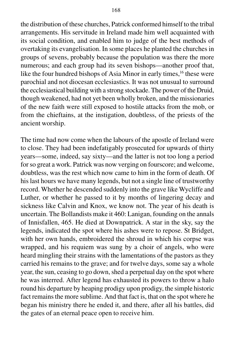the distribution of these churches, Patrick conformed himself to the tribal arrangements. His servitude in Ireland made him well acquainted with its social condition, and enabled him to judge of the best methods of overtaking its evangelisation. In some places he planted the churches in groups of sevens, probably because the population was there the more numerous; and each group had its seven bishops—another proof that, like the four hundred bishops of Asia Minor in early times,<sup>16</sup> these were parochial and not diocesan ecclesiastics. It was not unusual to surround the ecclesiastical building with a strong stockade. The power of the Druid, though weakened, had not yet been wholly broken, and the missionaries of the new faith were still exposed to hostile attacks from the mob, or from the chieftains, at the instigation, doubtless, of the priests of the ancient worship.

The time had now come when the labours of the apostle of Ireland were to close. They had been indefatigably prosecuted for upwards of thirty years—some, indeed, say sixty—and the latter is not too long a period for so great a work. Patrick was now verging on fourscore; and welcome, doubtless, was the rest which now came to him in the form of death. Of his last hours we have many legends, but not a single line of trustworthy record. Whether he descended suddenly into the grave like Wycliffe and Luther, or whether he passed to it by months of lingering decay and sickness like Calvin and Knox, we know not. The year of his death is uncertain. The Bollandists make it 460: Lanigan, founding on the annals of Innisfallen, 465. He died at Downpatrick. A star in the sky, say the legends, indicated the spot where his ashes were to repose. St Bridget, with her own hands, embroidered the shroud in which his corpse was wrapped, and his requiem was sung by a choir of angels, who were heard mingling their strains with the lamentations of the pastors as they carried his remains to the grave; and for twelve days, some say a whole year, the sun, ceasing to go down, shed a perpetual day on the spot where he was interred. After legend has exhausted its powers to throw a halo round his departure by heaping prodigy upon prodigy, the simple historic fact remains the more sublime. And that fact is, that on the spot where he began his ministry there he ended it, and there, after all his battles, did the gates of an eternal peace open to receive him.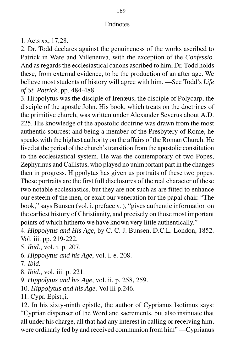## Endnotes

1. Acts xx, 17,28.

2. Dr. Todd declares against the genuineness of the works ascribed to Patrick in Ware and Villeneuva, with the exception of the *Confessio*. And as regards the ecclesiastical canons ascribed to him, Dr. Todd holds these, from external evidence, to be the production of an after age. We believe most students of history will agree with him. —See Todd's *Life of St. Patrick*, pp. 484-488.

3. Hippolytus was the disciple of Irenæus, the disciple of Polycarp, the disciple of the apostle John. His book, which treats on the doctrines of the primitive church, was written under Alexander Severus about A.D. 225. His knowledge of the apostolic doctrine was drawn from the most authentic sources; and being a member of the Presbytery of Rome, he speaks with the highest authority on the affairs of the Roman Church. He lived at the period of the church's transition from the apostolic constitution to the ecclesiastical system. He was the contemporary of two Popes, Zephyrinus and Callistus, who played no unimportant part in the changes then in progress. Hippolytus has given us portraits of these two popes. These portraits are the first full disclosures of the real character of these two notable ecclesiastics, but they are not such as are fitted to enhance our esteem of the men, or exalt our veneration for the papal chair. "The book," says Bunsen (vol. i. preface v. ), "gives authentic information on the earliest history of Christianity, and precisely on those most important points of which hitherto we have known very little authentically."

4. *Hippolytus and His Age*, by C. C. J. Bunsen, D.C.L. London, 1852. Vol. iii. pp. 219-222.

5. *Ibid*., vol. i. p. 207.

6. *Hippolytus and his Age*, vol. i. e. 208.

7. *Ibid.*

8. *Ibid*., vol. iii. p. 221.

9. *Hippolytus and his Age*, vol. ii. p. 258, 259.

10. *Hippolytus and his Age*. Vol iii p.246.

11. Cypr. Epist.,i.

12. In his sixty-ninth epistle, the author of Cyprianus Isotimus says: "Cyprian dispenser of the Word and sacrements, but also insinuate that all under his charge, all that had any interest in calling or receiving him, were ordinarly fed by and received communion from him" —Cyprianus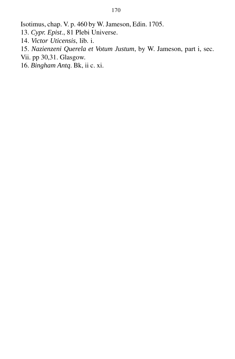Isotimus, chap. V. p. 460 by W. Jameson, Edin. 1705.

- 13. *Cypr. Epist*., 81 Plebi Universe.
- 14. *Victor Uticensis*, lib. i.
- 15. *Nazienzeni Querela et Votum Justum*, by W. Jameson, part i, sec.
- Vii. pp 30,31. Glasgow.
- 16. *Bingham Antq*. Bk, ii c. xi.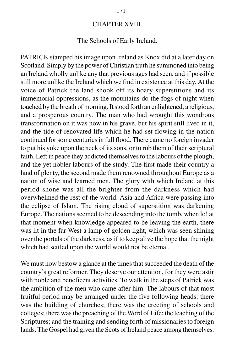### CHAPTER XVIII.

### The Schools of Early Ireland.

PATRICK stamped his image upon Ireland as Knox did at a later day on Scotland. Simply by the power of Christian truth he summoned into being an Ireland wholly unlike any that previous ages had seen, and if possible still more unlike the Ireland which we find in existence at this day. At the voice of Patrick the land shook off its hoary superstitions and its immemorial oppressions, as the mountains do the fogs of night when touched by the breath of morning. It stood forth an enlightened, a religious, and a prosperous country. The man who had wrought this wondrous transformation on it was now in his grave, but his spirit still lived in it, and the tide of renovated life which he had set flowing in the nation continued for some centuries in full flood. There came no foreign invader to put his yoke upon the neck of its sons, or to rob them of their scriptural faith. Left in peace they addicted themselves to the labours of the plough, and the yet nobler labours of the study. The first made their country a land of plenty, the second made them renowned throughout Europe as a nation of wise and learned men. The glory with which Ireland at this period shone was all the brighter from the darkness which had overwhelmed the rest of the world. Asia and Africa were passing into the eclipse of Islam. The rising cloud of superstition was darkening Europe. The nations seemed to be descending into the tomb, when lo! at that moment when knowledge appeared to be leaving the earth, there was lit in the far West a lamp of golden light, which was seen shining over the portals of the darkness, as if to keep alive the hope that the night which had settled upon the world would not be eternal.

We must now bestow a glance at the times that succeeded the death of the country's great reformer. They deserve our attention, for they were astir with noble and beneficent activities. To walk in the steps of Patrick was the ambition of the men who came after him. The labours of that most fruitful period may be arranged under the five following heads: there was the building of churches; there was the erecting of schools and colleges; there was the preaching of the Word of Life; the teaching of the Scriptures; and the training and sending forth of missionaries to foreign lands. The Gospel had given the Scots of Ireland peace among themselves.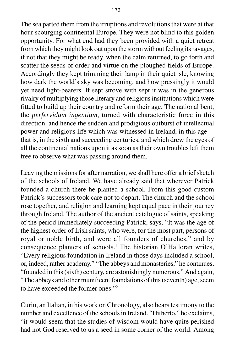The sea parted them from the irruptions and revolutions that were at that hour scourging continental Europe. They were not blind to this golden opportunity. For what end had they been provided with a quiet retreat from which they might look out upon the storm without feeling its ravages, if not that they might be ready, when the calm returned, to go forth and scatter the seeds of order and virtue on the ploughed fields of Europe. Accordingly they kept trimming their lamp in their quiet isle, knowing how dark the world's sky was becoming, and how pressingly it would yet need light-bearers. If sept strove with sept it was in the generous rivalry of multiplying those literary and religious institutions which were fitted to build up their country and reform their age. The national bent, the *perfervidum ingentium*, turned with characteristic force in this direction, and hence the sudden and prodigious outburst of intellectual power and religious life which was witnessed in Ireland, in this age that is, in the sixth and succeeding centuries, and which drew the eyes of all the continental nations upon it as soon as their own troubles left them free to observe what was passing around them.

Leaving the missions for after narration, we shall here offer a brief sketch of the schools of Ireland. We have already said that wherever Patrick founded a church there he planted a school. From this good custom Patrick's successors took care not to depart. The church and the school rose together, and religion and learning kept equal pace in their journey through Ireland. The author of the ancient catalogue of saints, speaking of the period immediately succeeding Patrick, says, "It was the age of the highest order of Irish saints, who were, for the most part, persons of royal or noble birth, and were all founders of churches," and by consequence planters of schools.<sup>1</sup> The historian O'Halloran writes, "Every religious foundation in Ireland in those days included a school, or, indeed, rather academy." "The abbeys and monasteries," he continues, "founded in this (sixth) century, are astonishingly numerous." And again, "The abbeys and other munificent foundations of this (seventh) age, seem to have exceeded the former ones."2

Curio, an Italian, in his work on Chronology, also bears testimony to the number and excellence of the schools in Ireland. "Hitherto," he exclaims, "it would seem that the studies of wisdom would have quite perished had not God reserved to us a seed in some corner of the world. Among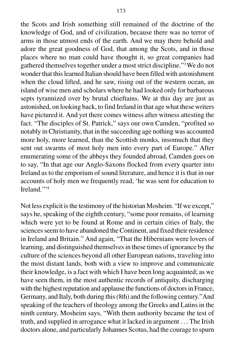the Scots and Irish something still remained of the doctrine of the knowledge of God, and of civilization, because there was no terror of arms in those utmost ends of the earth. And we may there behold and adore the great goodness of God, that among the Scots, and in those places where no man could have thought it, so great companies had gathered themselves together under a most strict discipline."3 We do not wonder that this learned Italian should have been filled with astonishment when the cloud lifted, and he saw, rising out of the western ocean, an island of wise men and scholars where he had looked only for barbarous septs tyrannized over by brutal chieftains. We at this day are just as astonished, on looking back, to find Ireland in that age what these writers have pictured it. And yet there comes witness after witness attesting the fact. "The disciples of St. Patrick," says our own Camden, "profited so notably in Christianity, that in the succeeding age nothing was accounted more holy, more learned, than the Scottish monks, insomuch that they sent out swarms of most holy men into every part of Europe." After enumerating some of the abbeys they founded abroad, Camden goes on to say, "In that age our Anglo-Saxons flocked from every quarter into Ireland as to the emporium of sound literature, and hence it is that in our accounts of holy men we frequently read, 'he was sent for education to Ireland<sup>"4</sup>

Not less explicit is the testimony of the historian Mosheim. "If we except," says he, speaking of the eighth century, "some poor remains, of learning which were yet to be found at Rome and in certain cities of Italy, the sciences seem to have abandoned the Continent, and fixed their residence in Ireland and Britain." And again, "That the Hibernians were lovers of learning, and distinguished themselves in these times of ignorance by the culture of the sciences beyond all other European nations, traveling into the most distant lands, both with a view to improve and communicate their knowledge, is a fact with which I have been long acquainted; as we have seen them, in the most authentic records of antiquity, discharging with the highest reputation and applause the functions of doctors in France, Germany, and Italy, both during this (8th) and the following century."And speaking of the teachers of theology among the Greeks and Latins in the ninth century, Mosheim says, "With them authority became the test of truth, and supplied in arrogance what it lacked in argument . . . The Irish doctors alone, and particularly Johannes Scotus, had the courage to spurn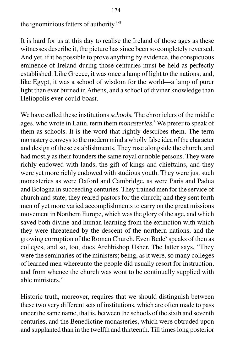the ignominious fetters of authority."5

It is hard for us at this day to realise the Ireland of those ages as these witnesses describe it, the picture has since been so completely reversed. And yet, if it be possible to prove anything by evidence, the conspicuous eminence of Ireland during those centuries must be held as perfectly established. Like Greece, it was once a lamp of light to the nations; and, like Egypt, it was a school of wisdom for the world—a lamp of purer light than ever burned in Athens, and a school of diviner knowledge than Heliopolis ever could boast.

We have called these institutions *schools.* The chroniclers of the middle ages, who wrote in Latin, term them *monasteries*. 6 We prefer to speak of them as schools. It is the word that rightly describes them. The term monastery conveys to the modern mind a wholly false idea of the character and design of these establishments. They rose alongside the church, and had mostly as their founders the same royal or noble persons. They were richly endowed with lands, the gift of kings and chieftains, and they were yet more richly endowed with studious youth. They were just such monasteries as were Oxford and Cambridge, as were Paris and Padua and Bologna in succeeding centuries. They trained men for the service of church and state; they reared pastors for the church; and they sent forth men of yet more varied accomplishments to carry on the great missions movement in Northern Europe, which was the glory of the age, and which saved both divine and human learning from the extinction with which they were threatened by the descent of the northern nations, and the growing corruption of the Roman Church. Even Bede<sup>7</sup> speaks of then as colleges, and so, too, does Archbishop Usher. The latter says, "They were the seminaries of the ministers; being, as it were, so many colleges of learned men whereunto the people did usually resort for instruction, and from whence the church was wont to be continually supplied with able ministers."

Historic truth, moreover, requires that we should distinguish between these two very different sets of institutions, which are often made to pass under the same name, that is, between the schools of the sixth and seventh centuries, and the Benedictine monasteries, which were obtruded upon and supplanted than in the twelfth and thirteenth. Till times long posterior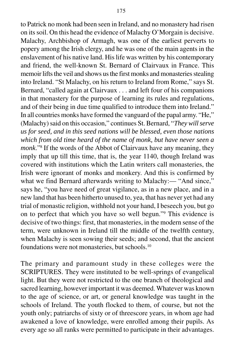to Patrick no monk had been seen in Ireland, and no monastery had risen on its soil. On this head the evidence of Malachy O'Morgain is decisive. Malachy, Archbishop of Armagh, was one of the earliest perverts to popery among the Irish clergy, and he was one of the main agents in the enslavement of his native land. His life was written by his contemporary and friend, the well-known St. Bernard of Clairvaux in France. This memoir lifts the veil and shows us the first monks and monasteries stealing into Ireland. "St Malachy, on his return to Ireland from Rome," says St. Bernard, "called again at Clairvaux . . . and left four of his companions in that monastery for the purpose of learning its rules and regulations, and of their being in due time qualified to introduce them into Ireland." In all countries monks have formed the vanguard of the papal army. "He," (Malachy) said on this occasion," continues St. Bernard, "*They will serve us for seed, and in this seed nations will be blessed, even those nations which from old time heard of the name of monk, but have never seen a monk*."8 If the words of the Abbot of Clairvaux have any meaning, they imply that up till this time, that is, the year 1140, though Ireland was covered with institutions which the Latin writers call monasteries, the Irish were ignorant of monks and monkery. And this is confirmed by what we find Bernard afterwards writing to Malachy:— "And since," says he, "you have need of great vigilance, as in a new place, and in a new land that has been hitherto unused to, yea, that has never yet had any trial of monastic religion, withhold not your hand, I beseech you, but go on to perfect that which you have so well begun."9 This evidence is decisive of two things: first, that monasteries, in the modern sense of the term, were unknown in Ireland till the middle of the twelfth century, when Malachy is seen sowing their seeds; and second, that the ancient foundations were not monasteries, but schools.10

The primary and paramount study in these colleges were the SCRIPTURES. They were instituted to be well-springs of evangelical light. But they were not restricted to the one branch of theological and sacred learning, however important it was deemed. Whatever was known to the age of science, or art, or general knowledge was taught in the schools of Ireland. The youth flocked to them, of course, but not the youth only; patriarchs of sixty or of threescore years, in whom age had awakened a love of knowledge, were enrolled among their pupils. As every age so all ranks were permitted to participate in their advantages.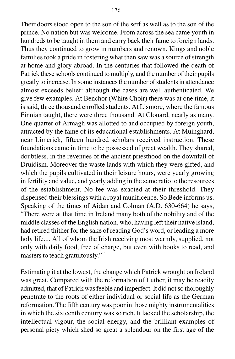Their doors stood open to the son of the serf as well as to the son of the prince. No nation but was welcome. From across the sea came youth in hundreds to be taught in them and carry back their fame to foreign lands. Thus they continued to grow in numbers and renown. Kings and noble families took a pride in fostering what then saw was a source of strength at home and glory abroad. In the centuries that followed the death of Patrick these schools continued to multiply, and the number of their pupils greatly to increase. In some instances the number of students in attendance almost exceeds belief: although the cases are well authenticated. We give few examples. At Benchor (White Choir) there was at one time, it is said, three thousand enrolled students. At Lismore, where the famous Finnian taught, there were three thousand. At Clonard, nearly as many. One quarter of Armagh was allotted to and occupied by foreign youth, attracted by the fame of its educational establishments. At Muinghard, near Limerick, fifteen hundred scholars received instruction. These

foundations came in time to be possessed of great wealth. They shared, doubtless, in the revenues of the ancient priesthood on the downfall of Druidism. Moreover the waste lands with which they were gifted, and which the pupils cultivated in their leisure hours, were yearly growing in fertility and value, and yearly adding in the same ratio to the resources of the establishment. No fee was exacted at their threshold. They dispensed their blessings with a royal munificence. So Bede informs us. Speaking of the times of Aidan and Colman (A.D. 630-664) he says, "There were at that time in Ireland many both of the nobility and of the middle classes of the English nation, who, having left their native island, had retired thither for the sake of reading God's word, or leading a more holy life.... All of whom the Irish receiving most warmly, supplied, not only with daily food, free of charge, but even with books to read, and masters to teach gratuitously."11

Estimating it at the lowest, the change which Patrick wrought on Ireland was great. Compared with the reformation of Luther, it may be readily admitted, that of Patrick was feeble and imperfect. It did not so thoroughly penetrate to the roots of either individual or social life as the German reformation. The fifth century was poor in those mighty instrumentalities in which the sixteenth century was so rich. It lacked the scholarship, the intellectual vigour, the social energy, and the brilliant examples of personal piety which shed so great a splendour on the first age of the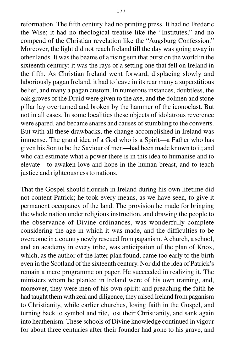reformation. The fifth century had no printing press. It had no Frederic the Wise; it had no theological treatise like the "Institutes," and no compend of the Christian revelation like the "Augsburg Confession." Moreover, the light did not reach Ireland till the day was going away in other lands. It was the beams of a rising sun that burst on the world in the sixteenth century: it was the rays of a setting one that fell on Ireland in the fifth. As Christian Ireland went forward, displacing slowly and laboriously pagan Ireland, it had to leave in its rear many a superstitious belief, and many a pagan custom. In numerous instances, doubtless, the oak groves of the Druid were given to the axe, and the dolmen and stone pillar lay overturned and broken by the hammer of the iconoclast. But not in all cases. In some localities these objects of idolatrous reverence were spared, and became snares and causes of stumbling to the converts. But with all these drawbacks, the change accomplished in Ireland was immense. The grand idea of a God who is a Spirit—a Father who has given his Son to be the Saviour of men—had been made known to it; and who can estimate what a power there is in this idea to humanise and to elevate—to awaken love and hope in the human breast, and to teach justice and righteousness to nations.

That the Gospel should flourish in Ireland during his own lifetime did not content Patrick; he took every means, as we have seen, to give it permanent occupancy of the land. The provision he made for bringing the whole nation under religious instruction, and drawing the people to the observance of Divine ordinances, was wonderfully complete considering the age in which it was made, and the difficulties to be overcome in a country newly rescued from paganism. A church, a school, and an academy in every tribe, was anticipation of the plan of Knox, which, as the author of the latter plan found, came too early to the birth even in the Scotland of the sixteenth century. Nor did the idea of Patrick's remain a mere programme on paper. He succeeded in realizing it. The ministers whom he planted in Ireland were of his own training, and, moreover, they were men of his own spirit: and preaching the faith he had taught them with zeal and diligence, they raised Ireland from paganism to Christianity, while earlier churches, losing faith in the Gospel, and turning back to symbol and rite, lost their Christianity, and sank again into heathenism. These schools of Divine knowledge continued in vigour for about three centuries after their founder had gone to his grave, and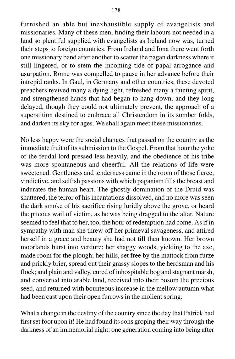furnished an able but inexhaustible supply of evangelists and missionaries. Many of these men, finding their labours not needed in a land so plentiful supplied with evangelists as Ireland now was, turned their steps to foreign countries. From Ireland and Iona there went forth one missionary band after another to scatter the pagan darkness where it still lingered, or to stem the incoming tide of papal arrogance and usurpation. Rome was compelled to pause in her advance before their intrepid ranks. In Gaul, in Germany and other countries, these devoted preachers revived many a dying light, refreshed many a fainting spirit, and strengthened hands that had began to hang down, and they long delayed, though they could not ultimately prevent, the approach of a superstition destined to embrace all Christendom in its somber folds, and darken its sky for ages. We shall again meet these missionaries.

No less happy were the social changes that passed on the country as the immediate fruit of its submission to the Gospel. From that hour the yoke of the feudal lord pressed less heavily, and the obedience of his tribe was more spontaneous and cheerful. All the relations of life were sweetened. Gentleness and tenderness came in the room of those fierce, vindictive, and selfish passions with which paganism fills the breast and indurates the human heart. The ghostly domination of the Druid was shattered, the terror of his incantations dissolved, and no more was seen the dark smoke of his sacrifice rising luridly above the grove, or heard the piteous wail of victim, as he was being dragged to the altar. Nature seemed to feel that to her, too, the hour of redemption had come. As if in sympathy with man she threw off her primeval savageness, and attired herself in a grace and beauty she had not till then known. Her brown moorlands burst into verdure; her shaggy woods, yielding to the axe, made room for the plough; her hills, set free by the mattock from furze and prickly brier, spread out their grassy slopes to the herdsman and his flock; and plain and valley, cured of inhospitable bog and stagnant marsh, and converted into arable land, received into their bosom the precious seed, and returned with bounteous increase in the mellow autumn what had been cast upon their open furrows in the molient spring.

What a change in the destiny of the country since the day that Patrick had first set foot upon it! He had found its sons groping their way through the darkness of an immemorial night: one generation coming into being after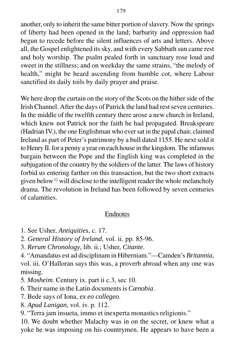another, only to inherit the same bitter portion of slavery. Now the springs of liberty had been opened in the land; barbarity and oppression had begun to recede before the silent influences of arts and letters. Above all, the Gospel enlightened its sky, and with every Sabbath sun came rest and holy worship. The psalm pealed forth in sanctuary rose loud and sweet in the stillness; and on weekday the same strains, "the melody of health," might be heard ascending from humble cot, where Labour sanctified its daily toils by daily prayer and praise.

We here drop the curtain on the story of the Scots on the hither side of the Irish Channel. After the days of Patrick the land had rest seven centuries. In the middle of the twelfth century there arose a new church in Ireland, which knew not Patrick nor the faith he had propagated. Breakspeare (Hadrian IV.), the one Englishman who ever sat in the papal chair, claimed Ireland as part of Peter's patrimony by a bull dated 1155. He next sold it to Henry II. for a penny a year on each house in the kingdom. The infamous bargain between the Pope and the English king was completed in the subjugation of the country by the soldiers of the latter. The laws of history forbid us entering farther on this transaction, but the two short extracts given below 12 will disclose to the intelligent reader the whole melancholy drama. The revolution in Ireland has been followed by seven centuries of calamities.

# Endnotes

- 1. See Usher, *Antiquities*, c. 17.
- 2. *General History of Ireland*, vol. ii. pp. 85-96.
- 3. *Rerum Chronology*, lib. ii.; Usher, *Citante*.

4. "Amandatus est ad disciplinam in Hiberniam."—Camden's *Britannia*, vol. iii. O'Halloran says this was, a proverb abroad when any one was missing.

- 5. *Mosheim*. Century ix. part ii c.3, sec 10.
- 6. Their name in the Latin documents is *Cænobia*.
- 7. Bede says of Iona, *ex eo collegeo*.
- 8. *Apud Lanigan*, vol. iv. p. 112.
- 9. "Terra jam insueta, immo et inexperta monastics religionis."

10. We doubt whether Malachy was in on the secret, or knew what a yoke he was imposing on his countrymen. He appears to have been a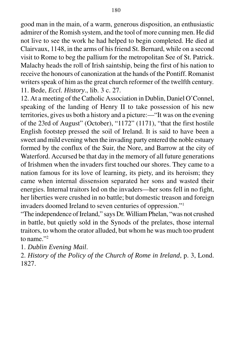good man in the main, of a warm, generous disposition, an enthusiastic admirer of the Romish system, and the tool of more cunning men. He did not live to see the work he had helped to begin completed. He died at Clairvaux, 1148, in the arms of his friend St. Bernard, while on a second visit to Rome to beg the pallium for the metropolitan See of St. Patrick. Malachy heads the roll of Irish saintship, being the first of his nation to receive the honours of canonization at the hands of the Pontiff. Romanist writers speak of him as the great church reformer of the twelfth century. 11. Bede, *Eccl. History*., lib. 3 c. 27.

12. At a meeting of the Catholic Association in Dublin, Daniel O'Connel, speaking of the landing of Henry II to take possession of his new territories, gives us both a history and a picture:—"It was on the evening of the 23rd of August" (October), "1172" (1171), "that the first hostile English footstep pressed the soil of Ireland. It is said to have been a sweet and mild evening when the invading party entered the noble estuary formed by the conflux of the Suir, the Nore, and Barrow at the city of Waterford. Accursed be that day in the memory of all future generations of Irishmen when the invaders first touched our shores. They came to a nation famous for its love of learning, its piety, and its heroism; they came when internal dissension separated her sons and wasted their energies. Internal traitors led on the invaders—her sons fell in no fight, her liberties were crushed in no battle; but domestic treason and foreign invaders doomed Ireland to seven centuries of oppression."1

"The independence of Ireland," says Dr. William Phelan, "was not crushed in battle, but quietly sold in the Synods of the prelates, those internal traitors, to whom the orator alluded, but whom he was much too prudent to name."2

1. *Dublin Evening Mail*.

2. *History of the Policy of the Church of Rome in Ireland*, p. 3, Lond. 1827.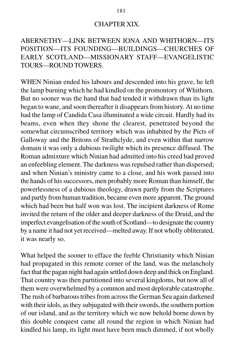#### CHAPTER XIX.

# ABERNETHY—LINK BETWEEN IONA AND WHITHORN—ITS POSITION—ITS FOUNDING—BUILDINGS—CHURCHES OF EARLY SCOTLAND—MISSIONARY STAFF—EVANGELISTIC TOURS—ROUND TOWERS.

WHEN Ninian ended his labours and descended into his grave, he left the lamp burning which he had kindled on the promontory of Whithorn. But no sooner was the hand that had tended it withdrawn than its light began to wane, and soon thereafter it disappears from history. At no time had the lamp of Candida Casa illuminated a wide circuit. Hardly had its beams, even when they shone the clearest, penetrated beyond the somewhat circumscribed territory which was inhabited by the Picts of Galloway and the Britons of Strathclyde, and even within that narrow domain it was only a dubious twilight which its presence diffused. The Roman admixture which Ninian had admitted into his creed had proved an enfeebling element. The darkness was repulsed rather than dispersed; and when Ninian's ministry came to a close, and his work passed into the hands of his successors, men probably more Roman than himself, the powerlessness of a dubious theology, drawn partly from the Scriptures and partly from human tradition, became even more apparent. The ground which had been but half won was lost. The incipient darkness of Rome invited the return of the older and deeper darkness of the Druid, and the imperfect evangelisation of the south of Scotland—to designate the country by a name it had not yet received—melted away. If not wholly obliterated, it was nearly so.

What helped the sooner to efface the feeble Christianity which Ninian had propagated in this remote corner of the land, was the melancholy fact that the pagan night had again settled down deep and thick on England. That country was then partitioned into several kingdoms, but now all of them were overwhelmed by a common and most deplorable catastrophe. The rush of barbarous tribes from across the German Sea again darkened with their idols, as they subjugated with their swords, the southern portion of our island, and as the territory which we now behold borne down by this double conquest came all round the region in which Ninian had kindled his lamp, its light must have been much dimmed, if not wholly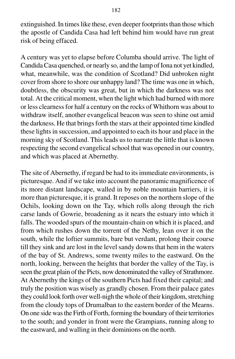extinguished. In times like these, even deeper footprints than those which the apostle of Candida Casa had left behind him would have run great risk of being effaced.

A century was yet to elapse before Columba should arrive. The light of Candida Casa quenched, or nearly so, and the lamp of Iona not yet kindled, what, meanwhile, was the condition of Scotland? Did unbroken night cover from shore to shore our unhappy land? The time was one in which, doubtless, the obscurity was great, but in which the darkness was not total. At the critical moment, when the light which had burned with more or less clearness for half a century on the rocks of Whithorn was about to withdraw itself, another evangelical beacon was seen to shine out amid the darkness. He that brings forth the stars at their appointed time kindled these lights in succession, and appointed to each its hour and place in the morning sky of Scotland. This leads us to narrate the little that is known respecting the second evangelical school that was opened in our country, and which was placed at Abernethy.

The site of Abernethy, if regard be had to its immediate environments, is picturesque. And if we take into account the panoramic magnificence of its more distant landscape, walled in by noble mountain barriers, it is more than picturesque, it is grand. It reposes on the northern slope of the Ochils, looking down on the Tay, which rolls along through the rich carse lands of Gowrie, broadening as it nears the estuary into which it falls. The wooded spurs of the mountain-chain on which it is placed, and from which rushes down the torrent of the Nethy, lean over it on the south, while the loftier summits, bare but verdant, prolong their course till they sink and are lost in the level sandy downs that hem in the waters of the bay of St. Andrews, some twenty miles to the eastward. On the north, looking, between the heights that border the valley of the Tay, is seen the great plain of the Picts, now denominated the valley of Strathmore. At Abernethy the kings of the southern Picts had fixed their capital; and truly the position was wisely as grandly chosen. From their palace gates they could look forth over well-nigh the whole of their kingdom, stretching from the cloudy tops of Drumalban to the eastern border of the Mearns. On one side was the Firth of Forth, forming the boundary of their territories to the south; and yonder in front were the Grampians, running along to the eastward, and walling in their dominions on the north.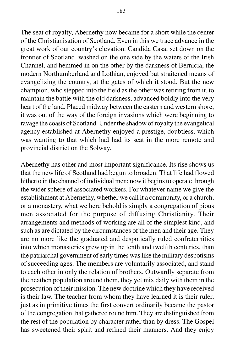The seat of royalty, Abernethy now became for a short while the center of the Christianisation of Scotland. Even in this we trace advance in the great work of our country's elevation. Candida Casa, set down on the frontier of Scotland, washed on the one side by the waters of the Irish Channel, and hemmed in on the other by the darkness of Bernicia, the modern Northumberland and Lothian, enjoyed but straitened means of evangelizing the country, at the gates of which it stood. But the new champion, who stepped into the field as the other was retiring from it, to maintain the battle with the old darkness, advanced boldly into the very heart of the land. Placed midway between the eastern and western shore, it was out of the way of the foreign invasions which were beginning to ravage the coasts of Scotland. Under the shadow of royalty the evangelical agency established at Abernethy enjoyed a prestige, doubtless, which was wanting to that which had had its seat in the more remote and provincial district on the Solway.

Abernethy has other and most important significance. Its rise shows us that the new life of Scotland had begun to broaden. That life had flowed hitherto in the channel of individual men; now it begins to operate through the wider sphere of associated workers. For whatever name we give the establishment at Abernethy, whether we call it a community, or a church, or a monastery, what we here behold is simply a congregation of pious men associated for the purpose of diffusing Christianity. Their arrangements and methods of working are all of the simplest kind, and such as are dictated by the circumstances of the men and their age. They are no more like the graduated and despotically ruled confraternities into which monasteries grew up in the tenth and twelfth centuries, than the patriarchal government of early times was like the military despotisms of succeeding ages. The members are voluntarily associated, and stand to each other in only the relation of brothers. Outwardly separate from the heathen population around them, they yet mix daily with them in the prosecution of their mission. The new doctrine which they have received is their law. The teacher from whom they have learned it is their ruler, just as in primitive times the first convert ordinarily became the pastor of the congregation that gathered round him. They are distinguished from the rest of the population by character rather than by dress. The Gospel has sweetened their spirit and refined their manners. And they enjoy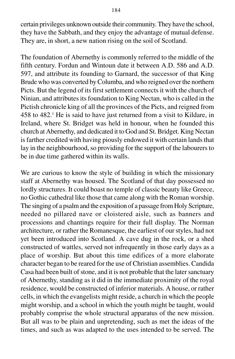certain privileges unknown outside their community. They have the school, they have the Sabbath, and they enjoy the advantage of mutual defense. They are, in short, a new nation rising on the soil of Scotland.

The foundation of Abernethy is commonly referred to the middle of the fifth century. Fordun and Wintoun date it between A.D. 586 and A.D. 597, and attribute its founding to Garnard, the successor of that King Brude who was converted by Columba, and who reigned over the northern Picts. But the legend of its first settlement connects it with the church of Ninian, and attributes its foundation to King Nectan, who is called in the Pictish chronicle king of all the provinces of the Picts, and reigned from 458 to 482.<sup>1</sup> He is said to have just returned from a visit to Kildare, in Ireland, where St. Bridget was held in honour, when he founded this church at Abernethy, and dedicated it to God and St. Bridget. King Nectan is farther credited with having piously endowed it with certain lands that lay in the neighbourhood, so providing for the support of the labourers to be in due time gathered within its walls.

We are curious to know the style of building in which the missionary staff at Abernethy was housed. The Scotland of that day possessed no lordly structures. It could boast no temple of classic beauty like Greece, no Gothic cathedral like those that came along with the Roman worship. The singing of a psalm and the exposition of a passage from Holy Scripture, needed no pillared nave or cloistered aisle, such as banners and processions and chantings require for their full display. The Norman architecture, or rather the Romanesque, the earliest of our styles, had not yet been introduced into Scotland. A cave dug in the rock, or a shed constructed of wattles, served not infrequently in those early days as a place of worship. But about this time edifices of a more elaborate character began to be reared for the use of Christian assemblies. Candida Casa had been built of stone, and it is not probable that the later sanctuary of Abernethy, standing as it did in the immediate proximity of the royal residence, would be constructed of inferior materials. A house, or rather cells, in which the evangelists might reside, a church in which the people might worship, and a school in which the youth might be taught, would probably comprise the whole structural apparatus of the new mission. But all was to be plain and unpretending, such as met the ideas of the times, and such as was adapted to the uses intended to be served. The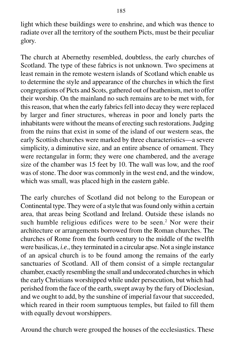light which these buildings were to enshrine, and which was thence to radiate over all the territory of the southern Picts, must be their peculiar glory.

The church at Abernethy resembled, doubtless, the early churches of Scotland. The type of these fabrics is not unknown. Two specimens at least remain in the remote western islands of Scotland which enable us to determine the style and appearance of the churches in which the first congregations of Picts and Scots, gathered out of heathenism, met to offer their worship. On the mainland no such remains are to be met with, for this reason, that when the early fabrics fell into decay they were replaced by larger and finer structures, whereas in poor and lonely parts the inhabitants were without the means of erecting such restorations. Judging from the ruins that exist in some of the island of our western seas, the early Scottish churches were marked by three characteristics—a severe simplicity, a diminutive size, and an entire absence of ornament. They were rectangular in form; they were one chambered, and the average size of the chamber was 15 feet by 10. The wall was low, and the roof was of stone. The door was commonly in the west end, and the window, which was small, was placed high in the eastern gable.

The early churches of Scotland did not belong to the European or Continental type. They were of a style that was found only within a certain area, that areas being Scotland and Ireland. Outside these islands no such humble religious edifices were to be seen.<sup>2</sup> Nor were their architecture or arrangements borrowed from the Roman churches. The churches of Rome from the fourth century to the middle of the twelfth were basilicas, *i.e*., they terminated in a circular apse. Not a single instance of an apsical church is to be found among the remains of the early sanctuaries of Scotland. All of them consist of a simple rectangular chamber, exactly resembling the small and undecorated churches in which the early Christians worshipped while under persecution, but which had perished from the face of the earth, swept away by the fury of Dioclesian, and we ought to add, by the sunshine of imperial favour that succeeded, which reared in their room sumptuous temples, but failed to fill them with equally devout worshippers.

Around the church were grouped the houses of the ecclesiastics. These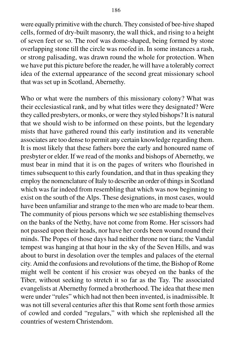were equally primitive with the church. They consisted of bee-hive shaped cells, formed of dry-built masonry, the wall thick, and rising to a height of seven feet or so. The roof was dome-shaped, being formed by stone overlapping stone till the circle was roofed in. In some instances a rash, or strong palisading, was drawn round the whole for protection. When we have put this picture before the reader, he will have a tolerably correct idea of the external appearance of the second great missionary school that was set up in Scotland, Abernethy.

Who or what were the numbers of this missionary colony? What was their ecclesiastical rank, and by what titles were they designated? Were they called presbyters, or monks, or were they styled bishops? It is natural that we should wish to be informed on these points, but the legendary mists that have gathered round this early institution and its venerable associates are too dense to permit any certain knowledge regarding them. It is most likely that these fathers bore the early and honoured name of presbyter or elder. If we read of the monks and bishops of Abernethy, we must bear in mind that it is on the pages of writers who flourished in times subsequent to this early foundation, and that in thus speaking they employ the nomenclature of Italy to describe an order of things in Scotland which was far indeed from resembling that which was now beginning to exist on the south of the Alps. These designations, in most cases, would have been unfamiliar and strange to the men who are made to bear them. The community of pious persons which we see establishing themselves on the banks of the Nethy, have not come from Rome. Her scissors had not passed upon their heads, nor have her cords been wound round their minds. The Popes of those days had neither throne nor tiara; the Vandal tempest was hanging at that hour in the sky of the Seven Hills, and was about to burst in desolation over the temples and palaces of the eternal city. Amid the confusions and revolutions of the time, the Bishop of Rome might well be content if his crosier was obeyed on the banks of the Tiber, without seeking to stretch it so far as the Tay. The associated evangelists at Abernethy formed a brotherhood. The idea that these men were under "rules" which had not then been invented, is inadmissible. It was not till several centuries after this that Rome sent forth those armies of cowled and corded "regulars," with which she replenished all the countries of western Christendom.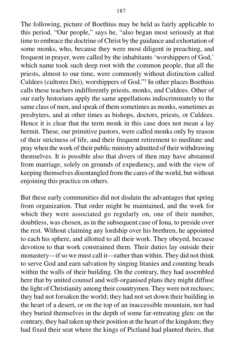The following, picture of Boethius may be held as fairly applicable to this period. "Our people," says he, "also began most seriously at that time to embrace the doctrine of Christ by the guidance and exhortation of some monks, who, because they were most diligent in preaching, and frequent in prayer, were called by the inhabitants 'worshippers of God,' which name took such deep root with the common people, that all the priests, almost to our time, were commonly without distinction called Culdees (cultores Dei), worshippers of God."3 In other places Boethius calls these teachers indifferently priests, monks, and Culdees. Other of our early historians apply the same appellations indiscriminately to the same class of men, and speak of them sometimes as monks, sometimes as presbyters, and at other times as bishops, doctors, priests, or Culdees. Hence it is clear that the term monk in this case does not mean a lay hermit. These, our primitive pastors, were called monks only by reason of their strictness of life, and their frequent retirement to meditate and pray when the work of their public ministry admitted of their withdrawing themselves. It is possible also that divers of then may have abstained from marriage, solely on grounds of expediency, and with the view of keeping themselves disentangled from the cares of the world, but without enjoining this practice on others.

But these early communities did not disdain the advantages that spring from organization. That order might be maintained, and the work for which they were associated go regularly on, one of their number, doubtless, was chosen, as in the subsequent case of Iona, to preside over the rest. Without claiming any lordship over his brethren, he appointed to each his sphere, and allotted to all their work. They obeyed, because devotion to that work constrained them. Their duties lay outside their monastery—if so we must call it—rather than within. They did not think to serve God and earn salvation by singing litanies and counting beads within the walls of their building. On the contrary, they had assembled here that by united counsel and well-organised plans they might diffuse the light of Christianity among their countrymen. They were not recluses; they had not forsaken the world; they had not set down their building in the heart of a desert, or on the top of an inaccessible mountain, nor had they buried themselves in the depth of some far-retreating glen: on the contrary, they had taken up their position at the heart of the kingdom; they had fixed their seat where the kings of Pictland had planted theirs, that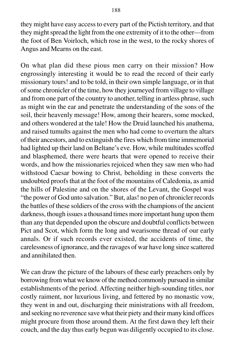they might have easy access to every part of the Pictish territory, and that they might spread the light from the one extremity of it to the other—from the foot of Ben Voirloch, which rose in the west, to the rocky shores of Angus and Mearns on the east.

On what plan did these pious men carry on their mission? How engrossingly interesting it would be to read the record of their early missionary tours! and to be told, in their own simple language, or in that of some chronicler of the time, how they journeyed from village to village and from one part of the country to another, telling in artless phrase, such as might win the ear and penetrate the understanding of the sons of the soil, their heavenly message! How, among their hearers, some mocked, and others wondered at the tale! How the Druid launched his anathema, and raised tumults against the men who had come to overturn the altars of their ancestors, and to extinguish the fires which from time immemorial had lighted up their land on Beltane's eve. How, while multitudes scoffed and blasphemed, there were hearts that were opened to receive their words, and how the missionaries rejoiced when they saw men who had withstood Caesar bowing to Christ, beholding in these converts the undoubted proofs that at the foot of the mountains of Caledonia, as amid the hills of Palestine and on the shores of the Levant, the Gospel was "the power of God unto salvation." But, alas! no pen of chronicler records the battles of these soldiers of the cross with the champions of the ancient darkness, though issues a thousand times more important hung upon them than any that depended upon the obscure and doubtful conflicts between Pict and Scot, which form the long and wearisome thread of our early annals. Or if such records ever existed, the accidents of time, the carelessness of ignorance, and the ravages of war have long since scattered and annihilated then.

We can draw the picture of the labours of these early preachers only by borrowing from what we know of the method commonly pursued in similar establishments of the period. Affecting neither high-sounding titles, nor costly raiment, nor luxurious living, and fettered by no monastic vow, they went in and out, discharging their ministrations with all freedom, and seeking no reverence save what their piety and their many kind offices might procure from those around them. At the first dawn they left their couch, and the day thus early begun was diligently occupied to its close.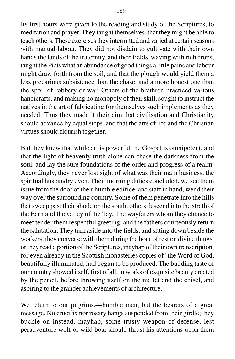Its first hours were given to the reading and study of the Scriptures, to meditation and prayer. They taught themselves, that they might be able to teach others. These exercises they intermitted and varied at certain seasons with manual labour. They did not disdain to cultivate with their own hands the lands of the fraternity, and their fields, waving with rich crops, taught the Picts what an abundance of good things a little pains and labour might draw forth from the soil, and that the plough would yield them a less precarious subsistence than the chase, and a more honest one than the spoil of robbery or war. Others of the brethren practiced various handicrafts, and making no monopoly of their skill, sought to instruct the natives in the art of fabricating for themselves such implements as they needed. Thus they made it their aim that civilisation and Christianity should advance by equal steps, and that the arts of life and the Christian virtues should flourish together.

But they knew that while art is powerful the Gospel is omnipotent, and that the light of heavenly truth alone can chase the darkness from the soul, and lay the sure foundations of the order and progress of a realm. Accordingly, they never lost sight of what was their main business, the spiritual husbandry even. Their morning duties concluded, we see them issue from the door of their humble edifice, and staff in hand, wend their way over the surrounding country. Some of them penetrate into the hills that sweep past their abode on the south, others descend into the strath of the Earn and the valley of the Tay. The wayfarers whom they chance to meet tender them respectful greeting, and the fathers courteously return the salutation. They turn aside into the fields, and sitting down beside the workers, they converse with them during the hour of rest on divine things, or they read a portion of the Scriptures, mayhap of their own transcription, for even already in the Scottish monasteries copies of' the Word of God, beautifully illuminated, had begun to be produced. The budding taste of our country showed itself, first of all, in works of exquisite beauty created by the pencil, before throwing itself on the mallet and the chisel, and aspiring to the grander achievements of architecture.

We return to our pilgrims,—humble men, but the bearers of a great message. No crucifix nor rosary hangs suspended from their girdle; they buckle on instead, mayhap, some trusty weapon of defense, lest peradventure wolf or wild boar should thrust his attentions upon them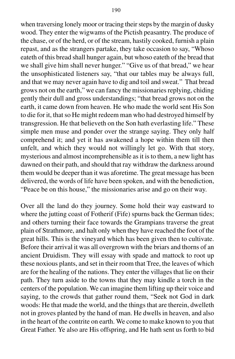when traversing lonely moor or tracing their steps by the margin of dusky wood. They enter the wigwams of the Pictish peasantry. The produce of the chase, or of the herd, or of the stream, hastily cooked, furnish a plain repast, and as the strangers partake, they take occasion to say, "Whoso eateth of this bread shall hunger again, but whoso eateth of the bread that we shall give him shall never hunger." "Give us of that bread," we hear the unsophisticated listeners say, "that our tables may be always full, and that we may never again have to dig and toil and sweat." That bread grows not on the earth," we can fancy the missionaries replying, chiding gently their dull and gross understandings; "that bread grows not on the earth, it came down from heaven. He who made the world sent His Son to die for it, that so He might redeem man who had destroyed himself by transgression. He that believeth on the Son hath everlasting life." These simple men muse and ponder over the strange saying. They only half comprehend it; and yet it has awakened a hope within them till then unfelt, and which they would not willingly let go. With that story, mysterious and almost incomprehensible as it is to them, a new light has dawned on their path, and should that ray withdraw the darkness around them would be deeper than it was aforetime. The great message has been delivered, the words of life have been spoken, and with the benediction, "Peace be on this house," the missionaries arise and go on their way.

Over all the land do they journey. Some hold their way eastward to where the jutting coast of Fotherif (Fife) spurns back the German tides; and others turning their face towards the Grampians traverse the great plain of Strathmore, and halt only when they have reached the foot of the great hills. This is the vineyard which has been given then to cultivate. Before their arrival it was all overgrown with the briars and thorns of an ancient Druidism. They will essay with spade and mattock to root up these noxious plants, and set in their room that Tree, the leaves of which are for the healing of the nations. They enter the villages that lie on their path. They turn aside to the towns that they may kindle a torch in the centers of the population. We can imagine them lifting up their voice and saying, to the crowds that gather round them, "Seek not God in dark woods: He that made the world, and the things that are therein, dwelleth not in groves planted by the hand of man. He dwells in heaven, and also in the heart of the contrite on earth. We come to make known to you that Great Father. Ye also are His offspring, and He hath sent us forth to bid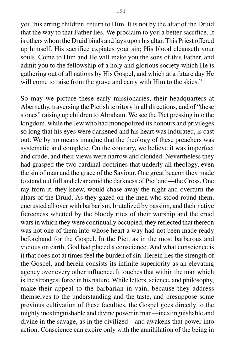you, his erring children, return to Him. It is not by the altar of the Druid that the way to that Father lies. We proclaim to you a better sacrifice. It is others whom the Druid binds and lays upon his altar. This Priest offered up himself. His sacrifice expiates your sin; His blood cleanseth your souls. Come to Him and He will make you the sons of this Father, and admit you to the fellowship of a holy and glorious society which He is gathering out of all nations by His Gospel, and which at a future day He will come to raise from the grave and carry with Him to the skies."

So may we picture these early missionaries, their headquarters at Abernethy, traversing the Pictish territory in all directions, and of "these stones" raising up children to Abraham. We see the Pict pressing into the kingdom, while the Jew who had monopolized its honours and privileges so long that his eyes were darkened and his heart was indurated, is cast out. We by no means imagine that the theology of these preachers was systematic and complete. On the contrary, we believe it was imperfect and crude, and their views were narrow and clouded. Nevertheless they had grasped the two cardinal doctrines that underly all theology, even the sin of man and the grace of the Saviour. One great beacon they made to stand out full and clear amid the darkness of Pictland—the Cross. One ray from it, they knew, would chase away the night and overturn the altars of the Druid. As they gazed on the men who stood round them, encrusted all over with barbarism, brutalized by passion, and their native fierceness whetted by the bloody rites of their worship and the cruel wars in which they were continually occupied, they reflected that thereon was not one of them into whose heart a way had not been made ready beforehand for the Gospel. In the Pict, as in the most barbarous and vicious on earth, God had placed a conscience. And what conscience is it that does not at times feel the burden of sin. Herein lies the strength of the Gospel, and herein consists its infinite superiority as an elevating agency over every other influence. It touches that within the man which is the strongest force in his nature. While letters, science, and philosophy, make their appeal to the barbarian in vain, because they address themselves to the understanding and the taste, and presuppose some previous cultivation of these faculties, the Gospel goes directly to the mighty inextinguishable and divine power in man—inextinguishable and divine in the savage, as in the civilized—and awakens that power into action. Conscience can expire only with the annihilation of the being in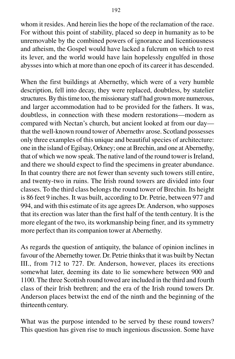whom it resides. And herein lies the hope of the reclamation of the race. For without this point of stability, placed so deep in humanity as to be unremovable by the combined powers of ignorance and licentiousness and atheism, the Gospel would have lacked a fulcrum on which to rest its lever, and the world would have lain hopelessly engulfed in those abysses into which at more than one epoch of its career it has descended.

When the first buildings at Abernethy, which were of a very humble description, fell into decay, they were replaced, doubtless, by statelier structures. By this time too, the missionary staff had grown more numerous, and larger accommodation had to be provided for the fathers. It was, doubtless, in connection with these modern restorations—modern as compared with Nectan's church, but ancient looked at from our day that the well-known round tower of Abernethv arose. Scotland possesses only three examples of this unique and beautiful species of architecture: one in the island of Egilsay, Orkney; one at Brechin, and one at Abernethy, that of which we now speak. The native land of the round tower is Ireland, and there we should expect to find the specimens in greater abundance. In that country there are not fewer than seventy such towers still entire, and twenty-two in ruins. The Irish round towers are divided into four classes. To the third class belongs the round tower of Brechin. Its height is 86 feet 9 inches. It was built, according to Dr. Petrie, between 977 and 994, and with this estimate of its age agrees Dr. Anderson, who supposes that its erection was later than the first half of the tenth century. It is the more elegant of the two, its workmanship being finer, and its symmetry more perfect than its companion tower at Abernethy.

As regards the question of antiquity, the balance of opinion inclines in favour of the Abernethy tower. Dr. Petrie thinks that it was built by Nectan III., from 712 to 727. Dr. Anderson, however, places its erections somewhat later, deeming its date to lie somewhere between 900 and 1100. The three Scottish round towed are included in the third and fourth class of their Irish brethren; and the era of the Irish round towers Dr. Anderson places betwixt the end of the ninth and the beginning of the thirteenth century.

What was the purpose intended to be served by these round towers? This question has given rise to much ingenious discussion. Some have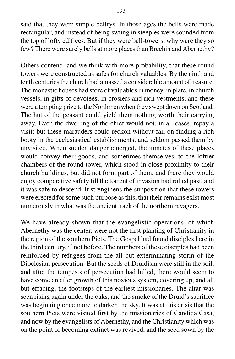said that they were simple belfrys. In those ages the bells were made rectangular, and instead of being swung in steeples were sounded from the top of lofty edifices. But if they were bell-towers, why were they so few? There were surely bells at more places than Brechin and Abernethy?

Others contend, and we think with more probability, that these round towers were constructed as safes for church valuables. By the ninth and tenth centuries the church had amassed a considerable amount of treasure. The monastic houses had store of valuables in money, in plate, in church vessels, in gifts of devotees, in crosiers and rich vestments, and these were a tempting prize to the Northmen when they swept down on Scotland. The hut of the peasant could yield them nothing worth their carrying away. Even the dwelling of the chief would not, in all cases, repay a visit; but these marauders could reckon without fail on finding a rich booty in the ecclesiastical establishments, and seldom passed them by unvisited. When sudden danger emerged, the inmates of these places would convey their goods, and sometimes themselves, to the loftier chambers of the round tower, which stood in close proximity to their church buildings, but did not form part of them, and there they would enjoy comparative safety till the torrent of invasion had rolled past, and it was safe to descend. It strengthens the supposition that these towers were erected for some such purpose as this, that their remains exist most numerously in what was the ancient track of the northern ravagers.

We have already shown that the evangelistic operations, of which Abernethy was the center, were not the first planting of Christianity in the region of the southern Picts. The Gospel had found disciples here in the third century, if not before. The numbers of these disciples had been reinforced by refugees from the all but exterminating storm of the Dioclesian persecution. But the seeds of Druidism were still in the soil, and after the tempests of persecution had lulled, there would seem to have come an after growth of this noxious system, covering up, and all but effacing, the footsteps of the earliest missionaries. The altar was seen rising again under the oaks, and the smoke of the Druid's sacrifice was beginning once more to darken the sky. It was at this crisis that the southern Picts were visited first by the missionaries of Candida Casa, and now by the evangelists of Abernethy, and the Christianity which was on the point of becoming extinct was revived, and the seed sown by the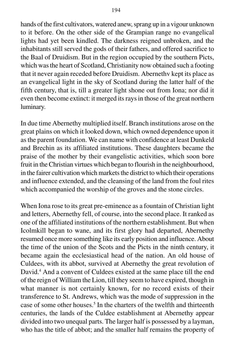hands of the first cultivators, watered anew, sprang up in a vigour unknown

194

to it before. On the other side of the Grampian range no evangelical lights had yet been kindled. The darkness reigned unbroken, and the inhabitants still served the gods of their fathers, and offered sacrifice to the Baal of Druidism. But in the region occupied by the southern Picts, which was the heart of Scotland, Christianity now obtained such a footing that it never again receded before Druidism. Abernethv kept its place as an evangelical light in the sky of Scotland during the latter half of the fifth century, that is, till a greater light shone out from Iona; nor did it even then become extinct: it merged its rays in those of the great northern luminary.

In due time Abernethy multiplied itself. Branch institutions arose on the great plains on which it looked down, which owned dependence upon it as the parent foundation. We can name with confidence at least Dunkeld and Brechin as its affiliated institutions. These daughters became the praise of the mother by their evangelistic activities, which soon bore fruit in the Christian virtues which began to flourish in the neighbourhood, in the fairer cultivation which markets the district to which their operations and influence extended, and the cleansing of the land from the foul rites which accompanied the worship of the groves and the stone circles.

When Iona rose to its great pre-eminence as a fountain of Christian light and letters, Abernethy fell, of course, into the second place. It ranked as one of the affiliated institutions of the northern establishment. But when Icolmkill began to wane, and its first glory had departed, Abernethy resumed once more something like its early position and influence. About the time of the union of the Scots and the Picts in the ninth century, it became again the ecclesiastical head of the nation. An old house of Culdees, with its abbot, survived at Abernethy the great revolution of David.<sup>4</sup> And a convent of Culdees existed at the same place till the end of the reign of William the Lion, till they seem to have expired, though in what manner is not certainly known, for no record exists of their transference to St. Andrews, which was the mode of suppression in the case of some other houses.<sup>5</sup> In the charters of the twelfth and thirteenth centuries, the lands of the Culdee establishment at Abernethy appear divided into two unequal parts. The larger half is possessed by a layman, who has the title of abbot; and the smaller half remains the property of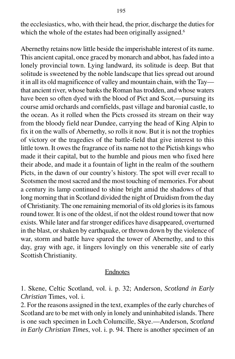the ecclesiastics, who, with their head, the prior, discharge the duties for which the whole of the estates had been originally assigned.<sup>6</sup>

Abernethy retains now little beside the imperishable interest of its name. This ancient capital, once graced by monarch and abbot, has faded into a lonely provincial town. Lying landward, its solitude is deep. But that solitude is sweetened by the noble landscape that lies spread out around it in all its old magnificence of valley and mountain chain, with the Tay that ancient river, whose banks the Roman has trodden, and whose waters have been so often dyed with the blood of Pict and Scot,—pursuing its course amid orchards and cornfields, past village and baronial castle, to the ocean. As it rolled when the Picts crossed its stream on their way from the bloody field near Dundee, carrying the head of King Alpin to fix it on the walls of Abernethy, so rolls it now. But it is not the trophies of victory or the tragedies of the battle-field that give interest to this little town. It owes the fragrance of its name not to the Pictish kings who made it their capital, but to the humble and pious men who fixed here their abode, and made it a fountain of light in the realm of the southern Picts, in the dawn of our country's history. The spot will ever recall to Scotsmen the most sacred and the most touching of memories. For about a century its lamp continued to shine bright amid the shadows of that long morning that in Scotland divided the night of Druidism from the day of Christianity. The one remaining memorial of its old glories is its famous round tower. It is one of the oldest, if not the oldest round tower that now exists. While later and far stronger edifices have disappeared, overturned in the blast, or shaken by earthquake, or thrown down by the violence of war, storm and battle have spared the tower of Abernethy, and to this day, gray with age, it lingers lovingly on this venerable site of early Scottish Christianity.

### Endnotes

1. Skene, Celtic Scotland, vol. i. p. 32; Anderson, *Scotland in Early Christian* Times, vol. i.

2. For the reasons assigned in the text, examples of the early churches of Scotland are to be met with only in lonely and uninhabited islands. There is one such specimen in Loch Columcille, Skye.—Anderson, *Scotland in Early Christian Times*, vol. i. p. 94. There is another specimen of an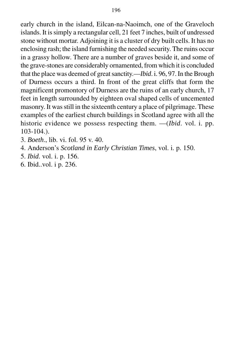early church in the island, Eilcan-na-Naoimch, one of the Graveloch islands. It is simply a rectangular cell, 21 feet 7 inches, built of undressed stone without mortar. Adjoining it is a cluster of dry built cells. It has no enclosing rash; the island furnishing the needed security. The ruins occur in a grassy hollow. There are a number of graves beside it, and some of the grave-stones are considerably ornamented, from which it is concluded that the place was deemed of great sanctity.—*Ibid*. i. 96, 97. In the Brough of Durness occurs a third. In front of the great cliffs that form the magnificent promontory of Durness are the ruins of an early church, 17 feet in length surrounded by eighteen oval shaped cells of uncemented masonry. It was still in the sixteenth century a place of pilgrimage. These examples of the earliest church buildings in Scotland agree with all the historic evidence we possess respecting them. —(*Ibid*. vol. i. pp. 103-104.).

3. *Boeth*., lib. vi. fol. 95 v. 40.

4. Anderson's *Scotland in Early Christian Times*, vol. i. p. 150.

- 5. *Ibid*. vol. i. p. 156.
- 6. Ibid..vol. i p. 236.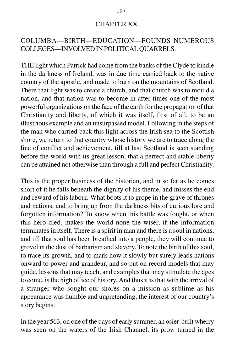### CHAPTER XX.

## COLUMBA—BIRTH—EDUCATION—FOUNDS NUMEROUS COLLEGES—INVOLVED IN POLITICAL QUARRELS.

THE light which Patrick had come from the banks of the Clyde to kindle in the darkness of Ireland, was in due time carried back to the native country of the apostle, and made to burn on the mountains of Scotland. There that light was to create a church, and that church was to mould a nation, and that nation was to become in after times one of the most powerful organizations on the face of the earth for the propagation of that Christianity and liberty, of which it was itself, first of all, to be an illustrious example and an unsurpassed model. Following in the steps of the man who carried back this light across the Irish sea to the Scottish shore, we return to that country whose history we are to trace along the line of conflict and achievement, till at last Scotland is seen standing before the world with its great lesson, that a perfect and stable liberty can be attained not otherwise than through a full and perfect Christianity.

This is the proper business of the historian, and in so far as he comes short of it he falls beneath the dignity of his theme, and misses the end and reward of his labour. What boots it to grope in the grave of thrones and nations, and to bring up from the darkness bits of curious lore and forgotten information? To know when this battle was fought, or when this hero died, makes the world none the wiser, if the information terminates in itself. There is a spirit in man and there is a soul in nations, and till that soul has been breathed into a people, they will continue to grovel in the dust of barbarism and slavery. To note the birth of this soul, to trace its growth, and to mark how it slowly but surely leads nations onward to power and grandeur, and so put on record models that may guide, lessons that may teach, and examples that may stimulate the ages to come, is the high office of history. And thus it is that with the arrival of a stranger who sought our shores on a mission as sublime as his appearance was humble and unpretending, the interest of our country's story begins.

In the year 563, on one of the days of early summer, an osier-built wherry was seen on the waters of the Irish Channel, its prow turned in the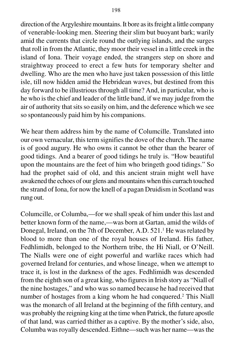direction of the Argyleshire mountains. It bore as its freight a little company of venerable-looking men. Steering their slim but buoyant bark; warily amid the currents that circle round the outlying islands, and the surges that roll in from the Atlantic, they moor their vessel in a little creek in the island of Iona. Their voyage ended, the strangers step on shore and straightway proceed to erect a few huts for temporary shelter and dwelling. Who are the men who have just taken possession of this little isle, till now hidden amid the Hebridean waves, but destined from this day forward to be illustrious through all time? And, in particular, who is he who is the chief and leader of the little band, if we may judge from the air of authority that sits so easily on him, and the deference which we see so spontaneously paid him by his companions.

We hear them address him by the name of Columcille. Translated into our own vernacular, this term signifies the dove of the church. The name is of good augury. He who owns it cannot be other than the bearer of good tidings. And a bearer of good tidings he truly is. "How beautiful upon the mountains are the feet of him who bringeth good tidings." So had the prophet said of old, and this ancient strain might well have awakened the echoes of our glens and mountains when this currach touched the strand of Iona, for now the knell of a pagan Druidism in Scotland was rung out.

Columcille, or Columba,—for we shall speak of him under this last and better known form of the name,—was born at Gartan, amid the wilds of Donegal, Ireland, on the 7th of December, A.D. 521.<sup>1</sup> He was related by blood to more than one of the royal houses of Ireland. His father, Fedhlimidh, belonged to the Northern tribe, the Hi Niall, or O'Neill. The Nialls were one of eight powerful and warlike races which had governed Ireland for centuries, and whose lineage, when we attempt to trace it, is lost in the darkness of the ages. Fedhlimidh was descended from the eighth son of a great king, who figures in Irish story as "Niall of the nine hostages," and who was so named because he had received that number of hostages from a king whom he had conquered.2 This Niall was the monarch of all Ireland at the beginning of the fifth century, and was probably the reigning king at the time when Patrick, the future apostle of that land, was carried thither as a captive. By the mother's side, also, Columba was royally descended. Eithne—such was her name—was the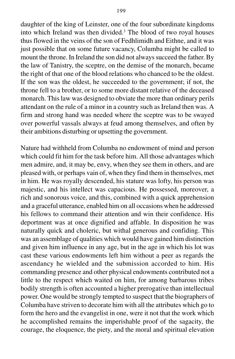daughter of the king of Leinster, one of the four subordinate kingdoms into which Ireland was then divided.<sup>3</sup> The blood of two royal houses thus flowed in the veins of the son of Fedhlimidh and Eithne, and it was just possible that on some future vacancy, Columba might be called to mount the throne. In Ireland the son did not always succeed the father. By the law of Tanistry, the sceptre, on the demise of the monarch, became the right of that one of the blood relations who chanced to be the oldest. If the son was the oldest, he succeeded to the government; if not, the throne fell to a brother, or to some more distant relative of the deceased monarch. This law was designed to obviate the more than ordinary perils attendant on the rule of a minor in a country such as Ireland then was. A firm and strong hand was needed where the sceptre was to be swayed over powerful vassals always at feud among themselves, and often by their ambitions disturbing or upsetting the government.

Nature had withheld from Columba no endowment of mind and person which could fit him for the task before him. All those advantages which men admire, and, it may be, envy, when they see them in others, and are pleased with, or perhaps vain of, when they find them in themselves, met in him. He was royally descended, his stature was lofty, his person was majestic, and his intellect was capacious. He possessed, moreover, a rich and sonorous voice, and this, combined with a quick apprehension and a graceful utterance, enabled him on all occasions when he addressed his fellows to command their attention and win their confidence. His deportment was at once dignified and affable. In disposition he was naturally quick and choleric, but withal generous and confiding. This was an assemblage of qualities which would have gained him distinction and given him influence in any age, but in the age in which his lot was cast these various endowments left him without a peer as regards the ascendancy he wielded and the submission accorded to him. His commanding presence and other physical endowments contributed not a little to the respect which waited on him, for among barbarous tribes bodily strength is often accounted a higher prerogative than intellectual power. One would be strongly tempted to suspect that the biographers of Columba have striven to decorate him with all the attributes which go to form the hero and the evangelist in one, were it not that the work which he accomplished remains the imperishable proof of the sagacity, the courage, the eloquence, the piety, and the moral and spiritual elevation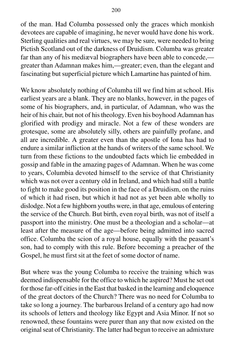of the man. Had Columba possessed only the graces which monkish devotees are capable of imagining, he never would have done his work. Sterling qualities and real virtues, we may be sure, were needed to bring Pictish Scotland out of the darkness of Druidism. Columba was greater far than any of his mediæval biographers have been able to concede, greater than Adamnan makes him,—greater; even, than the elegant and fascinating but superficial picture which Lamartine has painted of him.

We know absolutely nothing of Columba till we find him at school. His earliest years are a blank. They are no blanks, however, in the pages of some of his biographers, and, in particular, of Adamnan, who was the heir of his chair, but not of his theology. Even his boyhood Adamnan has glorified with prodigy and miracle. Not a few of these wonders are grotesque, some are absolutely silly, others are painfully profane, and all are incredible. A greater even than the apostle of Iona has had to endure a similar infliction at the hands of writers of the same school. We turn from these fictions to the undoubted facts which lie embedded in gossip and fable in the amazing pages of Adamnan. When he was come to years, Columbia devoted himself to the service of that Christianity which was not over a century old in Ireland, and which had still a battle to fight to make good its position in the face of a Druidism, on the ruins of which it had risen, but which it had not as yet been able wholly to dislodge. Not a few highborn youths were, in that age, emulous of entering the service of the Church. But birth, even royal birth, was not of itself a passport into the ministry. One must be a theologian and a scholar—at least after the measure of the age—before being admitted into sacred office. Columba the scion of a royal house, equally with the peasant's son, had to comply with this rule. Before becoming a preacher of the Gospel, he must first sit at the feet of some doctor of name.

But where was the young Columba to receive the training which was deemed indispensable for the office to which he aspired? Must he set out for those far-off cities in the East that basked in the learning and eloquence of the great doctors of the Church? There was no need for Columba to take so long a journey. The barbarous Ireland of a century ago had now its schools of letters and theology like Egypt and Asia Minor. If not so renowned, these fountains were purer than any that now existed on the original seat of Christianity. The latter had begun to receive an admixture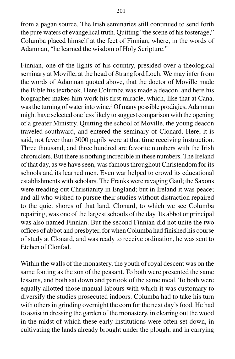from a pagan source. The Irish seminaries still continued to send forth the pure waters of evangelical truth. Quitting "the scene of his fosterage," Columba placed himself at the feet of Finnian, where, in the words of Adamnan, "he learned the wisdom of Holy Scripture."4

Finnian, one of the lights of his country, presided over a theological seminary at Moville, at the head of Strangford Loch. We may infer from the words of Adamnan quoted above, that the doctor of Moville made the Bible his textbook. Here Columba was made a deacon, and here his biographer makes him work his first miracle, which, like that at Cana, was the turning of water into wine.<sup>5</sup> Of many possible prodigies, Adamnan might have selected one less likely to suggest comparison with the opening of a greater Ministry. Quitting the school of Moville, the young deacon traveled southward, and entered the seminary of Clonard. Here, it is said, not fever than 3000 pupils were at that time receiving instruction. Three thousand, and three hundred are favorite numbers with the Irish chroniclers. But there is nothing incredible in these numbers. The Ireland of that day, as we have seen, was famous throughout Christendom for its schools and its learned men. Even war helped to crowd its educational establishments with scholars. The Franks were ravaging Gaul; the Saxons were treading out Christianity in England; but in Ireland it was peace; and all who wished to pursue their studies without distraction repaired to the quiet shores of that land. Clonard, to which we see Columba repairing, was one of the largest schools of the day. Its abbot or principal was also named Finnian. But the second Finnian did not unite the two offices of abbot and presbyter, for when Columba had finished his course of study at Clonard, and was ready to receive ordination, he was sent to Etchen of Clonfad.

Within the walls of the monastery, the youth of royal descent was on the same footing as the son of the peasant. To both were presented the same lessons, and both sat down and partook of the same meal. To both were equally allotted those manual labours with which it was customary to diversify the studies prosecuted indoors. Columba had to take his turn with others in grinding overnight the corn for the next day's food. He had to assist in dressing the garden of the monastery, in clearing out the wood in the midst of which these early institutions were often set down, in cultivating the lands already brought under the plough, and in carrying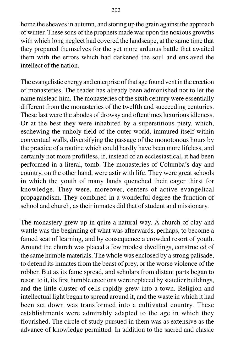home the sheaves in autumn, and storing up the grain against the approach of winter. These sons of the prophets made war upon the noxious growths with which long neglect had covered the landscape, at the same time that they prepared themselves for the yet more arduous battle that awaited them with the errors which had darkened the soul and enslaved the intellect of the nation.

The evangelistic energy and enterprise of that age found vent in the erection of monasteries. The reader has already been admonished not to let the name mislead him. The monasteries of the sixth century were essentially different from the monasteries of the twelfth and succeeding centuries. These last were the abodes of drowsy and oftentimes luxurious idleness. Or at the best they were inhabited by a superstitious piety, which, eschewing the unholy field of the outer world, immured itself within conventual walls, diversifying the passage of the monotonous hours by the practice of a routine which could hardly have been more lifeless, and certainly not more profitless, if, instead of an ecclesiastical, it had been performed in a literal, tomb. The monasteries of Columba's day and country, on the other hand, were astir with life. They were great schools in which the youth of many lands quenched their eager thirst for knowledge. They were, moreover, centers of active evangelical propagandism. They combined in a wonderful degree the function of school and church, as their inmates did that of student and missionary.

The monastery grew up in quite a natural way. A church of clay and wattle was the beginning of what was afterwards, perhaps, to become a famed seat of learning, and by consequence a crowded resort of youth. Around the church was placed a few modest dwellings, constructed of the same humble materials. The whole was enclosed by a strong palisade, to defend its inmates from the beast of prey, or the worse violence of the robber. But as its fame spread, and scholars from distant parts began to resort to it, its first humble erections were replaced by statelier buildings, and the little cluster of cells rapidly grew into a town. Religion and intellectual light began to spread around it, and the waste in which it had been set down was transformed into a cultivated country. These establishments were admirably adapted to the age in which they flourished. The circle of study pursued in them was as extensive as the advance of knowledge permitted. In addition to the sacred and classic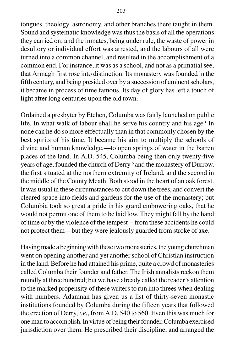tongues, theology, astronomy, and other branches there taught in them. Sound and systematic knowledge was thus the basis of all the operations they carried on; and the inmates, being under rule, the waste of power in desultory or individual effort was arrested, and the labours of all were turned into a common channel, and resulted in the accomplishment of a common end. For instance, it was as a school, and not as a primatial see, that Armagh first rose into distinction. Its monastery was founded in the fifth century, and being presided over by a succession of eminent scholars, it became in process of time famous. Its day of glory has left a touch of light after long centuries upon the old town.

Ordained a presbyter by Etchen, Columba was fairly launched on public life. In what walk of labour shall he serve his country and his age? In none can he do so more effectually than in that commonly chosen by the best spirits of his time. It became his aim to multiply the schools of divine and human knowledge,—to open springs of water in the barren places of the land. In A.D. 545, Columba being then only twenty-five years of age, founded the church of Derry <sup>6</sup> and the monastery of Durrow, the first situated at the northern extremity of Ireland, and the second in the middle of the County Meath. Both stood in the heart of an oak forest. It was usual in these circumstances to cut down the trees, and convert the cleared space into fields and gardens for the use of the monastery; but Columbia took so great a pride in his grand embowering oaks, that he would not permit one of them to be laid low. They might fall by the hand of time or by the violence of the tempest—from these accidents he could not protect them—but they were jealously guarded from stroke of axe.

Having made a beginning with these two monasteries, the young churchman went on opening another and yet another school of Christian instruction in the land. Before he had attained his prime, quite a crowd of monasteries called Columba their founder and father. The Irish annalists reckon them roundly at three hundred; but we have already called the reader's attention to the marked propensity of these writers to run into threes when dealing with numbers. Adamnan has given us a list of thirty-seven monastic institutions founded by Columba during the fifteen years that followed the erection of Derry, *i.e.*, from A.D. 540 to 560. Even this was much for one man to accomplish. In virtue of being their founder, Columba exercised jurisdiction over them. He prescribed their discipline, and arranged the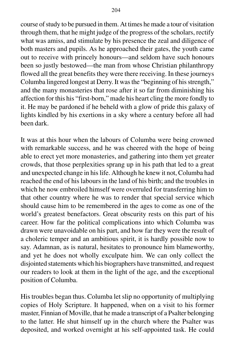course of study to be pursued in them. At times he made a tour of visitation through them, that he might judge of the progress of the scholars, rectify what was amiss, and stimulate by his presence the zeal and diligence of both masters and pupils. As he approached their gates, the youth came out to receive with princely honours—and seldom have such honours been so justly bestowed—the man from whose Christian philanthropy flowed all the great benefits they were there receiving. In these journeys Columba lingered longest at Derry. It was the "beginning of his strength," and the many monasteries that rose after it so far from diminishing his affection for this his "first-born," made his heart cling the more fondly to it. He may be pardoned if he beheld with a glow of pride this galaxy of lights kindled by his exertions in a sky where a century before all had been dark.

It was at this hour when the labours of Columba were being crowned with remarkable success, and he was cheered with the hope of being able to erect yet more monasteries, and gathering into them yet greater crowds, that those perplexities sprang up in his path that led to a great and unexpected change in his life. Although he knew it not, Columba had reached the end of his labours in the land of his birth; and the troubles in which he now embroiled himself were overruled for transferring him to that other country where he was to render that special service which should cause him to be remembered in the ages to come as one of the world's greatest benefactors. Great obscurity rests on this part of his career. How far the political complications into which Columba was drawn were unavoidable on his part, and how far they were the result of a choleric temper and an ambitious spirit, it is hardly possible now to say. Adamnan, as is natural, hesitates to pronounce him blameworthy, and yet he does not wholly exculpate him. We can only collect the disjointed statements which his biographers have transmitted, and request our readers to look at them in the light of the age, and the exceptional position of Columba.

His troubles began thus. Columba let slip no opportunity of multiplying copies of Holy Scripture. It happened, when on a visit to his former master, Finnian of Moville, that he made a transcript of a Psalter belonging to the latter. He shut himself up in the church where the Psalter was deposited, and worked overnight at his self-appointed task. He could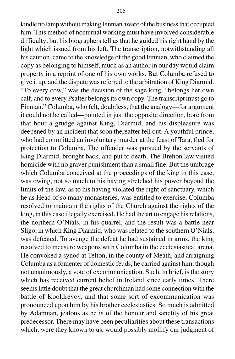kindle no lamp without making Finnian aware of the business that occupied him. This method of nocturnal working must have involved considerable difficulty; but his biographers tell us that he guided his right hand by the light which issued from his left. The transcription, notwithstanding all his caution, came to the knowledge of the good Finnian, who claimed the copy as belonging to himself, much as an author in our day would claim property in a reprint of one of his own works. But Columba refused to give it up, and the dispute was referred to the arbitration of King Diarmid. "To every cow," was the decision of the sage king, "belongs her own calf, and to every Psalter belongs its own copy. The transcript must go to Finnian." Columba, who felt, doubtless, that the analogy—for argument it could not be called—pointed in just the opposite direction, bore from that hour a grudge against King, Diarmid, and his displeasure was deepened by an incident that soon thereafter fell out. A youthful prince, who had committed an involuntary murder at the feast of Tara, fled for protection to Columba. The offender was pursued by the servants of King Diarmid, brought back, and put to death. The Brehon law visited homicide with no graver punishment than a small fine. But the umbrage which Columba conceived at the proceedings of the king in this case, was owing, not so much to his having stretched his power beyond the limits of the law, as to his having violated the right of sanctuary, which he as Head of so many monasteries, was entitled to exercise. Columba resolved to maintain the rights of the Church against the rights of the king, in this case illegally exercised. He had the art to engage his relations, the northern O'Nials, in his quarrel, and the result was a battle near Sligo, in which King Diarmid, who was related to the southern O'Nials, was defeated. To avenge the defeat he had sustained in arms, the king resolved to measure weapons with Columba in the ecclesiastical arena. He convoked a synod at Telton, in the county of Meath, and arraigning Columba as a fomenter of domestic feuds, he carried against him, though not unanimously, a vote of excommunication. Such, in brief, is the story which has received current belief in Ireland since early times. There seems little doubt that the great churchman had some connection with the battle of Kooldrevoy, and that some sort of excommunication was pronounced upon him by his brother ecclesiastics. So much is admitted by Adamnan, jealous as he is of the honour and sanctity of his great predecessor. There may have been peculiarities about these transactions which, were they known to us, would possibly mollify our judgment of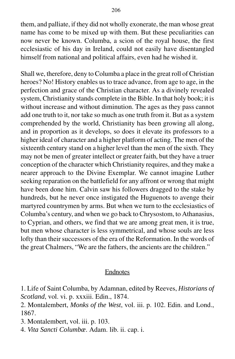them, and palliate, if they did not wholly exonerate, the man whose great name has come to be mixed up with them. But these peculiarities can now never be known. Columba, a scion of the royal house, the first ecclesiastic of his day in Ireland, could not easily have disentangled himself from national and political affairs, even had he wished it.

Shall we, therefore, deny to Columba a place in the great roll of Christian heroes? No! History enables us to trace advance, from age to age, in the perfection and grace of the Christian character. As a divinely revealed system, Christianity stands complete in the Bible. In that holy book; it is without increase and without diminution. The ages as they pass cannot add one truth to it, nor take so much as one truth from it. But as a system comprehended by the world, Christianity has been growing all along, and in proportion as it develops, so does it elevate its professors to a higher ideal of character and a higher platform of acting. The men of the sixteenth century stand on a higher level than the men of the sixth. They may not be men of greater intellect or greater faith, but they have a truer conception of the character which Christianity requires, and they make a nearer approach to the Divine Exemplar. We cannot imagine Luther seeking reparation on the battlefield for any affront or wrong that might have been done him. Calvin saw his followers dragged to the stake by hundreds, but he never once instigated the Huguenots to avenge their martyred countrymen by arms. But when we turn to the ecclesiastics of Columba's century, and when we go back to Chrysostom, to Athanasius, to Cyprian, and others, we find that we are among great men, it is true, but men whose character is less symmetrical, and whose souls are less lofty than their successors of the era of the Reformation. In the words of the great Chalmers, "We are the fathers, the ancients are the children."

## Endnotes

1. Life of Saint Columba, by Adamnan, edited by Reeves, *Historians of Scotland*, vol. vi. p. xxxiii. Edin., 1874.

2. Montalembert, *Monks of the West*, vol. iii. p. 102. Edin. and Lond., 1867.

3. Montalembert, vol. iii. p. 103.

4. *Vita Sancti Columbæ*. Adam. lib. ii. cap. i.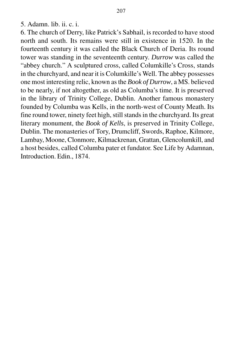5. Adamn. lib. ii. c. i.

6. The church of Derry, like Patrick's Sabhail, is recorded to have stood north and south. Its remains were still in existence in 1520. In the fourteenth century it was called the Black Church of Deria. Its round tower was standing in the seventeenth century. *Durrow* was called the "abbey church." A sculptured cross, called Columkille's Cross, stands in the churchyard, and near it is Columkille's Well. The abbey possesses one most interesting relic, known as the *Book of Durrow*, a MS. believed to be nearly, if not altogether, as old as Columba's time. It is preserved in the library of Trinity College, Dublin. Another famous monastery founded by Columba was Kells, in the north-west of County Meath. Its fine round tower, ninety feet high, still stands in the churchyard. Its great literary monument, the *Book of Kells*, is preserved in Trinity College, Dublin. The monasteries of Tory, Drumcliff, Swords, Raphoe, Kilmore, Lambay, Moone, Clonmore, Kilmackrenan, Grattan, Glencolumkill, and a host besides, called Columba pater et fundator. See Life by Adamnan, Introduction. Edin., 1874.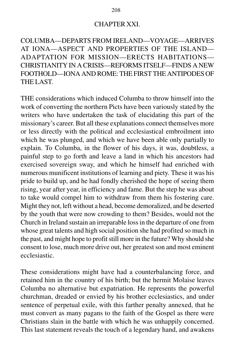#### CHAPTER XXI.

COLUMBA—DEPARTS FROM IRELAND—VOYAGE—ARRIVES AT IONA—ASPECT AND PROPERTIES OF THE ISLAND— ADAPTATION FOR MISSION—ERECTS HABITATIONS— CHRISTIANITY IN A CRISIS—REFORMS ITSELF—FINDS A NEW FOOTHOLD—IONA AND ROME: THE FIRST THE ANTIPODES OF THE LAST.

THE considerations which induced Columba to throw himself into the work of converting the northern Picts have been variously stated by the writers who have undertaken the task of elucidating this part of the missionary's career. But all these explanations connect themselves more or less directly with the political and ecclesiastical embroilment into which he was plunged, and which we have been able only partially to explain. To Columba, in the flower of his days, it was, doubtless, a painful step to go forth and leave a land in which his ancestors had exercised sovereign sway, and which he himself had enriched with numerous munificent institutions of learning and piety. These it was his pride to build up, and he had fondly cherished the hope of seeing them rising, year after year, in efficiency and fame. But the step he was about to take would compel him to withdraw from them his fostering care. Might they not, left without a head, become demoralized, and be deserted by the youth that were now crowding to them? Besides, would not the Church in Ireland sustain an irreparable loss in the departure of one from whose great talents and high social position she had profited so much in the past, and might hope to profit still more in the future? Why should she consent to lose, much more drive out, her greatest son and most eminent ecclesiastic.

These considerations might have had a counterbalancing force, and retained him in the country of his birth; but the hermit Molaise leaves Columba no alternative but expatriation. He represents the powerful churchman, dreaded or envied by his brother ecclesiastics, and under sentence of perpetual exile, with this farther penalty annexed, that he must convert as many pagans to the faith of the Gospel as there were Christians slain in the battle with which he was unhappily concerned. This last statement reveals the touch of a legendary hand, and awakens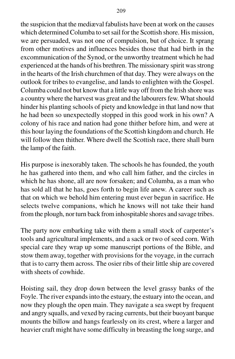the suspicion that the mediæval fabulists have been at work on the causes which determined Columba to set sail for the Scottish shore. His mission, we are persuaded, was not one of compulsion, but of choice. It sprang from other motives and influences besides those that had birth in the excommunication of the Synod, or the unworthy treatment which he had experienced at the hands of his brethren. The missionary spirit was strong in the hearts of the Irish churchmen of that day. They were always on the outlook for tribes to evangelise, and lands to enlighten with the Gospel. Columba could not but know that a little way off from the Irish shore was a country where the harvest was great and the labourers few. What should hinder his planting schools of piety and knowledge in that land now that he had been so unexpectedly stopped in this good work in his own? A colony of his race and nation had gone thither before him, and were at this hour laying the foundations of the Scottish kingdom and church. He will follow then thither. Where dwell the Scottish race, there shall burn the lamp of the faith.

His purpose is inexorably taken. The schools he has founded, the youth he has gathered into them, and who call him father, and the circles in which he has shone, all are now forsaken; and Columba, as a man who has sold all that he has, goes forth to begin life anew. A career such as that on which we behold him entering must ever begun in sacrifice. He selects twelve companions, which he knows will not take their hand from the plough, nor turn back from inhospitable shores and savage tribes.

The party now embarking take with them a small stock of carpenter's tools and agricultural implements, and a sack or two of seed corn. With special care they wrap up some manuscript portions of the Bible, and stow them away, together with provisions for the voyage, in the currach that is to carry them across. The osier ribs of their little ship are covered with sheets of cowhide.

Hoisting sail, they drop down between the level grassy banks of the Foyle. The river expands into the estuary, the estuary into the ocean, and now they plough the open main. They navigate a sea swept by frequent and angry squalls, and vexed by racing currents, but their buoyant barque mounts the billow and hangs fearlessly on its crest, where a larger and heavier craft might have some difficulty in breasting the long surge, and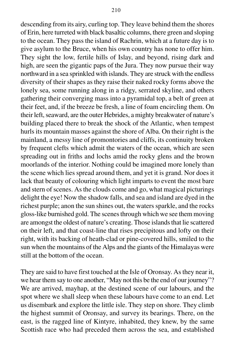descending from its airy, curling top. They leave behind them the shores of Erin, here turreted with black basaltic columns, there green and sloping to the ocean. They pass the island of Rachrin, which at a future day is to give asylum to the Bruce, when his own country has none to offer him. They sight the low, fertile hills of Islay, and beyond, rising dark and high, are seen the gigantic paps of the Jura. They now pursue their way northward in a sea sprinkled with islands. They are struck with the endless diversity of their shapes as they raise their naked rocky forms above the lonely sea, some running along in a ridgy, serrated skyline, and others gathering their converging mass into a pyramidal top, a belt of green at their feet, and, if the breeze be fresh, a line of foam encircling them. On their left, seaward, are the outer Hebrides, a mighty breakwater of nature's building placed there to break the shock of the Atlantic, when tempest hurls its mountain masses against the shore of Alba. On their right is the mainland, a messy line of promontories and cliffs, its continuity broken by frequent clefts which admit the waters of the ocean, which are seen spreading out in friths and lochs amid the rocky glens and the brown moorlands of the interior. Nothing could be imagined more lonely than the scene which lies spread around them, and yet it is grand. Nor does it lack that beauty of colouring which light imparts to event the most bare and stern of scenes. As the clouds come and go, what magical picturings delight the eye! Now the shadow falls, and sea and island are dyed in the richest purple; anon the sun shines out, the waters sparkle, and the rocks gloss-like burnished gold. The scenes through which we see them moving are amongst the oldest of nature's creating. Those islands that lie scattered on their left, and that coast-line that rises precipitous and lofty on their right, with its backing of heath-clad or pine-covered hills, smiled to the sun when the mountains of the Alps and the giants of the Himalayas were still at the bottom of the ocean.

They are said to have first touched at the Isle of Oronsay. As they near it, we hear them say to one another, "May not this be the end of our journey"? We are arrived, mayhap, at the destined scene of our labours, and the spot where we shall sleep when these labours have come to an end. Let us disembark and explore the little isle. They step on shore. They climb the highest summit of Oronsay, and survey its bearings. There, on the east, is the ragged line of Kintyre, inhabited, they knew, by the same Scottish race who had preceded them across the sea, and established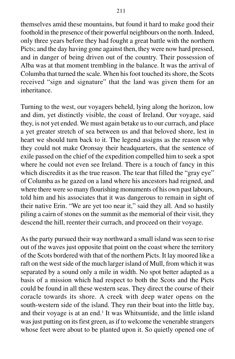themselves amid these mountains, but found it hard to make good their foothold in the presence of their powerful neighbours on the north. Indeed, only three years before they had fought a great battle with the northern Picts; and the day having gone against then, they were now hard pressed, and in danger of being driven out of the country. Their possession of Alba was at that moment trembling in the balance. It was the arrival of Columba that turned the scale. When his foot touched its shore, the Scots received "sign and signature" that the land was given them for an inheritance.

Turning to the west, our voyagers beheld, lying along the horizon, low and dim, yet distinctly visible, the coast of Ireland. Our voyage, said they, is not yet ended. We must again betake us to our currach, and place a yet greater stretch of sea between us and that beloved shore, lest in heart we should turn back to it. The legend assigns as the reason why they could not make Oronsay their headquarters, that the sentence of exile passed on the chief of the expedition compelled him to seek a spot where he could not even see Ireland. There is a touch of fancy in this which discredits it as the true reason. The tear that filled the "gray eye" of Columba as he gazed on a land where his ancestors had reigned, and where there were so many flourishing monuments of his own past labours, told him and his associates that it was dangerous to remain in sight of their native Erin. "We are yet too near it," said they all. And so hastily piling a cairn of stones on the summit as the memorial of their visit, they descend the hill, reenter their currach, and proceed on their voyage.

As the party pursued their way northward a small island was seen to rise out of the waves just opposite that point on the coast where the territory of the Scots bordered with that of the northern Picts. It lay moored like a raft on the west side of the much larger island of Mull, from which it was separated by a sound only a mile in width. No spot better adapted as a basis of a mission which had respect to both the Scots and the Picts could be found in all these western seas. They direct the course of their coracle towards its shore. A creek with deep water opens on the south-western side of the island. They run their boat into the little bay, and their voyage is at an end.<sup>1</sup> It was Whitsuntide, and the little island was just putting on its first green, as if to welcome the venerable strangers whose feet were about to be planted upon it. So quietly opened one of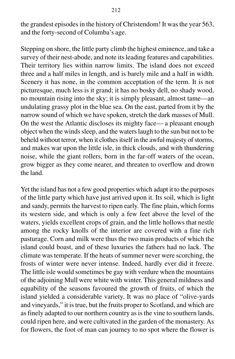the grandest episodes in the history of Christendom! It was the year 563, and the forty-second of Columba's age.

Stepping on shore, the little party climb the highest eminence, and take a survey of their nest-abode, and note its leading features and capabilities. Their territory lies within narrow limits. The island does not exceed three and a half miles in length, and is barely mile and a half in width. Scenery it has none, in the common acceptation of the term. It is not picturesque, much less is it grand; it has no bosky dell, no shady wood, no mountain rising into the sky; it is simply pleasant, almost tame—an undulating grassy plot in the blue sea. On the east, parted from it by the narrow sound of which we have spoken, stretch the dark masses of Mull. On the west the Atlantic discloses its mighty face— a pleasant enough object when the winds sleep, and the waters laugh to the sun but not to be beheld without terror, when it clothes itself in the awful majesty of storms, and makes war upon the little isle, in thick clouds, and with thundering noise, while the giant rollers, born in the far-off waters of the ocean, grow bigger as they come nearer, and threaten to overflow and drown the land.

Yet the island has not a few good properties which adapt it to the purposes of the little party which have just arrived upon it. Its soil, which is light and sandy, permits the harvest to ripen early. The fine plain, which forms its western side, and which is only a few feet above the level of the waters, yields excellent crops of grain, and the little hollows that nestle among the rocky knolls of the interior are covered with a fine rich pasturage. Corn and milk were thus the two main products of which the island could boast, and of these luxuries the fathers had no lack. The climate was temperate. If the heats of summer never were scorching, the frosts of winter were never intense. Indeed, hardly ever did it freeze. The little isle would sometimes be gay with verdure when the mountains of the adjoining Mull were white with winter. This general mildness and equability of the seasons favoured the growth of fruits, of which the island yielded a considerable variety. It was no place of "olive-yards and vineyards," it is true, but the fruits proper to Scotland, and which are as finely adapted to our northern country as is the vine to southern lands, could ripen here, and were cultivated in the garden of the monastery. As for flowers, the foot of man can journey to no spot where the flower is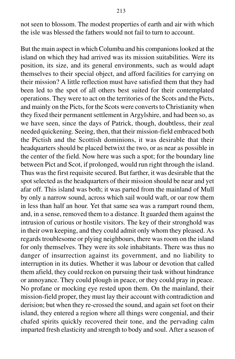not seen to blossom. The modest properties of earth and air with which the isle was blessed the fathers would not fail to turn to account.

But the main aspect in which Columba and his companions looked at the island on which they had arrived was its mission suitabilities. Were its position, its size, and its general environments, such as would adapt themselves to their special object, and afford facilities for carrying on their mission? A little reflection must have satisfied them that they had been led to the spot of all others best suited for their contemplated operations. They were to act on the territories of the Scots and the Picts, and mainly on the Picts, for the Scots were converts to Christianity when they fixed their permanent settlement in Argylshire, and had been so, as we have seen, since the days of Patrick, though, doubtless, their zeal needed quickening. Seeing, then, that their mission-field embraced both the Pictish and the Scottish dominions, it was desirable that their headquarters should be placed betwixt the two, or as near as possible in the center of the field. Now here was such a spot; for the boundary line between Pict and Scot, if prolonged, would run right through the island. Thus was the first requisite secured. But farther, it was desirable that the spot selected as the headquarters of their mission should be near and yet afar off. This island was both; it was parted from the mainland of Mull by only a narrow sound, across which sail would waft, or oar row them in less than half an hour. Yet that same sea was a rampart round them, and, in a sense, removed them to a distance. It guarded them against the intrusion of curious or hostile visitors. The key of their stronghold was in their own keeping, and they could admit only whom they pleased. As regards troublesome or plying neighbours, there was room on the island for only themselves. They were its sole inhabitants. There was thus no danger of insurrection against its government, and no liability to interruption in its duties. Whether it was labour or devotion that called them afield, they could reckon on pursuing their task without hindrance or annoyance. They could plough in peace, or they could pray in peace. No profane or mocking eye rested upon them. On the mainland, their mission-field proper, they must lay their account with contradiction and derision; but when they re-crossed the sound, and again set foot on their island, they entered a region where all things were congenial, and their chafed spirits quickly recovered their tone, and the pervading calm imparted fresh elasticity and strength to body and soul. After a season of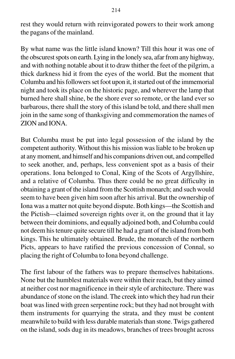rest they would return with reinvigorated powers to their work among the pagans of the mainland.

By what name was the little island known? Till this hour it was one of the obscurest spots on earth. Lying in the lonely sea, afar from any highway, and with nothing notable about it to draw thither the feet of the pilgrim, a thick darkness hid it from the eyes of the world. But the moment that Columba and his followers set foot upon it, it started out of the immemorial night and took its place on the historic page, and wherever the lamp that burned here shall shine, be the shore ever so remote, or the land ever so barbarous, there shall the story of this island be told, and there shall men join in the same song of thanksgiving and commemoration the names of ZION and IONA.

But Columba must be put into legal possession of the island by the competent authority. Without this his mission was liable to be broken up at any moment, and himself and his companions driven out, and compelled to seek another, and, perhaps, less convenient spot as a basis of their operations. Iona belonged to Conal, King of the Scots of Argyllshire, and a relative of Columba. Thus there could be no great difficulty in obtaining a grant of the island from the Scottish monarch; and such would seem to have been given him soon after his arrival. But the ownership of Iona was a matter not quite beyond dispute. Both kings—the Scottish and the Pictish—claimed sovereign rights over it, on the ground that it lay between their dominions, and equally adjoined both, and Columba could not deem his tenure quite secure till he had a grant of the island from both kings. This he ultimately obtained. Brude, the monarch of the northern Picts, appears to have ratified the previous concession of Connal, so placing the right of Columba to Iona beyond challenge.

The first labour of the fathers was to prepare themselves habitations. None but the humblest materials were within their reach, but they aimed at neither cost nor magnificence in their style of architecture. There was abundance of stone on the island. The creek into which they had run their boat was lined with green serpentine rock; but they had not brought with them instruments for quarrying the strata, and they must be content meanwhile to build with less durable materials than stone. Twigs gathered on the island, sods dug in its meadows, branches of trees brought across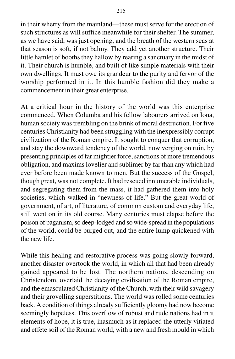in their wherry from the mainland—these must serve for the erection of such structures as will suffice meanwhile for their shelter. The summer, as we have said, was just opening, and the breath of the western seas at that season is soft, if not balmy. They add yet another structure. Their little hamlet of booths they hallow by rearing a sanctuary in the midst of it. Their church is humble, and built of like simple materials with their own dwellings. It must owe its grandeur to the purity and fervor of the worship performed in it. In this humble fashion did they make a commencement in their great enterprise.

At a critical hour in the history of the world was this enterprise commenced. When Columba and his fellow labourers arrived on Iona, human society was trembling on the brink of moral destruction. For five centuries Christianity had been struggling with the inexpressibly corrupt civilization of the Roman empire. It sought to conquer that corruption, and stay the downward tendency of the world, now verging on ruin, by presenting principles of far mightier force, sanctions of more tremendous obligation, and maxims lovelier and sublimer by far than any which had ever before been made known to men. But the success of the Gospel, though great, was not complete. It had rescued innumerable individuals, and segregating them from the mass, it had gathered them into holy societies, which walked in "newness of life." But the great world of government, of art, of literature, of common custom and everyday life, still went on in its old course. Many centuries must elapse before the poison of paganism, so deep-lodged and so wide-spread in the populations of the world, could be purged out, and the entire lump quickened with the new life.

While this healing and restorative process was going slowly forward, another disaster overtook the world, in which all that had been already gained appeared to be lost. The northern nations, descending on Christendom, overlaid the decaying civilisation of the Roman empire, and the emasculated Christianity of the Church, with their wild savagery and their grovelling superstitions. The world was rolled some centuries back. A condition of things already sufficiently gloomy had now become seemingly hopeless. This overflow of robust and rude nations had in it elements of hope, it is true, inasmuch as it replaced the utterly vitiated and effete soil of the Roman world, with a new and fresh mould in which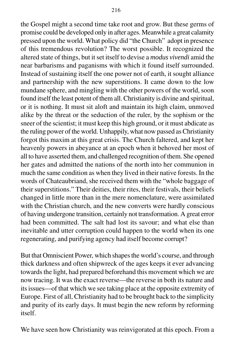the Gospel might a second time take root and grow. But these germs of promise could be developed only in after ages. Meanwhile a great calamity pressed upon the world. What policy did "the Church" adopt in presence of this tremendous revolution? The worst possible. It recognized the altered state of things, but it set itself to devise a *modus vivendi* amid the near barbarisms and paganisms with which it found itself surrounded. Instead of sustaining itself the one power not of earth, it sought alliance and partnership with the new superstitions. It came down to the low mundane sphere, and mingling with the other powers of the world, soon found itself the least potent of them all. Christianity is divine and spiritual, or it is nothing. It must sit aloft and maintain its high claim, unmoved alike by the threat or the seduction of the ruler, by the sophism or the sneer of the scientist; it must keep this high ground, or it must abdicate as the ruling power of the world. Unhappily, what now passed as Christianity forgot this maxim at this great crisis. The Church faltered, and kept her heavenly powers in abeyance at an epoch when it behoved her most of all to have asserted them, and challenged recognition of them. She opened her gates and admitted the nations of the north into her communion in much the same condition as when they lived in their native forests. In the words of Chateaubriand, she received them with the "whole baggage of their superstitions." Their deities, their rites, their festivals, their beliefs changed in little more than in the mere nomenclature, were assimilated with the Christian church, and the new converts were hardly conscious of having undergone transition, certainly not transformation. A great error had been committed. The salt had lost its savour; and what else than inevitable and utter corruption could happen to the world when its one regenerating, and purifying agency had itself become corrupt?

But that Omniscient Power, which shapes the world's course, and through thick darkness and often shipwreck of the ages keeps it ever advancing towards the light, had prepared beforehand this movement which we are now tracing. It was the exact reverse—the reverse in both its nature and its issues—of that which we see taking place at the opposite extremity of Europe. First of all, Christianity had to be brought back to the simplicity and purity of its early days. It must begin the new reform by reforming itself.

We have seen how Christianity was reinvigorated at this epoch. From a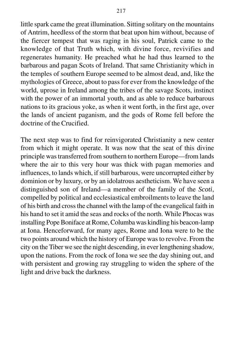little spark came the great illumination. Sitting solitary on the mountains of Antrim, heedless of the storm that beat upon him without, because of the fiercer tempest that was raging in his soul, Patrick came to the knowledge of that Truth which, with divine force, revivifies and regenerates humanity. He preached what he had thus learned to the barbarous and pagan Scots of Ireland. That same Christianity which in the temples of southern Europe seemed to be almost dead, and, like the mythologies of Greece, about to pass for ever from the knowledge of the world, uprose in Ireland among the tribes of the savage Scots, instinct with the power of an immortal youth, and as able to reduce barbarous nations to its gracious yoke, as when it went forth, in the first age, over the lands of ancient paganism, and the gods of Rome fell before the doctrine of the Crucified.

The next step was to find for reinvigorated Christianity a new center from which it might operate. It was now that the seat of this divine principle was transferred from southern to northern Europe—from lands where the air to this very hour was thick with pagan memories and influences, to lands which, if still barbarous, were uncorrupted either by dominion or by luxury, or by an idolatrous aestheticism. We have seen a distinguished son of Ireland—a member of the family of the *Scoti*, compelled by political and ecclesiastical embroilments to leave the land of his birth and cross the channel with the lamp of the evangelical faith in his hand to set it amid the seas and rocks of the north. While Phocas was installing Pope Boniface at Rome, Columba was kindling his beacon-lamp at Iona. Henceforward, for many ages, Rome and Iona were to be the two points around which the history of Europe was to revolve. From the city on the Tiber we see the night descending, in ever lengthening shadow, upon the nations. From the rock of Iona we see the day shining out, and with persistent and growing ray struggling to widen the sphere of the light and drive back the darkness.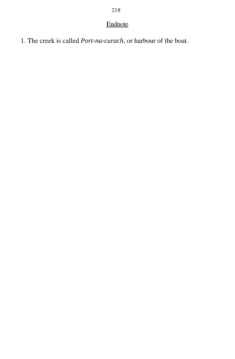# Endnote

1. The creek is called *Port-na-curach*, or harbour of the boat.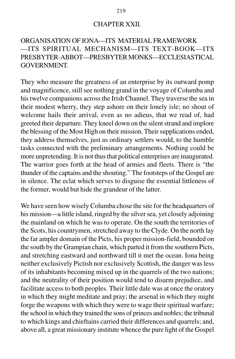#### CHAPTER XXII.

## ORGANISATION OF IONA—ITS MATERIAL FRAMEWORK —ITS SPIRITUAL MECHANISM—ITS TEXT-BOOK—ITS PRESBYTER-ABBOT—PRESBYTER MONKS—ECCLESIASTICAL GOVERNMENT.

They who measure the greatness of an enterprise by its outward pomp and magnificence, still see nothing grand in the voyage of Columba and his twelve companions across the Irish Channel. They traverse the sea in their modest wherry, they step ashore on their lonely isle; no shout of welcome hails their arrival, even as no adieus, that we read of, had greeted their departure. They kneel down on the silent strand and implore the blessing of the Most High on their mission. Their supplications ended, they address themselves, just as ordinary settlers would, to the humble tasks connected with the preliminary arrangements. Nothing could be more unpretending. It is not thus that political enterprises are inaugurated. The warrior goes forth at the head of armies and fleets. There is "the thunder of the captains and the shouting." The footsteps of the Gospel are in silence. The eclat which serves to disguise the essential littleness of the former, would but hide the grandeur of the latter.

We have seen how wisely Columba chose the site for the headquarters of his mission—a little island, ringed by the silver sea, yet closely adjoining the mainland on which he was to operate. On the south the territories of the Scots, his countrymen, stretched away to the Clyde. On the north lay the far ampler domain of the Picts, his proper mission-field, bounded on the south by the Grampian chain, which parted it from the southern Picts, and stretching eastward and northward till it met the ocean. Iona being neither exclusively Pictish nor exclusively Scottish, the danger was less of its inhabitants becoming mixed up in the quarrels of the two nations; and the neutrality of their position would tend to disarm prejudice, and facilitate access to both peoples. Their little dale was at once the oratory in which they might meditate and pray; the arsenal in which they might forge the weapons with which they were to wage their spiritual warfare; the school in which they trained the sons of princes and nobles; the tribunal to which kings and chieftains carried their differences and quarrels; and, above all, a great missionary institute whence the pure light of the Gospel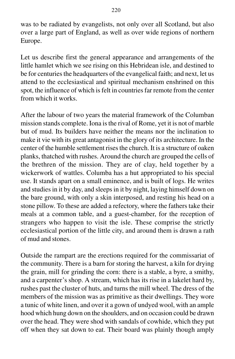was to be radiated by evangelists, not only over all Scotland, but also over a large part of England, as well as over wide regions of northern Europe.

Let us describe first the general appearance and arrangements of the little hamlet which we see rising on this Hebridean isle, and destined to be for centuries the headquarters of the evangelical faith; and next, let us attend to the ecclesiastical and spiritual mechanism enshrined on this spot, the influence of which is felt in countries far remote from the center from which it works.

After the labour of two years the material framework of the Columban mission stands complete. Iona is the rival of Rome, yet it is not of marble but of mud. Its builders have neither the means nor the inclination to make it vie with its great antagonist in the glory of its architecture. In the center of the humble settlement rises the church. It is a structure of oaken planks, thatched with rushes. Around the church are grouped the cells of the brethren of the mission. They are of clay, held together by a wickerwork of wattles. Columba has a hut appropriated to his special use. It stands apart on a small eminence, and is built of logs. He writes and studies in it by day, and sleeps in it by night, laying himself down on the bare ground, with only a skin interposed, and resting his head on a stone pillow. To these are added a refectory, where the fathers take their meals at a common table, and a guest-chamber, for the reception of strangers who happen to visit the isle. These comprise the strictly ecclesiastical portion of the little city, and around them is drawn a rath of mud and stones.

Outside the rampart are the erections required for the commissariat of the community. There is a barn for storing the harvest, a kiln for drying the grain, mill for grinding the corn: there is a stable, a byre, a smithy, and a carpenter's shop. A stream, which has its rise in a lakelet hard by, rushes past the cluster of huts, and turns the mill wheel. The dress of the members of the mission was as primitive as their dwellings. They wore a tunic of white linen, and over it a gown of undyed wool, with an ample hood which hung down on the shoulders, and on occasion could be drawn over the head. They were shod with sandals of cowhide, which they put off when they sat down to eat. Their board was plainly though amply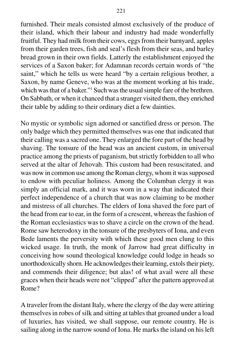furnished. Their meals consisted almost exclusively of the produce of their island, which their labour and industry had made wonderfully fruitful. They had milk from their cows, eggs from their barnyard, apples from their garden trees, fish and seal's flesh from their seas, and barley bread grown in their own fields. Latterly the establishment enjoyed the services of a Saxon baker; for Adamnan records certain words of "the saint," which he tells us were heard "by a certain religious brother, a Saxon, by name Geneve, who was at the moment working at his trade, which was that of a baker."<sup>1</sup> Such was the usual simple fare of the brethren. On Sabbath, or when it chanced that a stranger visited them, they enriched their table by adding to their ordinary diet a few dainties.

No mystic or symbolic sign adorned or sanctified dress or person. The only badge which they permitted themselves was one that indicated that their calling was a sacred one. They enlarged the fore part of the head by shaving. The tonsure of the head was an ancient custom, in universal practice among the priests of paganism, but strictly forbidden to all who served at the altar of Jehovah. This custom had been resuscitated, and was now in common use among the Roman clergy, whom it was supposed to endow with peculiar holiness. Among the Columban clergy it was simply an official mark, and it was worn in a way that indicated their perfect independence of a church that was now claiming to be mother and mistress of all churches. The elders of Iona shaved the fore part of the head from ear to ear, in the form of a crescent, whereas the fashion of the Roman ecclesiastics was to shave a circle on the crown of the head. Rome saw heterodoxy in the tonsure of the presbyters of Iona, and even Bede laments the perversity with which these good men clung to this wicked usage. In truth, the monk of Jarrow had great difficulty in conceiving how sound theological knowledge could lodge in heads so unorthodoxically shorn. He acknowledges their learning, extols their piety, and commends their diligence; but alas! of what avail were all these graces when their heads were not "clipped" after the pattern approved at Rome?

A traveler from the distant Italy, where the clergy of the day were attiring themselves in robes of silk and sitting at tables that groaned under a load of luxuries, has visited, we shall suppose, our remote country. He is sailing along in the narrow sound of Iona. He marks the island on his left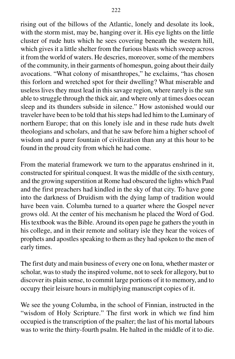rising out of the billows of the Atlantic, lonely and desolate its look, with the storm mist, may be, hanging over it. His eye lights on the little cluster of rude huts which he sees covering beneath the western hill, which gives it a little shelter from the furious blasts which sweep across it from the world of waters. He descries, moreover, some of the members of the community, in their garments of homespun, going about their daily avocations. "What colony of misanthropes," he exclaims, "has chosen this forlorn and wretched spot for their dwelling? What miserable and useless lives they must lead in this savage region, where rarely is the sun able to struggle through the thick air, and where only at times does ocean sleep and its thunders subside in silence." How astonished would our traveler have been to be told that his steps had led him to the Luminary of northern Europe; that on this lonely isle and in these rude huts dwelt theologians and scholars, and that he saw before him a higher school of wisdom and a purer fountain of civilization than any at this hour to be found in the proud city from which he had come.

From the material framework we turn to the apparatus enshrined in it, constructed for spiritual conquest. It was the middle of the sixth century, and the growing superstition at Rome had obscured the lights which Paul and the first preachers had kindled in the sky of that city. To have gone into the darkness of Druidism with the dying lamp of tradition would have been vain. Columba turned to a quarter where the Gospel never grows old. At the center of his mechanism he placed the Word of God. His textbook was the Bible. Around its open page he gathers the youth in his college, and in their remote and solitary isle they hear the voices of prophets and apostles speaking to them as they had spoken to the men of early times.

The first duty and main business of every one on Iona, whether master or scholar, was to study the inspired volume, not to seek for allegory, but to discover its plain sense, to commit large portions of it to memory, and to occupy their leisure hours in multiplying manuscript copies of it.

We see the young Columba, in the school of Finnian, instructed in the "wisdom of Holy Scripture." The first work in which we find him occupied is the transcription of the psalter; the last of his mortal labours was to write the thirty-fourth psalm. He halted in the middle of it to die.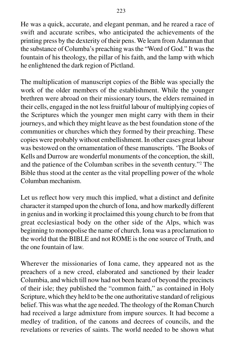He was a quick, accurate, and elegant penman, and he reared a race of swift and accurate scribes, who anticipated the achievements of the printing press by the dexterity of their pens. We learn from Adamnan that the substance of Columba's preaching was the "Word of God." It was the fountain of his theology, the pillar of his faith, and the lamp with which he enlightened the dark region of Pictland.

The multiplication of manuscript copies of the Bible was specially the work of the older members of the establishment. While the younger brethren were abroad on their missionary tours, the elders remained in their cells, engaged in the not less fruitful labour of multiplying copies of the Scriptures which the younger men might carry with them in their journeys, and which they might leave as the best foundation stone of the communities or churches which they formed by their preaching. These copies were probably without embellishment. In other cases great labour was bestowed on the ornamentation of these manuscripts. 'The Books of Kells and Durrow are wonderful monuments of the conception, the skill, and the patience of the Columban scribes in the seventh century."2 The Bible thus stood at the center as the vital propelling power of the whole Columban mechanism.

Let us reflect how very much this implied, what a distinct and definite character it stamped upon the church of Iona, and how markedly different in genius and in working it proclaimed this young church to be from that great ecclesiastical body on the other side of the Alps, which was beginning to monopolise the name of church. Iona was a proclamation to the world that the BIBLE and not ROME is the one source of Truth, and the one fountain of law.

Wherever the missionaries of Iona came, they appeared not as the preachers of a new creed, elaborated and sanctioned by their leader Columbia, and which till now had not been heard of beyond the precincts of their isle; they published the "common faith," as contained in Holy Scripture, which they held to be the one authoritative standard of religious belief. This was what the age needed. The theology of the Roman Church had received a large admixture from impure sources. It had become a medley of tradition, of the canons and decrees of councils, and the revelations or reveries of saints. The world needed to be shown what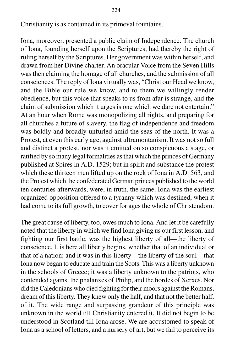Christianity is as contained in its primeval fountains.

Iona, moreover, presented a public claim of Independence. The church of Iona, founding herself upon the Scriptures, had thereby the right of ruling herself by the Scriptures. Her government was within herself, and drawn from her Divine charter. An oracular Voice from the Seven Hills was then claiming the homage of all churches, and the submission of all consciences. The reply of Iona virtually was, "Christ our Head we know, and the Bible our rule we know, and to them we willingly render obedience, but this voice that speaks to us from afar is strange, and the claim of submission which it urges is one which we dare not entertain." At an hour when Rome was monopolizing all rights, and preparing for all churches a future of slavery, the flag of independence and freedom was boldly and broadly unfurled amid the seas of the north. It was a Protest, at even this early age, against ultramontanism. It was not so full and distinct a protest, nor was it emitted on so conspicuous a stage, or ratified by so many legal formalities as that which the princes of Germany published at Spires in A.D. 1529; but in spirit and substance the protest which these thirteen men lifted up on the rock of Iona in A.D. 563, and the Protest which the confederated German princes published to the world ten centuries afterwards, were, in truth, the same. Iona was the earliest organized opposition offered to a tyranny which was destined, when it had come to its full growth, to cover for ages the whole of Christendom.

The great cause of liberty, too, owes much to Iona. And let it be carefully noted that the liberty in which we find Iona giving us our first lesson, and fighting our first battle, was the highest liberty of all—the liberty of conscience. It is here all liberty begins, whether that of an individual or that of a nation; and it was in this liberty—the liberty of the soul—that Iona now began to educate and train the Scots. This was a liberty unknown in the schools of Greece; it was a liberty unknown to the patriots, who contended against the phalanxes of Philip, and the hordes of Xerxes. Nor did the Caledonians who died fighting for their moors against the Romans, dream of this liberty. They knew only the half, and that not the better half, of it. The wide range and surpassing grandeur of this principle was unknown in the world till Christianity entered it. It did not begin to be understood in Scotland till Iona arose. We are accustomed to speak of Iona as a school of letters, and a nursery of art, but we fail to perceive its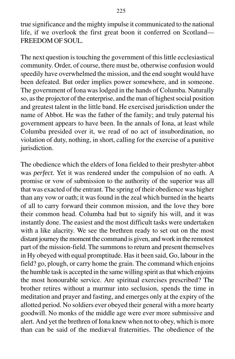true significance and the mighty impulse it communicated to the national life, if we overlook the first great boon it conferred on Scotland— FREEDOM OF SOUL.

The next question is touching the government of this little ecclesiastical community. Order, of course, there must be, otherwise confusion would speedily have overwhelmed the mission, and the end sought would have been defeated. But order implies power somewhere, and in someone. The government of Iona was lodged in the hands of Columba. Naturally so, as the projector of the enterprise, and the man of highest social position and greatest talent in the little band. He exercised jurisdiction under the name of Abbot. He was the father of the family; and truly paternal his government appears to have been. In the annals of Iona, at least while Columba presided over it, we read of no act of insubordination, no violation of duty, nothing, in short, calling for the exercise of a punitive jurisdiction.

The obedience which the elders of Iona fielded to their presbyter-abbot was *perfect.* Yet it was rendered under the compulsion of no oath. A promise or vow of submission to the authority of the superior was all that was exacted of the entrant. The spring of their obedience was higher than any vow or oath; it was found in the zeal which burned in the hearts of all to carry forward their common mission, and the love they bore their common head. Columba had but to signify his will, and it was instantly done. The easiest and the most difficult tasks were undertaken with a like alacrity. We see the brethren ready to set out on the most distant journey the moment the command is given, and work in the remotest part of the mission-field. The summons to return and present themselves in Hy obeyed with equal promptitude. Has it been said, Go, labour in the field? go, plough, or carry home the grain. The command which enjoins the humble task is accepted in the same willing spirit as that which enjoins the most honourable service. Are spiritual exercises prescribed? The brother retires without a murmur into seclusion, spends the time in meditation and prayer and fasting, and emerges only at the expiry of the allotted period. No soldiers ever obeyed their general with a more hearty goodwill. No monks of the middle age were ever more submissive and alert. And yet the brethren of Iona knew when not to obey, which is more than can be said of the mediæval fraternities. The obedience of the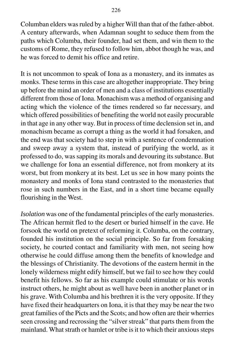Columban elders was ruled by a higher Will than that of the father-abbot. A century afterwards, when Adamnan sought to seduce them from the paths which Columba, their founder, had set them, and win them to the customs of Rome, they refused to follow him, abbot though he was, and he was forced to demit his office and retire.

It is not uncommon to speak of Iona as a monastery, and its inmates as monks. These terms in this case are altogether inappropriate. They bring up before the mind an order of men and a class of institutions essentially different from those of Iona. Monachism was a method of organising and acting which the violence of the times rendered so far necessary, and which offered possibilities of benefiting the world not easily procurable in that age in any other way. But in process of time declension set in, and monachism became as corrupt a thing as the world it had forsaken, and the end was that society had to step in with a sentence of condemnation and sweep away a system that, instead of purifying the world, as it professed to do, was sapping its morals and devouring its substance. But we challenge for Iona an essential difference, not from monkery at its worst, but from monkery at its best. Let us see in how many points the monastery and monks of Iona stand contrasted to the monasteries that rose in such numbers in the East, and in a short time became equally flourishing in the West.

*Isolation* was one of the fundamental principles of the early monasteries. The African hermit fled to the desert or buried himself in the cave. He forsook the world on pretext of reforming it. Columba, on the contrary, founded his institution on the social principle. So far from forsaking society, he courted contact and familiarity with men, not seeing how otherwise he could diffuse among them the benefits of knowledge and the blessings of Christianity. The devotions of the eastern hermit in the lonely wilderness might edify himself, but we fail to see how they could benefit his fellows. So far as his example could stimulate or his words instruct others, he might about as well have been in another planet or in his grave. With Columba and his brethren it is the very opposite. If they have fixed their headquarters on Iona, it is that they may be near the two great families of the Picts and the Scots; and how often are their wherries seen crossing and recrossing the "silver streak" that parts them from the mainland. What strath or hamlet or tribe is it to which their anxious steps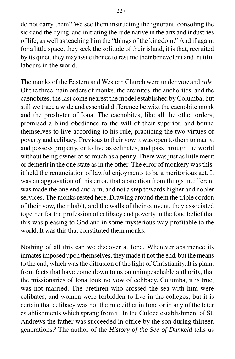do not carry them? We see them instructing the ignorant, consoling the sick and the dying, and initiating the rude native in the arts and industries of life, as well as teaching him the "things of the kingdom." And if again, for a little space, they seek the solitude of their island, it is that, recruited by its quiet, they may issue thence to resume their benevolent and fruitful labours in the world.

The monks of the Eastern and Western Church were under *vow* and *rule*. Of the three main orders of monks, the eremites, the anchorites, and the caenobites, the last come nearest the model established by Columba; but still we trace a wide and essential difference betwixt the caenobite monk and the presbyter of Iona. The caenobites, like all the other orders, promised a blind obedience to the will of their superior, and bound themselves to live according to his rule, practicing the two virtues of poverty and celibacy. Previous to their vow it was open to them to marry, and possess property, or to live as celibates, and pass through the world without being owner of so much as a penny. There was just as little merit or demerit in the one state as in the other. The error of monkery was this: it held the renunciation of lawful enjoyments to be a meritorious act. It was an aggravation of this error, that abstention from things indifferent was made the one end and aim, and not a step towards higher and nobler services. The monks rested here. Drawing around them the triple cordon of their vow, their habit, and the walls of their convent, they associated together for the profession of celibacy and poverty in the fond belief that this was pleasing to God and in some mysterious way profitable to the world. It was this that constituted them monks.

Nothing of all this can we discover at Iona. Whatever abstinence its inmates imposed upon themselves, they made it not the end, but the means to the end, which was the diffusion of the light of Christianity. It is plain, from facts that have come down to us on unimpeachable authority, that the missionaries of Iona took no vow of celibacy. Columba, it is true, was not married. The brethren who crossed the sea with him were celibates, and women were forbidden to live in the colleges; but it is certain that celibacy was not the rule either in Iona or in any of the later establishments which sprang from it. In the Culdee establishment of St. Andrews the father was succeeded in office by the son during thirteen generations.3 The author of the *History of the See of Dunkeld* tells us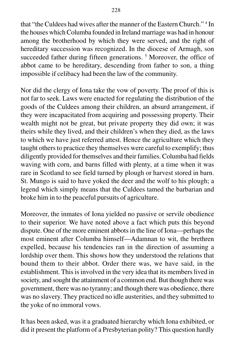that "the Culdees had wives after the manner of the Eastern Church." 4 In the houses which Columba founded in Ireland marriage was had in honour among the brotherhood by which they were served, and the right of hereditary succession was recognized. In the diocese of Armagh, son succeeded father during fifteen generations.<sup>5</sup> Moreover, the office of abbot came to be hereditary, descending from father to son, a thing impossible if celibacy had been the law of the community.

Nor did the clergy of Iona take the vow of poverty. The proof of this is not far to seek. Laws were enacted for regulating the distribution of the goods of the Culdees among their children, an absurd arrangement, if they were incapacitated from acquiring and possessing property. Their wealth might not be great, but private property they did own; it was theirs while they lived, and their children's when they died, as the laws to which we have just referred attest. Hence the agriculture which they taught others to practice they themselves were careful to exemplify; thus diligently provided for themselves and their families. Columba had fields waving with corn, and barns filled with plenty, at a time when it was rare in Scotland to see field turned by plough or harvest stored in barn. St. Mungo is said to have yoked the deer and the wolf to his plough; a legend which simply means that the Culdees tamed the barbarian and broke him in to the peaceful pursuits of agriculture.

Moreover, the inmates of Iona yielded no passive or servile obedience to their superior. We have noted above a fact which puts this beyond dispute. One of the more eminent abbots in the line of Iona—perhaps the most eminent after Columba himself—Adamnan to wit, the brethren expelled, because his tendencies ran in the direction of assuming a lordship over them. This shows how they understood the relations that bound them to their abbot. Order there was, we have said, in the establishment. This is involved in the very idea that its members lived in society, and sought the attainment of a common end. But though there was government, there was no tyranny; and though there was obedience, there was no slavery. They practiced no idle austerities, and they submitted to the yoke of no immoral vows.

It has been asked, was it a graduated hierarchy which Iona exhibited, or did it present the platform of a Presbyterian polity? This question hardly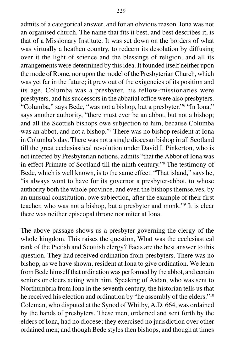admits of a categorical answer, and for an obvious reason. Iona was not an organised church. The name that fits it best, and best describes it, is that of a Missionary Institute. It was set down on the borders of what was virtually a heathen country, to redeem its desolation by diffusing over it the light of science and the blessings of religion, and all its arrangements were determined by this idea. It founded itself neither upon the mode of Rome, nor upon the model of the Presbyterian Church, which was yet far in the future; it grew out of the exigencies of its position and its age. Columba was a presbyter, his fellow-missionaries were presbyters, and his successors in the abbatial office were also presbyters. "Columba," says Bede, "was not a bishop, but a presbyter."6 "In Iona," says another authority, "there must ever be an abbot, but not a bishop; and all the Scottish bishops owe subjection to him, because Columba was an abbot, and not a bishop."7 There was no bishop resident at Iona in Columba's day. There was not a single diocesan bishop in all Scotland till the great ecclesiastical revolution under David I. Pinkerton, who is not infected by Presbyterian notions, admits "that the Abbot of Iona was in effect Primate of Scotland till the ninth century."8 The testimony of Bede, which is well known, is to the same effect. "That island," says he, "is always wont to have for its governor a presbyter-abbot, to whose authority both the whole province, and even the bishops themselves, by an unusual constitution, owe subjection, after the example of their first teacher, who was not a bishop, but a presbyter and monk."9 It is clear there was neither episcopal throne nor miter at Iona.

The above passage shows us a presbyter governing the clergy of the whole kingdom. This raises the question, What was the ecclesiastical rank of the Pictish and Scottish clergy? Facts are the best answer to this question. They had received ordination from presbyters. There was no bishop, as we have shown, resident at Iona to give ordination. We learn from Bede himself that ordination was performed by the abbot, and certain seniors or elders acting with him. Speaking of Aidan, who was sent to Northumbria from Iona in the seventh century, the historian tells us that he received his election and ordination by "he assembly of the elders."10 Coleman, who disputed at the Synod of Whitby, A.D. 664, was ordained by the hands of presbyters. These men, ordained and sent forth by the elders of Iona, had no diocese; they exercised no jurisdiction over other ordained men; and though Bede styles then bishops, and though at times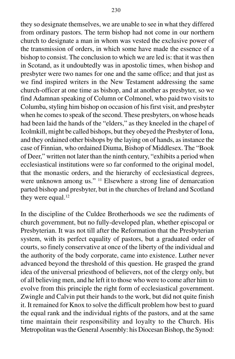they so designate themselves, we are unable to see in what they differed from ordinary pastors. The term bishop had not come in our northern church to designate a man in whom was vested the exclusive power of the transmission of orders, in which some have made the essence of a bishop to consist. The conclusion to which we are led is: that it was then in Scotand, as it undoubtedly was in apostolic times, when bishop and presbyter were two names for one and the same office; and that just as we find inspired writers in the New Testament addressing the same church-officer at one time as bishop, and at another as presbyter, so we find Adamnan speaking of Column or Colmonel, who paid two visits to Columba, styling him bishop on occasion of his first visit, and presbyter when he comes to speak of the second. These presbyters, on whose heads had been laid the hands of the "elders," as they kneeled in the chapel of Icolmkill, might be called bishops, but they obeyed the Presbyter of Iona, and they ordained other bishops by the laying on of hands, as instance the case of Finnian, who ordained Diuma, Bishop of Middlesex. The "Book of Deer," written not later than the ninth century, "exhibits a period when ecclesiastical institutions were so far conformed to the original model, that the monastic orders, and the hierarchy of ecclesiastical degrees, were unknown among us." 11 Elsewhere a strong line of demarcation parted bishop and presbyter, but in the churches of Ireland and Scotland they were equal.<sup>12</sup>

In the discipline of the Culdee Brotherhoods we see the rudiments of church government, but no fully-developed plan, whether episcopal or Presbyterian. It was not till after the Reformation that the Presbyterian system, with its perfect equality of pastors, but a graduated order of courts, so finely conservative at once of the liberty of the individual and the authority of the body corporate, came into existence. Luther never advanced beyond the threshold of this question. He grasped the grand idea of the universal priesthood of believers, not of the clergy only, but of all believing men, and he left it to those who were to come after him to evolve from this principle the right form of ecclesiastical government. Zwingle and Calvin put their hands to the work, but did not quite finish it. It remained for Knox to solve the difficult problem how best to guard the equal rank and the individual rights of the pastors, and at the same time maintain their responsibility and loyalty to the Church. His Metropolitan was the General Assembly: his Diocesan Bishop, the Synod: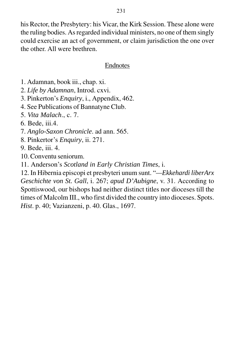his Rector, the Presbytery: his Vicar, the Kirk Session. These alone were the ruling bodies. As regarded individual ministers, no one of them singly could exercise an act of government, or claim jurisdiction the one over the other. All were brethren.

#### Endnotes

- 1. Adamnan, book iii., chap. xi.
- 2. *Life by Adamnan*, Introd. cxvi.
- 3. Pinkerton's *Enquiry*, i., Appendix, 462.
- 4. See Publications of Bannatyne Club.
- 5. *Vita Malach*., c. 7.
- 6. Bede, iii.4.
- 7. *Anglo-Saxon Chronicle*. ad ann. 565.
- 8. Pinkertor's *Enquiry*, ii. 271.
- 9. Bede, iii. 4.
- 10. Conventu seniorum.
- 11. Anderson's *Scotland in Early Christian Times*, i.

12. In Hibernia episcopi et presbyteri unum sunt. "*—Ekkehardi liberArx Geschichte von St. Gall*, i. 267; *apud D'Aubigne*, v. 31. According to Spottiswood, our bishops had neither distinct titles nor dioceses till the times of Malcolm III., who first divided the country into dioceses. Spots. *Hist*. p. 40; Vazianzeni, p. 40. Glas., 1697.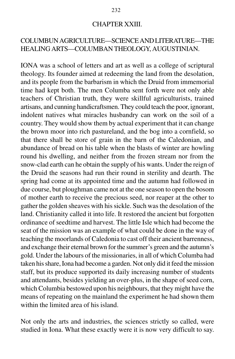#### CHAPTER XXIII.

### COLUMBUN AGRICULTURE—SCIENCE AND LITERATURE—THE HEALING ARTS—COLUMBAN THEOLOGY, AUGUSTINIAN.

IONA was a school of letters and art as well as a college of scriptural theology. Its founder aimed at redeeming the land from the desolation, and its people from the barbarism in which the Druid from immemorial time had kept both. The men Columba sent forth were not only able teachers of Christian truth, they were skillful agriculturists, trained artisans, and cunning handicraftsmen. They could teach the poor, ignorant, indolent natives what miracles husbandry can work on the soil of a country. They would show them by actual experiment that it can change the brown moor into rich pastureland, and the bog into a cornfield, so that there shall be store of grain in the barn of the Caledonian, and abundance of bread on his table when the blasts of winter are howling round his dwelling, and neither from the frozen stream nor from the snow-clad earth can he obtain the supply of his wants. Under the reign of the Druid the seasons had run their round in sterility and dearth. The spring had come at its appointed time and the autumn had followed in due course, but ploughman came not at the one season to open the bosom of mother earth to receive the precious seed, nor reaper at the other to gather the golden sheaves with his sickle. Such was the desolation of the land. Christianity called it into life. It restored the ancient but forgotten ordinance of seedtime and harvest. The little Isle which had become the seat of the mission was an example of what could be done in the way of teaching the moorlands of Caledonia to cast off their ancient barrenness, and exchange their eternal brown for the summer's green and the autumn's gold. Under the labours of the missionaries, in all of which Columba had taken his share, Iona had become a garden. Not only did it feed the mission staff, but its produce supported its daily increasing number of students and attendants, besides yielding an over-plus, in the shape of seed corn, which Columbia bestowed upon his neighbours, that they might have the means of repeating on the mainland the experiment he had shown them within the limited area of his island.

Not only the arts and industries, the sciences strictly so called, were studied in Iona. What these exactly were it is now very difficult to say.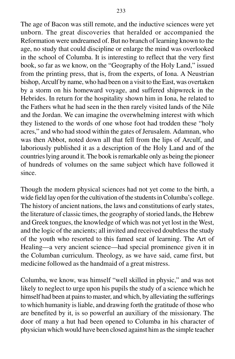The age of Bacon was still remote, and the inductive sciences were yet unborn. The great discoveries that heralded or accompanied the Reformation were undreamed of. But no branch of learning known to the age, no study that could discipline or enlarge the mind was overlooked in the school of Columba. It is interesting to reflect that the very first book, so far as we know, on the "Geography of the Holy Land," issued from the printing press, that is, from the experts, of Iona. A Neustrian bishop, Arculf by name, who had been on a visit to the East, was overtaken by a storm on his homeward voyage, and suffered shipwreck in the Hebrides. In return for the hospitality shown him in Iona, he related to the Fathers what he had seen in the then rarely visited lands of the Nile and the Jordan. We can imagine the overwhelming interest with which they listened to the words of one whose foot had trodden these "holy acres," and who had stood within the gates of Jerusalem. Adamnan, who was then Abbot, noted down all that fell from the lips of Arculf, and laboriously published it as a description of the Holy Land and of the countries lying around it. The book is remarkable only as being the pioneer of hundreds of volumes on the same subject which have followed it since.

Though the modern physical sciences had not yet come to the birth, a wide field lay open for the cultivation of the students in Columba's college. The history of ancient nations, the laws and constitutions of early states, the literature of classic times, the geography of storied lands, the Hebrew and Greek tongues, the knowledge of which was not yet lost in the West, and the logic of the ancients; all invited and received doubtless the study of the youth who resorted to this famed seat of learning. The Art of Healing—a very ancient science—had special prominence given it in the Columban curriculum. Theology, as we have said, came first, but medicine followed as the handmaid of a great mistress.

Columba, we know, was himself "well skilled in physic," and was not likely to neglect to urge upon his pupils the study of a science which he himself had been at pains to master, and which, by alleviating the sufferings to which humanity is liable, and drawing forth the gratitude of those who are benefited by it, is so powerful an auxiliary of the missionary. The door of many a hut had been opened to Columba in his character of physician which would have been closed against him as the simple teacher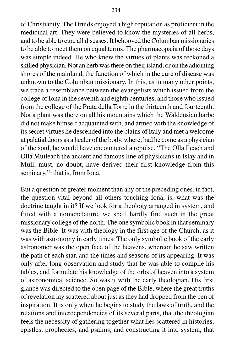of Christianity. The Druids enjoyed a high reputation as proficient in the medicinal art. They were believed to know the mysteries of all herbs, and to be able to cure all diseases. It behooved the Columban missionaries to be able to meet them on equal terms. The pharmacopæia of those days was simple indeed. He who knew the virtues of plants was reckoned a skilled physician. Not an herb was there on their island, or on the adjoining shores of the mainland, the function of which in the cure of disease was unknown to the Columban missionary. In this, as in many other points, we trace a resemblance between the evangelists which issued from the college of Iona in the seventh and eighth centuries, and those who issued from the college of the Prata della Torre in the thirteenth and fourteenth. Not a plant was there on all his mountains which the Waldensian barbe did not make himself acquainted with, and armed with the knowledge of its secret virtues he descended into the plains of Italy and met a welcome at palatial doors as a healer of the body, where, had he come as a physician of the soul, he would have encountered a repulse. "The Olla Ileach and Olla Muileach the ancient and famous line of physicians in Islay and in Mull, must, no doubt, have derived their first knowledge from this seminary,"<sup>1</sup> that is, from Iona.

But a question of greater moment than any of the preceding ones, in fact, the question vital beyond all others touching Iona, is, what was the doctrine taught in it? If we look for a theology arranged in system, and fitted with a nomenclature, we shall hardly find such in the great missionary college of the north. The one symbolic book in that seminary was the Bible. It was with theology in the first age of the Church, as it was with astronomy in early times. The only symbolic book of the early astronomer was the open face of the heavens, whereon he saw written the path of each star, and the times and seasons of its appearing. It was only after long observation and study that he was able to compile his tables, and formulate his knowledge of the orbs of heaven into a system of astronomical science. So was it with the early theologian. His first glance was directed to the open page of the Bible, where the great truths of revelation lay scattered about just as they had dropped from the pen of inspiration. It is only when he begins to study the laws of truth, and the relations and interdependencies of its several parts, that the theologian feels the necessity of gathering together what lies scattered in histories, epistles, prophecies, and psalms, and constructing it into system, that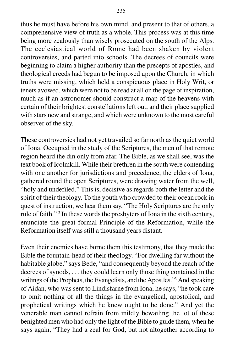thus he must have before his own mind, and present to that of others, a comprehensive view of truth as a whole. This process was at this time being more zealously than wisely prosecuted on the south of the Alps. The ecclesiastical world of Rome had been shaken by violent controversies, and parted into schools. The decrees of councils were beginning to claim a higher authority than the precepts of apostles, and theological creeds had begun to be imposed upon the Church, in which truths were missing, which held a conspicuous place in Holy Writ, or tenets avowed, which were not to be read at all on the page of inspiration, much as if an astronomer should construct a map of the heavens with certain of their brightest constellations left out, and their place supplied with stars new and strange, and which were unknown to the most careful observer of the sky.

These controversies had not yet travailed so far north as the quiet world of Iona. Occupied in the study of the Scriptures, the men of that remote region heard the din only from afar. The Bible, as we shall see, was the text book of Icolmkill. While their brethren in the south were contending with one another for jurisdictions and precedence, the elders of Iona, gathered round the open Scriptures, were drawing water from the well, "holy and undefiled." This is, decisive as regards both the letter and the spirit of their theology. To the youth who crowded to their ocean rock in quest of instruction, we hear them say, "The Holy Scriptures are the only rule of faith."<sup>2</sup> In these words the presbyters of Iona in the sixth century, enunciate the great formal Principle of the Reformation, while the Reformation itself was still a thousand years distant.

Even their enemies have borne them this testimony, that they made the Bible the fountain-head of their theology. "For dwelling far without the habitable globe," says Bede, "and consequently beyond the reach of the decrees of synods, . . . they could learn only those thing contained in the writings of the Prophets, the Evangelists, and the Apostles."3 And speaking of Aidan, who was sent to Lindisfarne from Iona, he says, "he took care to omit nothing of all the things in the evangelical, apostolical, and prophetical writings which he knew ought to be done." And yet the venerable man cannot refrain from mildly bewailing the lot of these benighted men who had only the light of the Bible to guide them, when he says again, "They had a zeal for God, but not altogether according to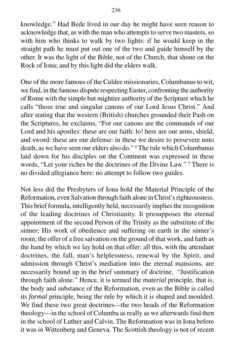knowledge." Had Bede lived in our day he might have seen reason to acknowledge that, as with the man who attempts to serve two masters, so with him who thinks to walk by two lights: if he would keep in the straight path he must put out one of the two and guide himself by the other. It was the light of the Bible, not of the Church, that shone on the Rock of Iona; and by this light did the elders walk.

One of the more famous of the Culdee missionaries, Columbanus to wit, we find, in the famous dispute respecting Easter, confronting the authority of Rome with the simple but mightier authority of the Scripture which he calls "those true and singular canons of our Lord Jesus Christ." And after stating that the western (British) churches grounded their Pash on the Scriptures, he exclaims, "For our canons are the commands of our Lord and his apostles: these are our faith: lo! here are our arms, shield, and sword: these are our defense: in these we desire to persevere unto death, as we have seen our elders also do." 4 The rule which Columbanus laid down for his disciples on the Continent was expressed in these words, "Let your riches be the doctrines of the Divine Law."<sup>5</sup> There is no divided allegiance here: no attempt to follow two guides.

Not less did the Presbyters of Iona hold the Material Principle of the Reformation, even Salvation through faith alone in Christ's righteousness. This brief formula, intelligently held, necessarily implies the recognition of the leading doctrines of Christianity. It presupposes the eternal appointment of the second Person of the Trinity as the substitute of the sinner; His work of obedience and suffering on earth in the sinner's room; the offer of a free salvation on the ground of that work, and faith as the hand by which we lay hold on that offer: all this, with the attendant doctrines, the fall, man's helplessness, renewal by the Spirit, and admission through Christ's mediation into the eternal mansions, are necessarily bound up in the brief summary of doctrine, "Justification through faith alone." Hence, it is termed the *material* principle, that is, the body and substance of the Reformation, even as the Bible is called its *formal* principle, being the rule by which it is shaped and moulded. We find these two great doctrines—the two heads of the Reformation theology—in the school of Columba as really as we afterwards find then in the school of Luther and Calvin. The Reformation was in Iona before it was in Wittenberg and Geneva. The Scottish theology is not of recent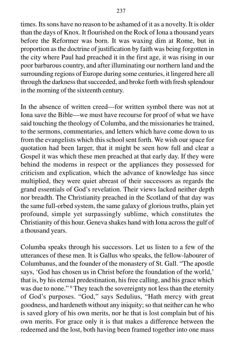times. Its sons have no reason to be ashamed of it as a novelty. It is older than the days of Knox. It flourished on the Rock of Iona a thousand years before the Reformer was born. It was waxing dim at Rome, but in proportion as the doctrine of justification by faith was being forgotten in the city where Paul had preached it in the first age, it was rising in our poor barbarous country, and after illuminating our northern land and the surrounding regions of Europe during some centuries, it lingered here all through the darkness that succeeded, and broke forth with fresh splendour in the morning of the sixteenth century.

In the absence of written creed—for written symbol there was not at Iona save the Bible—we must have recourse for proof of what we have said touching the theology of Columba, and the missionaries he trained, to the sermons, commentaries, and letters which have come down to us from the evangelists which this school sent forth. We wish our space for quotation had been larger, that it might be seen how full and clear a Gospel it was which these men preached at that early day. If they were behind the moderns in respect or the appliances they possessed for criticism and explication, which the advance of knowledge has since multiplied, they were quiet abreast of their successors as regards the grand essentials of God's revelation. Their views lacked neither depth nor breadth. The Christianity preached in the Scotland of that day was the same full-orbed system, the same galaxy of glorious truths, plain yet profound, simple yet surpassingly sublime, which constitutes the Christianity of this hour. Geneva shakes hand with Iona across the gulf of a thousand years.

Columba speaks through his successors. Let us listen to a few of the utterances of these men. It is Gallus who speaks, the fellow-labourer of Columbanus, and the founder of the monastery of St. Gall. "The apostle says, 'God has chosen us in Christ before the foundation of the world,' that is, by his eternal predestination, his free calling, and his grace which was due to none."<sup>6</sup> They teach the sovereignty not less than the eternity of God's purposes. "God," says Sedulius, "Hath mercy with great goodness, and hardeneth without any iniquity; so that neither can he who is saved glory of his own merits, nor he that is lost complain but of his own merits. For grace only it is that makes a difference between the redeemed and the lost, both having been framed together into one mass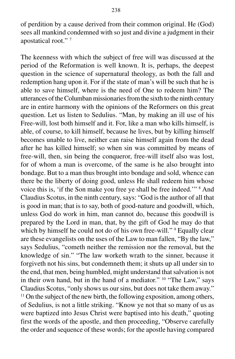of perdition by a cause derived from their common original. He (God) sees all mankind condemned with so just and divine a judgment in their apostatical root." 7

The keenness with which the subject of free will was discussed at the period of the Reformation is well known. It is, perhaps, the deepest question in the science of supernatural theology, as both the fall and redemption hang upon it. For if the state of man's will be such that he is able to save himself, where is the need of One to redeem him? The utterances of the Columban missionaries from the sixth to the ninth century are in entire harmony with the opinions of the Reformers on this great question. Let us listen to Sedulius. "Man, by making an ill use of his Free-will, lost both himself and it. For, like a man who kills himself, is able, of course, to kill himself, because he lives, but by killing himself becomes unable to live, neither can raise himself again from the dead after he has killed himself; so when sin was committed by means of free-will, then, sin being the conqueror, free-will itself also was lost, for of whom a man is overcome, of the same is he also brought into bondage. But to a man thus brought into bondage and sold, whence can there be the liberty of doing good, unless He shall redeem him whose voice this is, 'if the Son make you free ye shall be free indeed."<sup>8</sup> And Claudius Scotus, in the ninth century, says: "God is the author of all that is good in man; that is to say, both of good-nature and goodwill, which, unless God do work in him, man cannot do, because this goodwill is prepared by the Lord in man, that, by the gift of God he may do that which by himself he could not do of his own free-will." <sup>9</sup> Equally clear are these evangelists on the uses of the Law to man fallen, "By the law," says Sedulius, "cometh neither the remission nor the removal, but the knowledge of sin." "The law worketh wrath to the sinner, because it forgiveth not his sins, but condemneth them; it shuts up all under sin to the end, that men, being humbled, might understand that salvation is not in their own hand, but in the hand of a mediator." 10 "The Law," says Claudius Scotus, "only shows us our sins, but does not take them away." <sup>11</sup> On the subject of the new birth, the following exposition, among others, of Sedulius, is not a little striking. "Know ye not that so many of us as were baptized into Jesus Christ were baptised into his death," quoting first the words of the apostle, and then proceeding, "Observe carefully the order and sequence of these words; for the apostle having compared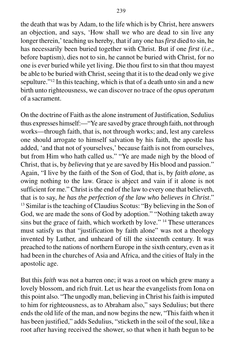the death that was by Adam, to the life which is by Christ, here answers an objection, and says, 'How shall we who are dead to sin live any longer therein,' teaching us hereby, that if any one has *first* died to sin, he has necessarily been buried together with Christ. But if one *first* (*i.e*., before baptism), dies not to sin, he cannot be buried with Christ, for no one is ever buried while yet living. Die thou first to sin that thou mayest be able to be buried with Christ, seeing that it is to the dead only we give sepulture."<sup>12</sup> In this teaching, which is that of a death unto sin and a new birth unto righteousness, we can discover no trace of the *opus operatum* of a sacrament.

On the doctrine of Faith as the alone instrument of Justification, Sedulius thus expresses himself:—"Ye are saved by grace through faith, not through works—through faith, that is, not through works; and, lest any careless one should arrogate to himself salvation by his faith, the apostle has added, 'and that not of yourselves,' because faith is not from ourselves, but from Him who hath called us." "Ye are made nigh by the blood of Christ, that is, by *believing* that ye are saved by His blood and passion." Again, "I live by the faith of the Son of God, that is, by *faith alone*, as owing nothing to the law. Grace is abject and vain if it alone is not sufficient for me." Christ is the end of the law to every one that believeth, that is to say, *he has the perfection of the law who believes in Christ*." <sup>13</sup> Similar is the teaching of Claudius Scotus: "By believing in the Son of God, we are made the sons of God by adoption." "Nothing taketh away sins but the grace of faith, which worketh by love." 14 These utterances must satisfy us that "justification by faith alone" was not a theology invented by Luther, and unheard of till the sixteenth century. It was preached to the nations of northern Europe in the sixth century, even as it had been in the churches of Asia and Africa, and the cities of Italy in the apostolic age.

But this *faith* was not a barren one; it was a root on which grew many a lovely blossom, and rich fruit. Let us hear the evangelists from Iona on this point also. "The ungodly man, believing in Christ his faith is imputed to him for righteousness, as to Abraham also," says Sedulius; but there ends the old life of the man, and now begins the new, "This faith when it has been justified," adds Sedulius, "sticketh in the soil of the soul, like a root after having received the shower, so that when it hath begun to be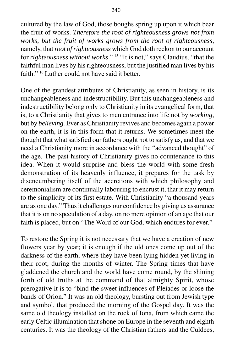cultured by the law of God, those boughs spring up upon it which bear the fruit of works. *Therefore the root of righteousness grows not from works, but the fruit of works grows from the root of righteousness*, namely, that *root of righteousness* which God doth reckon to our account for *righteousness without works*." 15 "It is not," says Claudius, "that the faithful man lives by his righteousness, but the justified man lives by his faith." 16 Luther could not have said it better.

One of the grandest attributes of Christianity, as seen in history, is its unchangeableness and indestructibility. But this unchangeableness and indestructibility belong only to Christianity in its evangelical form, that is, to a Christianity that gives to men entrance into life not by *working*, but by *believing*. Ever as Christianity revives and becomes again a power on the earth, it is in this form that it returns. We sometimes meet the thought that what satisfied our fathers ought not to satisfy us, and that we need a Christianity more in accordance with the "advanced thought" of the age. The past history of Christianity gives no countenance to this idea. When it would surprise and bless the world with some fresh demonstration of its heavenly influence, it prepares for the task by disencumbering itself of the accretions with which philosophy and ceremonialism are continually labouring to encrust it, that it may return to the simplicity of its first estate. With Christianity "a thousand years are as one day." Thus it challenges our confidence by giving us assurance that it is on no speculation of a day, on no mere opinion of an age that our faith is placed, but on "The Word of our God, which endures for ever."

To restore the Spring it is not necessary that we have a creation of new flowers year by year; it is enough if the old ones come up out of the darkness of the earth, where they have been lying hidden yet living in their root, during the months of winter. The Spring times that have gladdened the church and the world have come round, by the shining forth of old truths at the command of that almighty Spirit, whose prerogative it is to "bind the sweet influences of Pleiades or loose the bands of Orion." It was an old theology, bursting out from Jewish type and symbol, that produced the morning of the Gospel day. It was the same old theology installed on the rock of Iona, from which came the early Celtic illumination that shone on Europe in the seventh and eighth centuries. It was the theology of the Christian fathers and the Culdees,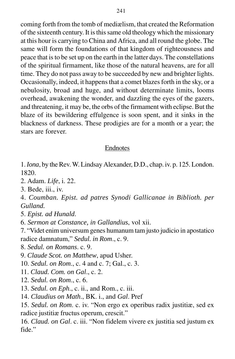coming forth from the tomb of mediælism, that created the Reformation of the sixteenth century. It is this same old theology which the missionary at this hour is carrying to China and Africa, and all round the globe. The same will form the foundations of that kingdom of righteousness and peace that is to be set up on the earth in the latter days. The constellations of the spiritual firmament, like those of the natural heavens, are for all time. They do not pass away to be succeeded by new and brighter lights. Occasionally, indeed, it happens that a comet blazes forth in the sky, or a nebulosity, broad and huge, and without determinate limits, looms overhead, awakening the wonder, and dazzling the eyes of the gazers, and threatening, it may be, the orbs of the firmament with eclipse. But the blaze of its bewildering effulgence is soon spent, and it sinks in the blackness of darkness. These prodigies are for a month or a year; the stars are forever.

### Endnotes

1. *Iona*, by the Rev. W. Lindsay Alexander, D.D., chap. iv. p. 125. London. 1820.

2. Adam. *Life*, i. 22.

3. Bede, iii., iv.

4. *Coumban. Epist. ad patres Synodi Gallicanae in Biblioth. per Gulland.*

5. *Epist. ad Hunald*.

6. *Sermon at Constance, in Gallandius*, vol xii.

7. "Videt enim universum genes humanum tam justo judicio in apostatico radice damnatum," *Sedul. in Rom*., c. 9.

8. *Sedul. on Romans*. c. 9.

9. *Claude Scot. on Matthew*, apud Usher.

10. *Sedul. on Rom*., c. 4 and c. 7; Gal., c. 3.

11. *Claud. Com. on Gal*., c. 2.

12. *Sedul. on Rom*., c. 6.

13. *Sedul. on Eph*., c. ii., and Rom., c. iii.

14. *Claudius on Math*., BK. i., and *Gal*. Pref

15. *Sedul. on Rom*. c. iv. "Non ergo ex operibus radix justitiæ, sed ex radice justitiæ fructus operum, crescit."

16. *Claud. on Gal*. c. iii. "Non fidelem vivere ex justitia sed justum ex fide."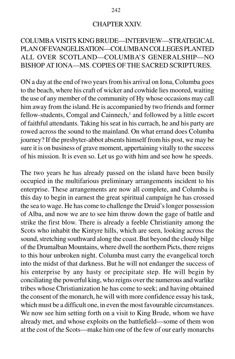#### CHAPTER XXIV.

## COLUMBA VISITS KING BRUDE—INTERVIEW—STRATEGICAL PLAN OF EVANGELISATION—COLUMBAN COLLEGES PLANTED ALL OVER SCOTLAND—COLUMBA'S GENERALSHIP—NO BISHOP AT IONA—MS. COPIES OF THE SACRED SCRIPTURES.

ON a day at the end of two years from his arrival on Iona, Columba goes to the beach, where his craft of wicker and cowhide lies moored, waiting the use of any member of the community of Hy whose occasions may call him away from the island. He is accompanied by two friends and former fellow-students, Comgal and Cainnech,<sup>1</sup> and followed by a little escort of faithful attendants. Taking his seat in his currach, he and his party are rowed across the sound to the mainland. On what errand does Columba journey? If the presbyter-abbot absents himself from his post, we may be sure it is on business of grave moment, appertaining vitally to the success of his mission. It is even so. Let us go with him and see how he speeds.

The two years he has already passed on the island have been busily occupied in the multifarious preliminary arrangements incident to his enterprise. These arrangements are now all complete, and Columba is this day to begin in earnest the great spiritual campaign he has crossed the sea to wage. He has come to challenge the Druid's longer possession of Alba, and now we are to see him throw down the gage of battle and strike the first blow. There is already a feeble Christianity among the Scots who inhabit the Kintyre hills, which are seen, looking across the sound, stretching southward along the coast. But beyond the cloudy bilge of the Drumalban Mountains, where dwell the northern Picts, there reigns to this hour unbroken night. Columba must carry the evangelical torch into the midst of that darkness. But he will not endanger the success of his enterprise by any hasty or precipitate step. He will begin by conciliating the powerful king, who reigns over the numerous and warlike tribes whose Christianization he has come to seek; and having obtained the consent of the monarch, he will with more confidence essay his task, which must be a difficult one, in even the most favourable circumstances. We now see him setting forth on a visit to King Brude, whom we have already met, and whose exploits on the battlefield—some of them won at the cost of the Scots—make him one of the few of our early monarchs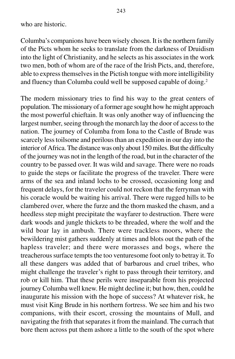Columba's companions have been wisely chosen. It is the northern family of the Picts whom he seeks to translate from the darkness of Druidism into the light of Christianity, and he selects as his associates in the work two men, both of whom are of the race of the Irish Picts, and, therefore, able to express themselves in the Pictish tongue with more intelligibility and fluency than Columba could well be supposed capable of doing.2

The modern missionary tries to find his way to the great centers of population. The missionary of a former age sought how he might approach the most powerful chieftain. It was only another way of influencing the largest number, seeing through the monarch lay the door of access to the nation. The journey of Columba from Iona to the Castle of Brude was scarcely less toilsome and perilous than an expedition in our day into the interior of Africa. The distance was only about 150 miles. But the difficulty of the journey was not in the length of the road, but in the character of the country to be passed over. It was wild and savage. There were no roads to guide the steps or facilitate the progress of the traveler. There were arms of the sea and inland lochs to be crossed, occasioning long and frequent delays, for the traveler could not reckon that the ferryman with his coracle would be waiting his arrival. There were rugged hills to be clambered over, where the furze and the thorn masked the chasm, and a heedless step might precipitate the wayfarer to destruction. There were dark woods and jungle thickets to be threaded, where the wolf and the wild boar lay in ambush. There were trackless moors, where the bewildering mist gathers suddenly at times and blots out the path of the hapless traveler; and there were morasses and bogs, where the treacherous surface tempts the too venturesome foot only to betray it. To all these dangers was added that of barbarous and cruel tribes, who might challenge the traveler's right to pass through their territory, and rob or kill him. That these perils were inseparable from his projected journey Columba well knew. He might decline it; but how, then, could he inaugurate his mission with the hope of success? At whatever risk, he must visit King Brude in his northern fortress. We see him and his two companions, with their escort, crossing the mountains of Mull, and navigating the frith that separates it from the mainland. The currach that bore them across put them ashore a little to the south of the spot where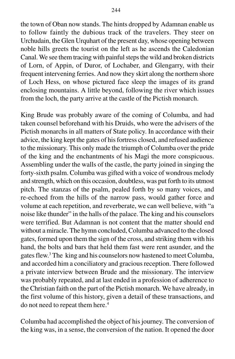the town of Oban now stands. The hints dropped by Adamnan enable us to follow faintly the dubious track of the travelers. They steer on Urchudain, the Glen Urquhart of the present day, whose opening between noble hills greets the tourist on the left as he ascends the Caledonian Canal. We see them tracing with painful steps the wild and broken districts of Lorn, of Appin, of Duror, of Lochaber, and Glengarry, with their frequent intervening ferries. And now they skirt along the northern shore of Loch Hess, on whose pictured face sleep the images of its grand enclosing mountains. A little beyond, following the river which issues from the loch, the party arrive at the castle of the Pictish monarch.

King Brude was probably aware of the coming of Columba, and had taken counsel beforehand with his Druids, who were the advisers of the Pictish monarchs in all matters of State policy. In accordance with their advice, the king kept the gates of his fortress closed, and refused audience to the missionary. This only made the triumph of Columba over the pride of the king and the enchantments of his Magi the more conspicuous. Assembling under the walls of the castle, the party joined in singing the forty-sixth psalm. Columba was gifted with a voice of wondrous melody and strength, which on this occasion, doubtless, was put forth to its utmost pitch. The stanzas of the psalm, pealed forth by so many voices, and re-echoed from the hills of the narrow pass, would gather force and volume at each repetition, and reverberate, we can well believe, with "a noise like thunder" in the halls of the palace. The king and his counselors were terrified. But Adamnan is not content that the matter should end without a miracle. The hymn concluded, Columba advanced to the closed gates, formed upon them the sign of the cross, and striking them with his hand, the bolts and bars that held them fast were rent asunder, and the gates flew.3 The king and his counselors now hastened to meet Columba, and accorded him a conciliatory and gracious reception. There followed a private interview between Brude and the missionary. The interview was probably repeated, and at last ended in a profession of adherence to the Christian faith on the part of the Pictish monarch. We have already, in the first volume of this history, given a detail of these transactions, and do not need to repeat them here.<sup>4</sup>

Columba had accomplished the object of his journey. The conversion of the king was, in a sense, the conversion of the nation. It opened the door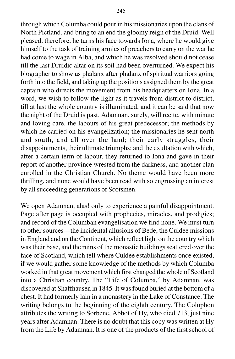through which Columba could pour in his missionaries upon the clans of North Pictland, and bring to an end the gloomy reign of the Druid. Well pleased, therefore, he turns his face towards Iona, where he would give himself to the task of training armies of preachers to carry on the war he had come to wage in Alba, and which he was resolved should not cease till the last Druidic altar on its soil had been overturned. We expect his biographer to show us phalanx after phalanx of spiritual warriors going forth into the field, and taking up the positions assigned them by the great captain who directs the movement from his headquarters on Iona. In a word, we wish to follow the light as it travels from district to district, till at last the whole country is illuminated, and it can be said that now the night of the Druid is past. Adamnan, surely, will recite, with minute and loving care, the labours of his great predecessor; the methods by which he carried on his evangelization; the missionaries he sent north and south, and all over the land; their early struggles, their disappointments, their ultimate triumphs; and the exultation with which, after a certain term of labour, they returned to Iona and gave in their report of another province wrested from the darkness, and another clan enrolled in the Christian Church. No theme would have been more thrilling, and none would have been read with so engrossing an interest by all succeeding generations of Scotsmen.

We open Adamnan, alas! only to experience a painful disappointment. Page after page is occupied with prophecies, miracles, and prodigies; and record of the Columban evangelisation we find none. We must turn to other sources—the incidental allusions of Bede, the Culdee missions in England and on the Continent, which reflect light on the country which was their base, and the ruins of the monastic buildings scattered over the face of Scotland, which tell where Culdee establishments once existed, if we would gather some knowledge of the methods by which Columba worked in that great movement which first changed the whole of Scotland into a Christian country. The "Life of Columba," by Adamnan, was discovered at Shaffhausen in 1845. It was found buried at the bottom of a chest. It had formerly lain in a monastery in the Lake of Constance. The writing belongs to the beginning of the eighth century. The Colophon attributes the writing to Sorbene, Abbot of Hy, who died 713, just nine years after Adamnan. There is no doubt that this copy was written at Hy from the Life by Adamnan. It is one of the products of the first school of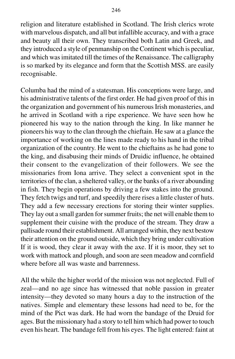religion and literature established in Scotland. The Irish clerics wrote with marvelous dispatch, and all but infallible accuracy, and with a grace and beauty all their own. They transcribed both Latin and Greek, and they introduced a style of penmanship on the Continent which is peculiar, and which was imitated till the times of the Renaissance. The calligraphy is so marked by its elegance and form that the Scottish MSS. are easily recognisable.

Columba had the mind of a statesman. His conceptions were large, and his administrative talents of the first order. He had given proof of this in the organization and government of his numerous Irish monasteries, and he arrived in Scotland with a ripe experience. We have seen how he pioneered his way to the nation through the king. In like manner he pioneers his way to the clan through the chieftain. He saw at a glance the importance of working on the lines made ready to his hand in the tribal organization of the country. He went to the chieftains as he had gone to the king, and disabusing their minds of Druidic influence, he obtained their consent to the evangelization of their followers. We see the missionaries from Iona arrive. They select a convenient spot in the territories of the clan, a sheltered valley, or the banks of a river abounding in fish. They begin operations by driving a few stakes into the ground. They fetch twigs and turf, and speedily there rises a little cluster of huts. They add a few necessary erections for storing their winter supplies. They lay out a small garden for summer fruits; the net will enable them to supplement their cuisine with the produce of the stream. They draw a pallisade round their establishment. All arranged within, they next bestow their attention on the ground outside, which they bring under cultivation If it is wood, they clear it away with the axe. If it is moor, they set to work with mattock and plough, and soon are seen meadow and cornfield where before all was waste and barrenness.

All the while the higher world of the mission was not neglected. Full of zeal—and no age since has witnessed that noble passion in greater intensity—they devoted so many hours a day to the instruction of the natives. Simple and elementary these lessons had need to be, for the mind of the Pict was dark. He had worn the bandage of the Druid for ages. But the missionary had a story to tell him which had power to touch even his heart. The bandage fell from his eyes. The light entered: faint at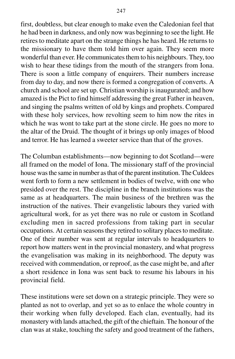first, doubtless, but clear enough to make even the Caledonian feel that he had been in darkness, and only now was beginning to see the light. He retires to meditate apart on the strange things he has heard. He returns to the missionary to have them told him over again. They seem more wonderful than ever. He communicates them to his neighbours. They, too wish to hear these tidings from the mouth of the strangers from Iona. There is soon a little company of enquirers. Their numbers increase from day to day, and now there is formed a congregation of converts. A church and school are set up. Christian worship is inaugurated; and how amazed is the Pict to find himself addressing the great Father in heaven, and singing the psalms written of old by kings and prophets. Compared with these holy services, how revolting seem to him now the rites in which he was wont to take part at the stone circle. He goes no more to the altar of the Druid. The thought of it brings up only images of blood and terror. He has learned a sweeter service than that of the groves.

The Columban establishments—now beginning to dot Scotland—were all framed on the model of Iona. The missionary staff of the provincial house was the same in number as that of the parent institution. The Culdees went forth to form a new settlement in bodies of twelve, with one who presided over the rest. The discipline in the branch institutions was the same as at headquarters. The main business of the brethren was the instruction of the natives. Their evangelistic labours they varied with agricultural work, for as yet there was no rule or custom in Scotland excluding men in sacred professions from taking part in secular occupations. At certain seasons they retired to solitary places to meditate. One of their number was sent at regular intervals to headquarters to report how matters went in the provincial monastery, and what progress the evangelisation was making in its neighborhood. The deputy was received with commendation, or reproof, as the case might be, and after a short residence in Iona was sent back to resume his labours in his provincial field.

These institutions were set down on a strategic principle. They were so planted as not to overlap, and yet so as to enlace the whole country in their working when fully developed. Each clan, eventually, had its monastery with lands attached, the gift of the chieftain. The honour of the clan was at stake, touching the safety and good treatment of the fathers,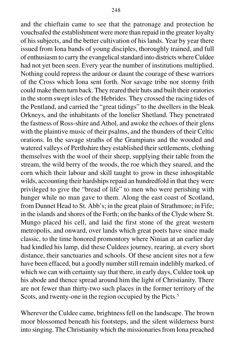and the chieftain came to see that the patronage and protection he vouchsafed the establishment were more than repaid in the greater loyalty of his subjects, and the better cultivation of his lands. Year by year there issued from Iona bands of young disciples, thoroughly trained, and full of enthusiasm to carry the evangelical standard into districts where Culdee had not yet been seen. Every year the number of institutions multiplied. Nothing could repress the ardour or daunt the courage of these warriors of the Cross which Iona sent forth. Nor savage tribe nor stormy frith could make them turn back. They reared their huts and built their oratories in the storm swept isles of the Hebrides. They crossed the racing tides of the Pentland, and carried the "great tidings" to the dwellers in the bleak Orkneys, and the inhabitants of the lonelier Shetland. They penetrated the fastness of Ross-shire and Athol, and awoke the echoes of their glens with the plaintive music of their psalms, and the thunders of their Celtic orations. In the savage straths of the Grampians and the wooded and watered valleys of Perthshire they established their settlements, clothing themselves with the wool of their sheep, supplying their table from the stream, the wild berry of the woods, the roe which they snared, and the corn which their labour and skill taught to grow in these inhospitable wilds, accounting their hardships repaid an hundredfold in that they were privileged to give the "bread of life" to men who were perishing with hunger while no man gave to them. Along the east coast of Scotland, from Dunnet Head to St. Abb's; in the great plain of Strathmore; in Fife; in the islands and shores of the Forth; on the banks of the Clyde where St. Mungo placed his cell, and laid the first stone of the great western metropolis, and onward, over lands which great poets have since made classic, to the time honored promontory where Ninian at an earlier day had kindled his lamp, did these Culdees journey, rearing, at every short distance, their sanctuaries and schools. Of these ancient sites not a few have been effaced, but a goodly number still remain indelibly marked, of which we can with certainty say that there, in early days, Culdee took up his abode and thence spread around him the light of Christianity. There are not fewer than thirty-two such places in the former territory of the Scots, and twenty-one in the region occupied by the Picts.<sup>5</sup>

Wherever the Culdee came, brightness fell on the landscape. The brown moor blossomed beneath his footsteps, and the silent wilderness burst into singing. The Christianity which the missionaries from Iona preached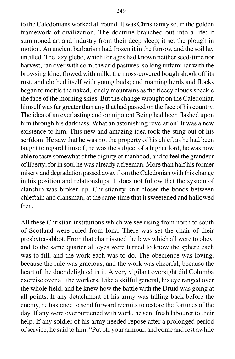to the Caledonians worked all round. It was Christianity set in the golden framework of civilization. The doctrine branched out into a life; it summoned art and industry from their deep sleep; it set the plough in motion. An ancient barbarism had frozen it in the furrow, and the soil lay untilled. The lazy glebe, which for ages had known neither seed-time nor harvest, ran over with corn; the arid pastures, so long unfamiliar with the browsing kine, flowed with milk; the moss-covered bough shook off its rust, and clothed itself with young buds; and roaming herds and flocks began to mottle the naked, lonely mountains as the fleecy clouds speckle the face of the morning skies. But the change wrought on the Caledonian himself was far greater than any that had passed on the face of his country. The idea of an everlasting and omnipotent Being had been flashed upon him through his darkness. What an astonishing revelation! It was a new existence to him. This new and amazing idea took the sting out of his serfdom. He saw that he was not the property of his chief, as he had been taught to regard himself; he was the subject of a higher lord, he was now able to taste somewhat of the dignity of manhood, and to feel the grandeur of liberty; for in soul he was already a freeman. More than half his former misery and degradation passed away from the Caledonian with this change in his position and relationships. It does not follow that the system of clanship was broken up. Christianity knit closer the bonds between chieftain and clansman, at the same time that it sweetened and hallowed then.

All these Christian institutions which we see rising from north to south of Scotland were ruled from Iona. There was set the chair of their presbyter-abbot. From that chair issued the laws which all were to obey, and to the same quarter all eyes were turned to know the sphere each was to fill, and the work each was to do. The obedience was loving, because the rule was gracious, and the work was cheerful, because the heart of the doer delighted in it. A very vigilant oversight did Columba exercise over all the workers. Like a skilful general, his eye ranged over the whole field, and he knew how the battle with the Druid was going at all points. If any detachment of his army was falling back before the enemy, he hastened to send forward recruits to restore the fortunes of the day. If any were overburdened with work, he sent fresh labourer to their help. If any soldier of his army needed repose after a prolonged period of service, he said to him, "Put off your armour, and come and rest awhile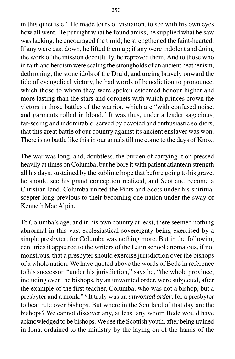in this quiet isle." He made tours of visitation, to see with his own eyes how all went. He put right what he found amiss; he supplied what he saw was lacking; he encouraged the timid; he strengthened the faint-hearted. If any were cast down, he lifted them up; if any were indolent and doing the work of the mission deceitfully, he reproved them. And to those who in faith and heroism were scaling the strongholds of an ancient heathenism, dethroning, the stone idols of the Druid, and urging bravely onward the tide of evangelical victory, he had words of benediction to pronounce, which those to whom they were spoken esteemed honour higher and more lasting than the stars and coronets with which princes crown the victors in those battles of the warrior, which are "with confused noise, and garments rolled in blood." It was thus, under a leader sagacious, far-seeing and indomitable, served by devoted and enthusiastic soldiers, that this great battle of our country against its ancient enslaver was won. There is no battle like this in our annals till me come to the days of Knox.

The war was long, and, doubtless, the burden of carrying it on pressed heavily at times on Columba; but he bore it with patient atlantean strength all his days, sustained by the sublime hope that before going to his grave, he should see his grand conception realized, and Scotland become a Christian land. Columba united the Picts and Scots under his spiritual scepter long previous to their becoming one nation under the sway of Kenneth Mac Alpin.

To Columba's age, and in his own country at least, there seemed nothing abnormal in this vast ecclesiastical sovereignty being exercised by a simple presbyter; for Columba was nothing more. But in the following centuries it appeared to the writers of the Latin school anomalous, if not monstrous, that a presbyter should exercise jurisdiction over the bishops of a whole nation. We have quoted above the words of Bede in reference to his successor. "under his jurisdiction," says he, "the whole province, including even the bishops, by an unwonted order, were subjected, after the example of the first teacher, Columba, who was not a bishop, but a presbyter and a monk." 6 It truly was an *unwonted order*, for a presbyter to bear rule over bishops. But where in the Scotland of that day are the bishops? We cannot discover any, at least any whom Bede would have acknowledged to be bishops. We see the Scottish youth, after being trained in Iona, ordained to the ministry by the laying on of the hands of the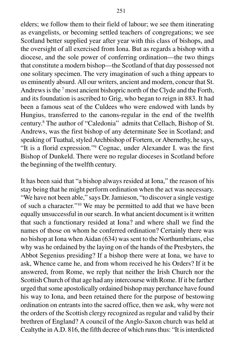elders; we follow them to their field of labour; we see them itinerating as evangelists, or becoming settled teachers of congregations; we see Scotland better supplied year after year with this class of bishops, and the oversight of all exercised from Iona. But as regards a bishop with a diocese, and the sole power of conferring ordination—the two things that constitute a modern bishop—the Scotland of that day possessed not one solitary specimen. The very imagination of such a thing appears to us eminently absurd. All our writers, ancient and modern, concur that St. Andrews is the <sup>7</sup> most ancient bishopric north of the Clyde and the Forth, and its foundation is ascribed to Grig, who began to reign in 883. It had been a famous seat of the Culdees who were endowed with lands by Hungius, transferred to the canons-regular in the end of the twelfth century.8 The author of "Caledonia" admits that Cellach, Bishop of St. Andrews, was the first bishop of any determinate See in Scotland; and speaking of Tuathal, styled Archbishop of Fortern, or Abernethy, he says, "It is a florid expression."9 Cognac, under Alexander I. was the first Bishop of Dunkeld. There were no regular dioceses in Scotland before the beginning of the twelfth century.

It has been said that "a bishop always resided at Iona," the reason of his stay being that he might perform ordination when the act was necessary. "We have not been able," says Dr. Jamieson, "to discover a single vestige of such a character."10 We may be permitted to add that we have been equally unsuccessful in our search. In what ancient document is it written that such a functionary resided at Iona? and where shall we find the names of those on whom he conferred ordination? Certainly there was no bishop at Iona when Aidan (634) was sent to the Northumbrians, else why was he ordained by the laying on of the hands of the Presbyters, the Abbot Segenius presiding? If a bishop there were at Iona, we have to ask, Whence came he, and from whom received he his Orders? If it be answered, from Rome, we reply that neither the Irish Church nor the Scottish Church of that age had any intercourse with Rome. If it be farther urged that some apostolically ordained bishop may perchance have found his way to Iona, and been retained there for the purpose of bestowing ordination on entrants into the sacred office, then we ask, why were not the orders of the Scottish clergy recognized as regular and valid by their brethren of England? A council of the Anglo-Saxon church was held at Cealtythe in A.D. 816, the fifth decree of which runs thus: "It is interdicted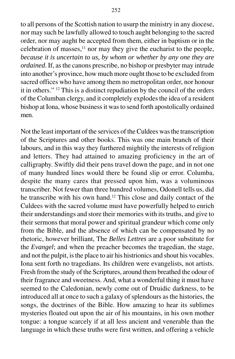to all persons of the Scottish nation to usurp the ministry in any diocese, nor may such be lawfully allowed to touch aught belonging to the sacred order, nor may aught be accepted from them, either in baptism or in the celebration of masses, $11$  nor may they give the eucharist to the people, *because it is uncertain to us, by whom or whether by any one they are ordained*. If, as the canons prescribe, no bishop or presbyter may intrude into another's province, how much more ought those to be excluded from sacred offices who have among them no metropolitan order, nor honour it in others." 12 This is a distinct repudiation by the council of the orders of the Columban clergy, and it completely explodes the idea of a resident bishop at Iona, whose business it was to send forth apostolically ordained men.

Not the least important of the services of the Culdees was the transcription of the Scriptures and other books. This was one main branch of their labours, and in this way they furthered mightily the interests of religion and letters. They had attained to amazing proficiency in the art of calligraphy. Swiftly did their pens travel down the page, and in not one of many hundred lines would there be found slip or error. Columba, despite the many cares that pressed upon him, was a voluminous transcriber. Not fewer than three hundred volumes, Odonell tells us, did he transcribe with his own hand.12 This close and daily contact of the Culdees with the sacred volume must have powerfully helped to enrich their understandings and store their memories with its truths, and give to their sermons that moral power and spiritual grandeur which come only from the Bible, and the absence of which can be compensated by no rhetoric, however brilliant, The *Belles Lettres* are a poor substitute for the *Evangel*; and when the preacher becomes the tragedian, the stage, and not the pulpit, is the place to air his histrionics and shout his vocables. Iona sent forth no tragedians. Its children were evangelists, not artists. Fresh from the study of the Scriptures, around them breathed the odour of their fragrance and sweetness. And, what a wonderful thing it must have seemed to the Caledonian, newly come out of Druidic darkness, to be introduced all at once to such a galaxy of splendours as the histories, the songs, the doctrines of the Bible. How amazing to hear its sublimes mysteries floated out upon the air of his mountains, in his own mother tongue: a tongue scarcely if at all less ancient and venerable than the language in which these truths were first written, and offering a vehicle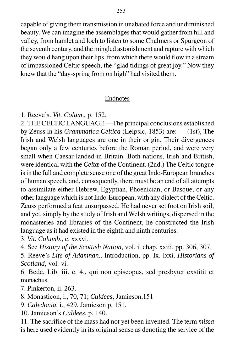capable of giving them transmission in unabated force and undiminished beauty. We can imagine the assemblages that would gather from hill and valley, from hamlet and loch to listen to some Chalmers or Spurgeon of the seventh century, and the mingled astonishment and rapture with which they would hang upon their lips, from which there would flow in a stream of impassioned Celtic speech, the "glad tidings of great joy." Now they knew that the "day-spring from on high" had visited them.

## Endnotes

1. Reeve's. *Vit. Colum*., p. 152.

2. THE CELTIC LANGUAGE.—The principal conclusions established by Zeuss in his *Grammatica Celtica* (Leipsic, 1853) are: — (1st), The Irish and Welsh languages are one in their origin. Their divergences began only a few centuries before the Roman period, and were very small when Caesar landed in Britain. Both nations, Irish and British, were identical with the *Celtæ* of the Continent. (2nd.) The Celtic tongue is in the full and complete sense one of the great Indo-European branches of human speech, and, consequently, there must be an end of all attempts to assimilate either Hebrew, Egyptian, Phoenician, or Basque, or any other language which is not Indo-European, with any dialect of the Celtic. Zeuss performed a feat unsurpassed. He had never set foot on Irish soil, and yet, simply by the study of Irish and Welsh writings, dispersed in the monasteries and libraries of the Continent, he constructed the Irish language as it had existed in the eighth and ninth centuries.

3. *Vit. Columb*., c. xxxvi.

4. See *History of the Scottish Nation*, vol. i. chap. xxiii. pp. 306, 307.

5. Reeve's *Life of Adamnan*., Introduction, pp. Ix.-lxxi. *Historians of Scotland*, vol. vi.

6. Bede, Lib. iii. c. 4., qui non episcopus, sed presbyter exstitit et monachus.

7. Pinkerton, ii. 263.

8. Monasticon, i., 70, 71; *Culdees*, Jamieson,151

- 9. *Caledonia*, i., 429, Jamieson p. 151.
- 10. Jamieson's *Culdees*, p. 140.

11. The sacrifice of the mass had not yet been invented. The term *missa* is here used evidently in its original sense as denoting the service of the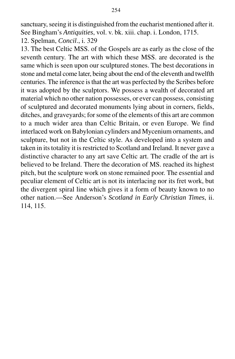sanctuary, seeing it is distinguished from the eucharist mentioned after it. See Bingham's *Antiquities*, vol. v. bk. xiii. chap. i. London, 1715.

12. Spelman, *Concil*., i. 329

13. The best Celtic MSS. of the Gospels are as early as the close of the seventh century. The art with which these MSS. are decorated is the same which is seen upon our sculptured stones. The best decorations in stone and metal come later, being about the end of the eleventh and twelfth centuries. The inference is that the art was perfected by the Scribes before it was adopted by the sculptors. We possess a wealth of decorated art material which no other nation possesses, or ever can possess, consisting of sculptured and decorated monuments lying about in corners, fields, ditches, and graveyards; for some of the elements of this art are common to a much wider area than Celtic Britain, or even Europe. We find interlaced work on Babylonian cylinders and Mycenium ornaments, and sculpture, but not in the Celtic style. As developed into a system and taken in its totality it is restricted to Scotland and Ireland. It never gave a distinctive character to any art save Celtic art. The cradle of the art is believed to be Ireland. There the decoration of MS. reached its highest pitch, but the sculpture work on stone remained poor. The essential and peculiar element of Celtic art is not its interlacing nor its fret work, but the divergent spiral line which gives it a form of beauty known to no other nation.—See Anderson's *Scotland in Early Christian Times*, ii. 114, 115.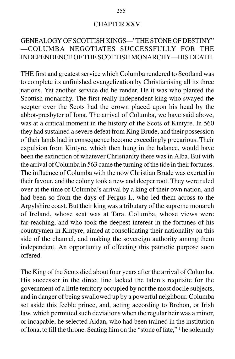#### CHAPTER XXV.

# GENEALOGY OF SCOTTISH KINGS—"THE STONE OF DESTINY" —COLUMBA NEGOTIATES SUCCESSFULLY FOR THE INDEPENDENCE OF THE SCOTTISH MONARCHY—HIS DEATH.

THE first and greatest service which Columba rendered to Scotland was to complete its unfinished evangelization by Christianising all its three nations. Yet another service did he render. He it was who planted the Scottish monarchy. The first really independent king who swayed the scepter over the Scots had the crown placed upon his head by the abbot-presbyter of Iona. The arrival of Columba, we have said above, was at a critical moment in the history of the Scots of Kintyre. In 560 they had sustained a severe defeat from King Brude, and their possession of their lands had in consequence become exceedingly precarious. Their expulsion from Kintyre, which then hung in the balance, would have been the extinction of whatever Christianity there was in Alba. But with the arrival of Columba in 563 came the turning of the tide in their fortunes. The influence of Columba with the now Christian Brude was exerted in their favour, and the colony took a new and deeper root. They were ruled over at the time of Columba's arrival by a king of their own nation, and had been so from the days of Fergus I., who led them across to the Argylshire coast. But their king was a tributary of the supreme monarch of Ireland, whose seat was at Tara. Columba, whose views were far-reaching, and who took the deepest interest in the fortunes of his countrymen in Kintyre, aimed at consolidating their nationality on this side of the channel, and making the sovereign authority among them independent. An opportunity of effecting this patriotic purpose soon offered.

The King of the Scots died about four years after the arrival of Columba. His successor in the direct line lacked the talents requisite for the government of a little territory occupied by not the most docile subjects, and in danger of being swallowed up by a powerful neighbour. Columba set aside this feeble prince, and, acting according to Brehon, or Irish law, which permitted such deviations when the regular heir was a minor, or incapable, he selected Aidan, who had been trained in the institution of Iona, to fill the throne. Seating him on the "stone of fate," <sup>1</sup> he solemnly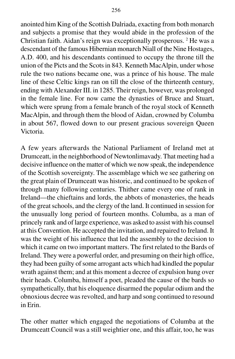anointed him King of the Scottish Dalriada, exacting from both monarch and subjects a promise that they would abide in the profession of the Christian faith. Aidan's reign was exceptionally prosperous. 2 He was a descendant of the famous Hibernian monarch Niall of the Nine Hostages, A.D. 400, and his descendants continued to occupy the throne till the union of the Picts and the Scots in 843. Kenneth MacAlpin, under whose rule the two nations became one, was a prince of his house. The male line of these Celtic kings ran on till the close of the thirteenth century, ending with Alexander III. in 1285. Their reign, however, was prolonged in the female line. For now came the dynasties of Bruce and Stuart, which were sprung from a female branch of the royal stock of Kenneth MacAlpin, and through them the blood of Aidan, crowned by Columba in about 567, flowed down to our present gracious sovereign Queen Victoria.

A few years afterwards the National Parliament of Ireland met at Drumceatt, in the neighborhood of Newtonlimavady. That meeting had a decisive influence on the matter of which we now speak, the independence of the Scottish sovereignty. The assemblage which we see gathering on the great plain of Drumceatt was historic, and continued to be spoken of through many following centuries. Thither came every one of rank in Ireland—the chieftains and lords, the abbots of monasteries, the heads of the great schools, and the clergy of the land. It continued in session for the unusually long period of fourteen months. Columba, as a man of princely rank and of large experience, was asked to assist with his counsel at this Convention. He accepted the invitation, and repaired to Ireland. It was the weight of his influence that led the assembly to the decision to which it came on two important matters. The first related to the Bards of Ireland. They were a powerful order, and presuming on their high office, they had been guilty of some arrogant acts which had kindled the popular wrath against them; and at this moment a decree of expulsion hung over their heads. Columba, himself a poet, pleaded the cause of the bards so sympathetically, that his eloquence disarmed the popular odium and the obnoxious decree was revolted, and harp and song continued to resound in Erin.

The other matter which engaged the negotiations of Columba at the Drumceatt Council was a still weightier one, and this affair, too, he was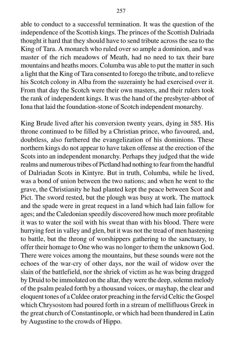able to conduct to a successful termination. It was the question of the independence of the Scottish kings. The princes of the Scottish Dalriada thought it hard that they should have to send tribute across the sea to the King of Tara. A monarch who ruled over so ample a dominion, and was master of the rich meadows of Meath, had no need to tax their bare mountains and heaths moors. Columba was able to put the matter in such a light that the King of Tara consented to forego the tribute, and to relieve his Scotch colony in Alba from the suzerainty he had exercised over it. From that day the Scotch were their own masters, and their rulers took the rank of independent kings. It was the hand of the presbyter-abbot of Iona that laid the foundation-stone of Scotch independent monarchy.

King Brude lived after his conversion twenty years, dying in 585. His throne continued to be filled by a Christian prince, who favoured, and, doubtless, also furthered the evangelization of his dominions. These northern kings do not appear to have taken offense at the erection of the Scots into an independent monarchy. Perhaps they judged that the wide realms and numerous tribes of Pictland had nothing to fear from the handful of Dalriadan Scots in Kintyre. But in truth, Columba, while he lived, was a bond of union between the two nations; and when he went to the grave, the Christianity he had planted kept the peace between Scot and Pict. The sword rested, but the plough was busy at work. The mattock and the spade were in great request in a land which had lain fallow for ages; and the Caledonian speedily discovered how much more profitable it was to water the soil with his sweat than with his blood. There were hurrying feet in valley and glen, but it was not the tread of men hastening to battle, but the throng of worshippers gathering to the sanctuary, to offer their homage to One who was no longer to them the unknown God. There were voices among the mountains, but these sounds were not the echoes of the war-cry of other days, nor the wail of widow over the slain of the battlefield, nor the shriek of victim as he was being dragged by Druid to be immolated on the altar, they were the deep, solemn melody of the psalm pealed forth by a thousand voices, or mayhap, the clear and eloquent tones of a Culdee orator preaching in the fervid Celtic the Gospel which Chrysostom had poured forth in a stream of mellifluous Greek in the great church of Constantinople, or which had been thundered in Latin by Augustine to the crowds of Hippo.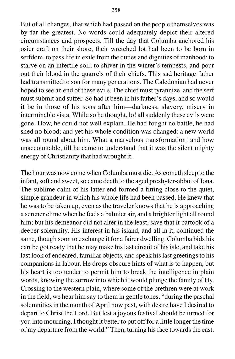But of all changes, that which had passed on the people themselves was by far the greatest. No words could adequately depict their altered circumstances and prospects. Till the day that Columba anchored his osier craft on their shore, their wretched lot had been to be born in serfdom, to pass life in exile from the duties and dignities of manhood; to starve on an infertile soil; to shiver in the winter's tempests, and pour out their blood in the quarrels of their chiefs. This sad heritage father had transmitted to son for many generations. The Caledonian had never hoped to see an end of these evils. The chief must tyrannize, and the serf must submit and suffer. So had it been in his father's days, and so would it be in those of his sons after him—darkness, slavery, misery in interminable vista. While so he thought, lo! all suddenly these evils were gone. How, he could not well explain. He had fought no battle, he had shed no blood; and yet his whole condition was changed: a new world was all round about him. What a marvelous transformation! and how unaccountable, till he came to understand that it was the silent mighty energy of Christianity that had wrought it.

The hour was now come when Columba must die. As cometh sleep to the infant, soft and sweet, so came death to the aged presbyter-abbot of Iona. The sublime calm of his latter end formed a fitting close to the quiet, simple grandeur in which his whole life had been passed. He knew that he was to be taken up, even as the traveler knows that he is approaching a serener clime when he feels a balmier air, and a brighter light all round him; but his demeanor did not alter in the least, save that it partook of a deeper solemnity. His interest in his island, and all in it, continued the same, though soon to exchange it for a fairer dwelling. Columba bids his cart be got ready that he may make his last circuit of his isle, and take his last look of endeared, familiar objects, and speak his last greetings to his companions in labour. He drops obscure hints of what is to happen, but his heart is too tender to permit him to break the intelligence in plain words, knowing the sorrow into which it would plunge the family of Hy. Crossing to the western plain, where some of the brethren were at work in the field, we hear him say to them in gentle tones, "during the paschal solemnities in the month of April now past, with desire have I desired to depart to Christ the Lord. But lest a joyous festival should be turned for you into mourning, I thought it better to put off for a little longer the time of my departure from the world." Then, turning his face towards the east,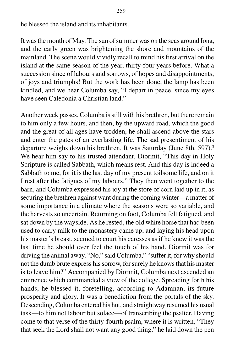he blessed the island and its inhabitants.

It was the month of May. The sun of summer was on the seas around Iona, and the early green was brightening the shore and mountains of the mainland. The scene would vividly recall to mind his first arrival on the island at the same season of the year, thirty-four years before. What a succession since of labours and sorrows, of hopes and disappointments, of joys and triumphs! But the work has been done, the lamp has been kindled, and we hear Columba say, "I depart in peace, since my eyes have seen Caledonia a Christian land."

Another week passes. Columba is still with his brethren, but there remain to him only a few hours, and then, by the upward road, which the good and the great of all ages have trodden, he shall ascend above the stars and enter the gates of an everlasting life. The sad presentiment of his departure weighs down his brethren. It was Saturday (June 8th, 597).<sup>3</sup> We hear him say to his trusted attendant, Diormit, "This day in Holy Scripture is called Sabbath, which means rest. And this day is indeed a Sabbath to me, for it is the last day of my present toilsome life, and on it I rest after the fatigues of my labours." They then went together to the barn, and Columba expressed his joy at the store of corn laid up in it, as securing the brethren against want during the coming winter—a matter of some importance in a climate where the seasons were so variable, and the harvests so uncertain. Returning on foot, Columba felt fatigued, and sat down by the wayside. As he rested, the old white horse that had been used to carry milk to the monastery came up, and laying his head upon his master's breast, seemed to court his caresses as if he knew it was the last time he should ever feel the touch of his hand. Diormit was for driving the animal away. "No," said Columba," "suffer it, for why should not the dumb brute express his sorrow, for surely he knows that his master is to leave him?" Accompanied by Diormit, Columba next ascended an eminence which commanded a view of the college. Spreading forth his hands, he blessed it, foretelling, according to Adamnan, its future prosperity and glory. It was a benediction from the portals of the sky. Descending, Columba entered his hut, and straightway resumed his usual task—to him not labour but solace—of transcribing the psalter. Having come to that verse of the thirty-fourth psalm, where it is written, "They that seek the Lord shall not want any good thing," he laid down the pen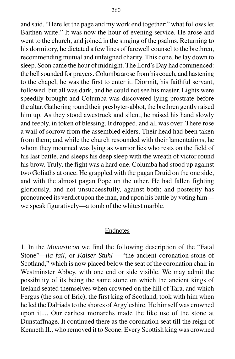and said, "Here let the page and my work end together;" what follows let Baithen write." It was now the hour of evening service. He arose and went to the church, and joined in the singing of the psalms. Returning to his dormitory, he dictated a few lines of farewell counsel to the brethren, recommending mutual and unfeigned charity. This done, he lay down to sleep. Soon came the hour of midnight. The Lord's Day had commenced: the bell sounded for prayers. Columba arose from his couch, and hastening to the chapel, he was the first to enter it. Diormit, his faithful servant, followed, but all was dark, and he could not see his master. Lights were speedily brought and Columba was discovered lying prostrate before the altar. Gathering round their presbyter-abbot, the brethren gently raised him up. As they stood awestruck and silent, he raised his hand slowly and feebly, in token of blessing. It dropped, and all was over. There rose a wail of sorrow from the assembled elders. Their head had been taken from them; and while the church resounded with their lamentations, he whom they mourned was lying as warrior lies who rests on the field of his last battle, and sleeps his deep sleep with the wreath of victor round his brow. Truly, the fight was a hard one. Columba had stood up against two Goliaths at once. He grappled with the pagan Druid on the one side, and with the almost pagan Pope on the other. He had fallen fighting gloriously, and not unsuccessfully, against both; and posterity has pronounced its verdict upon the man, and upon his battle by voting him we speak figuratively—a tomb of the whitest marble.

### Endnotes

1. In the *Monasticon* we find the following description of the "Fatal Stone"*—lia fail*, or *Kaiser Stuhl* —"the ancient coronation-stone of Scotland," which is now placed below the seat of the coronation chair in Westminster Abbey, with one end or side visible. We may admit the possibility of its being the same stone on which the ancient kings of Ireland seated themselves when crowned on the hill of Tara, and which Fergus (the son of Eric), the first king of Scotland, took with him when he led the Dalriads to the shores of Argyleshire. He himself was crowned upon it.... Our earliest monarchs made the like use of the stone at Dunstaffnage. It continued there as the coronation seat till the reign of Kenneth II., who removed it to Scone. Every Scottish king was crowned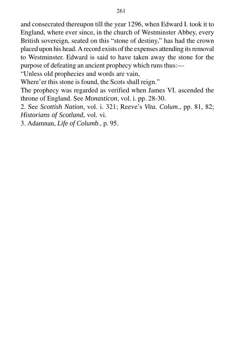and consecrated thereupon till the year 1296, when Edward I. took it to England, where ever since, in the church of Westminster Abbey, every British sovereign, seated on this "stone of destiny," has had the crown placed upon his head. A record exists of the expenses attending its removal to Westminster. Edward is said to have taken away the stone for the purpose of defeating an ancient prophecy which runs thus:—

"Unless old prophecies and words are vain,

Where'er this stone is found, the Scots shall reign."

The prophecy was regarded as verified when James VI. ascended the throne of England. See *Monasticon*, vol. i. pp. 28-30.

2. See *Scottish Nation*, vol. i. 321; Reeve's *Vita. Colum*., pp. 81, 82; *Historians of Scotland*, vol. vi.

3. Adamnan, *Life of Columb*., p. 95.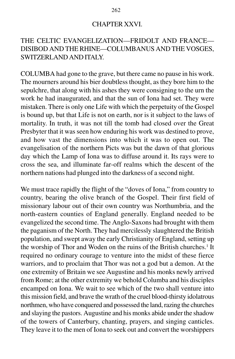### CHAPTER XXVI.

# THE CELTIC EVANGELIZATION—FRIDOLT AND FRANCE— DISIBOD AND THE RHINE—COLUMBANUS AND THE VOSGES, SWITZERLAND AND ITALY.

COLUMBA had gone to the grave, but there came no pause in his work. The mourners around his bier doubtless thought, as they bore him to the sepulchre, that along with his ashes they were consigning to the urn the work he had inaugurated, and that the sun of Iona had set. They were mistaken. There is only one Life with which the perpetuity of the Gospel is bound up, but that Life is not on earth, nor is it subject to the laws of mortality. In truth, it was not till the tomb had closed over the Great Presbyter that it was seen how enduring his work was destined to prove, and how vast the dimensions into which it was to open out. The evangelisation of the northern Picts was but the dawn of that glorious day which the Lamp of Iona was to diffuse around it. Its rays were to cross the sea, and illuminate far-off realms which the descent of the northern nations had plunged into the darkness of a second night.

We must trace rapidly the flight of the "doves of Iona," from country to country, bearing the olive branch of the Gospel. Their first field of missionary labour out of their own country was Northumbria, and the north-eastern counties of England generally. England needed to be evangelized the second time. The Anglo-Saxons had brought with them the paganism of the North. They had mercilessly slaughtered the British population, and swept away the early Christianity of England, setting up the worship of Thor and Woden on the ruins of the British churches.<sup>1</sup> It required no ordinary courage to venture into the midst of these fierce warriors, and to proclaim that Thor was not a god but a demon. At the one extremity of Britain we see Augustine and his monks newly arrived from Rome; at the other extremity we behold Columba and his disciples encamped on Iona. We wait to see which of the two shall venture into this mission field, and brave the wrath of the cruel blood-thirsty idolatrous northmen, who have conquered and possessed the land, razing the churches and slaying the pastors. Augustine and his monks abide under the shadow of the towers of Canterbury, chanting, prayers, and singing canticles. They leave it to the men of Iona to seek out and convert the worshippers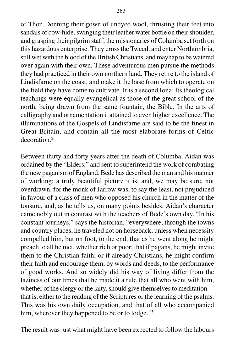of Thor. Donning their gown of undyed wool, thrusting their feet into sandals of cow-hide, swinging their leather water bottle on their shoulder, and grasping their pilgrim staff, the missionaries of Columba set forth on this hazardous enterprise. They cross the Tweed, and enter Northumbria, still wet with the blood of the British Christians, and mayhap to be watered over again with their own. These adventurous men pursue the methods they had practiced in their own northern land. They retire to the island of Lindisfarne on the coast, and make it the base from which to operate on the field they have come to cultivate. It is a second Iona. Its theological teachings were equally evangelical as those of the great school of the north, being drawn from the same fountain, the Bible. In the arts of calligraphy and ornamentation it attained to even higher excellence. The illuminations of the Gospels of Lindisfarne are said to be the finest in Great Britain, and contain all the most elaborate forms of Celtic decoration.2

Between thirty and forty years after the death of Columba, Aidan was ordained by the "Elders," and sent to superintend the work of combating the new paganism of England. Bede has described the man and his manner of working; a truly beautiful picture it is, and, we may be sure, not overdrawn, for the monk of Jarrow was, to say the least, not prejudiced in favour of a class of men who opposed his church in the matter of the tonsure, and, as he tells us, on many points besides. Aidan's character came nobly out in contrast with the teachers of Bede's own day. "In his constant journeys," says the historian, "everywhere, through the towns and country places, he traveled not on horseback, unless when necessity compelled him, but on foot, to the end, that as he went along he might preach to all he met, whether rich or poor; that if pagans, he might invite them to the Christian faith; or if already Christians, he might confirm their faith and encourage them, by words and deeds, to the performance of good works. And so widely did his way of living differ from the laziness of our times that he made it a rule that all who went with him, whether of the clergy or the laity, should give themselves to meditation that is, either to the reading of the Scriptures or the learning of the psalms. This was his own daily occupation, and that of all who accompanied him, wherever they happened to be or to lodge."<sup>3</sup>

The result was just what might have been expected to follow the labours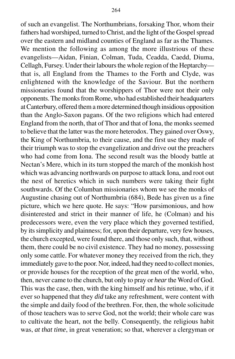of such an evangelist. The Northumbrians, forsaking Thor, whom their fathers had worshiped, turned to Christ, and the light of the Gospel spread over the eastern and midland counties of England as far as the Thames. We mention the following as among the more illustrious of these

evangelists—Aidan, Finian, Colman, Tuda, Ceadda, Caedd, Diuma, Cellagh, Fursey. Under their labours the whole region of the Heptarchy that is, all England from the Thames to the Forth and Clyde, was enlightened with the knowledge of the Saviour. But the northern missionaries found that the worshippers of Thor were not their only opponents. The monks from Rome, who had established their headquarters at Canterbury, offered them a more determined though insidious opposition than the Anglo-Saxon pagans. Of the two religions which had entered England from the north, that of Thor and that of Iona, the monks seemed to believe that the latter was the more heterodox. They gained over Oswy, the King of Northumbria, to their cause, and the first use they made of their triumph was to stop the evangelization and drive out the preachers who had come from Iona. The second result was the bloody battle at Nectan's Mere, which in its turn stopped the march of the monkish host which was advancing northwards on purpose to attack Iona, and root out the nest of heretics which in such numbers were taking their fight southwards. Of the Columban missionaries whom we see the monks of Augustine chasing out of Northumbria (684), Bede has given us a fine picture, which we here quote. He says: "How parsimonious, and how disinterested and strict in their manner of life, he (Colman) and his predecessors were, even the very place which they governed testified, by its simplicity and plainness; for, upon their departure, very few houses, the church excepted, were found there, and those only such, that, without them, there could be no civil existence. They had no money, possessing only some cattle. For whatever money they received from the rich, they immediately gave to the poor. Nor, indeed, had they need to collect monies, or provide houses for the reception of the great men of the world, who, then, never came to the church, but only to pray or *hear* the Word of God. This was the case, then, with the king himself and his retinue, who, if it ever so happened that they *did* take any refreshment, were content with the simple and daily food of the brethren. For, then, the whole solicitude of those teachers was to serve God, not the world; their whole care was to cultivate the heart, not the belly. Consequently, the religious habit was, *at that time*, in great veneration; so that, wherever a clergyman or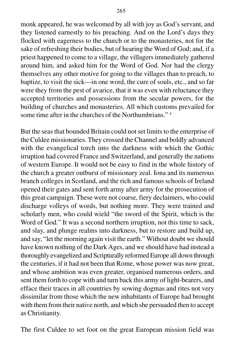monk appeared, he was welcomed by all with joy as God's servant, and they listened earnestly to his preaching. And on the Lord's days they flocked with eagerness to the church or to the monasteries, not for the sake of refreshing their bodies, but of hearing the Word of God; and, if a priest happened to come to a village, the villagers immediately gathered around him, and asked him for the Word of God. Nor had the clergy themselves any other motive for going to the villages than to preach, to baptize, to visit the sick—in one word, the cure of souls, etc., and so far were they from the pest of avarice, that it was even with reluctance they accepted territories and possessions from the secular powers, for the building of churches and monasteries. All which customs prevailed for some time after in the churches of the Northumbrians."<sup>4</sup>

But the seas that bounded Britain could not set limits to the enterprise of the Culdee missionaries. They crossed the Channel and boldly advanced with the evangelical torch into the darkness with which the Gothic irruption had covered France and Switzerland, and generally the nations of western Europe. It would not be easy to find in the whole history of the church a greater outburst of missionary zeal. Iona and its numerous branch colleges in Scotland, and the rich and famous schools of Ireland opened their gates and sent forth army after army for the prosecution of this great campaign. These were not coarse, fiery declaimers, who could discharge volleys of words, but nothing more. They were trained and scholarly men, who could wield "the sword of the Spirit, which is the Word of God." It was a second northern irruption, not this time to sack, and slay, and plunge realms into darkness, but to restore and build up, and say, "let the morning again visit the earth." Without doubt we should have known nothing of the Dark Ages, and we should have had instead a thoroughly evangelized and Scripturally reformed Europe all down through the centuries, if it had not been that Rome, whose power was now great, and whose ambition was even greater, organised numerous orders, and sent them forth to cope with and turn back this army of light-bearers, and efface their traces in all countries by sowing dogmas and rites not very dissimilar from those which the new inhabitants of Europe had brought with them from their native north, and which she persuaded then to accept as Christianity.

The first Culdee to set foot on the great European mission field was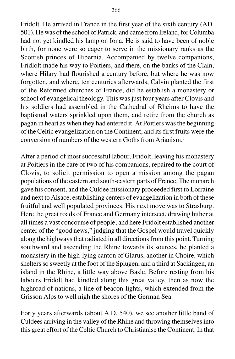Fridolt. He arrived in France in the first year of the sixth century (AD. 501). He was of the school of Patrick, and came from Ireland, for Columba had not yet kindled his lamp on Iona. He is said to have been of noble birth, for none were so eager to serve in the missionary ranks as the Scottish princes of Hibernia. Accompanied by twelve companions, Fridlolt made his way to Poitiers, and there, on the banks of the Clain, where Hilary had flourished a century before, but where he was now forgotten, and where, ten centuries afterwards, Calvin planted the first of the Reformed churches of France, did he establish a monastery or school of evangelical theology. This was just four years after Clovis and his soldiers had assembled in the Cathedral of Rheims to have the baptismal waters sprinkled upon them, and retire from the church as pagan in heart as when they had entered it. At Poitiers was the beginning of the Celtic evangelization on the Continent, and its first fruits were the conversion of numbers of the western Goths from Arianism.5

After a period of most successful labour, Fridolt, leaving his monastery at Poitiers in the care of two of his companions, repaired to the court of Clovis, to solicit permission to open a mission among the pagan populations of the eastern and south-eastern parts of France. The monarch gave his consent, and the Culdee missionary proceeded first to Lorraine and next to Alsace, establishing centers of evangelization in both of these fruitful and well populated provinces. His next move was to Strasburg. Here the great roads of France and Germany intersect, drawing hither at all times a vast concourse of people; and here Fridolt established another center of the "good news," judging that the Gospel would travel quickly along the highways that radiated in all directions from this point. Turning southward and ascending the Rhine towards its sources, he planted a monastery in the high-lying canton of Glarus, another in Choire, which shelters so sweetly at the foot of the Splugen, and a third at Sackingen, an island in the Rhine, a little way above Basle. Before resting from his labours Fridolt had kindled along this great valley, then as now the highroad of nations, a line of beacon-lights, which extended from the Grisson Alps to well nigh the shores of the German Sea.

Forty years afterwards (about A.D. 540), we see another little band of Culdees arriving in the valley of the Rhine and throwing themselves into this great effort of the Celtic Church to Christianise the Continent. In that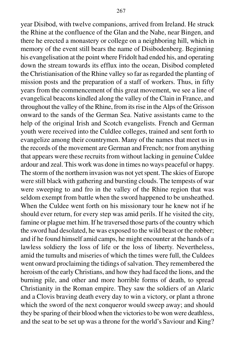year Disibod, with twelve companions, arrived from Ireland. He struck the Rhine at the confluence of the Glan and the Nahe, near Bingen, and there he erected a monastery or college on a neighboring hill, which in memory of the event still bears the name of Disibodenberg. Beginning his evangelisation at the point where Fridolt had ended his, and operating down the stream towards its efflux into the ocean, Disibod completed the Christianisation of the Rhine valley so far as regarded the planting of mission posts and the preparation of a staff of workers. Thus, in fifty years from the commencement of this great movement, we see a line of evangelical beacons kindled along the valley of the Clain in France, and throughout the valley of the Rhine, from its rise in the Alps of the Grisson onward to the sands of the German Sea. Native assistants came to the help of the original Irish and Scotch evangelists. French and German youth were received into the Culdlee colleges, trained and sent forth to evangelize among their countrymen. Many of the names that meet us in the records of the movement are German and French; nor from anything that appears were these recruits from without lacking in genuine Culdee ardour and zeal. This work was done in times no ways peaceful or happy. The storm of the northern invasion was not yet spent. The skies of Europe were still black with gathering and bursting clouds. The tempests of war were sweeping to and fro in the valley of the Rhine region that was seldom exempt from battle when the sword happened to be unsheathed. When the Culdee went forth on his missionary tour he knew not if he should ever return, for every step was amid perils. If he visited the city, famine or plague met him. If he traversed those parts of the country which the sword had desolated, he was exposed to the wild beast or the robber; and if he found himself amid camps, he might encounter at the hands of a lawless soldiery the loss of life or the loss of liberty. Nevertheless, amid the tumults and miseries of which the times were full, the Culdees went onward proclaiming the tidings of salvation. They remembered the heroism of the early Christians, and how they had faced the lions, and the burning pile, and other and more horrible forms of death, to spread Christianity in the Roman empire. They saw the soldiers of an Alaric and a Clovis braving death every day to win a victory, or plant a throne which the sword of the next conqueror would sweep away; and should they be sparing of their blood when the victories to be won were deathless, and the seat to be set up was a throne for the world's Saviour and King?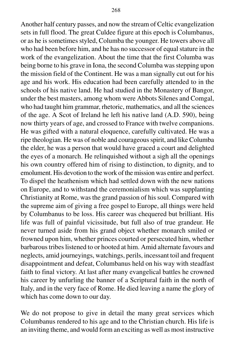Another half century passes, and now the stream of Celtic evangelization sets in full flood. The great Culdee figure at this epoch is Columbanus, or as he is sometimes styled, Columba the younger. He towers above all who had been before him, and he has no successor of equal stature in the work of the evangelization. About the time that the first Columba was being borne to his grave in Iona, the second Columba was stepping upon the mission field of the Continent. He was a man signally cut out for his age and his work. His education had been carefully attended to in the schools of his native land. He had studied in the Monastery of Bangor, under the best masters, among whom were Abbots Silenes and Comgal, who had taught him grammar, rhetoric, mathematics, and all the sciences of the age. A Scot of Ireland he left his native land (A.D. 590), being now thirty years of age, and crossed to France with twelve companions. He was gifted with a natural eloquence, carefully cultivated. He was a ripe theologian. He was of noble and courageous spirit, and like Columba the elder, he was a person that would have graced a court and delighted the eyes of a monarch. He relinquished without a sigh all the openings his own country offered him of rising to distinction, to dignity, and to emolument. His devotion to the work of the mission was entire and perfect. To dispel the heathenism which had settled down with the new nations on Europe, and to withstand the ceremonialism which was supplanting Christianity at Rome, was the grand passion of his soul. Compared with the supreme aim of giving a free gospel to Europe, all things were held by Columbanus to be loss. His career was chequered but brilliant. His life was full of painful vicissitude, but full also of true grandeur. He never turned aside from his grand object whether monarch smiled or frowned upon him, whether princes courted or persecuted him, whether barbarous tribes listened to or hooted at him. Amid alternate favours and neglects, amid journeyings, watchings, perils, incessant toil and frequent disappointment and defeat, Columbanus held on his way with steadfast faith to final victory. At last after many evangelical battles he crowned his career by unfurling the banner of a Scriptural faith in the north of

We do not propose to give in detail the many great services which Columbanus rendered to his age and to the Christian church. His life is an inviting theme, and would form an exciting as well as most instructive

Italy, and in the very face of Rome. He died leaving a name the glory of

which has come down to our day.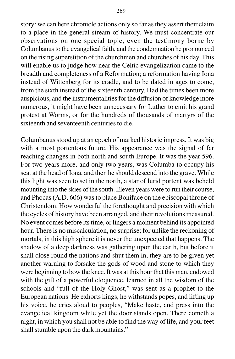story: we can here chronicle actions only so far as they assert their claim to a place in the general stream of history. We must concentrate our observations on one special topic, even the testimony borne by Columbanus to the evangelical faith, and the condemnation he pronounced on the rising superstition of the churchmen and churches of his day. This will enable us to judge how near the Celtic evangelization came to the breadth and completeness of a Reformation; a reformation having Iona instead of Wittenberg for its cradle, and to be dated in ages to come, from the sixth instead of the sixteenth century. Had the times been more auspicious, and the instrumentalities for the diffusion of knowledge more numerous, it might have been unnecessary for Luther to emit his grand protest at Worms, or for the hundreds of thousands of martyrs of the sixteenth and seventeenth centuries to die.

Columbanus stood up at an epoch of marked historic impress. It was big with a most portentous future. His appearance was the signal of far reaching changes in both north and south Europe. It was the year 596. For two years more, and only two years, was Columba to occupy his seat at the head of Iona, and then he should descend into the grave. While this light was seen to set in the north, a star of lurid portent was beheld mounting into the skies of the south. Eleven years were to run their course, and Phocas (A.D. 606) was to place Boniface on the episcopal throne of Christendom. How wonderful the forethought and precision with which the cycles of history have been arranged, and their revolutions measured. No event comes before its time, or lingers a moment behind its appointed hour. There is no miscalculation, no surprise; for unlike the reckoning of mortals, in this high sphere it is never the unexpected that happens. The shadow of a deep darkness was gathering upon the earth, but before it shall close round the nations and shut them in, they are to be given yet another warning to forsake the gods of wood and stone to which they were beginning to bow the knee. It was at this hour that this man, endowed with the gift of a powerful eloquence, learned in all the wisdom of the schools and "full of the Holy Ghost," was sent as a prophet to the European nations. He exhorts kings, he withstands popes, and lifting up his voice, he cries aloud to peoples, "Make haste, and press into the evangelical kingdom while yet the door stands open. There cometh a night, in which you shall not be able to find the way of life, and your feet shall stumble upon the dark mountains."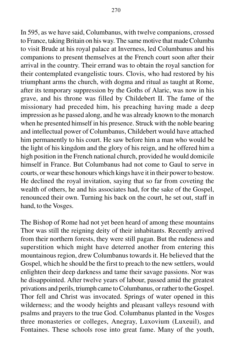In 595, as we have said, Columbanus, with twelve companions, crossed to France, taking Britain on his way. The same motive that made Columba to visit Brude at his royal palace at Inverness, led Columbanus and his companions to present themselves at the French court soon after their arrival in the country. Their errand was to obtain the royal sanction for their contemplated evangelistic tours. Clovis, who had restored by his triumphant arms the church, with dogma and ritual as taught at Rome, after its temporary suppression by the Goths of Alaric, was now in his grave, and his throne was filled by Childebert II. The fame of the missionary had preceded him, his preaching having made a deep impression as he passed along, and he was already known to the monarch when he presented himself in his presence. Struck with the noble bearing and intellectual power of Columbanus, Childebert would have attached him permanently to his court. He saw before him a man who would be the light of his kingdom and the glory of his reign, and he offered him a high position in the French national church, provided he would domicile himself in France. But Columbanus had not come to Gaul to serve in courts, or wear these honours which kings have it in their power to bestow. He declined the royal invitation, saying that so far from coveting the wealth of others, he and his associates had, for the sake of the Gospel, renounced their own. Turning his back on the court, he set out, staff in hand, to the Vosges.

The Bishop of Rome had not yet been heard of among these mountains Thor was still the reigning deity of their inhabitants. Recently arrived from their northern forests, they were still pagan. But the rudeness and superstition which might have deterred another from entering this mountainous region, drew Columbanus towards it. He believed that the Gospel, which he should be the first to preach to the new settlers, would enlighten their deep darkness and tame their savage passions. Nor was he disappointed. After twelve years of labour, passed amid the greatest privations and perils, triumph came to Columbanus, or rather to the Gospel. Thor fell and Christ was invocated. Springs of water opened in this wilderness; and the woody heights and pleasant valleys resound with psalms and prayers to the true God. Columbanus planted in the Vosges three monasteries or colleges, Anegray, Luxovium (Luxeuil), and Fontaines. These schools rose into great fame. Many of the youth,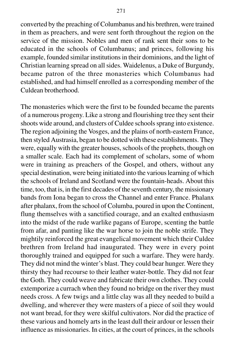converted by the preaching of Columbanus and his brethren, were trained in them as preachers, and were sent forth throughout the region on the service of the mission. Nobles and men of rank sent their sons to be educated in the schools of Columbanus; and princes, following his example, founded similar institutions in their dominions, and the light of Christian learning spread on all sides. Waidelenus, a Duke of Burgundy, became patron of the three monasteries which Columbanus had established, and had himself enrolled as a corresponding member of the Culdean brotherhood.

The monasteries which were the first to be founded became the parents of a numerous progeny. Like a strong and flourishing tree they sent their shoots wide around, and clusters of Culdee schools sprang into existence. The region adjoining the Vosges, and the plains of north-eastern France, then styled Austrasia, began to be dotted with these establishments. They were, equally with the greater houses, schools of the prophets, though on a smaller scale. Each had its complement of scholars, some of whom were in training as preachers of the Gospel, and others, without any special destination, were being initiated into the various learning of which the schools of Ireland and Scotland were the fountain-heads. About this time, too, that is, in the first decades of the seventh century, the missionary bands from Iona began to cross the Channel and enter France. Phalanx after phalanx, from the school of Columba, poured in upon the Continent, flung themselves with a sanctified courage, and an exalted enthusiasm into the midst of the rude warlike pagans of Europe, scenting the battle from afar, and panting like the war horse to join the noble strife. They mightily reinforced the great evangelical movement which their Culdee brethren from Ireland had inaugurated. They were in every point thoroughly trained and equipped for such a warfare. They were hardy. They did not mind the winter's blast. They could bear hunger. Were they thirsty they had recourse to their leather water-bottle. They did not fear the Goth. They could weave and fabricate their own clothes. They could extemporize a currach when they found no bridge on the river they must needs cross. A few twigs and a little clay was all they needed to build a dwelling, and wherever they were masters of a piece of soil they would not want bread, for they were skilful cultivators. Nor did the practice of these various and homely arts in the least dull their ardour or lessen their influence as missionaries. In cities, at the court of princes, in the schools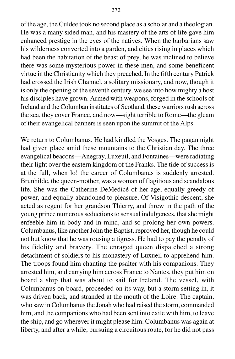of the age, the Culdee took no second place as a scholar and a theologian. He was a many sided man, and his mastery of the arts of life gave him enhanced prestige in the eyes of the natives. When the barbarians saw his wilderness converted into a garden, and cities rising in places which had been the habitation of the beast of prey, he was inclined to believe there was some mysterious power in these men, and some beneficent virtue in the Christianity which they preached. In the fifth century Patrick had crossed the Irish Channel, a solitary missionary, and now, though it is only the opening of the seventh century, we see into how mighty a host his disciples have grown. Armed with weapons, forged in the schools of Ireland and the Columban institutes of Scotland, these warriors rush across the sea, they cover France, and now—sight terrible to Rome—the gleam of their evangelical banners is seen upon the summit of the Alps.

We return to Columbanus. He had kindled the Vosges. The pagan night had given place amid these mountains to the Christian day. The three evangelical beacons—Anegray, Luxeuil, and Fontaines—were radiating their light over the eastern kingdom of the Franks. The tide of success is at the full, when lo! the career of Columbanus is suddenly arrested. Brunhilde, the queen-mother, was a woman of flagitious and scandalous life. She was the Catherine DeMedicé of her age, equally greedy of power, and equally abandoned to pleasure. Of Visigothic descent, she acted as regent for her grandson Thierry, and threw in the path of the young prince numerous seductions to sensual indulgences, that she might enfeeble him in body and in mind, and so prolong her own powers. Columbanus, like another John the Baptist, reproved her, though he could not but know that he was rousing a tigress. He had to pay the penalty of his fidelity and bravery. The enraged queen dispatched a strong detachment of soldiers to his monastery of Luxueil to apprehend him. The troops found him chanting the psalter with his companions. They arrested him, and carrying him across France to Nantes, they put him on board a ship that was about to sail for Ireland. The vessel, with Columbanus on board, proceeded on its way, but a storm setting in, it was driven back, and stranded at the mouth of the Loire. The captain, who saw in Columbanus the Jonah who had raised the storm, commanded him, and the companions who had been sent into exile with him, to leave the ship, and go wherever it might please him. Columbanus was again at liberty, and after a while, pursuing a circuitous route, for he did not pass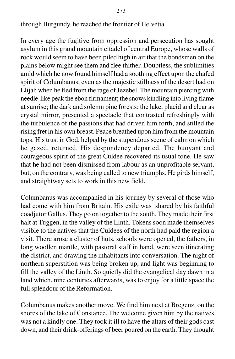through Burgundy, he reached the frontier of Helvetia.

In every age the fugitive from oppression and persecution has sought asylum in this grand mountain citadel of central Europe, whose walls of rock would seem to have been piled high in air that the bondsmen on the plains below might see them and flee thither. Doubtless, the sublimities amid which he now found himself had a soothing effect upon the chafed spirit of Columbanus, even as the majestic stillness of the desert had on Elijah when he fled from the rage of Jezebel. The mountain piercing with needle-like peak the ebon firmament; the snows kindling into living flame at sunrise; the dark and solemn pine forests; the lake, placid and clear as crystal mirror, presented a spectacle that contrasted refreshingly with the turbulence of the passions that had driven him forth, and stilled the rising fret in his own breast. Peace breathed upon him from the mountain tops. His trust in God, helped by the stupendous scene of calm on which he gazed, returned. His despondency departed. The buoyant and courageous spirit of the great Culdee recovered its usual tone. He saw that he had not been dismissed from labour as an unprofitable servant, but, on the contrary, was being called to new triumphs. He girds himself, and straightway sets to work in this new field.

Columbanus was accompanied in his journey by several of those who had come with him from Britain. His exile was shared by his faithful coadjutor Gallus. They go on together to the south. They made their first halt at Tuggen, in the valley of the Linth. Tokens soon made themselves visible to the natives that the Culdees of the north had paid the region a visit. There arose a cluster of huts, schools were opened, the fathers, in long woollen mantle, with pastoral staff in hand, were seen itinerating the district, and drawing the inhabitants into conversation. The night of northern superstition was being broken up, and light was beginning to fill the valley of the Linth. So quietly did the evangelical day dawn in a land which, nine centuries afterwards, was to enjoy for a little space the full splendour of the Reformation.

Columbanus makes another move. We find him next at Bregenz, on the shores of the lake of Constance. The welcome given him by the natives was not a kindly one. They took it ill to have the altars of their gods cast down, and their drink-offerings of beer poured on the earth. They thought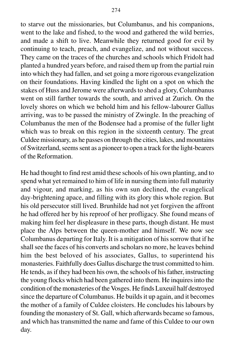to starve out the missionaries, but Columbanus, and his companions, went to the lake and fished, to the wood and gathered the wild berries, and made a shift to live. Meanwhile they returned good for evil by continuing to teach, preach, and evangelize, and not without success. They came on the traces of the churches and schools which Fridolt had planted a hundred years before, and raised them up from the partial ruin into which they had fallen, and set going a more rigorous evangelization on their foundations. Having kindled the light on a spot on which the stakes of Huss and Jerome were afterwards to shed a glory, Columbanus went on still farther towards the south, and arrived at Zurich. On the lovely shores on which we behold him and his fellow-labourer Gallus arriving, was to be passed the ministry of Zwingle. In the preaching of Columbanus the men of the Bodensee had a promise of the fuller light which was to break on this region in the sixteenth century. The great Culdee missionary, as he passes on through the cities, lakes, and mountains of Switzerland, seems sent as a pioneer to open a track for the light-bearers of the Reformation.

He had thought to find rest amid these schools of his own planting, and to spend what yet remained to him of life in nursing them into full maturity and vigour, and marking, as his own sun declined, the evangelical day-brightening apace, and filling with its glory this whole region. But his old persecutor still lived. Brunhilde had not yet forgiven the affront he had offered her by his reproof of her profligacy. She found means of making him feel her displeasure in these parts, though distant. He must place the Alps between the queen-mother and himself. We now see Columbanus departing for Italy. It is a mitigation of his sorrow that if he shall see the faces of his converts and scholars no more, he leaves behind him the best beloved of his associates, Gallus, to superintend his monasteries. Faithfully does Gallus discharge the trust committed to him. He tends, as if they had been his own, the schools of his father, instructing the young flocks which had been gathered into them. He inquires into the condition of the monasteries of the Vosges. He finds Luxeuil half destroyed since the departure of Columbanus. He builds it up again, and it becomes the mother of a family of Culdee cloisters. He concludes his labours by founding the monastery of St. Gall, which afterwards became so famous, and which has transmitted the name and fame of this Culdee to our own day.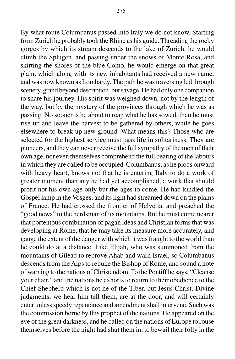By what route Columbanus passed into Italy we do not know. Starting from Zurich he probably took the Rhine as his guide. Threading the rocky gorges by which its stream descends to the lake of Zurich, he would climb the Splugen, and passing under the snows of Monte Rosa, and skirting the shores of the blue Como, he would emerge on that great plain, which along with its new inhabitants had received a new name, and was now known as Lombardy. The path he was traversing led through scenery, grand beyond description, but savage. He had only one companion to share his journey. His spirit was weighed down, not by the length of

the way, but by the mystery of the provinces through which he was as passing. No sooner is he about to reap what he has sowed, than he must rise up and leave the harvest to be gathered by others, while he goes elsewhere to break up new ground. What means this? Those who are selected for the highest service must pass life in solitariness. They are pioneers, and they can never receive the full sympathy of the men of their own age, nor even themselves comprehend the full bearing of the labours in which they are called to be occupied. Columbanus, as he plods onward with heavy heart, knows not that he is entering Italy to do a work of greater moment than any he had yet accomplished; a work that should profit not his own age only but the ages to come. He had kindled the Gospel lamp in the Vosges, and its light had streamed down on the plains of France. He had crossed the frontier of Helvetia, and preached the "good news" to the herdsman of its mountains. But he must come nearer that portentous combination of pagan ideas and Christian forms that was developing at Rome, that he may take its measure more accurately, and gauge the extent of the danger with which it was fraught to the world than he could do at a distance. Like Elijah, who was summoned from the mountains of Gilead to reprove Ahab and warn Israel, so Columbanus descends from the Alps to rebuke the Bishop of Rome, and sound a note of warning to the nations of Christendom. To the Pontiff he says, "Cleanse your chair," and the nations he exhorts to return to their obedience to the Chief Shepherd which is not he of the Tiber, but Jesus Christ. Divine judgments, we hear him tell them, are at the door, and will certainly enter unless speedy repentance and amendment shall intervene. Such was the commission borne by this prophet of the nations. He appeared on the eve of the great darkness, and he called on the nations of Europe to rouse themselves before the night had shut them in, to bewail their folly in the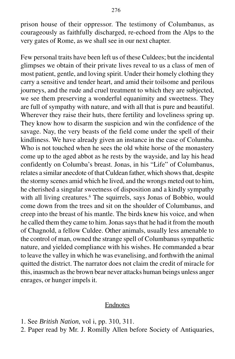prison house of their oppressor. The testimony of Columbanus, as courageously as faithfully discharged, re-echoed from the Alps to the very gates of Rome, as we shall see in our next chapter.

Few personal traits have been left us of these Culdees; but the incidental glimpses we obtain of their private lives reveal to us a class of men of most patient, gentle, and loving spirit. Under their homely clothing they carry a sensitive and tender heart, and amid their toilsome and perilous journeys, and the rude and cruel treatment to which they are subjected, we see them preserving a wonderful equanimity and sweetness. They are full of sympathy with nature, and with all that is pure and beautiful. Wherever they raise their huts, there fertility and loveliness spring up. They know how to disarm the suspicion and win the confidence of the savage. Nay, the very beasts of the field come under the spell of their kindliness. We have already given an instance in the case of Columba. Who is not touched when he sees the old white horse of the monastery come up to the aged abbot as he rests by the wayside, and lay his head confidently on Columba's breast. Jonas, in his "Life" of Columbanus, relates a similar anecdote of that Culdean father, which shows that, despite the stormy scenes amid which he lived, and the wrongs meted out to him, he cherished a singular sweetness of disposition and a kindly sympathy with all living creatures.<sup>6</sup> The squirrels, says Jonas of Bobbio, would come down from the trees and sit on the shoulder of Columbanus, and creep into the breast of his mantle. The birds knew his voice, and when he called them they came to him. Jonas says that he had it from the mouth of Chagnold, a fellow Culdee. Other animals, usually less amenable to the control of man, owned the strange spell of Columbanus sympathetic nature, and yielded compliance with his wishes. He commanded a bear to leave the valley in which he was evanelising, and forthwith the animal quitted the district. The narrator does not claim the credit of miracle for this, inasmuch as the brown bear never attacks human beings unless anger enrages, or hunger impels it.

#### Endnotes

- 1. See *British Nation*, vol i, pp. 310, 311.
- 2. Paper read by Mr. J. Romilly Allen before Society of Antiquaries,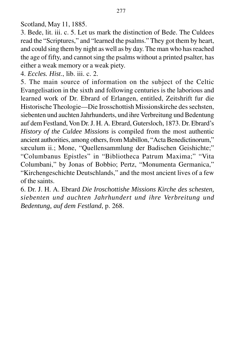Scotland, May 11, 1885.

3. Bede, lit. iii. c. 5. Let us mark the distinction of Bede. The Culdees read the "Scriptures," and "learned the psalms." They got them by heart, and could sing them by night as well as by day. The man who has reached the age of fifty, and cannot sing the psalms without a printed psalter, has either a weak memory or a weak piety.

4. *Eccles. Hist*., lib. iii. c. 2.

5. The main source of information on the subject of the Celtic Evangelisation in the sixth and following centuries is the laborious and learned work of Dr. Ebrard of Erlangen, entitled, Zeitshrift fur die Historische Theologie—Die Irosschottish Missionskirche des sechsten, siebenten und auchten Jahrhunderts, und ihre Verbreitung und Bedentung auf dem Festland, Von Dr. J. H. A. Ebrard, Gutersloch, 1873. Dr. Ebrard's *History of the Culdee Missions* is compiled from the most authentic ancient authorities, among others, from Mabillon, "Acta Benedictinorum," sæculum ii.; Mone, "Quellensammlung der Badischen Geishichte;" "Columbanus Epistles" in "Bibliotheca Patrum Maxima;" "Vita Columbani," by Jonas of Bobbio; Pertz, "Monumenta Germanica," "Kirchengeschichte Deutschlands," and the most ancient lives of a few of the saints.

6. Dr. J. H. A. Ebrard *Die Iroschottishe Missions Kirche des schesten, siebenten und auchten Jahrhundert und ihre Verbreitung und Bedentung, auf dem Festland*, p. 268.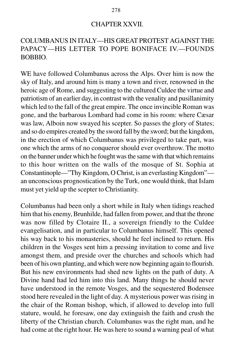#### CHAPTER XXVII.

# COLUMBANUS IN ITALY—HIS GREAT PROTEST AGAINST THE PAPACY—HIS LETTER TO POPE BONIFACE IV.—FOUNDS BOBBIO.

WE have followed Columbanus across the Alps. Over him is now the sky of Italy, and around him is many a town and river, renowned in the heroic age of Rome, and suggesting to the cultured Culdee the virtue and patriotism of an earlier day, in contrast with the venality and pusillanimity which led to the fall of the great empire. The once invincible Roman was gone, and the barbarous Lombard had come in his room: where Cæsar was law, Alboin now swayed his scepter. So passes the glory of States; and so do empires created by the sword fall by the sword; but the kingdom, in the erection of which Columbanus was privileged to take part, was one which the arms of no conqueror should ever overthrow. The motto on the banner under which he fought was the same with that which remains to this hour written on the walls of the mosque of St. Sophia at Constantinople—"Thy Kingdom, O Christ, is an everlasting Kingdom" an unconscious prognostication by the Turk, one would think, that Islam must yet yield up the scepter to Christianity.

Columbanus had been only a short while in Italy when tidings reached him that his enemy, Brunhilde, had fallen from power, and that the throne was now filled by Clotaire II., a sovereign friendly to the Culdee evangelisation, and in particular to Columbanus himself. This opened his way back to his monasteries, should he feel inclined to return. His children in the Vosges sent him a pressing invitation to come and live amongst them, and preside over the churches and schools which had been of his own planting, and which were now beginning again to flourish. But his new environments had shed new lights on the path of duty. A Divine hand had led him into this land. Many things he should never have understood in the remote Vosges, and the sequestered Bodensee stood here revealed in the light of day. A mysterious power was rising in the chair of the Roman bishop, which, if allowed to develop into full stature, would, he foresaw, one day extinguish the faith and crush the liberty of the Christian church. Columbanus was the right man, and he had come at the right hour. He was here to sound a warning peal of what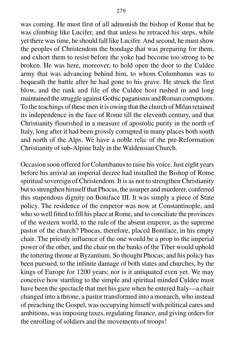was coming. He must first of all admonish the bishop of Rome that he was climbing like Lucifer, and that unless he retraced his steps, while yet there was time, he should fall like Lucifer. And second, he must show the peoples of Christendom the bondage that was preparing for them, and exhort them to resist before the yoke had become too strong to be broken. He was here, moreover, to hold open the door to the Culdee army that was advancing behind him, to whom Columbanus was to bequeath the battle after he had gone to his grave. He struck the first blow, and the rank and file of the Culdee host rushed in and long maintained the struggle against Gothic paganisms and Roman corruptions. To the teachings of these men it is owing that the church of Milan retained its independence in the face of Rome till the eleventh century, and that Christianity flourished in a measure of apostolic purity in the north of Italy, long after it had been grossly corrupted in many places both south and north of the Alps. We have a noble relic of the pre-Reforrnation Christianity of sub-Alpine Italy in the Waldensian Church.

Occasion soon offered for Columbanus to raise his voice. Just eight years before his arrival an imperial decree had installed the Bishop of Rome spiritual sovereign of Christendom. It is as not to strengthen Christianity but to strengthen himself that Phocas, the usurper and murderer, conferred this stupendous dignity on Boniface III. It was simply a piece of State policy. The residence of the emperor was now at Constantinople, and who so well fitted to fill his place at Rome, and to conciliate the provinces of the western world, to the rule of the absent emperor, as the supreme pastor of the church? Phocas, therefore, placed Boniface, in his empty chair. The priestly influence of the one would be a prop to the imperial power of the other, and the chair on the banks of the Tiber would uphold the tottering throne at Byzantium. So thought Phocas; and his policy has been pursued, to the infinite damage of both states and churches, by the kings of Europe for 1200 years; nor is it antiquated even yet. We may conceive how startling to the simple and spiritual minded Culdee must have been the spectacle that met his gaze when he entered Italy—a chair changed into a throne, a pastor transformed into a monarch, who instead of preaching the Gospel, was occupying himself with political cares and ambitions, was imposing taxes, regulating finance, and giving orders for the enrolling of soldiers and the movements of troops!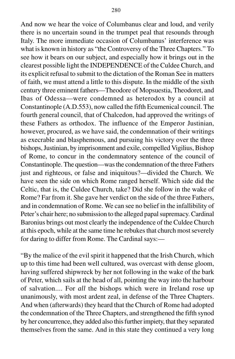And now we hear the voice of Columbanus clear and loud, and verily there is no uncertain sound in the trumpet peal that resounds through Italy. The more immediate occasion of Columbanus' interference was what is known in history as "the Controversy of the Three Chapters." To see how it bears on our subject, and especially how it brings out in the clearest possible light the INDEPENDENCE of the Culdee Church, and its explicit refusal to submit to the dictation of the Roman See in matters of faith, we must attend a little to this dispute. In the middle of the sixth century three eminent fathers—Theodore of Mopsuestia, Theodoret, and Ibas of Odessa—were condemned as heterodox by a council at Constantinople (A.D.553), now called the fifth Ecumenical council. The fourth general council, that of Chalcedon, had approved the writings of these Fathers as orthodox. The influence of the Emperor Justinian, however, procured, as we have said, the condemnation of their writings as execrable and blasphemous, and pursuing his victory over the three bishops, Justinian, by imprisonment and exile, compelled Vigilius, Bishop of Rome, to concur in the condemnatory sentence of the council of Constantinople. The question—was the condemnation of the three Fathers just and righteous, or false and iniquitous?—divided the Church. We have seen the side on which Rome ranged herself. Which side did the Celtic, that is, the Culdee Church, take? Did she follow in the wake of Rome? Far from it. She gave her verdict on the side of the three Fathers, and in condemnation of Rome. We can see no belief in the infallibility of Peter's chair here; no submission to the alleged papal supremacy. Cardinal Baronius brings out most clearly the independence of the Culdee Church at this epoch, while at the same time he rebukes that church most severely for daring to differ from Rome. The Cardinal says:—

"By the malice of the evil spirit it happened that the Irish Church, which up to this time had been well cultured, was overcast with dense gloom, having suffered shipwreck by her not following in the wake of the bark of Peter, which sails at the head of all, pointing the way into the harbour of salvation.... For *all* the bishops which were in Ireland rose up unanimously, with most ardent zeal, in defense of the Three Chapters. And when (afterwards) they heard that the Church of Rome had adopted the condemnation of the Three Chapters, and strengthened the fifth synod by her concurrence, they added also this further impiety, that they separated themselves from the same. And in this state they continued a very long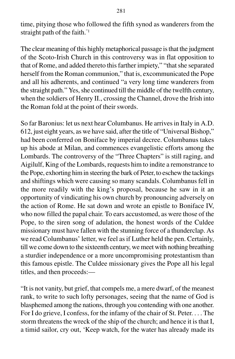time, pitying those who followed the fifth synod as wanderers from the straight path of the faith."1

The clear meaning of this highly metaphorical passage is that the judgment of the Scoto-Irish Church in this controversy was in flat opposition to that of Rome, and added thereto this farther impiety," "that she separated herself from the Roman communion," that is, excommunicated the Pope and all his adherents, and continued "a very long time wanderers from the straight path." Yes, she continued till the middle of the twelfth century, when the soldiers of Henry II., crossing the Channel, drove the Irish into the Roman fold at the point of their swords.

So far Baronius: let us next hear Columbanus. He arrives in Italy in A.D. 612, just eight years, as we have said, after the title of "Universal Bishop," had been conferred on Boniface by imperial decree. Columbanus takes up his abode at Milan, and commences evangelistic efforts among the Lombards. The controversy of the "Three Chapters" is still raging, and Aigilulf, King of the Lombards, requests him to indite a remonstrance to the Pope, exhorting him in steering the bark of Peter, to eschew the tackings and shiftings which were causing so many scandals. Columbanus fell in the more readily with the king's proposal, because he saw in it an opportunity of vindicating his own church by pronouncing adversely on the action of Rome. He sat down and wrote an epistle to Boniface IV, who now filled the papal chair. To ears accustomed, as were those of the Pope, to the siren song of adulation, the honest words of the Culdee missionary must have fallen with the stunning force of a thunderclap. As we read Columbanus' letter, we feel as if Luther held the pen. Certainly, till we come down to the sixteenth century, we meet with nothing breathing a sturdier independence or a more uncompromising protestantism than this famous epistle. The Culdee missionary gives the Pope all his legal titles, and then proceeds:—

"It is not vanity, but grief, that compels me, a mere dwarf, of the meanest rank, to write to such lofty personages, seeing that the name of God is blasphemed among the nations, through you contending with one another. For I do grieve, I confess, for the infamy of the chair of St. Peter. . . . The storm threatens the wreck of the ship of the church; and hence it is that I, a timid sailor, cry out, 'Keep watch, for the water has already made its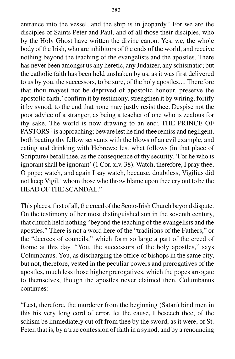entrance into the vessel, and the ship is in jeopardy.' For we are the disciples of Saints Peter and Paul, and of all those their disciples, who by the Holy Ghost have written the divine canon. Yes, we, the whole body of the Irish, who are inhibitors of the ends of the world, and receive nothing beyond the teaching of the evangelists and the apostles. There has never been amongst us any heretic, any Judaizer, any schismatic; but the catholic faith has been held unshaken by us, as it was first delivered to us by you, the successors, to be sure, of the holy apostles.... Therefore that thou mayest not be deprived of apostolic honour, preserve the apostolic faith,<sup>2</sup> confirm it by testimony, strengthen it by writing, fortify it by synod, to the end that none may justly resist thee. Despise not the poor advice of a stranger, as being a teacher of one who is zealous for thy sake. The world is now drawing to an end; THE PRINCE OF PASTORS<sup>3</sup> is approaching; beware lest he find thee remiss and negligent, both beating thy fellow servants with the blows of an evil example, and eating and drinking with Hebrews; lest what follows (in that place of Scripture) befall thee, as the consequence of thy security. 'For he who is ignorant shall be ignorant' (1 Cor. xiv. 38). Watch, therefore, I pray thee, O pope; watch, and again I say watch, because, doubtless, Vigilius did not keep Vigil,<sup>4</sup> whom those who throw blame upon thee cry out to be the HEAD OF THE SCANDAL."

This places, first of all, the creed of the Scoto-Irish Church beyond dispute. On the testimony of her most distinguished son in the seventh century, that church held nothing "beyond the teaching of the evangelists and the apostles." There is not a word here of the "traditions of the Fathers," or the "decrees of councils," which form so large a part of the creed of Rome at this day. "You, the successors of the holy apostles," says Columbanus. You, as discharging the office of bishops in the same city, but not, therefore, vested in the peculiar powers and prerogatives of the apostles, much less those higher prerogatives, which the popes arrogate to themselves, though the apostles never claimed then. Columbanus continues:—

"Lest, therefore, the murderer from the beginning (Satan) bind men in this his very long cord of error, let the cause, I beseech thee, of the schism be immediately cut off from thee by the sword, as it were, of St. Peter, that is, by a true confession of faith in a synod, and by a renouncing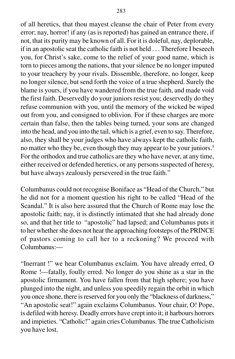of all heretics, that thou mayest cleanse the chair of Peter from every error; nay, horror! if any (as is reported) has gained an entrance there, if not, that its purity may be known of all. For it is doleful, nay, deplorable, if in an apostolic seat the catholic faith is not held . . . Therefore I beseech you, for Christ's sake, come to the relief of your good name, which is torn to pieces among the nations, that your silence be no longer imputed to your treachery by your rivals. Dissemble, therefore, no longer, keep no longer silence, but send forth the voice of a true shepherd. Surely the blame is yours, if you have wandered from the true faith, and made void the first faith. Deservedly do your juniors resist you; deservedly do they refuse communion with you, until the memory of the wicked be wiped out from you, and consigned to oblivion. For if these charges are more certain than false, then the tables being turned, your sons are changed into the head, and you into the tail, which is a grief, even to say. Therefore, also, they shall be your judges who have always kept the catholic faith, no matter who they be, even though they may appear to be your juniors.<sup>5</sup> For the orthodox and true catholics are they who have never, at any time, either received or defended heretics, or any persons suspected of heresy, but have always zealously persevered in the true faith."

Columbanus could not recognise Boniface as "Head of the Church," but he did not for a moment question his right to be called "Head of the Scandal." It is also here assured that the Church of Rome may lose the apostolic faith; nay, it is distinctly intimated that she had already done so, and that her title to "apostolic" had lapsed; and Columbanus puts it to her whether she does not hear the approaching footsteps of the PRINCE of pastors coming to call her to a reckoning? We proceed with Columbanus:—

"Inerrant !" we hear Columbanus exclaim. You have already erred, O Rome !—fatally, foully erred. No longer do you shine as a star in the apostolic firmament. You have fallen from that high sphere; you have plunged into the night, and unless you speedily regain the orbit in which you once shone, there is reserved for you only the "blackness of darkness," "An apostolic seat!" again exclaims Columbanus. Your chair, O! Pope, is defiled with heresy. Deadly errors have crept into it; it harbours horrors and impieties. "Catholic!" again cries Columbanus. The true Catholicism you have lost.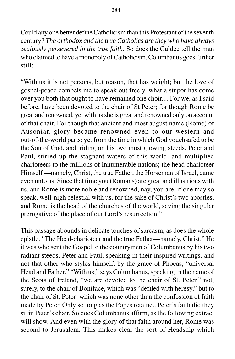Could any one better define Catholicism than this Protestant of the seventh century? *The orthodox and the true Catholics are they who have always zealously persevered in the true faith.* So does the Culdee tell the man who claimed to have a monopoly of Catholicism. Columbanus goes further still:

"With us it is not persons, but reason, that has weight; but the love of gospel-peace compels me to speak out freely, what a stupor has come over you both that ought to have remained one choir.... For we, as I said before, have been devoted to the chair of St Peter; for though Rome be great and renowned, yet with us she is great and renowned only on account of that chair. For though that ancient and most august name (Rome) of Ausonian glory became renowned even to our western and out-of-the-world parts; yet from the time in which God vouchsafed to be the Son of God, and, riding on his two most glowing steeds, Peter and Paul, stirred up the stagnant waters of this world, and multiplied charioteers to the millions of innumerable nations; the head charioteer Himself —namely, Christ, the true Father, the Horseman of Israel, came even unto us. Since that time you (Romans) are great and illustrious with us, and Rome is more noble and renowned; nay, you are, if one may so speak, well-nigh celestial with us, for the sake of Christ's two apostles, and Rome is the head of the churches of the world, saving the singular prerogative of the place of our Lord's resurrection."

This passage abounds in delicate touches of sarcasm, as does the whole epistle. "The Head-charioteer and the true Father—namely, Christ." He it was who sent the Gospel to the countrymen of Columbanus by his two radiant steeds, Peter and Paul, speaking in their inspired writings, and not that other who styles himself, by the grace of Phocas, "universal Head and Father." "With us," says Columbanus, speaking in the name of the Scots of Ireland, "we are devoted to the chair of St. Peter." not, surely, to the chair of Boniface, which was "defiled with heresy," but to the chair of St. Peter; which was none other than the confession of faith made by Peter. Only so long as the Popes retained Peter's faith did they sit in Peter's chair. So does Columbanus affirm, as the following extract will show. And even with the glory of that faith around her, Rome was second to Jerusalem. This makes clear the sort of Headship which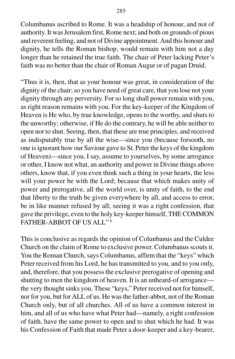Columbanus ascribed to Rome. It was a headship of honour, and not of authority. It was Jerusalem first, Rome next; and both on grounds of pious and reverent feeling, and not of Divine appointment. And this honour and dignity, he tells the Roman bishop, would remain with him not a day longer than he retained the true faith. The chair of Peter lacking Peter's faith was no better than the chair of Roman Augur or of pagan Druid.

"Thus it is, then, that as your honour was great, in consideration of the dignity of the chair; so you have need of great care, that you lose not your dignity through any perversity. For so long shall power remain with you, as right reason remains with you. For the key-keeper of the Kingdom of Heaven is He who, by true knowledge, opens to the worthy, and shuts to the unworthy; otherwise, if He do the contrary, he will be able neither to open nor to shut. Seeing, then, that these are true principles, and received as indisputably true by all the wise—since you (because forsooth, no one is ignorant how our Saviour gave to St. Peter the keys of the kingdom of Heaven)—since you, I say, assume to yourselves, by some arrogance or other, I know not what, an authority and power in Divine things above others, know that, if you even think such a thing in your hearts, the less will your power be with the Lord; because that which makes unity of power and prerogative, all the world over, is unity of faith, to the end that liberty to the truth be given everywhere by all, and access to error, be in like manner refused by all; seeing it was a right confession, that gave the privilege, even to the holy key-keeper himself, THE COMMON FATHER-ABBOT OF US ALL" 6

This is conclusive as regards the opinion of Colunbanus and the Culdee Church on the claim of Rome to exclusive power. Columbanus scouts it. You the Roman Church, says Columbanus, affirm that the "keys" which Peter received from his Lord, he has transmitted to you, and to you only, and, therefore, that you possess the exclusive prerogative of opening and shutting to men the kingdom of heaven. It is an unheard-of arrogance the very thought sinks you. These "keys," Peter received not for himself, nor for you, but for ALL of us. He was the father-abbot, not of the Roman Church only, but of all churches. All of us have a common interest in him, and all of us who have what Peter had—namely, a right confession of faith, have the same power to open and to shut which he had. It was his Confession of Faith that made Peter a door-keeper and a key-bearer,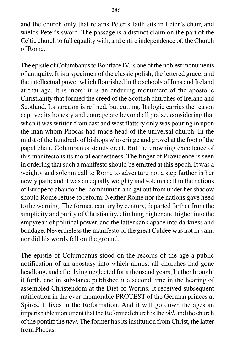and the church only that retains Peter's faith sits in Peter's chair, and wields Peter's sword. The passage is a distinct claim on the part of the Celtic church to full equality with, and entire independence of, the Church of Rome.

The epistle of Columbanus to Boniface IV. is one of the noblest monuments of antiquity. It is a specimen of the classic polish, the lettered grace, and the intellectual power which flourished in the schools of Iona and Ireland at that age. It is more: it is an enduring monument of the apostolic Christianity that formed the creed of the Scottish churches of Ireland and Scotland. Its sarcasm is refined, but cutting. Its logic carries the reason captive; its honesty and courage are beyond all praise, considering that when it was written from east and west flattery only was pouring in upon the man whom Phocas had made head of the universal church. In the midst of the hundreds of bishops who cringe and grovel at the foot of the papal chair, Columbanus stands erect. But the crowning excellence of this manifesto is its moral earnestness. The finger of Providence is seen in ordering that such a manifesto should be emitted at this epoch. It was a weighty and solemn call to Rome to adventure not a step farther in her newly path; and it was an equally weighty and solemn call to the nations of Europe to abandon her communion and get out from under her shadow should Rome refuse to reform. Neither Rome nor the nations gave heed to the warning. The former, century by century, departed farther from the simplicity and purity of Christianity, climbing higher and higher into the empyrean of political power, and the latter sank apace into darkness and bondage. Nevertheless the manifesto of the great Culdee was not in vain, nor did his words fall on the ground.

The epistle of Columbanus stood on the records of the age a public notification of an apostasy into which almost all churches had gone headlong, and after lying neglected for a thousand years, Luther brought it forth, and in substance published it a second time in the hearing of assembled Christendom at the Diet of Worms. It received subsequent ratification in the ever-memorable PROTEST of the German princes at Spires. It lives in the Reformation. And it will go down the ages an imperishable monument that the Reformed church is the *old*, and the church of the pontiff the *new*. The former has its institution from Christ, the latter from Phocas.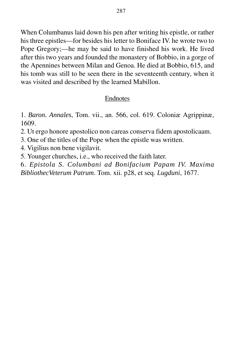When Columbanus laid down his pen after writing his epistle, or rather his three epistles—for besides his letter to Boniface IV. he wrote two to Pope Gregory;—he may be said to have finished his work. He lived after this two years and founded the monastery of Bobbio, in a gorge of the Apennines between Milan and Genoa. He died at Bobbio, 615, and his tomb was still to be seen there in the seventeenth century, when it was visited and described by the learned Mabillon.

## Endnotes

1. *Baron. Annales*, Tom. vii., an. 566, col. 619. Coloniæ Agrippinæ, 1609.

- 2. Ut ergo honore apostolico non careas conserva fidem apostolicaam.
- 3. One of the titles of the Pope when the epistle was written.
- 4. Vigilius non bene vigilavit.
- 5. Younger churches, i.e., who received the faith later.
- 6. *Epistola S. Columbani ad Bonifacium Papam IV. Maxima BibliothecVeterum Patrum*. Tom. xii. p28, et seq. *Lugduni*, 1677.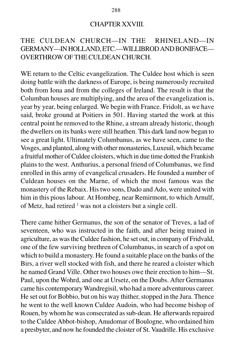#### CHAPTER XXVIII.

# THE CULDEAN CHURCH—IN THE RHINELAND—IN GERMANY—IN HOLLAND, ETC.—WILLIBROD AND BONIFACE— OVERTHROW OF THE CULDEAN CHURCH.

WE return to the Celtic evangelization. The Culdee host which is seen doing battle with the darkness of Europe, is being numerously recruited both from Iona and from the colleges of Ireland. The result is that the Columban houses are multiplying, and the area of the evangelization is, year by year, being enlarged. We begin with France. Fridolt, as we have said, broke ground at Poitiers in 501. Having started the work at this central point he removed to the Rhine, a stream already historic, though the dwellers on its banks were still heathen. This dark land now began to see a great light. Ultimately Columbanus, as we have seen, came to the Vosges, and planted, along with other monasteries, Luxeuil, which became a fruitful mother of Culdee cloisters, which in due time dotted the Frankish plains to the west. Anthurius, a personal friend of Columbanus, we find enrolled in this army of evangelical crusaders. He founded a number of Culdean houses on the Marne, of which the most famous was the monastery of the Rebaix. His two sons, Dado and Ado, were united with him in this pious labour. At Hombeg, near Remirmont, to which Arnulf, of Metz, had retired  $\frac{1}{1}$  was not a cloisters but a single cell.

There came hither Germanus, the son of the senator of Treves, a lad of seventeen, who was instructed in the faith, and after being trained in agriculture, as was the Culdee fashion, he set out, in company of Fridvald, one of the few surviving brethren of Columbanus, in search of a spot on which to build a monastery. He found a suitable place on the banks of the Birs, a river well stocked with fish, and there he reared a cloister which he named Grand Ville. Other two houses owe their erection to him—St. Paul, upon the Wohrd, and one at Ursetz, on the Doubs. After Germanus came his contemporary Wandregisil, who had a more adventurous career. He set out for Bobbio, but on his way thither, stopped in the Jura. Thence he went to the well known Culdee Audoin, who had become bishop of Rouen, by whom he was consecrated as sub-dean. He afterwards repaired to the Culdee Abbot-bishop, Anudomar of Boulogne, who ordained him a presbyter, and now he founded the cloister of St. Vaudrille. His exclusive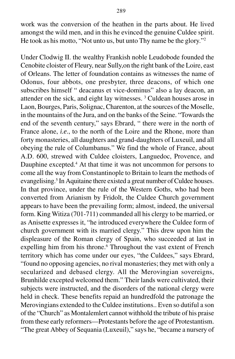work was the conversion of the heathen in the parts about. He lived amongst the wild men, and in this he evinced the genuine Culdee spirit. He took as his motto, "Not unto us, but unto Thy name be the glory."<sup>2</sup>

Under Clodwig II. the wealthy Frankish noble Leudobode founded the Cenobite cloister of Fleury, near Sully,on the right bank of the Loire, east of Orleans. The letter of foundation contains as witnesses the name of Odonus, four abbots, one presbyter, three deacons, of which one subscribes himself " deacanus et vice-dominus" also a lay deacon, an attender on the sick, and eight lay witnesses. 3 Culdean houses arose in Laon, Bourges, Paris, Solignac, Charenton, at the sources of the Moselle, in the mountains of the Jura, and on the banks of the Seine. "Towards the end of the seventh century," says Ebrard, " there were in the north of France alone, *i.e*., to the north of the Loire and the Rhone, more than forty monasteries, all daughters and grand-daughters of Luxeuil, and all obeying the rule of Columbanus." We find the whole of France, about A.D. 600, strewed with Culdee cloisters, Languedoc, Provence, and Dauphine excepted.<sup>4</sup> At that time it was not uncommon for persons to come all the way from Constantinople to Britain to learn the methods of evangelising.<sup>5</sup> In Aquitaine there existed a great number of Culdee houses. In that province, under the rule of the Western Goths, who had been converted from Arianism by Fridolt, the Culdee Church government appears to have been the prevailing form; almost, indeed, the universal form. King Witiza (701-711) commanded all his clergy to be married, or as Anisette expresses it, "he introduced everywhere the Culdee form of church government with its married clergy." This drew upon him the displeasure of the Roman clergy of Spain, who succeeded at last in expelling him from his throne.<sup>6</sup> Throughout the vast extent of French territory which has come under our eyes, "the Culdees," says Ebrard, "found no opposing agencies, no rival monasteries; they met with only a secularized and debased clergy. All the Merovingian sovereigns, Brunhilde excepted welcomed them." Their lands were cultivated, their subjects were instructed, and the disorders of the national clergy were held in check. These benefits repaid an hundredfold the patronage the Merovingians extended to the Culdee institutions.. Even so dutiful a son of the "Church" as Montalemlert cannot withhold the tribute of his praise from these early reformers—Protestants before the age of Protestantism. "The great Abbey of Sequania (Luxeuil)," says he, "became a nursery of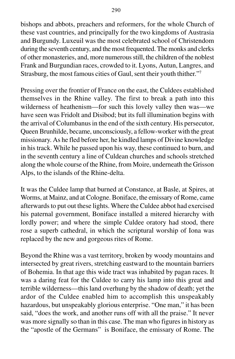bishops and abbots, preachers and reformers, for the whole Church of these vast countries, and principally for the two kingdoms of Austrasia and Burgundy. Luxeuil was the most celebrated school of Christendom during the seventh century, and the most frequented. The monks and clerks of other monasteries, and, more numerous still, the children of the noblest Frank and Burgundian races, crowded to it. Lyons, Autun, Langres, and Strasburg, the most famous cities of Gaul, sent their youth thither."7

Pressing over the frontier of France on the east, the Culdees established themselves in the Rhine valley. The first to break a path into this wilderness of heathenism—for such this lovely valley then was—we have seen was Fridolt and Disibod; but its full illumination begins with the arrival of Columbanus in the end of the sixth century. His persecutor, Queen Brunhilde, became, unconsciously, a fellow-worker with the great missionary. As he fled before her, he kindled lamps of Divine knowledge in his track. While he passed upon his way, these continued to burn, and in the seventh century a line of Culdean churches and schools stretched along the whole course of the Rhine, from Moire, underneath the Grisson Alps, to the islands of the Rhine-delta.

It was the Culdee lamp that burned at Constance, at Basle, at Spires, at Worms, at Mainz, and at Cologne. Boniface, the emissary of Rome, came afterwards to put out these lights. Where the Culdee abbot had exercised his paternal government, Boniface installed a mitered hierarchy with lordly power; and where the simple Culdee oratory had stood, there rose a superb cathedral, in which the scriptural worship of Iona was replaced by the new and gorgeous rites of Rome.

Beyond the Rhine was a vast territory, broken by woody mountains and intersected by great rivers, stretching eastward to the mountain barriers of Bohemia. In that age this wide tract was inhabited by pagan races. It was a daring feat for the Culdee to carry his lamp into this great and terrible wilderness—this land overhung by the shadow of death; yet the ardor of the Culdee enabled him to accomplish this unspeakably hazardous, but unspeakably glorious enterprise. "One man," it has been said, "does the work, and another runs off with all the praise." It never was more signally so than in this case. The man who figures in history as the "apostle of the Germans" is Boniface, the emissary of Rome. The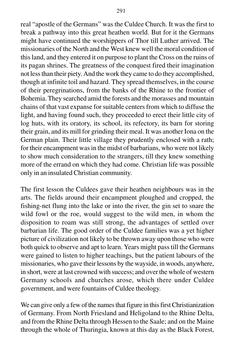real "apostle of the Germans" was the Culdee Church. It was the first to break a pathway into this great heathen world. But for it the Germans might have continued the worshippers of Thor till Luther arrived. The missionaries of the North and the West knew well the moral condition of this land, and they entered it on purpose to plant the Cross on the ruins of its pagan shrines. The greatness of the conquest fired their imagination not less than their piety. And the work they came to do they accomplished, though at infinite toil and hazard. They spread themselves, in the course of their peregrinations, from the banks of the Rhine to the frontier of Bohemia. They searched amid the forests and the morasses and mountain chains of that vast expanse for suitable centers from which to diffuse the light, and having found such, they proceeded to erect their little city of log huts, with its oratory, its school, its refectory, its barn for storing their grain, and its mill for grinding their meal. It was another Iona on the German plain. Their little village they prudently enclosed with a rath; for their encampment was in the midst of barbarians, who were not likely to show much consideration to the strangers, till they knew something more of the errand on which they had come. Christian life was possible only in an insulated Christian community.

The first lesson the Culdees gave their heathen neighbours was in the arts. The fields around their encampment ploughed and cropped, the fishing-net flung into the lake or into the river, the gin set to snare the wild fowl or the roe, would suggest to the wild men, in whom the disposition to roam was still strong, the advantages of settled over barbarian life. The good order of the Culdee families was a yet higher picture of civilization not likely to be thrown away upon those who were both quick to observe and apt to learn. Years might pass till the Germans were gained to listen to higher teachings, but the patient labours of the missionaries, who gave their lessons by the wayside, in woods, anywhere, in short, were at last crowned with success; and over the whole of western Germany schools and churches arose, which there under Culdee government, and were fountains of Culdee theology.

We can give only a few of the names that figure in this first Christianization of Germany. From North Friesland and Heligoland to the Rhine Delta, and from the Rhine Delta through Hessen to the Saale; and on the Maine through the whole of Thuringia, known at this day as the Black Forest,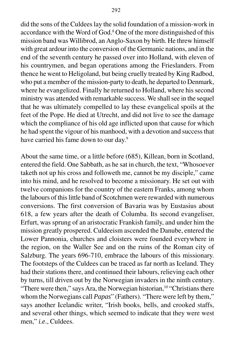did the sons of the Culdees lay the solid foundation of a mission-work in accordance with the Word of God.<sup>8</sup> One of the more distinguished of this mission band was Willibrod, an Anglo-Saxon by birth. He threw himself with great ardour into the conversion of the Germanic nations, and in the end of the seventh century he passed over into Holland, with eleven of his countrymen, and began operations among the Frieslanders. From thence he went to Heligoland, but being cruelly treated by King Radbod, who put a member of the mission-party to death, he departed to Denmark, where he evangelized. Finally he returned to Holland, where his second ministry was attended with remarkable success. We shall see in the sequel that he was ultimately compelled to lay these evangelical spoils at the feet of the Pope. He died at Utrecht, and did not live to see the damage which the compliance of his old age inflicted upon that cause for which he had spent the vigour of his manhood, with a devotion and success that have carried his fame down to our day.<sup>9</sup>

About the same time, or a little before (685), Killean, born in Scotland, entered the field. One Sabbath, as he sat in church, the text, "Whosoever taketh not up his cross and followeth me, cannot be my disciple," came into his mind, and he resolved to become a missionary. He set out with twelve companions for the country of the eastern Franks, among whom the labours of this little band of Scotchmen were rewarded with numerous conversions. The first conversion of Bavaria was by Eustasius about 618, a few years after the death of Columba. Its second evangeliser, Erfurt, was sprung of an aristocratic Frankish family, and under him the mission greatly prospered. Culdeeism ascended the Danube, entered the Lower Pannonia, churches and cloisters were founded everywhere in the region, on the Waller See and on the ruins of the Roman city of Salzburg. The years 696-710, embrace the labours of this missionary. The footsteps of the Culdees can be traced as far north as Iceland. They had their stations there, and continued their labours, relieving each other by turns, till driven out by the Norwegian invaders in the ninth century. "There were then," says Ara, the Norwegian historian, <sup>10</sup> "Christians there whom the Norwegians call *Papas*" (Fathers). "There were left by them," says another Icelandic writer, "Irish books, bells, and crooked staffs, and several other things, which seemed to indicate that they were west men," *i.e*., Culdees.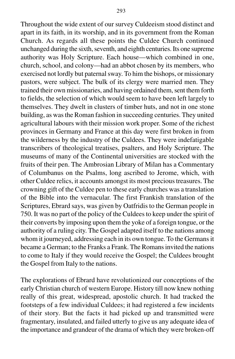Throughout the wide extent of our survey Culdeeism stood distinct and apart in its faith, in its worship, and in its government from the Roman Church. As regards all these points the Culdee Church continued unchanged during the sixth, seventh, and eighth centuries. Its one supreme authority was Holy Scripture. Each house—which combined in one, church, school, and colony—had an abbot chosen by its members, who exercised not lordly but paternal sway. To him the bishops, or missionary pastors, were subject. The bulk of its clergy were married men. They trained their own missionaries, and having ordained them, sent them forth to fields, the selection of which would seem to have been left largely to themselves. They dwelt in clusters of timber huts, and not in one stone building, as was the Roman fashion in succeeding centuries. They united agricultural labours with their mission work proper. Some of the richest provinces in Germany and France at this day were first broken in from the wilderness by the industry of the Culdees. They were indefatigable transcribers of theological treatises, psalters, and Holy Scripture. The museums of many of the Continental universities are stocked with the fruits of their pen. The Ambrosian Library of Milan has a Commentary of Columbanus on the Psalms, long ascribed to Jerome, which, with other Culdee relics, it accounts amongst its most precious treasures. The crowning gift of the Culdee pen to these early churches was a translation of the Bible into the vernacular. The first Frankish translation of the Scriptures, Ebrard says, was given by Oatfridis to the German people in 750. It was no part of the policy of the Culdees to keep under the spirit of their converts by imposing upon them the yoke of a foreign tongue, or the authority of a ruling city. The Gospel adapted itself to the nations among whom it journeyed, addressing each in its own tongue. To the Germans it became a German; to the Franks a Frank. The Romans invited the nations to come to Italy if they would receive the Gospel; the Culdees brought the Gospel from Italy to the nations.

The explorations of Ebrard have revolutionized our conceptions of the early Christian church of western Europe. History till now knew nothing really of this great, widespread, apostolic church. It had tracked the footsteps of a few individual Culdees; it had registered a few incidents of their story. But the facts it had picked up and transmitted were fragmentary, insulated, and failed utterly to give us any adequate idea of the importance and grandeur of the drama of which they were broken-off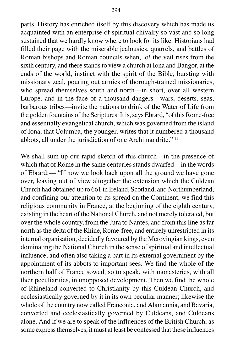parts. History has enriched itself by this discovery which has made us acquainted with an enterprise of spiritual chivalry so vast and so long sustained that we hardly know where to look for its like. Historians had filled their page with the miserable jealousies, quarrels, and battles of Roman bishops and Roman councils when, lo! the veil rises from the sixth century, and there stands to view a church at Iona and Bangor, at the ends of the world, instinct with the spirit of the Bible, bursting with missionary zeal, pouring out armies of thorough-trained missionaries, who spread themselves south and north—in short, over all western Europe, and in the face of a thousand dangers—wars, deserts, seas, barbarous tribes—invite the nations to drink of the Water of Life from the golden fountains of the Scriptures. It is, says Ebrard, "of this Rome-free and essentially evangelical church, which was governed from the island of Iona, that Columba, the younger, writes that it numbered a thousand

abbots, all under the jurisdiction of one Archimandrite." 11

We shall sum up our rapid sketch of this church—in the presence of which that of Rome in the same centuries stands dwarfed—in the words of Ebrard:— "If now we look back upon all the ground we have gone over, leaving out of view altogether the extension which the Culdean Church had obtained up to 661 in Ireland, Scotland, and Northumberland, and confining our attention to its spread on the Continent, we find this religious community in France, at the beginning of the eighth century, existing in the heart of the National Church, and not merely tolerated, but over the whole country, from the Jura to Nantes, and from this line as far north as the delta of the Rhine, Rome-free, and entirely unrestricted in its internal organisation, decidedly favoured by the Merovingian kings, even dominating the National Church in the sense of spiritual and intellectual influence, and often also taking a part in its external government by the appointment of its abbots to important sees. We find the whole of the northern half of France sowed, so to speak, with monasteries, with all their peculiarities, in unopposed development. Then we find the whole of Rhineland converted to Christianity by this Culdean Church, and ecclesiastically governed by it in its own peculiar manner; likewise the whole of the country now called Franconia, and Alamannia, and Bavaria, converted and ecclesiastically governed by Culdeans, and Culdeans alone. And if we are to speak of the influences of the British Church, as some express themselves, it must at least be confessed that these influences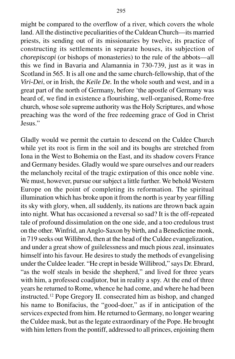might be compared to the overflow of a river, which covers the whole land. All the distinctive peculiarities of the Culdean Church—its married priests, its sending out of its missionaries by twelve, its practice of constructing its settlements in separate houses, its subjection of *chorepiscopi* (or bishops of monasteries) to the rule of the abbots—all this we find in Bavaria and Alamannia in 730-739, just as it was in Scotland in 565. It is all one and the same church-fellowship, that of the *Viri-Dei*, or in Irish, the *Keile De.* In the whole south and west, and in a great part of the north of Germany, before 'the apostle of Germany was heard of, we find in existence a flourishing, well-organised, Rome-free church, whose sole supreme authority was the Holy Scriptures, and whose preaching was the word of the free redeeming grace of God in Christ Jesus."

Gladly would we permit the curtain to descend on the Culdee Church while yet its root is firm in the soil and its boughs are stretched from Iona in the West to Bohemia on the East, and its shadow covers France and Germany besides. Gladly would we spare ourselves and our readers the melancholy recital of the tragic extirpation of this once noble vine. We must, however, pursue our subject a little further. We behold Western Europe on the point of completing its reformation. The spiritual illumination which has broke upon it from the north is year by year filling its sky with glory, when, all suddenly, its nations are thrown back again into night. What has occasioned a reversal so sad? It is the off-repeated tale of profound dissimulation on the one side, and a too credulous trust on the other. Winfrid, an Anglo-Saxon by birth, and a Benedictine monk, in 719 seeks out Willibrod, then at the head of the Culdee evangelization, and under a great show of guilelessness and much pious zeal, insinuates himself into his favour. He desires to study the methods of evangelising under the Culdee leader. "He crept in beside Willibrod," says Dr. Ebrard, "as the wolf steals in beside the shepherd," and lived for three years with him, a professed coadjutor, but in reality a spy. At the end of three years he returned to Rome, whence he had come, and where he had been instructed.12 Pope Gregory II. consecrated him as bishop, and changed his name to Bonifacius, the "good-doer," as if in anticipation of the services expected from him. He returned to Germany, no longer wearing the Culdee mask, but as the legate extraordinary of the Pope. He brought with him letters from the pontiff, addressed to all princes, enjoining them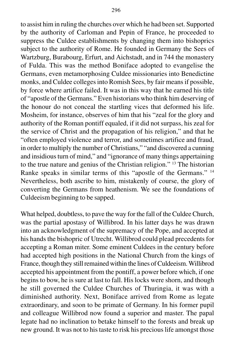to assist him in ruling the churches over which he had been set. Supported by the authority of Carloman and Pepin of France, he proceeded to suppress the Culdee establishments by changing them into bishoprics subject to the authority of Rome. He founded in Germany the Sees of Wartzburg, Burabourg, Erfurt, and Aichstadt, and in 744 the monastery of Fulda. This was the method Boniface adopted to evangelise the Germans, even metamorphosing Culdee missionaries into Benedictine monks, and Culdee colleges into Romish Sees, by fair means if possible, by force where artifice failed. It was in this way that he earned his title of "apostle of the Germans." Even historians who think him deserving of the honour do not conceal the startling vices that deformed his life. Mosheim, for instance, observes of him that his "zeal for the glory and authority of the Roman pontiff equaled, if it did not surpass, his zeal for the service of Christ and the propagation of his religion," and that he "often employed violence and terror, and sometimes artifice and fraud, in order to multiply the number of Christians," "and discovered a cunning and insidious turn of mind," and "ignorance of many things appertaining to the true nature and genius of the Christian religion." 13 The historian Ranke speaks in similar terms of this "apostle of the Germans." 14 Nevertheless, both ascribe to him, mistakenly of course, the glory of converting the Germans from heathenism. We see the foundations of Culdeeism beginning to be sapped.

What helped, doubtless, to pave the way for the fall of the Culdee Church, was the partial apostasy of Willibrod. In his latter days he was drawn into an acknowledgment of the supremacy of the Pope, and accepted at his hands the bishopric of Utrecht. Willibrod could plead precedents for accepting a Roman miter. Some eminent Culdees in the century before had accepted high positions in the National Church from the kings of France, though they still remained within the lines of Culdeeism. Willibrod accepted his appointment from the pontiff, a power before which, if one begins to bow, he is sure at last to fall. His locks were shorn, and though he still governed the Culdee Churches of Thuringia, it was with a diminished authority. Next, Boniface arrived from Rome as legate extraordinary, and soon to be primate of Germany. In his former pupil and colleague Willibrod now found a superior and master. The papal legate had no inclination to betake himself to the forests and break up new ground. It was not to his taste to risk his precious life amongst those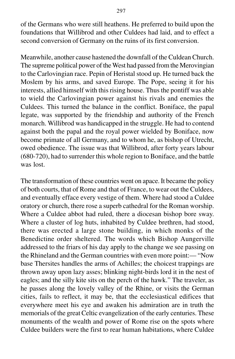of the Germans who were still heathens. He preferred to build upon the foundations that Willibrod and other Culdees had laid, and to effect a second conversion of Germany on the ruins of its first conversion.

Meanwhile, another cause hastened the downfall of the Culdean Church. The supreme political power of the West had passed from the Merovingian to the Carlovingian race. Pepin of Heristal stood up. He turned back the Moslem by his arms, and saved Europe. The Pope, seeing it for his interests, allied himself with this rising house. Thus the pontiff was able to wield the Carlovingian power against his rivals and enemies the Culdees. This turned the balance in the conflict. Boniface, the papal legate, was supported by the friendship and authority of the French monarch. Willibrod was handicapped in the struggle. He had to contend against both the papal and the royal power wielded by Boniface, now become primate of all Germany, and to whom he, as bishop of Utrecht, owed obedience. The issue was that Willibrod, after forty years labour (680-720), had to surrender this whole region to Boniface, and the battle was lost.

The transformation of these countries went on apace. It became the policy of both courts, that of Rome and that of France, to wear out the Culdees, and eventually efface every vestige of them. Where had stood a Culdee oratory or church, there rose a superb cathedral for the Roman worship. Where a Culdee abbot had ruled, there a diocesan bishop bore sway. Where a cluster of log huts, inhabited by Culdee brethren, had stood, there was erected a large stone building, in which monks of the Benedictine order sheltered. The words which Bishop Aungerville addressed to the friars of his day apply to the change we see passing on the Rhineland and the German countries with even more point:— "Now base Thersites handles the arms of Achilles; the choicest trappings are thrown away upon lazy asses; blinking night-birds lord it in the nest of eagles; and the silly kite sits on the perch of the hawk." The traveler, as he passes along the lovely valley of the Rhine, or visits the German cities, fails to reflect, it may be, that the ecclesiastical edifices that everywhere meet his eye and awaken his admiration are in truth the memorials of the great Celtic evangelization of the early centuries. These monuments of the wealth and power of Rome rise on the spots where Culdee builders were the first to rear human habitations, where Culdee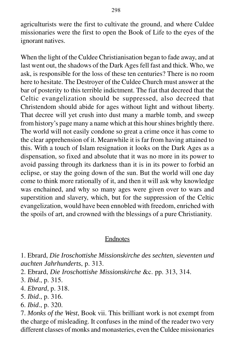agriculturists were the first to cultivate the ground, and where Culdee missionaries were the first to open the Book of Life to the eyes of the ignorant natives.

When the light of the Culdee Christianisation began to fade away, and at last went out, the shadows of the Dark Ages fell fast and thick. Who, we ask, is responsible for the loss of these ten centuries? There is no room here to hesitate. The Destroyer of the Culdee Church must answer at the bar of posterity to this terrible indictment. The fiat that decreed that the Celtic evangelization should be suppressed, also decreed that Christendom should abide for ages without light and without liberty. That decree will yet crush into dust many a marble tomb, and sweep from history's page many a name which at this hour shines brightly there. The world will not easily condone so great a crime once it has come to the clear apprehension of it. Meanwhile it is far from having attained to this. With a touch of Islam resignation it looks on the Dark Ages as a dispensation, so fixed and absolute that it was no more in its power to avoid passing through its darkness than it is in its power to forbid an eclipse, or stay the going down of the sun. But the world will one day come to think more rationally of it, and then it will ask why knowledge was enchained, and why so many ages were given over to wars and superstition and slavery, which, but for the suppression of the Celtic evangelization, would have been ennobled with freedom, enriched with the spoils of art, and crowned with the blessings of a pure Christianity.

## Endnotes

1. Ebrard, *Die Iroschottishe Missionskirche des sechten, sieventen und auchten Jahrhunderts*, p. 313.

2. Ebrard, *Die Iroschottishe Missionskirche* &c. pp. 313, 314.

3. *Ibid*., p. 315.

- 4. *Ebrard*, p. 318.
- 5. *Ibid*., p. 316.
- 6. *Ibid*., p. 320.

7. *Monks of the West*, Book vii. This brilliant work is not exempt from the charge of misleading. It confuses in the mind of the reader two very different classes of monks and monasteries, even the Culdee missionaries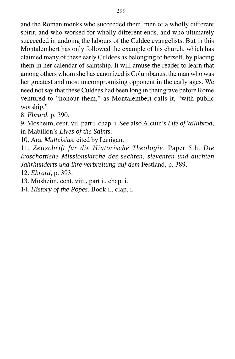and the Roman monks who succeeded them, men of a wholly different spirit, and who worked for wholly different ends, and who ultimately succeeded in undoing the labours of the Culdee evangelists. But in this Montalembert has only followed the example of his church, which has claimed many of these early Culdees as belonging to herself, by placing them in her calendar of saintship. It will amuse the reader to learn that among others whom she has canonized is Columbanus, the man who was her greatest and most uncompromising opponent in the early ages. We need not say that these Culdees had been long in their grave before Rome ventured to "honour them," as Montalembert calls it, "with public worship."

8. *Ebrard*, p. 390.

9. Mosheim, cent. vii. part i. chap. i. See also Alcuin's *Life of Willibrod*, in Mabillon's *Lives of the Saints*.

10. Ara, *Multeisius*, cited by Lanigan.

11. *Zeitschrift für die Hiatorische Theologie*. Paper 5th. *Die Iroschottishe Missionskirche des sechten, sieventen und auchten Jahrhunderts und ihre verbreitung auf dem* Festland, p. 389.

12. *Ebrard*, p. 393.

13. Mosheim, cent. viii., part i., chap. i.

14. *History of the Popes*, Book i., clap, i.